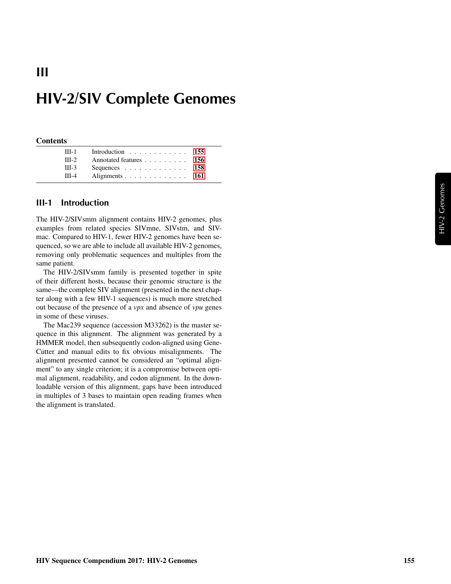# **HIV-2/SIV Complete Genomes**

#### **Contents**

**III**

| $III-1$ | Introduction 155                                  |  |
|---------|---------------------------------------------------|--|
| $III-2$ | Annotated features 156                            |  |
| $III-3$ | Sequences $\ldots$ $\ldots$ $\ldots$ $\ldots$ 158 |  |
| $III-4$ | Alignments 161                                    |  |

#### <span id="page-0-0"></span>**III-1 Introduction**

The HIV-2/SIVsmm alignment contains HIV-2 genomes, plus examples from related species SIVmne, SIVstm, and SIVmac. Compared to HIV-1, fewer HIV-2 genomes have been sequenced, so we are able to include all available HIV-2 genomes, removing only problematic sequences and multiples from the same patient.

The HIV-2/SIVsmm family is presented together in spite of their different hosts, because their genomic structure is the same—the complete SIV alignment (presented in the next chapter along with a few HIV-1 sequences) is much more stretched out because of the presence of a *vpx* and absence of *vpu* genes in some of these viruses.

The Mac239 sequence (accession M33262) is the master sequence in this alignment. The alignment was generated by a HMMER model, then subsequently codon-aligned using Gene-Cutter and manual edits to fix obvious misalignments. The alignment presented cannot be considered an "optimal alignment" to any single criterion; it is a compromise between optimal alignment, readability, and codon alignment. In the downloadable version of this alignment, gaps have been introduced in multiples of 3 bases to maintain open reading frames when the alignment is translated.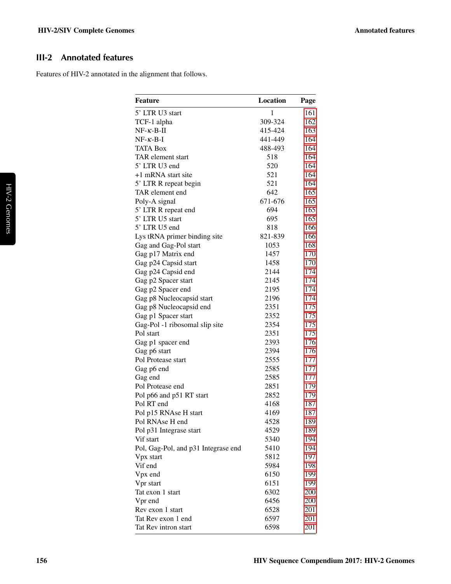## <span id="page-1-0"></span>**III-2 Annotated features**

Features of HIV-2 annotated in the alignment that follows.

| <b>Feature</b>                      | <b>Location</b> | Page |
|-------------------------------------|-----------------|------|
| 5' LTR U3 start                     | $\mathbf{1}$    | 161  |
| TCF-1 alpha                         | 309-324         | 162  |
| $NF-\kappa-B-\Pi$                   | 415-424         | 163  |
| $NF-\kappa-B-I$                     | 441-449         | 164  |
| <b>TATA Box</b>                     | 488-493         | 164  |
| TAR element start                   | 518             | 164  |
| 5' LTR U3 end                       | 520             | 164  |
| +1 mRNA start site                  | 521             | 164  |
| 5' LTR R repeat begin               | 521             | 164  |
| TAR element end                     | 642             | 165  |
| Poly-A signal                       | 671-676         | 165  |
| 5' LTR R repeat end                 | 694             | 165  |
| 5' LTR U5 start                     | 695             | 165  |
| 5' LTR U5 end                       | 818             | 166  |
| Lys tRNA primer binding site        | 821-839         | 166  |
| Gag and Gag-Pol start               | 1053            | 168  |
| Gag p17 Matrix end                  | 1457            | 170  |
| Gag p24 Capsid start                | 1458            | 170  |
| Gag p24 Capsid end                  | 2144            | 174  |
| Gag p2 Spacer start                 | 2145            | 174  |
| Gag p2 Spacer end                   | 2195            | 174  |
| Gag p8 Nucleocapsid start           | 2196            | 174  |
| Gag p8 Nucleocapsid end             | 2351            | 175  |
| Gag p1 Spacer start                 | 2352            | 175  |
| Gag-Pol -1 ribosomal slip site      | 2354            | 175  |
| Pol start                           | 2351            | 175  |
| Gag p1 spacer end                   | 2393            | 176  |
| Gag p6 start                        | 2394            | 176  |
| Pol Protease start                  | 2555            | 177  |
| Gag p6 end                          | 2585            | 177  |
| Gag end                             | 2585            | 177  |
| Pol Protease end                    | 2851            | 179  |
| Pol p66 and p51 RT start            | 2852            | 179  |
| Pol RT end                          | 4168            | 187  |
| Pol p15 RNAse H start               | 4169            | 187  |
| Pol RNAse H end                     | 4528            | 189  |
| Pol p31 Integrase start             | 4529            | 189  |
| Vif start                           | 5340            | 194  |
| Pol, Gag-Pol, and p31 Integrase end | 5410            | 194  |
| Vpx start                           | 5812            | 197  |
| Vif end                             | 5984            | 198  |
| Vpx end                             | 6150            | 199  |
| Vpr start                           | 6151            | 199  |
| Tat exon 1 start                    | 6302            | 200  |
| Vpr end                             | 6456            | 200  |
| Rev exon 1 start                    | 6528            | 201  |
| Tat Rev exon 1 end                  | 6597            | 201  |
| Tat Rev intron start                | 6598            | 201  |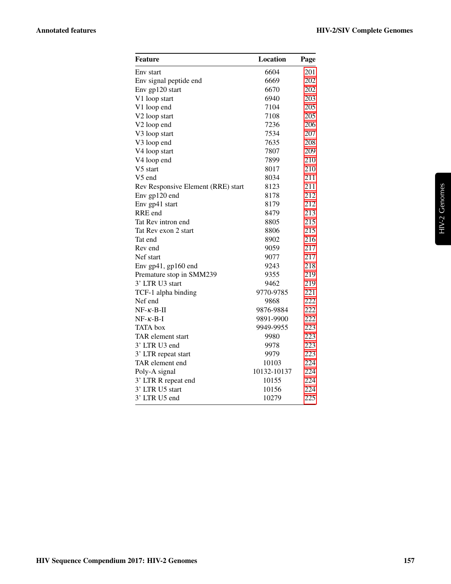| Feature                            | Location    | Page |
|------------------------------------|-------------|------|
| Env start                          | 6604        | 201  |
| Env signal peptide end             | 6669        | 202  |
| Env gp120 start                    | 6670        | 202  |
| V1 loop start                      | 6940        | 203  |
| V1 loop end                        | 7104        | 205  |
| V <sub>2</sub> loop start          | 7108        | 205  |
| V <sub>2</sub> loop end            | 7236        | 206  |
| V3 loop start                      | 7534        | 207  |
| V3 loop end                        | 7635        | 208  |
| V4 loop start                      | 7807        | 209  |
| V4 loop end                        | 7899        | 210  |
| V5 start                           | 8017        | 210  |
| V5 end                             | 8034        | 211  |
| Rev Responsive Element (RRE) start | 8123        | 211  |
| Env gp120 end                      | 8178        | 212  |
| Env gp41 start                     | 8179        | 212  |
| RRE end                            | 8479        | 213  |
| Tat Rev intron end                 | 8805        | 215  |
| Tat Rev exon 2 start               | 8806        | 215  |
| Tat end                            | 8902        | 216  |
| Rev end                            | 9059        | 217  |
| Nef start                          | 9077        | 217  |
| Env gp41, gp160 end                | 9243        | 218  |
| Premature stop in SMM239           | 9355        | 219  |
| 3' LTR U3 start                    | 9462        | 219  |
| TCF-1 alpha binding                | 9770-9785   | 221  |
| Nef end                            | 9868        | 222  |
| $NF-\kappa-B-\Pi$                  | 9876-9884   | 222  |
| $NF- \kappa - B-I$                 | 9891-9900   | 222  |
| <b>TATA</b> box                    | 9949-9955   | 223  |
| TAR element start                  | 9980        | 223  |
| 3' LTR U3 end                      | 9978        | 223  |
| 3' LTR repeat start                | 9979        | 223  |
| TAR element end                    | 10103       | 224  |
| Poly-A signal                      | 10132-10137 | 224  |
| 3' LTR R repeat end                | 10155       | 224  |
| 3' LTR U5 start                    | 10156       | 224  |
| 3' LTR U5 end                      | 10279       | 225  |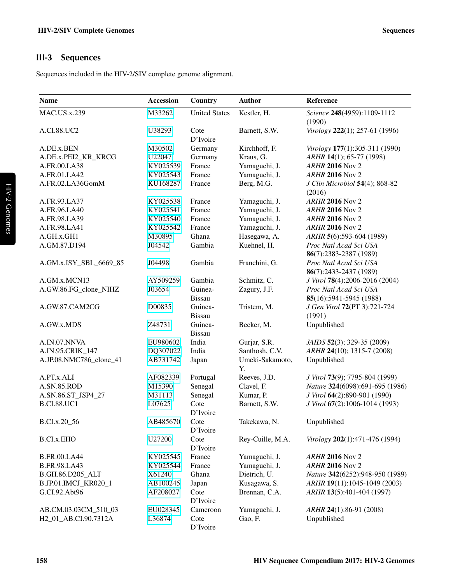## <span id="page-3-0"></span>**III-3 Sequences**

Sequences included in the HIV-2/SIV complete genome alignment.

| <b>Name</b>             | <b>Accession</b> | Country                  | <b>Author</b>         | Reference                             |
|-------------------------|------------------|--------------------------|-----------------------|---------------------------------------|
| <b>MAC.US.x.239</b>     | M33262           | <b>United States</b>     | Kestler, H.           | Science 248(4959):1109-1112<br>(1990) |
| A.CI.88.UC2             | U38293           | Cote<br>D'Ivoire         | Barnett, S.W.         | Virology 222(1); 257-61 (1996)        |
| A.DE.x.BEN              | M30502           | Germany                  | Kirchhoff, F.         | Virology 177(1):305-311 (1990)        |
| A.DE.x.PEI2_KR_KRCG     | U22047           | Germany                  | Kraus, G.             | ARHR 14(1); 65-77 (1998)              |
| A.FR.00.LA38            | KY025539         | France                   | Yamaguchi, J.         | <b>ARHR 2016 Nov 2</b>                |
| A.FR.01.LA42            | KY025543         | France                   | Yamaguchi, J.         | <b>ARHR 2016 Nov 2</b>                |
| A.FR.02.LA36GomM        | KU168287         | France                   | Berg, M.G.            | J Clin Microbiol 54(4); 868-82        |
|                         |                  |                          |                       | (2016)                                |
| A.FR.93.LA37            | KY025538         | France                   | Yamaguchi, J.         | <b>ARHR 2016 Nov 2</b>                |
| A.FR.96.LA40            | KY025541         | France                   | Yamaguchi, J.         | <b>ARHR 2016 Nov 2</b>                |
| A.FR.98.LA39            | KY025540         | France                   | Yamaguchi, J.         | <b>ARHR 2016 Nov 2</b>                |
| A.FR.98.LA41            | KY025542         | France                   | Yamaguchi, J.         | <b>ARHR 2016 Nov 2</b>                |
| A.GH.x.GH1              | M30895           | Ghana                    | Hasegawa, A.          | ARHR 5(6):593-604 (1989)              |
| A.GM.87.D194            | J04542           | Gambia                   | Kuehnel, H.           | Proc Natl Acad Sci USA                |
|                         |                  |                          |                       | 86(7):2383-2387 (1989)                |
| A.GM.x.ISY_SBL_6669_85  | J04498           | Gambia                   | Franchini, G.         | Proc Natl Acad Sci USA                |
|                         |                  |                          |                       | 86(7):2433-2437 (1989)                |
| A.GM.x.MCN13            | AY509259         | Gambia                   | Schmitz, C.           | J Virol 78(4):2006-2016 (2004)        |
| A.GW.86.FG_clone_NIHZ   | J03654           | Guinea-                  | Zagury, J.F.          | Proc Natl Acad Sci USA                |
|                         |                  | <b>Bissau</b>            |                       | 85(16):5941-5945 (1988)               |
| A.GW.87.CAM2CG          | D00835           | Guinea-                  | Tristem, M.           | J Gen Virol 72(PT 3):721-724          |
|                         |                  | <b>Bissau</b>            |                       | (1991)                                |
| A.GW.x.MDS              | Z48731           | Guinea-<br><b>Bissau</b> | Becker, M.            | Unpublished                           |
| A.IN.07.NNVA            | EU980602         | India                    | Gurjar, S.R.          | JAIDS 52(3); 329-35 (2009)            |
| A.IN.95.CRIK_147        | DQ307022         | India                    | Santhosh, C.V.        | ARHR 24(10); 1315-7 (2008)            |
| A.JP.08.NMC786_clone_41 | AB731742         | Japan                    | Umeki-Sakamoto,<br>Y. | Unpublished                           |
| A.PT.x.ALI              | AF082339         | Portugal                 | Reeves, J.D.          | J Virol 73(9); 7795-804 (1999)        |
| <b>A.SN.85.ROD</b>      | M15390           | Senegal                  | Clavel, F.            | Nature 324(6098):691-695 (1986)       |
| A.SN.86.ST JSP4 27      | M31113           | Senegal                  | Kumar, P.             | J Virol 64(2):890-901 (1990)          |
| <b>B.CI.88.UC1</b>      | L07625           | Cote<br>D'Ivoire         | Barnett, S.W.         | J Virol 67(2):1006-1014 (1993)        |
| B.CI.x.20_56            | AB485670         | Cote<br>D'Ivoire         | Takekawa, N.          | Unpublished                           |
| <b>B.CI.x.EHO</b>       | U27200           | Cote<br>D'Ivoire         | Rey-Cuille, M.A.      | Virology 202(1):471-476 (1994)        |
| <b>B.FR.00.LA44</b>     | KY025545         | France                   | Yamaguchi, J.         | <b>ARHR 2016 Nov 2</b>                |
| <b>B.FR.98.LA43</b>     | KY025544         | France                   | Yamaguchi, J.         | <b>ARHR 2016 Nov 2</b>                |
| B.GH.86.D205_ALT        | X61240           | Ghana                    | Dietrich, U.          | Nature 342(6252):948-950 (1989)       |
| B.JP.01.IMCJ_KR020_1    | AB100245         | Japan                    | Kusagawa, S.          | ARHR 19(11):1045-1049 (2003)          |
| G.CI.92.Abt96           | AF208027         | Cote                     | Brennan, C.A.         | ARHR 13(5):401-404 (1997)             |
|                         |                  | D'Ivoire                 |                       |                                       |
| AB.CM.03.03CM_510_03    | EU028345         | Cameroon                 | Yamaguchi, J.         | ARHR 24(1):86-91 (2008)               |
| H2_01_AB.CI.90.7312A    | L36874           | Cote                     | Gao, F.               | Unpublished                           |
|                         |                  | D'Ivoire                 |                       |                                       |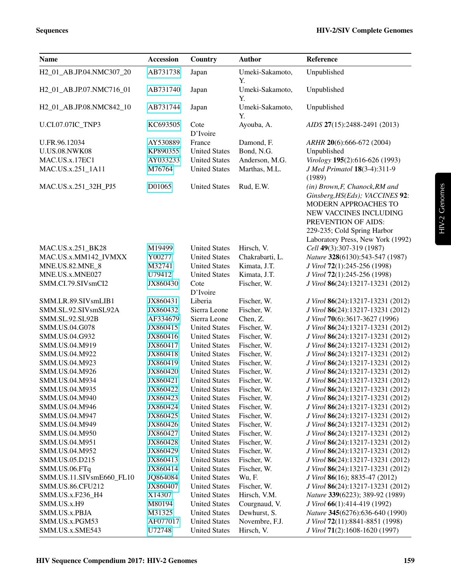| <b>Name</b>                           | <b>Accession</b> | Country              | <b>Author</b>         | Reference                                                                                                                                                                                                      |
|---------------------------------------|------------------|----------------------|-----------------------|----------------------------------------------------------------------------------------------------------------------------------------------------------------------------------------------------------------|
| H2 01 AB.JP.04.NMC307 20              | AB731738         | Japan                | Umeki-Sakamoto,<br>Υ. | Unpublished                                                                                                                                                                                                    |
| H <sub>2_01_AB</sub> .JP.07.NMC716_01 | AB731740         | Japan                | Umeki-Sakamoto,<br>Y. | Unpublished                                                                                                                                                                                                    |
| H2_01_AB.JP.08.NMC842_10              | AB731744         | Japan                | Umeki-Sakamoto,<br>Y. | Unpublished                                                                                                                                                                                                    |
| <b>U.CI.07.07IC TNP3</b>              | KC693505         | Cote<br>D'Ivoire     | Ayouba, A.            | AIDS 27(15):2488-2491 (2013)                                                                                                                                                                                   |
| U.FR.96.12034                         | AY530889         | France               | Damond, F.            | ARHR 20(6):666-672 (2004)                                                                                                                                                                                      |
| <b>U.US.08.NWK08</b>                  | KP890355         | <b>United States</b> | Bond, N.G.            | Unpublished                                                                                                                                                                                                    |
| MAC.US.x.17EC1                        | AY033233         | <b>United States</b> | Anderson, M.G.        | Virology 195(2):616-626 (1993)                                                                                                                                                                                 |
| MAC.US.x.251_1A11                     | M76764           | <b>United States</b> | Marthas, M.L.         | J Med Primatol 18(3-4):311-9<br>(1989)                                                                                                                                                                         |
| MAC.US.x.251_32H_PJ5                  | D01065           | <b>United States</b> | Rud, E.W.             | (in) Brown, F, Chanock, RM and<br>Ginsberg, HS(Eds); VACCINES 92:<br>MODERN APPROACHES TO<br>NEW VACCINES INCLUDING<br>PREVENTION OF AIDS:<br>229-235; Cold Spring Harbor<br>Laboratory Press, New York (1992) |
| MAC.US.x.251 BK28                     | M19499           | <b>United States</b> | Hirsch, V.            | Cell 49(3):307-319 (1987)                                                                                                                                                                                      |
| MAC.US.x.MM142_IVMXX                  | Y00277           | <b>United States</b> | Chakrabarti, L.       | Nature 328(6130):543-547 (1987)                                                                                                                                                                                |
| MNE.US.82.MNE_8                       | M32741           | <b>United States</b> | Kimata, J.T.          | J Virol 72(1):245-256 (1998)                                                                                                                                                                                   |
| MNE.US.x.MNE027                       | U79412           | <b>United States</b> | Kimata, J.T.          | J Virol 72(1):245-256 (1998)                                                                                                                                                                                   |
| SMM.CI.79.SIVsmCI2                    | JX860430         | Cote<br>D'Ivoire     | Fischer, W.           | J Virol 86(24):13217-13231 (2012)                                                                                                                                                                              |
| SMM.LR.89.SIVsmLIB1                   | JX860431         | Liberia              | Fischer, W.           | J Virol 86(24):13217-13231 (2012)                                                                                                                                                                              |
| SMM.SL.92.SIVsmSL92A                  | JX860432         | Sierra Leone         | Fischer, W.           | J Virol 86(24):13217-13231 (2012)                                                                                                                                                                              |
| SMM.SL.92.SL92B                       | AF334679         | Sierra Leone         | Chen, Z.              | J Virol 70(6):3617-3627 (1996)                                                                                                                                                                                 |
| SMM.US.04.G078                        | JX860415         | <b>United States</b> | Fischer, W.           | J Virol 86(24):13217-13231 (2012)                                                                                                                                                                              |
| SMM.US.04.G932                        | JX860416         | <b>United States</b> | Fischer, W.           | J Virol 86(24):13217-13231 (2012)                                                                                                                                                                              |
| SMM.US.04.M919                        | JX860417         | <b>United States</b> | Fischer, W.           | J Virol 86(24):13217-13231 (2012)                                                                                                                                                                              |
| SMM.US.04.M922                        | JX860418         | <b>United States</b> | Fischer, W.           | J Virol 86(24):13217-13231 (2012)                                                                                                                                                                              |
| SMM.US.04.M923                        | JX860419         | <b>United States</b> | Fischer, W.           | J Virol 86(24):13217-13231 (2012)                                                                                                                                                                              |
| SMM.US.04.M926                        | JX860420         | <b>United States</b> | Fischer, W.           | J Virol 86(24):13217-13231 (2012)                                                                                                                                                                              |
| SMM.US.04.M934                        | JX860421         | <b>United States</b> | Fischer, W.           | J Virol 86(24):13217-13231 (2012)                                                                                                                                                                              |
| SMM.US.04.M935                        | JX860422         | <b>United States</b> | Fischer, W.           | J Virol 86(24):13217-13231 (2012)                                                                                                                                                                              |
| SMM.US.04.M940                        | JX860423         | <b>United States</b> | Fischer, W.           | J Virol 86(24):13217-13231 (2012)                                                                                                                                                                              |
| SMM.US.04.M946                        | JX860424         | <b>United States</b> | Fischer, W.           | J Virol 86(24):13217-13231 (2012)                                                                                                                                                                              |
| SMM.US.04.M947                        | JX860425         | <b>United States</b> | Fischer, W.           | J Virol 86(24):13217-13231 (2012)                                                                                                                                                                              |
| SMM.US.04.M949                        | JX860426         | <b>United States</b> | Fischer, W.           | J Virol 86(24):13217-13231 (2012)                                                                                                                                                                              |
| SMM.US.04.M950                        | JX860427         | <b>United States</b> | Fischer, W.           | J Virol 86(24):13217-13231 (2012)                                                                                                                                                                              |
| SMM.US.04.M951                        | JX860428         | <b>United States</b> | Fischer, W.           | J Virol 86(24):13217-13231 (2012)                                                                                                                                                                              |
| SMM.US.04.M952                        | JX860429         | <b>United States</b> | Fischer, W.           | J Virol 86(24):13217-13231 (2012)                                                                                                                                                                              |
| SMM.US.05.D215                        | JX860413         | <b>United States</b> | Fischer, W.           | J Virol 86(24):13217-13231 (2012)                                                                                                                                                                              |
| SMM.US.06.FTq                         | JX860414         | <b>United States</b> | Fischer, W.           | J Virol 86(24):13217-13231 (2012)                                                                                                                                                                              |
| SMM.US.11.SIVsmE660_FL10              | JQ864084         | <b>United States</b> | Wu, F.                | J Virol 86(16); 8835-47 (2012)                                                                                                                                                                                 |
| <b>SMM.US.86.CFU212</b>               | JX860407         | <b>United States</b> | Fischer, W.           | J Virol 86(24):13217-13231 (2012)                                                                                                                                                                              |
| SMM.US.x.F236_H4                      | X14307           | <b>United States</b> | Hirsch, V.M.          | Nature 339(6223); 389-92 (1989)                                                                                                                                                                                |
| SMM.US.x.H9                           | M80194           | <b>United States</b> | Courgnaud, V.         | J Virol 66(1):414-419 (1992)                                                                                                                                                                                   |
| SMM.US.x.PBJA                         | M31325           | <b>United States</b> | Dewhurst, S.          | Nature 345(6276):636-640 (1990)                                                                                                                                                                                |
| SMM.US.x.PGM53                        | AF077017         | <b>United States</b> | Novembre, F.J.        | J Virol 72(11):8841-8851 (1998)                                                                                                                                                                                |
| SMM.US.x.SME543                       | U72748           | <b>United States</b> | Hirsch, V.            | J Virol 71(2):1608-1620 (1997)                                                                                                                                                                                 |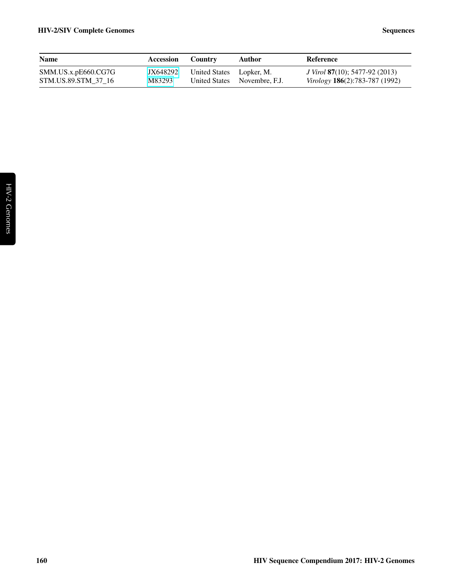| <b>Name</b>                                 | Accession          | Country                  | Author                       | Reference                                                                                      |
|---------------------------------------------|--------------------|--------------------------|------------------------------|------------------------------------------------------------------------------------------------|
| SMM. US.x.pE660.CG7G<br>STM.US.89.STM 37 16 | JX648292<br>M83293 | United States Lopker, M. | United States Novembre, F.J. | <i>J Virol</i> <b>87</b> (10); 5477-92 (2013)<br><i>Virology</i> <b>186</b> (2):783-787 (1992) |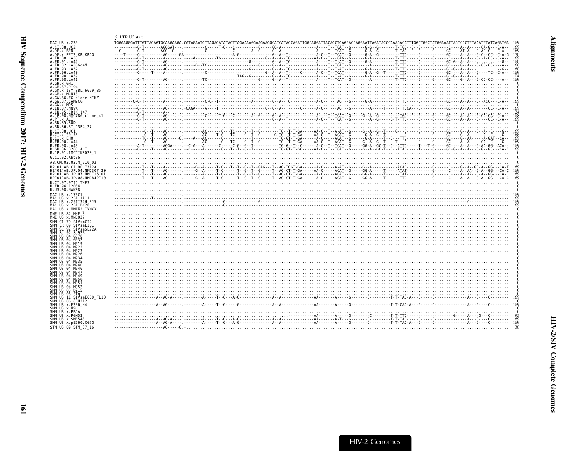<span id="page-6-1"></span><span id="page-6-0"></span>

|                                                                 | 5' LTR U3 start |             |
|-----------------------------------------------------------------|-----------------|-------------|
| MAC.US.x.239                                                    |                 |             |
| A.CI.88.UC2                                                     |                 |             |
| A.DE.x.BEN                                                      |                 |             |
| A.DE.x.PEI2 KR KRCG                                             |                 |             |
| A.FR.00.LA38                                                    |                 |             |
| A.FR.01.LA42<br>A.FR.02.LA36GomM                                |                 | 166         |
| A. FR. 93. LA37                                                 |                 |             |
| A.FR.96.LA40                                                    |                 | 169         |
| A.FR.98.LA39                                                    |                 |             |
| A.FR.98.LA41                                                    |                 | 169         |
| A.GH.x.GH1<br>A.GM.87.D194                                      |                 |             |
| A.GM.x.ISY SBL 6669 85                                          |                 |             |
| A.GM.x.MCNI3                                                    |                 |             |
| A.GW.86.FG clone NIHZ                                           |                 |             |
| A.GW.87.CAM2CG<br>A.GW.x.MDS                                    |                 |             |
| A.IN.07.NNVA                                                    |                 | 169         |
| A.IN.95.CRIK 147                                                |                 |             |
| A.JP.08.NMC786_clone_41                                         |                 | 169         |
| A.PT.x.ALI<br>A.SN.85.ROD                                       |                 |             |
| A.SN.86.ST JSP4 27                                              |                 |             |
| B.CI.88.UC1                                                     |                 |             |
| B.CI.x.20 56                                                    |                 | 168         |
| B.CI.x.EHO                                                      |                 | 169         |
| B.FR.00.LA44<br>B.FR.98.LA43                                    |                 | -169<br>169 |
| B.GH.86.D205 ALT                                                |                 | 169         |
| B.JP.01.IMCJ KR020 1                                            |                 |             |
| G.CI.92.Abt96                                                   |                 |             |
| AB.CM.03.03CM 510 03                                            |                 |             |
| H2 01 AB.CI.90.7312A                                            |                 |             |
| H2 <sup>-01-AB.JP.04.NMC307 20</sup>                            |                 |             |
| H2 <sup>-</sup> 01 <sup>-</sup> AB.JP.07.NMC716 <sup>-</sup> 01 |                 |             |
| H2 <sup>-01-AB.JP.08.NMC842<sup>-10</sup></sup>                 |                 |             |
| U.CI.07.07IC TNP3<br>U.FR.96.12034                              |                 |             |
| U.US.08.NWK08                                                   |                 |             |
| MAC.US.x.17EC1                                                  |                 |             |
| MAC.US.x.251 1A11                                               |                 |             |
| MAC.US.x.251 32H PJ5                                            |                 | 169         |
| MAC.US.x.251 <sup>-</sup> BK28<br>MAC.US.x.MM142 IVMXX          |                 | 169         |
| MNE.US.82.MNE 8                                                 |                 |             |
| MNE.US.x.MNE027                                                 |                 |             |
| SMM.CI.79.SIVsmCI2                                              |                 |             |
| SMM.LR.89.SIVsmLIB1                                             |                 |             |
| SMM.SL.92.SIVsmSL92A                                            |                 |             |
| SMM.SL.92.SL92B<br>SMM.US.04.G078                               |                 |             |
| SMM.US.04.G932                                                  |                 |             |
| SMM.US.04.M919                                                  |                 |             |
| SMM.US.04.M922                                                  |                 |             |
| SMM.US.04.M923<br>SMM.US.04.M926                                |                 |             |
| SMM IIS 04 M934                                                 |                 |             |
| SMM US 04 M935                                                  |                 |             |
|                                                                 |                 |             |
| SMM.US.04.M940                                                  |                 |             |
| SMM.US.04.M946                                                  |                 |             |
| SMM.US.04.M947                                                  |                 |             |
| SMM.US.04.M949                                                  |                 |             |
| SMM.US.04.M950<br>SMM.US.04.M951                                |                 |             |
| SMM. U.S. 04. M952                                              |                 |             |
| SMM.US.05.D215                                                  |                 |             |
| SMM.US.06.FTa<br>SMM.US.11.SIVsmE660 FL10                       |                 |             |
| SMM.US.86.CFU212                                                | $\frac{1}{2}$   |             |
| SMM.US.x.F236 H4                                                | 169             |             |
| SMM.US.x.H9                                                     |                 |             |
| SMM.US.x.PBJA<br>SMM.US.x.PGM53                                 |                 |             |
| SMM.US.x.SME543                                                 |                 |             |
| SMM.US.x.pE660.CG7G<br>STM.US.89.STM 37 16                      |                 |             |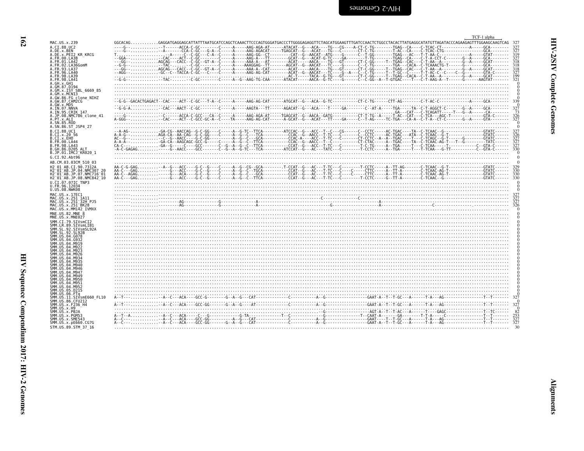<span id="page-7-0"></span>

| Ş<br>ŗ                |  |
|-----------------------|--|
| ì<br>ì<br>ì<br>ة<br>م |  |
| <b>ATTE</b><br>i<br>! |  |

|                                                       | TCF-1 alpha |                                               |
|-------------------------------------------------------|-------------|-----------------------------------------------|
| MAC.US.x.239                                          |             |                                               |
| A.CI.88.UC2                                           |             |                                               |
| A.DE.x.BEN<br>A.DE.x.PEI2 KR KRCG                     |             | $\overline{3}\overline{2}\overline{7}$<br>319 |
| A.FR.00.LA38                                          |             | 327                                           |
| A.FR.01.LA42<br>A.FR.02.LA36GomM                      |             | $\frac{318}{318}$<br>318                      |
| A.FR.93.LA37                                          |             |                                               |
| A.FR.96.LA40<br>A.FR.98.LA39                          |             | 327<br>199                                    |
| A.FR.98.LA41                                          |             | 321                                           |
| A.GH.X.GH1<br>A.GM.87.D194                            |             |                                               |
| A.GM.x.ISY SBL 6669 85                                |             |                                               |
| A.GM.x.MCNI3<br>A.GW.86.FG clone NIHZ                 |             |                                               |
| A.GW.87.CAM2CG                                        |             |                                               |
| A.GW.x.MDS<br>A.IN.07.NNVA                            |             | 327                                           |
| A. IN. 95. CRIK 147                                   |             | $\frac{73}{326}$                              |
| A.JP.08.NMC786 clone 41<br>A.PT.x.ALI                 |             | 327                                           |
| A.SN.85.ROD                                           |             |                                               |
| A.SN.86.ST JSP4 27<br>B.CI.88.UC1                     |             |                                               |
| B.CI.x.20 56                                          |             |                                               |
| B.CI.X.EHO<br>B.FR.00.LA44                            |             | 327                                           |
| B.FR.98.LA43                                          |             | $\frac{327}{327}$                             |
| B.GH.86.D205 ALT<br>B.JP.01.IMCJ KR020 1              |             | 330                                           |
| G.CI.92.Abt96                                         |             |                                               |
| AB.CM.03.03CM 510 03                                  |             |                                               |
| H2 01 AB.CI.90.7312A<br>H2 01 AB.JP.04.NMC307 20      |             | 329<br>330                                    |
| H2 <sup>-01-AB.JP.07.NMC716-01</sup>                  |             | 330                                           |
| H2 <sup>-01-AB.JP.08.NMC842<sup>-10</sup></sup>       |             |                                               |
| U.CI.07.07IC TNP3                                     |             |                                               |
| U.FR.96.12034<br>U.US.08.NWK08                        |             |                                               |
| MAC.US.x.17EC1<br>MAC.US.x.251 1A11                   |             |                                               |
| MAC.US.x.251 <sup>-</sup> 32H PJ5                     |             | $\frac{327}{326}$                             |
| MAC.US.x.251 <sup>-BK28</sup><br>MAC.US.x.MM142 IVMXX |             |                                               |
| MNE.US.82.MNE 8                                       |             |                                               |
| MNE.US.x.MNE027                                       |             |                                               |
| SMM.CI.79.SIVsmCI2<br>SMM.LR.89.SIVsmLIB1             |             |                                               |
| SMM.SL.92.SIVsmSL92A                                  |             |                                               |
| SMM. SL. 92. SL92B<br>SMM.US.04.G078                  |             |                                               |
| SMM.US.04.G932                                        |             |                                               |
| SMM.US.04.M919<br>SMM. US. 04. M922                   |             |                                               |
| SMM.US.04.M923<br>SMM.US.04.M926                      |             |                                               |
| SMM.US.04.M934                                        |             |                                               |
| SMM.US.04.M935<br>SMM. US. 04. M940                   |             |                                               |
| SMM.US.04.M946                                        |             |                                               |
| SMM. U.S. 04. M947<br>SMM. US. 04. M949               |             |                                               |
| SMM.US.04.M950                                        |             |                                               |
| SMM.US.04.M951<br>SMM.US.04.M952                      |             |                                               |
| SMM. US. 05. D215                                     |             |                                               |
| SMM.US.06.FTa<br>SMM.US.11.SIVsmE660 FL10             |             |                                               |
| SMM.US.86.CFU212<br>SMM.US.x.F236 H4                  |             |                                               |
| SMM.US.x.H9                                           |             | $\bf{0}$                                      |
| SMM.US.x.PBJA<br>SMM.US.x.PGM53                       |             | $\frac{82}{327}$<br>$\frac{327}{327}$         |
| SMM.US.x.SME543                                       |             |                                               |
| SMM. US. x. pE660. CG7G                               |             |                                               |
| STM.US.89.STM 37 16                                   |             |                                               |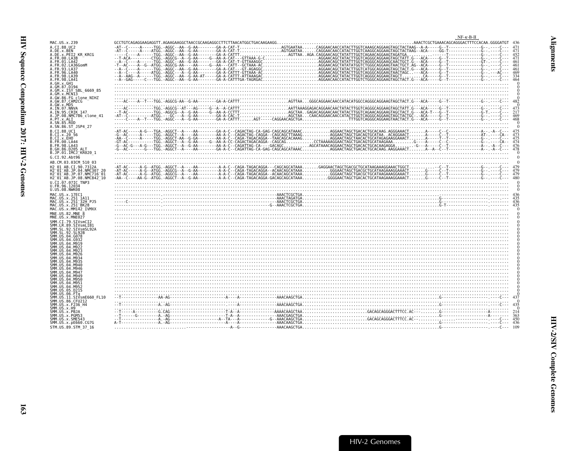<span id="page-8-0"></span>

|                                                                                                                                                                                                                  | $NF - \kappa - B - II$                                                                                                                                                                                                                                                                                                                                                                                                                                                                  |  |
|------------------------------------------------------------------------------------------------------------------------------------------------------------------------------------------------------------------|-----------------------------------------------------------------------------------------------------------------------------------------------------------------------------------------------------------------------------------------------------------------------------------------------------------------------------------------------------------------------------------------------------------------------------------------------------------------------------------------|--|
| MAC.US.x.239<br>A.CI.88.UC2<br>.DE.x.BEN                                                                                                                                                                         |                                                                                                                                                                                                                                                                                                                                                                                                                                                                                         |  |
| A.FR.01.LA42<br>A.FR.02.LA36GomM                                                                                                                                                                                 | CONTRIGUENTER AGARGAREN (1988) - A CONSIDER CONSIDER THE CONSIDER CONSIDER A CONSIDER CONSIDERATIVE CONSIDERAT<br>CALL: CONSIDER A CONSIDERAT CONSIDERAT CONSIDERAT CONSIDERAT CONSIDERAT CONSIDERAT CONSIDERAT CONSIDERAT CONSI                                                                                                                                                                                                                                                        |  |
| FR.93.LA37<br>FR.96.LA40<br>FR.98.LA39<br>4.FR.98.LA41                                                                                                                                                           |                                                                                                                                                                                                                                                                                                                                                                                                                                                                                         |  |
| .GH.x.GH1<br>GM.87.D194<br>.GM.x.ISY SBL 6669 85<br>GM.x.MCN13                                                                                                                                                   |                                                                                                                                                                                                                                                                                                                                                                                                                                                                                         |  |
| A.GW.86.FG clone_NIHZ<br>A.GW.87.CAM2CG                                                                                                                                                                          |                                                                                                                                                                                                                                                                                                                                                                                                                                                                                         |  |
| .GW.X.MDS<br>.IN.07.NNVA<br>.IN.95.CRIK 147<br>.JP.08.NMC786 clone 41<br>A.PT.x.ALI                                                                                                                              |                                                                                                                                                                                                                                                                                                                                                                                                                                                                                         |  |
| C1.88.0C1                                                                                                                                                                                                        |                                                                                                                                                                                                                                                                                                                                                                                                                                                                                         |  |
| B.CI.X.20 56<br>B.CI.X.EHO<br>B.FR.00.LA44<br>B.FR.98.LA43<br>GH.86.D205 ALT.                                                                                                                                    |                                                                                                                                                                                                                                                                                                                                                                                                                                                                                         |  |
| B.JP.01.IMCJ KR020 1<br>G.CI.92.Abt96<br>AB.CM.03.03CM 510 03                                                                                                                                                    |                                                                                                                                                                                                                                                                                                                                                                                                                                                                                         |  |
| H2 01 AB.CI.90.7312A<br>H2 <sup>-</sup> 01 <sup>-</sup> AB.JP.04.NMC307 20<br>H2 <sup>-</sup> 01 <sup>-</sup> AB.JP.07.NMC716 <sup>-</sup> 01<br>H2 <sup>-</sup> 01 <sup>-</sup> AB.JP.08.NMC842 <sup>-</sup> 10 |                                                                                                                                                                                                                                                                                                                                                                                                                                                                                         |  |
| U.CI.07.07IC TNP3<br>U.FR.96.12034<br>U.US.08.NWK08                                                                                                                                                              |                                                                                                                                                                                                                                                                                                                                                                                                                                                                                         |  |
| MAC.US.x.17EC1<br>MAČ.ŪŠ.x.251 1A11<br>MAC.US.x.251 <sup>-</sup> 32H PJ5<br>MAC.US.x.251 <sup>-</sup> BK28<br>MAC.US.x.MM142 IVMXX                                                                               | $\begin{minipage}{0.5\textwidth} \begin{tabular}{c} \textbf{0.013} \end{tabular} \end{minipage} \begin{minipage}{0.5\textwidth} \begin{tabular}{c} \textbf{0.013} \end{tabular} \end{minipage} \begin{minipage}{0.5\textwidth} \begin{tabular}{c} \textbf{0.013} \end{tabular} \end{minipage} \end{minipage} \begin{minipage}{0.5\textwidth} \begin{tabular}{c} \textbf{0.013} \end{tabular} \end{minipage} \end{minipage} \begin{minipage}{0.5\textwidth} \begin{tabular}{c} \textbf{$ |  |
| MNE.US.82.MNE 8<br>MNE.US.x.MNE027                                                                                                                                                                               |                                                                                                                                                                                                                                                                                                                                                                                                                                                                                         |  |
| SMM.CI.79.SIVsmCI2<br>SMM.LR.89.SIVsmLIB1<br>SMM.SL.92.SIVsmSL92A                                                                                                                                                | <u> 1999 - Andrea Stadt Barbon, Amerikaansk politik (f. 1989)</u>                                                                                                                                                                                                                                                                                                                                                                                                                       |  |
| SMM.SL.92.SL92B<br>SMM.US.04.G078                                                                                                                                                                                |                                                                                                                                                                                                                                                                                                                                                                                                                                                                                         |  |
|                                                                                                                                                                                                                  |                                                                                                                                                                                                                                                                                                                                                                                                                                                                                         |  |
|                                                                                                                                                                                                                  |                                                                                                                                                                                                                                                                                                                                                                                                                                                                                         |  |
|                                                                                                                                                                                                                  |                                                                                                                                                                                                                                                                                                                                                                                                                                                                                         |  |
| SMM.US.11.SIVsmE660 FL10<br>SMM.US.86.CFU212                                                                                                                                                                     |                                                                                                                                                                                                                                                                                                                                                                                                                                                                                         |  |
| SMM.US.x.F236 H4<br>SMM.US.x.H9<br>SMM.US.x.PBJA                                                                                                                                                                 |                                                                                                                                                                                                                                                                                                                                                                                                                                                                                         |  |
| SMM.US.x.PGM53<br>SMM.US.x.SME543<br>SMM.US.x.pE660.CG7G<br>STM.US.89.STM 37 16                                                                                                                                  |                                                                                                                                                                                                                                                                                                                                                                                                                                                                                         |  |
|                                                                                                                                                                                                                  |                                                                                                                                                                                                                                                                                                                                                                                                                                                                                         |  |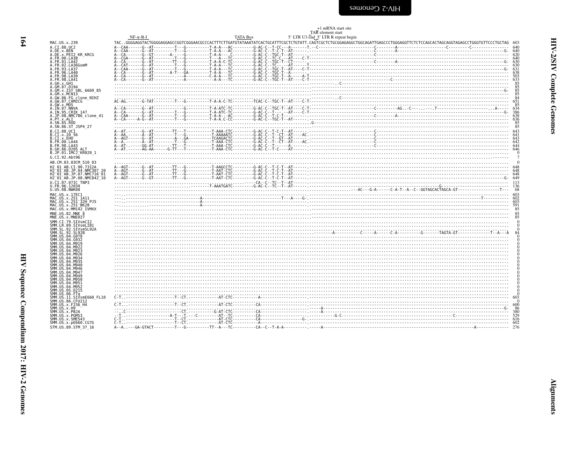|                                                                                      |  | +1 mRNA start site<br>TAR element start                                                                                                                                                                                                                                                                                                                                                                                                                         |               |
|--------------------------------------------------------------------------------------|--|-----------------------------------------------------------------------------------------------------------------------------------------------------------------------------------------------------------------------------------------------------------------------------------------------------------------------------------------------------------------------------------------------------------------------------------------------------------------|---------------|
|                                                                                      |  |                                                                                                                                                                                                                                                                                                                                                                                                                                                                 |               |
| MAC.US.x.239                                                                         |  | NF-K-B-I_ THE OGGAGGTACTOCOGAGGERER THE THE BOX 5' LTR U3 End_5' LTR R repeat begin exercing COST CHE ENGINEER THE REPEART OF CHERRICAL THE REPEART OF CHERRICAL CHERRICAL GENERAL ART CONTRIGETION THE MEDIA OGGAGAGGET AND R                                                                                                                                                                                                                                  |               |
| A.CT.88.UC2                                                                          |  |                                                                                                                                                                                                                                                                                                                                                                                                                                                                 |               |
| A.DE.x.BEN<br>A.DE.X.PEI2 KR_KRCG<br>A.FR.00.LA38                                    |  |                                                                                                                                                                                                                                                                                                                                                                                                                                                                 |               |
| A.FR.01.LA42                                                                         |  |                                                                                                                                                                                                                                                                                                                                                                                                                                                                 |               |
| A.FR.02.LA36GomM                                                                     |  |                                                                                                                                                                                                                                                                                                                                                                                                                                                                 |               |
| A.FR.93.LA37<br>A.FR.96.LA40                                                         |  |                                                                                                                                                                                                                                                                                                                                                                                                                                                                 |               |
| A.FR.98.LA39                                                                         |  | $A - CAA - \cdots - G - AT - \cdots - T - T - G - \cdots - T - T - A - A - \cdots - G - AC - C - T - C - T - A - A - \cdots - G - AT - \cdots - G - AT - \cdots - G - AT - \cdots - T - G - AT - \cdots - T - G - AT - \cdots - T - A + \cdots - T - G - AT - \cdots - G - AT - \cdots - T - A + \cdots - T - G - AT - \cdots - G - AT - \cdots - T - A + \cdots - T - G - AT - \cdots - G - AT - \cdots - T - G - AT - \cdots - T - A + \cdots - T - G - AT -$ |               |
| A.FR.98.LA41<br>A.GH.x.GH1                                                           |  |                                                                                                                                                                                                                                                                                                                                                                                                                                                                 | $rac{85}{85}$ |
| A.GM.87.D194<br>A.GM.X.ISY SBL 6669 85                                               |  |                                                                                                                                                                                                                                                                                                                                                                                                                                                                 |               |
| A.GM.x.MCNI3                                                                         |  |                                                                                                                                                                                                                                                                                                                                                                                                                                                                 |               |
| A.GW.86.FG clone NIHZ<br>A.GW.87.CAM2CG                                              |  |                                                                                                                                                                                                                                                                                                                                                                                                                                                                 |               |
| A.GW.x.MDS                                                                           |  | $A - CA$<br>$A - CA$<br>$A - CA$<br>$A - CA$<br>$A - CA$<br>$A - CA$<br>$A - CA$<br>$A - CA$<br>$A - CA$<br>$A - CA$<br>$A - CA$<br>$A - CA$<br>$A - CA$<br>$A - CA$<br>$A - CA$<br>$A - CA$<br>$A - CA$<br>$A - CA$<br>$A - CA$<br>$A - CA$<br>$A - CA$<br>$A - CA$<br>$A - CA$<br>$A - CA$<br>$A - CA$<br>$A - CA$<br>$A - CA$<br>$A - CA$<br>$A - CA$<br>$A - CA$<br>$A - CA$<br>$A - CA$                                                                    |               |
| A.IN.07.NNVA<br>A.IN.95.CRIK 147                                                     |  |                                                                                                                                                                                                                                                                                                                                                                                                                                                                 |               |
| A.JP.08.NMC786 clone 41<br>A.PT.x.ALI                                                |  |                                                                                                                                                                                                                                                                                                                                                                                                                                                                 |               |
| A.SN.85.ROD                                                                          |  |                                                                                                                                                                                                                                                                                                                                                                                                                                                                 |               |
| A.SN.86.ST JSP4 27                                                                   |  |                                                                                                                                                                                                                                                                                                                                                                                                                                                                 |               |
| B.CI.88.UC1<br>B.CI.x.20 56                                                          |  | $A - A1$ $A - A1$ $A - A2$ $A - A3$ $A - A4$ $A - A5$ $A - A6$ $A - A7$ $A - A8$ $A - A9$ $A - A1$ $A - A2$ $A - A3$ $A - A4$ $A - A5$ $A - A6$ $A - A7$ $A - A7$ $A - A8$ $A - A9$ $A - A1$ $A - A2$ $A - A3$ $A - A4$ $A - A5$ $A - A6$ $A - A7$ $A - A7$ $A - A8$ $A - A9$ $A - A9$ $A - A$                                                                                                                                                                  |               |
| B.CI.x.EHO<br>B. FR. 00. LA44                                                        |  |                                                                                                                                                                                                                                                                                                                                                                                                                                                                 |               |
| B. FR. 98. LA43                                                                      |  |                                                                                                                                                                                                                                                                                                                                                                                                                                                                 |               |
| B.GH.86.D205 ALT<br>B.JP.01.IMCJ <sup>-</sup> KR020 1                                |  |                                                                                                                                                                                                                                                                                                                                                                                                                                                                 |               |
| G.CI.92.Abt96                                                                        |  |                                                                                                                                                                                                                                                                                                                                                                                                                                                                 |               |
| AB.CM.03.03CM 510 03                                                                 |  |                                                                                                                                                                                                                                                                                                                                                                                                                                                                 |               |
| H2 01 AB.CI.90.7312A<br>H2 01 AB.JP.04.NMC307 20                                     |  |                                                                                                                                                                                                                                                                                                                                                                                                                                                                 |               |
| H2 01 AB.JP.07.NMC716 01                                                             |  |                                                                                                                                                                                                                                                                                                                                                                                                                                                                 |               |
| H2 <sup>-</sup> 01 <sup>-</sup> AB.JP.08.NMC842 <sup>-</sup> 10<br>U.CI.07.07IC TNP3 |  |                                                                                                                                                                                                                                                                                                                                                                                                                                                                 |               |
| U.FR.96.12034                                                                        |  | $A - AG$<br>$A - AG$<br>$A - AG$<br>$A - AG$<br>$A - AG$<br>$A - AG$<br>$A - AG$<br>$A - AG$<br>$A - AG$<br>$A - AG$<br>$A - AG$<br>$A - AG$<br>$A - AG$<br>$A - AG$<br>$A - AG$<br>$A - AG$<br>$A - AG$<br>$A - AG$<br>$A - AG$<br>$A - AG$<br>$A - AG$<br>$A - AG$<br>$A - AG$<br>$A - AG$<br>$A - AG$<br>$A - AG$<br>$A - AG$<br>$A - AG$                                                                                                                    |               |
| U.US.08.NWK08<br>MAC.US.x.17EC1                                                      |  |                                                                                                                                                                                                                                                                                                                                                                                                                                                                 |               |
| MAC.US.x.251 1A11                                                                    |  |                                                                                                                                                                                                                                                                                                                                                                                                                                                                 |               |
| MAC.US.x.251 <sup>-</sup> 32H PJ5<br>MAC.US.x.251 BK28                               |  |                                                                                                                                                                                                                                                                                                                                                                                                                                                                 |               |
| MAC.US.x.MM142 IVMXX                                                                 |  |                                                                                                                                                                                                                                                                                                                                                                                                                                                                 |               |
| MNE.US.82.MNE 8<br>MNE.US.x.MNE027                                                   |  |                                                                                                                                                                                                                                                                                                                                                                                                                                                                 |               |
| SMM.CI.79.SIVsmCI2                                                                   |  |                                                                                                                                                                                                                                                                                                                                                                                                                                                                 |               |
| SMM.LR.89.SIVsmLIB1<br>SMM.SL.92.SIVsmSL92A                                          |  |                                                                                                                                                                                                                                                                                                                                                                                                                                                                 |               |
| SMM.SL.92.SL92B                                                                      |  |                                                                                                                                                                                                                                                                                                                                                                                                                                                                 |               |
| SMM.US.04.G078                                                                       |  |                                                                                                                                                                                                                                                                                                                                                                                                                                                                 |               |
|                                                                                      |  |                                                                                                                                                                                                                                                                                                                                                                                                                                                                 |               |
|                                                                                      |  |                                                                                                                                                                                                                                                                                                                                                                                                                                                                 |               |
|                                                                                      |  |                                                                                                                                                                                                                                                                                                                                                                                                                                                                 |               |
|                                                                                      |  |                                                                                                                                                                                                                                                                                                                                                                                                                                                                 |               |
|                                                                                      |  |                                                                                                                                                                                                                                                                                                                                                                                                                                                                 |               |
|                                                                                      |  |                                                                                                                                                                                                                                                                                                                                                                                                                                                                 |               |
|                                                                                      |  |                                                                                                                                                                                                                                                                                                                                                                                                                                                                 |               |
|                                                                                      |  |                                                                                                                                                                                                                                                                                                                                                                                                                                                                 |               |
|                                                                                      |  |                                                                                                                                                                                                                                                                                                                                                                                                                                                                 |               |
| .11.SIVsmE660 FL10                                                                   |  |                                                                                                                                                                                                                                                                                                                                                                                                                                                                 |               |
| SMM.US.86.CFU212<br>SMM. US. x. F236 H4                                              |  |                                                                                                                                                                                                                                                                                                                                                                                                                                                                 |               |
| SMM.US.x.H9<br>SMM.US.x.PBJA                                                         |  |                                                                                                                                                                                                                                                                                                                                                                                                                                                                 |               |
| SMM.US.x.PGM53                                                                       |  |                                                                                                                                                                                                                                                                                                                                                                                                                                                                 |               |
| SMM.US.x.SME543<br>SMM.US.x.pE660.CG7G                                               |  |                                                                                                                                                                                                                                                                                                                                                                                                                                                                 |               |
| STM.US.89.STM 37 16                                                                  |  |                                                                                                                                                                                                                                                                                                                                                                                                                                                                 |               |

<span id="page-9-0"></span>HIV-2/SIV Complete Genomes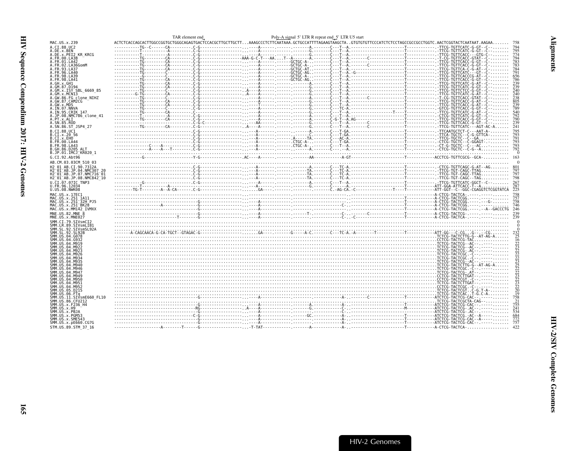<span id="page-10-0"></span>

|                                                                      | TAR element end | Poly-A signal 5' LTR R repeat end_5' LTR U5 start |                                                                                                                                                                  |                                                                |
|----------------------------------------------------------------------|-----------------|---------------------------------------------------|------------------------------------------------------------------------------------------------------------------------------------------------------------------|----------------------------------------------------------------|
| MAC.US.x.239                                                         |                 |                                                   | $ACTCTCACCAGCACTTGGCCGGTGCTGGGCAGGGAGTGACTCCAGGCTTGCTTGCTT 0.1.2014CACCCGTTTTAGAAGTAAGTAAGCTA. .GTGTGTTTCCCATCTCCCTAGCCGGCCGCCCTGGTC. AACTCGGTACTCAATAAT. AAGA.$ |                                                                |
| A.CI.88.UC2<br>A.DE.x.BEN                                            |                 |                                                   |                                                                                                                                                                  |                                                                |
| A.DE.x.PEI2 KR KRCG                                                  |                 |                                                   |                                                                                                                                                                  | $\frac{795}{774}$                                              |
| A.FR.00.LA38<br>A.FR.01.LA42                                         |                 |                                                   |                                                                                                                                                                  | 794                                                            |
| A.FR.02.LA36GomM                                                     |                 |                                                   |                                                                                                                                                                  | 783<br>783<br>784                                              |
| FR.93.LA37                                                           |                 |                                                   |                                                                                                                                                                  | 791                                                            |
| FR.96.LA40.<br>4.FR.98.LA39                                          |                 |                                                   |                                                                                                                                                                  | 656                                                            |
| A.⊦R.98.LA41                                                         |                 |                                                   |                                                                                                                                                                  | 786<br>239<br>239<br>239<br>240                                |
| A.GH.x.GH1<br>A.GM.87.D194                                           |                 |                                                   |                                                                                                                                                                  |                                                                |
| A.GM.X.ISY SBL_6669_85<br>A.GM.x.MCN13                               |                 |                                                   |                                                                                                                                                                  |                                                                |
|                                                                      |                 |                                                   |                                                                                                                                                                  | 240<br>240<br>238<br>805<br>239<br>239                         |
| A.GW.86.FG_clone_NIHZ<br>A.GW.86.FG_clone_NIHZ<br>A.GW.x.MDS         |                 |                                                   |                                                                                                                                                                  |                                                                |
| A.IN.07.NNVA                                                         |                 |                                                   |                                                                                                                                                                  |                                                                |
| A.IN.95.CRIK 147                                                     |                 |                                                   |                                                                                                                                                                  | 540                                                            |
| A.JP.08.NMC786 clone 41<br>A.PT.x.ALI                                |                 |                                                   |                                                                                                                                                                  | 792<br>790                                                     |
| A.SN.85.ROD                                                          |                 |                                                   |                                                                                                                                                                  | $\frac{239}{241}$                                              |
| A.SN.86.ST JSP4 27                                                   |                 |                                                   |                                                                                                                                                                  |                                                                |
| B.CI.88.UC1<br>B.CI.x.20 56                                          |                 |                                                   |                                                                                                                                                                  | 795<br>793<br>791                                              |
| B.CI.x.EHO                                                           |                 |                                                   |                                                                                                                                                                  |                                                                |
| B.FR.00.LA44<br>B.FR.98.LA43                                         |                 |                                                   |                                                                                                                                                                  | 793<br>793                                                     |
| B.GH.86.D205 ALT                                                     |                 |                                                   |                                                                                                                                                                  | 792                                                            |
| B.JP.01.IMCJ KR020 1                                                 |                 |                                                   |                                                                                                                                                                  |                                                                |
| G.CI.92.Abt96                                                        |                 |                                                   |                                                                                                                                                                  | 163                                                            |
| AB.CM.03.03CM 510 03<br>H2 01 AB.CI.90.7312A                         |                 |                                                   |                                                                                                                                                                  |                                                                |
| H2 01 AB. JP.04. NMC307                                              |                 |                                                   |                                                                                                                                                                  |                                                                |
| H2 <sup>-01-AB.JP.07.NMC716-01</sup>                                 |                 |                                                   |                                                                                                                                                                  | 798                                                            |
| H2 <sup>-01-AB.JP.08.NMC842<sup>-10</sup></sup><br>U.CI.07.07IC TNP3 |                 |                                                   |                                                                                                                                                                  |                                                                |
| U.FR.96.12034<br>U.US.08.NWK08                                       |                 |                                                   |                                                                                                                                                                  |                                                                |
|                                                                      |                 |                                                   |                                                                                                                                                                  | $\overline{2}\overline{2}\overline{5}$                         |
| MAC.US.x.17EC1<br>MAC.US.x.251 1A11                                  |                 |                                                   |                                                                                                                                                                  | 758<br>757<br>758                                              |
| MAC.US.x.251 <sup>-</sup> 32H PJ5                                    |                 |                                                   |                                                                                                                                                                  |                                                                |
| MAC.US.x.251 <sup>-</sup> BK28<br>MAC.US.x.MM142 IVMXX               |                 |                                                   |                                                                                                                                                                  | 746<br>246                                                     |
| MNE.US.82.MNE 8                                                      |                 |                                                   |                                                                                                                                                                  | 239                                                            |
| MNE.US.x.MNE027                                                      |                 |                                                   |                                                                                                                                                                  | 239                                                            |
| SMM.CI.79.SIVsmCI2<br>SMM.LR.89.SIVsmLIB1                            |                 |                                                   |                                                                                                                                                                  |                                                                |
| SMM.SL.92.SIVsmSL92A                                                 |                 |                                                   |                                                                                                                                                                  |                                                                |
| SMM.SL.92.SL92B<br>SMM.US.04.G078                                    |                 |                                                   |                                                                                                                                                                  |                                                                |
| SMM.US.04.G932                                                       |                 |                                                   |                                                                                                                                                                  |                                                                |
| SMM IIS 04 M919<br>SMM IIS 04 M922                                   |                 |                                                   |                                                                                                                                                                  |                                                                |
| MM.US.04.M923                                                        |                 |                                                   |                                                                                                                                                                  |                                                                |
| SMM.US.04.M926<br>SMM.US.04.M934                                     |                 |                                                   |                                                                                                                                                                  |                                                                |
|                                                                      |                 |                                                   |                                                                                                                                                                  |                                                                |
| SMM.US.04.M940                                                       |                 |                                                   |                                                                                                                                                                  |                                                                |
| SMM.US.04.M946<br>SMM.US.04.M947                                     |                 |                                                   |                                                                                                                                                                  |                                                                |
| SMM US 04 M949                                                       |                 |                                                   |                                                                                                                                                                  |                                                                |
| SMM.US.04.M950<br>SMM.US.04.M951                                     |                 |                                                   |                                                                                                                                                                  |                                                                |
| SMM.US.04.M952                                                       |                 |                                                   |                                                                                                                                                                  | 232<br>25 16 223<br>2222223<br>2222223<br>2223<br>2223<br>2223 |
| SMM.US.05.D215<br>SMM.US.06.FTq                                      |                 |                                                   |                                                                                                                                                                  |                                                                |
| SMM.US.11.SIVsmE660 FL10                                             |                 |                                                   |                                                                                                                                                                  | 758<br>21                                                      |
| SMM.US.86.CFU212<br>SMM.US.x.F236 H4                                 |                 |                                                   |                                                                                                                                                                  |                                                                |
| SMM.US.x.H9                                                          |                 |                                                   |                                                                                                                                                                  | $7\bar{5}5$<br>$241$<br>$534$                                  |
| SMM.US.x.PBJA<br>SMM.US.x.PGM53                                      |                 |                                                   |                                                                                                                                                                  | 684                                                            |
| SMM.US.x.SME543                                                      |                 |                                                   |                                                                                                                                                                  | $\frac{772}{757}$                                              |
| SMM.US.x.pE660.CG7G                                                  |                 |                                                   |                                                                                                                                                                  |                                                                |
| STM.US.89.STM 37 16                                                  |                 |                                                   |                                                                                                                                                                  |                                                                |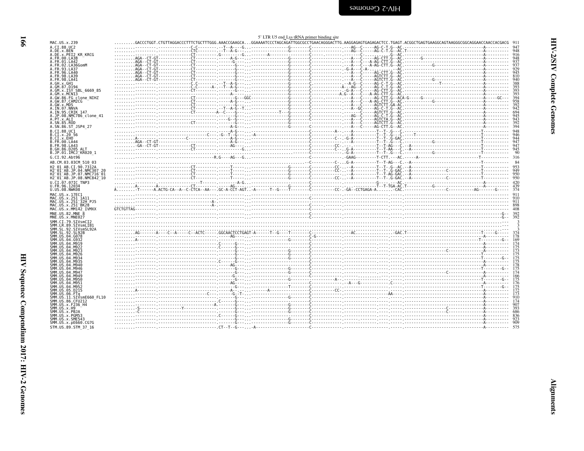| MAC.US.x.239                                                                                                                                                                                                                                                                      |                                |  |      |              |                 |   |
|-----------------------------------------------------------------------------------------------------------------------------------------------------------------------------------------------------------------------------------------------------------------------------------|--------------------------------|--|------|--------------|-----------------|---|
| MAC.US.x.239<br>A.DE.x.8BLUC2<br>A.DE.x.BEN<br>A.DE.x.BEN<br>A.FR.00.LA38<br>A.FR.00.LA38<br>A.FR.00.LA38<br>A.FR.01.LA42<br>A.FR.02.LA466<br>A.FR.93.LA39<br>A.FR.95.LA44<br>A.GM.37.D194<br>A.GM.37.D194<br>A.GM.37.D194<br>A.GM.37.D194<br>A.GM.37.D194<br>A.GM.37.D194<br>A.G |                                |  |      |              |                 |   |
|                                                                                                                                                                                                                                                                                   |                                |  |      |              |                 |   |
|                                                                                                                                                                                                                                                                                   |                                |  |      |              |                 |   |
|                                                                                                                                                                                                                                                                                   |                                |  |      |              | 6669 85<br>NIHZ |   |
|                                                                                                                                                                                                                                                                                   |                                |  |      |              |                 |   |
|                                                                                                                                                                                                                                                                                   |                                |  |      |              |                 | 4 |
|                                                                                                                                                                                                                                                                                   |                                |  |      |              |                 |   |
|                                                                                                                                                                                                                                                                                   |                                |  |      |              |                 |   |
| G.CI.92.Abt96<br>AB.CM.03.03CM                                                                                                                                                                                                                                                    |                                |  |      | 510 03       | 1               |   |
| H2_01_AB.CI.90.7312A<br>H2_01_AB.JP.04.NMC307<br>H2_01_AB.JP.07.NMC716<br>H2_01_AB.JP.08.NMC842                                                                                                                                                                                   |                                |  |      |              |                 |   |
| U.CI.07.07IC<br>U.FR.96.12034<br>U.US.08.NWK09<br>U.US.08.NWK08                                                                                                                                                                                                                   |                                |  | TNP3 |              |                 |   |
| MAC.US.x.17EC1<br>MAC.US.x.251 1A11<br>MAC.US.x.251 32H<br>MAC.US.x.251 BK28<br>MAC.US.x.MM142 IV<br>MAC.US.x.MM142 IV                                                                                                                                                            |                                |  |      |              | P.15            |   |
|                                                                                                                                                                                                                                                                                   |                                |  |      | <b>IVMXX</b> |                 |   |
|                                                                                                                                                                                                                                                                                   |                                |  |      |              |                 |   |
| MNE. US. x. mwcrz /<br>SMM . CI. 79 . STV smCT2<br>SMM . IR. 89 . STV smLTB1<br>SMM . SL . 92 . STV smLTB1<br>SMM . SL . 92 . STV smB<br>SMM . US. 04 . 0072<br>SMM . US. 04 . 0932<br>SMM . US. 04 . M922<br>SMM . US. 04 . M922<br>SMM . US. 04 . M922<br>                      |                                |  |      |              |                 |   |
|                                                                                                                                                                                                                                                                                   |                                |  |      |              |                 |   |
| SMM. US. 04. M926<br>SMM. US. 04. M934<br>SMM. US. 04. M935<br>SMM. US. 04. M946<br>SMM. US. 04. M946<br>SMM. US. 04. M946                                                                                                                                                        |                                |  |      |              |                 |   |
| SMM.US.04.M947<br>SMM. US. 04. M949                                                                                                                                                                                                                                               |                                |  |      |              |                 |   |
|                                                                                                                                                                                                                                                                                   |                                |  |      |              |                 |   |
|                                                                                                                                                                                                                                                                                   |                                |  |      |              |                 |   |
| SMM. US. 04. M949<br>SMM. US. 04. M951<br>SMM. US. 04. M951<br>SMM. US. 04. M951<br>SMM. US. 05. D215<br>SMM. US. 06. FTq<br>SMM. US. 11. STV.<br>SMM. US. X. P290_H4<br>SMM. US. X. P290_H4<br>SMM. US. X. P290_H4<br>SMM. US. X. P290_H4<br>SMM. US. X. P290                    | $\frac{2}{3}$ MM. US. x. PGM53 |  |      |              |                 |   |
| ŠMM.ŪŠ.x.SME543<br>SMM.US.x.pE660.CG7G<br>STM.US.89.STM 37 16                                                                                                                                                                                                                     |                                |  |      |              |                 |   |
|                                                                                                                                                                                                                                                                                   |                                |  |      |              |                 |   |

|                                       |  |  |  |  |  |  |  |  |  |  |  |  | . - - - - - - - - - - - - - - - - - -   |  |  |
|---------------------------------------|--|--|--|--|--|--|--|--|--|--|--|--|-----------------------------------------|--|--|
|                                       |  |  |  |  |  |  |  |  |  |  |  |  | . - - - - - - - - - - - - - - - - - -   |  |  |
|                                       |  |  |  |  |  |  |  |  |  |  |  |  |                                         |  |  |
| . - - - - - - - - - - - - - - - - - - |  |  |  |  |  |  |  |  |  |  |  |  |                                         |  |  |
|                                       |  |  |  |  |  |  |  |  |  |  |  |  |                                         |  |  |
| A. -T-------A.ACTG-CA--A-             |  |  |  |  |  |  |  |  |  |  |  |  |                                         |  |  |
|                                       |  |  |  |  |  |  |  |  |  |  |  |  |                                         |  |  |
|                                       |  |  |  |  |  |  |  |  |  |  |  |  |                                         |  |  |
|                                       |  |  |  |  |  |  |  |  |  |  |  |  |                                         |  |  |
|                                       |  |  |  |  |  |  |  |  |  |  |  |  |                                         |  |  |
|                                       |  |  |  |  |  |  |  |  |  |  |  |  |                                         |  |  |
|                                       |  |  |  |  |  |  |  |  |  |  |  |  |                                         |  |  |
|                                       |  |  |  |  |  |  |  |  |  |  |  |  |                                         |  |  |
|                                       |  |  |  |  |  |  |  |  |  |  |  |  |                                         |  |  |
|                                       |  |  |  |  |  |  |  |  |  |  |  |  |                                         |  |  |
|                                       |  |  |  |  |  |  |  |  |  |  |  |  |                                         |  |  |
|                                       |  |  |  |  |  |  |  |  |  |  |  |  |                                         |  |  |
|                                       |  |  |  |  |  |  |  |  |  |  |  |  |                                         |  |  |
|                                       |  |  |  |  |  |  |  |  |  |  |  |  |                                         |  |  |
|                                       |  |  |  |  |  |  |  |  |  |  |  |  | $\ldots \ldots \ldots$                  |  |  |
|                                       |  |  |  |  |  |  |  |  |  |  |  |  |                                         |  |  |
|                                       |  |  |  |  |  |  |  |  |  |  |  |  |                                         |  |  |
|                                       |  |  |  |  |  |  |  |  |  |  |  |  |                                         |  |  |
|                                       |  |  |  |  |  |  |  |  |  |  |  |  |                                         |  |  |
|                                       |  |  |  |  |  |  |  |  |  |  |  |  |                                         |  |  |
|                                       |  |  |  |  |  |  |  |  |  |  |  |  | . - . - - - - - - - - - - - - - - - -   |  |  |
|                                       |  |  |  |  |  |  |  |  |  |  |  |  |                                         |  |  |
|                                       |  |  |  |  |  |  |  |  |  |  |  |  |                                         |  |  |
|                                       |  |  |  |  |  |  |  |  |  |  |  |  |                                         |  |  |
|                                       |  |  |  |  |  |  |  |  |  |  |  |  |                                         |  |  |
|                                       |  |  |  |  |  |  |  |  |  |  |  |  |                                         |  |  |
|                                       |  |  |  |  |  |  |  |  |  |  |  |  | . - - - - - - - - - - - - - - - - - -   |  |  |
|                                       |  |  |  |  |  |  |  |  |  |  |  |  |                                         |  |  |
|                                       |  |  |  |  |  |  |  |  |  |  |  |  |                                         |  |  |
|                                       |  |  |  |  |  |  |  |  |  |  |  |  |                                         |  |  |
|                                       |  |  |  |  |  |  |  |  |  |  |  |  |                                         |  |  |
|                                       |  |  |  |  |  |  |  |  |  |  |  |  |                                         |  |  |
|                                       |  |  |  |  |  |  |  |  |  |  |  |  |                                         |  |  |
|                                       |  |  |  |  |  |  |  |  |  |  |  |  |                                         |  |  |
|                                       |  |  |  |  |  |  |  |  |  |  |  |  |                                         |  |  |
|                                       |  |  |  |  |  |  |  |  |  |  |  |  |                                         |  |  |
|                                       |  |  |  |  |  |  |  |  |  |  |  |  |                                         |  |  |
|                                       |  |  |  |  |  |  |  |  |  |  |  |  | . - - - - - - - - - - - - - - - - - -   |  |  |
|                                       |  |  |  |  |  |  |  |  |  |  |  |  |                                         |  |  |
|                                       |  |  |  |  |  |  |  |  |  |  |  |  |                                         |  |  |
|                                       |  |  |  |  |  |  |  |  |  |  |  |  |                                         |  |  |
|                                       |  |  |  |  |  |  |  |  |  |  |  |  |                                         |  |  |
|                                       |  |  |  |  |  |  |  |  |  |  |  |  |                                         |  |  |
|                                       |  |  |  |  |  |  |  |  |  |  |  |  | . - - - - - - - - - - - - - - - - - -   |  |  |
|                                       |  |  |  |  |  |  |  |  |  |  |  |  | . - - - - - - - - - - - - - - - - - -   |  |  |
|                                       |  |  |  |  |  |  |  |  |  |  |  |  | . - - - - - - - - - - - - - - - - - - - |  |  |
|                                       |  |  |  |  |  |  |  |  |  |  |  |  |                                         |  |  |
|                                       |  |  |  |  |  |  |  |  |  |  |  |  |                                         |  |  |
|                                       |  |  |  |  |  |  |  |  |  |  |  |  |                                         |  |  |
|                                       |  |  |  |  |  |  |  |  |  |  |  |  |                                         |  |  |
|                                       |  |  |  |  |  |  |  |  |  |  |  |  |                                         |  |  |
|                                       |  |  |  |  |  |  |  |  |  |  |  |  |                                         |  |  |

 $-0 7 0 7 1 0 0 1 0 0 0 7$ 

 $000 - 1100011001$ 

<span id="page-11-0"></span>

|  |  |  | 5' LTR U5 end Lys tRNA primer binding site |  |
|--|--|--|--------------------------------------------|--|
|  |  |  | CAAAATCCCTACCACATTCCCCCCTCAACACCCACTTC     |  |

|  | . AGA - - CT - GT - - - - - - - - - - - - - - - CT        |  |  |  |  |  |  |
|--|-----------------------------------------------------------|--|--|--|--|--|--|
|  |                                                           |  |  |  |  |  |  |
|  |                                                           |  |  |  |  |  |  |
|  |                                                           |  |  |  |  |  |  |
|  |                                                           |  |  |  |  |  |  |
|  |                                                           |  |  |  |  |  |  |
|  |                                                           |  |  |  |  |  |  |
|  | . - - - - - - - - - . - - - - - - - - - - - - - - CT- - - |  |  |  |  |  |  |
|  |                                                           |  |  |  |  |  |  |
|  |                                                           |  |  |  |  |  |  |
|  |                                                           |  |  |  |  |  |  |
|  |                                                           |  |  |  |  |  |  |
|  |                                                           |  |  |  |  |  |  |
|  |                                                           |  |  |  |  |  |  |
|  |                                                           |  |  |  |  |  |  |
|  |                                                           |  |  |  |  |  |  |
|  |                                                           |  |  |  |  |  |  |
|  |                                                           |  |  |  |  |  |  |
|  |                                                           |  |  |  |  |  |  |
|  |                                                           |  |  |  |  |  |  |
|  |                                                           |  |  |  |  |  |  |
|  |                                                           |  |  |  |  |  |  |
|  |                                                           |  |  |  |  |  |  |
|  |                                                           |  |  |  |  |  |  |
|  |                                                           |  |  |  |  |  |  |
|  |                                                           |  |  |  |  |  |  |
|  |                                                           |  |  |  |  |  |  |
|  |                                                           |  |  |  |  |  |  |
|  |                                                           |  |  |  |  |  |  |
|  |                                                           |  |  |  |  |  |  |
|  |                                                           |  |  |  |  |  |  |
|  |                                                           |  |  |  |  |  |  |
|  |                                                           |  |  |  |  |  |  |
|  |                                                           |  |  |  |  |  |  |
|  |                                                           |  |  |  |  |  |  |
|  |                                                           |  |  |  |  |  |  |
|  |                                                           |  |  |  |  |  |  |
|  |                                                           |  |  |  |  |  |  |
|  |                                                           |  |  |  |  |  |  |
|  |                                                           |  |  |  |  |  |  |
|  |                                                           |  |  |  |  |  |  |
|  |                                                           |  |  |  |  |  |  |
|  |                                                           |  |  |  |  |  |  |
|  |                                                           |  |  |  |  |  |  |
|  |                                                           |  |  |  |  |  |  |
|  |                                                           |  |  |  |  |  |  |
|  |                                                           |  |  |  |  |  |  |
|  |                                                           |  |  |  |  |  |  |
|  |                                                           |  |  |  |  |  |  |
|  |                                                           |  |  |  |  |  |  |
|  |                                                           |  |  |  |  |  |  |
|  |                                                           |  |  |  |  |  |  |
|  |                                                           |  |  |  |  |  |  |
|  |                                                           |  |  |  |  |  |  |
|  |                                                           |  |  |  |  |  |  |
|  |                                                           |  |  |  |  |  |  |
|  |                                                           |  |  |  |  |  |  |
|  |                                                           |  |  |  |  |  |  |
|  |                                                           |  |  |  |  |  |  |
|  |                                                           |  |  |  |  |  |  |
|  |                                                           |  |  |  |  |  |  |
|  |                                                           |  |  |  |  |  |  |
|  |                                                           |  |  |  |  |  |  |
|  |                                                           |  |  |  |  |  |  |
|  |                                                           |  |  |  |  |  |  |
|  |                                                           |  |  |  |  |  |  |
|  |                                                           |  |  |  |  |  |  |
|  |                                                           |  |  |  |  |  |  |
|  |                                                           |  |  |  |  |  |  |
|  |                                                           |  |  |  |  |  |  |
|  |                                                           |  |  |  |  |  |  |
|  |                                                           |  |  |  |  |  |  |
|  |                                                           |  |  |  |  |  |  |
|  |                                                           |  |  |  |  |  |  |
|  |                                                           |  |  |  |  |  |  |
|  |                                                           |  |  |  |  |  |  |
|  |                                                           |  |  |  |  |  |  |
|  |                                                           |  |  |  |  |  |  |
|  |                                                           |  |  |  |  |  |  |
|  |                                                           |  |  |  |  |  |  |

 $701100010711000000010011001100100100000$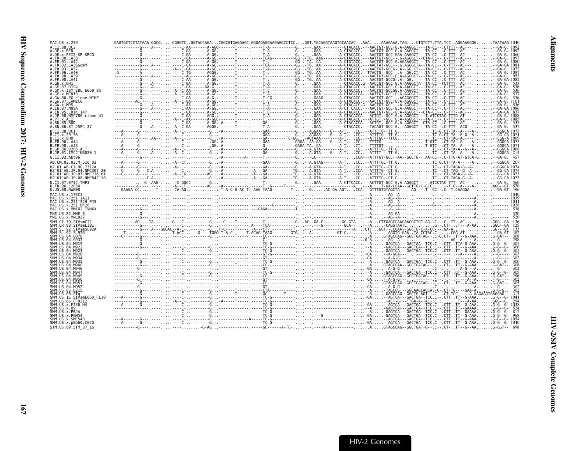| MAC.US.x.239                                                     | GAGTGCTCCTATAAA.GGCGCGGGTCGGTACCAGACGGCGTGAGGAGC.GGGAGAGGAGGACGCCTCCGGT.TGCAGGTAAGTGCAACACAAAAAAGAAA.TAGCTGTCTT.TTA.TCCAGGAAGGGGTAATAAG 104( |  |  |  |  |          |
|------------------------------------------------------------------|----------------------------------------------------------------------------------------------------------------------------------------------|--|--|--|--|----------|
| A.CI.88.UC2<br>A.DE.x.BEN                                        |                                                                                                                                              |  |  |  |  |          |
| A.DE.x.PEI2 KR KRCG                                              |                                                                                                                                              |  |  |  |  |          |
| A.FR.00.LA38<br>A.FR.01.LA42                                     |                                                                                                                                              |  |  |  |  |          |
| A.FR.02.LA36GomM<br>A.FR.93.LA37                                 |                                                                                                                                              |  |  |  |  |          |
| A.FR.96.LA40                                                     |                                                                                                                                              |  |  |  |  |          |
| 4.FR.98.LA39<br>A.FR.98.LA41                                     |                                                                                                                                              |  |  |  |  |          |
| A.GH.x.GH1<br>A.GM.87.D194                                       |                                                                                                                                              |  |  |  |  |          |
| A.GM.x.ISY SBL 6669 85                                           |                                                                                                                                              |  |  |  |  |          |
| A.GM.x.MCNI3<br>A.GW.86.FG_clone NIHZ                            |                                                                                                                                              |  |  |  |  |          |
| A.GW.87.CAM2CG<br>A.GW.x.MDS                                     |                                                                                                                                              |  |  |  |  |          |
| A.IN.07.NNVA                                                     |                                                                                                                                              |  |  |  |  |          |
| A.IN.95.CRIK 147<br>A.JP.08.NMC786 clone 41                      |                                                                                                                                              |  |  |  |  |          |
| A.PT.x.ALI                                                       |                                                                                                                                              |  |  |  |  |          |
| A.SN.85.ROD<br>A.SN.86.ST JSP4 27                                |                                                                                                                                              |  |  |  |  |          |
| B.CI.88.UC1                                                      |                                                                                                                                              |  |  |  |  |          |
| B.CI.x.20 56<br>B.CI.x.EHO                                       |                                                                                                                                              |  |  |  |  |          |
| B.FR.00.LA44<br>B.FR.98.LA43                                     |                                                                                                                                              |  |  |  |  |          |
| B.GH.86.D205 ALT                                                 |                                                                                                                                              |  |  |  |  |          |
| B.JP.01.IMCJ <sup>-</sup> KR020 1<br>G.CI.92.Abt96               |                                                                                                                                              |  |  |  |  |          |
| AB.CM.03.03CM 510 03                                             |                                                                                                                                              |  |  |  |  |          |
| H <sub>2</sub> 01 AB.CI.90.7312A                                 |                                                                                                                                              |  |  |  |  |          |
| H2 01 AB.JP.04.NMC307 20<br>H2 <sup>-01-AB.JP.07.NMC716-01</sup> |                                                                                                                                              |  |  |  |  |          |
| H2 01 AB.JP.08.NMC842 10                                         |                                                                                                                                              |  |  |  |  |          |
| U.CI.07.07IC TNP3                                                |                                                                                                                                              |  |  |  |  |          |
| U.FR.96.12034                                                    |                                                                                                                                              |  |  |  |  |          |
| U.US.08.NWK08                                                    |                                                                                                                                              |  |  |  |  |          |
| MAC.US.x.17EC1                                                   |                                                                                                                                              |  |  |  |  |          |
| MAC.US.x.251 1A11<br>MAC.US.x.251 <sup>-</sup> 32H PJ5           |                                                                                                                                              |  |  |  |  |          |
| MAC.US.x.251 <sup>-</sup> BK28<br>MAC.US.x.MM142 IVMXX           |                                                                                                                                              |  |  |  |  |          |
| MNE.US.82.MNE                                                    |                                                                                                                                              |  |  |  |  |          |
| MNE.US.x.MNE027<br>SMM.CI.79.SIVsmCI2                            |                                                                                                                                              |  |  |  |  |          |
| SMM.LR.89.<br>SIVsmLIB                                           |                                                                                                                                              |  |  |  |  |          |
| SMM.SL.92.<br>SIVsmSL92A<br>SMM.SL.92.SL92B                      |                                                                                                                                              |  |  |  |  |          |
| SMM.US.04.G078<br>SMM IIS A4 GQ33                                |                                                                                                                                              |  |  |  |  |          |
| SMM IIS 04 MQ10                                                  |                                                                                                                                              |  |  |  |  |          |
|                                                                  |                                                                                                                                              |  |  |  |  |          |
| SMM IIS 04 M926<br>SMM.US.04.M934                                |                                                                                                                                              |  |  |  |  |          |
| SMM.US.04.M935                                                   |                                                                                                                                              |  |  |  |  |          |
| SMM.US.04.M940<br>SMM.US.04.M946                                 |                                                                                                                                              |  |  |  |  |          |
| SMM.US.04.M947<br>SMM. U.S. 04. M949                             |                                                                                                                                              |  |  |  |  |          |
| SMM.US.04.M950                                                   |                                                                                                                                              |  |  |  |  |          |
| SMM.US.04.M951<br>SMM.US.04.M952                                 |                                                                                                                                              |  |  |  |  |          |
| SMM.US.05.D215<br>SMM.US.06.FTa                                  |                                                                                                                                              |  |  |  |  |          |
| SMM.US.11.SIVsmE660 FL10                                         |                                                                                                                                              |  |  |  |  |          |
| SMM.US.86.CFU212<br>SMM.US.x.F236 H4                             |                                                                                                                                              |  |  |  |  | 1038     |
| SMM.US.x.H9                                                      |                                                                                                                                              |  |  |  |  |          |
| SMM.US.x.PBJA<br>SMM.US.x.PGM53                                  |                                                                                                                                              |  |  |  |  |          |
| SMM.US.x.SME543<br>SMM.US.x.pE660.CG7G                           |                                                                                                                                              |  |  |  |  | -G- 1054 |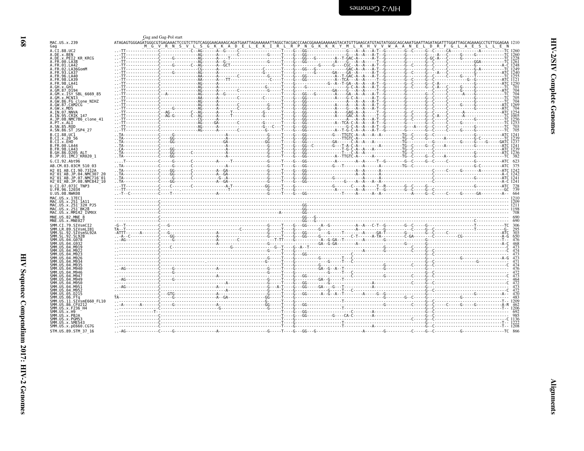<span id="page-13-0"></span>

| !<br>}      |
|-------------|
| I<br>ļ<br>i |
| ĵ           |

| Ξ |  |
|---|--|
|   |  |

|                                                                             | Gag and Gag-Pol start                                                                                                                                                                                                                                                                                                                                                                               |  |  |  |  |
|-----------------------------------------------------------------------------|-----------------------------------------------------------------------------------------------------------------------------------------------------------------------------------------------------------------------------------------------------------------------------------------------------------------------------------------------------------------------------------------------------|--|--|--|--|
| MAC.US.x.239<br>Gag                                                         | ATAGAGTGGGGGGGGGGGGAAAACTCCGTCTTGTCAGGGAAAAAGCAGATGAATAGAAAAATTAGGCTACGGAAAGAAGAAAAAGTATGAGTATGGGCAAGATTAGATTTAGGAAAAGCCTGTTGGAGAA 1210<br>M_G_V_R_N_S_V_L_S_G_K_K_K_A_D_E_L_E_K_I_R_L_R_P_N_G_K_K_K_Y_M_L_K_H_V_V_W_A_A_N_E_L_D_                                                                                                                                                                   |  |  |  |  |
| A.CI.88.UC2<br>A.DE.x.BEN                                                   |                                                                                                                                                                                                                                                                                                                                                                                                     |  |  |  |  |
| A.DE.X.PEI2 KR KRCG                                                         |                                                                                                                                                                                                                                                                                                                                                                                                     |  |  |  |  |
| A.FR.00.LA38<br>A. FR. 01. LA42                                             |                                                                                                                                                                                                                                                                                                                                                                                                     |  |  |  |  |
| A.FR.02.LA36GomM<br>A.FR.93.LA37                                            |                                                                                                                                                                                                                                                                                                                                                                                                     |  |  |  |  |
| A.FR.96.LA40                                                                |                                                                                                                                                                                                                                                                                                                                                                                                     |  |  |  |  |
| A.FR.98.LA39<br>A FR 98 I A41                                               |                                                                                                                                                                                                                                                                                                                                                                                                     |  |  |  |  |
| A GM 87 D194                                                                |                                                                                                                                                                                                                                                                                                                                                                                                     |  |  |  |  |
| A.GM.x.ISY SBL 6669 85                                                      |                                                                                                                                                                                                                                                                                                                                                                                                     |  |  |  |  |
| A.GM.X.MCNI3<br>A.GW.86.FG clone NIHZ                                       |                                                                                                                                                                                                                                                                                                                                                                                                     |  |  |  |  |
| A.GW.87.CAM2CG<br>A.GW.x.MDS                                                |                                                                                                                                                                                                                                                                                                                                                                                                     |  |  |  |  |
| A.IN.07.NNVA<br>A.IN.95.CRIK 147                                            |                                                                                                                                                                                                                                                                                                                                                                                                     |  |  |  |  |
| A.JP.08.NMC786 clone 41                                                     |                                                                                                                                                                                                                                                                                                                                                                                                     |  |  |  |  |
| A.PT.x.ALI<br>A.SN.85.ROD                                                   |                                                                                                                                                                                                                                                                                                                                                                                                     |  |  |  |  |
| A.SN.86.ST JSP4 27                                                          |                                                                                                                                                                                                                                                                                                                                                                                                     |  |  |  |  |
| B.CI.88.UC1<br>B.CI.X.20 56                                                 |                                                                                                                                                                                                                                                                                                                                                                                                     |  |  |  |  |
| B.CI.X.EHO<br><b>B.FR.00.LA44</b>                                           |                                                                                                                                                                                                                                                                                                                                                                                                     |  |  |  |  |
| B. FR. 98. LA43<br>B.GH.86.D205 ALT                                         |                                                                                                                                                                                                                                                                                                                                                                                                     |  |  |  |  |
| B.JP.01.IMCJ <sup>-</sup> KR020 1                                           |                                                                                                                                                                                                                                                                                                                                                                                                     |  |  |  |  |
| G.CI.92.Abt96                                                               |                                                                                                                                                                                                                                                                                                                                                                                                     |  |  |  |  |
| AB.CM.03.03CM 510 03<br>H <sub>2</sub> 01 AB.CT.90.7312A                    |                                                                                                                                                                                                                                                                                                                                                                                                     |  |  |  |  |
| H2 01 AB.JP.04.NMC307                                                       |                                                                                                                                                                                                                                                                                                                                                                                                     |  |  |  |  |
| H2 01 AB.JP.07.NMC716 01<br>H2 <sup>-01-AB.JP.08.NMC842<sup>-10</sup></sup> |                                                                                                                                                                                                                                                                                                                                                                                                     |  |  |  |  |
| U.CI.07.07IC TNP3<br>U.FR.96.12034                                          |                                                                                                                                                                                                                                                                                                                                                                                                     |  |  |  |  |
| U.US.08.NWK08                                                               |                                                                                                                                                                                                                                                                                                                                                                                                     |  |  |  |  |
| MAC.US.x.17EC1<br>MAC.US.x.251 1A11                                         |                                                                                                                                                                                                                                                                                                                                                                                                     |  |  |  |  |
| MAC.US.x.251 <sup>-32H</sup> PJ5<br>MAC.US.x.251 <sup>-</sup> BK28          |                                                                                                                                                                                                                                                                                                                                                                                                     |  |  |  |  |
| MAC.US.x.MM142 IVMXX                                                        |                                                                                                                                                                                                                                                                                                                                                                                                     |  |  |  |  |
| MNE.US.82.MNE 8<br>MNE.US.x.MNE027                                          |                                                                                                                                                                                                                                                                                                                                                                                                     |  |  |  |  |
| SMM.CI.79.SIVsmCI2                                                          |                                                                                                                                                                                                                                                                                                                                                                                                     |  |  |  |  |
| SMM.LR.89.SIVsmLIB1<br>SMM.SL.92.SIVsmSL92A                                 |                                                                                                                                                                                                                                                                                                                                                                                                     |  |  |  |  |
| SMM.SL.92.SL92B<br>SMM.US.04.G078                                           |                                                                                                                                                                                                                                                                                                                                                                                                     |  |  |  |  |
| SMM IIS 04 G932                                                             |                                                                                                                                                                                                                                                                                                                                                                                                     |  |  |  |  |
| SMM.US.04.M919                                                              |                                                                                                                                                                                                                                                                                                                                                                                                     |  |  |  |  |
|                                                                             | $\begin{minipage}[t]{0.55\textwidth} {\footnotesize{ \begin{tabular}{ c c c } \hline \textbf{0.5} & \textbf{0.5} & \textbf{0.5} & \textbf{0.5} & \textbf{0.5} & \textbf{0.5} & \textbf{0.5} & \textbf{0.5} & \textbf{0.5} & \textbf{0.5} & \textbf{0.5} & \textbf{0.5} & \textbf{0.5} & \textbf{0.5} & \textbf{0.5} & \textbf{0.5} & \textbf{0.5} & \textbf{0.5} & \textbf{0.5} & \textbf{0.5} & \$ |  |  |  |  |
| 04                                                                          |                                                                                                                                                                                                                                                                                                                                                                                                     |  |  |  |  |
|                                                                             |                                                                                                                                                                                                                                                                                                                                                                                                     |  |  |  |  |
| SMM.US.04.M946                                                              |                                                                                                                                                                                                                                                                                                                                                                                                     |  |  |  |  |
| .04 M949                                                                    |                                                                                                                                                                                                                                                                                                                                                                                                     |  |  |  |  |
| SMM IIS 04 M951                                                             |                                                                                                                                                                                                                                                                                                                                                                                                     |  |  |  |  |
| SMM.US.04.M952<br>MM.US.05.D215                                             |                                                                                                                                                                                                                                                                                                                                                                                                     |  |  |  |  |
| SMM.US.06.FTa<br>SMM.US.11.SIVsmE660 FL10                                   |                                                                                                                                                                                                                                                                                                                                                                                                     |  |  |  |  |
| SMM.US.86.CFU212                                                            |                                                                                                                                                                                                                                                                                                                                                                                                     |  |  |  |  |
| SMM.US.x.F236 H4<br>SMM.US.x.H9                                             |                                                                                                                                                                                                                                                                                                                                                                                                     |  |  |  |  |
| SMM.US.x.PBJA<br>SMM.US.x.PGM53                                             |                                                                                                                                                                                                                                                                                                                                                                                                     |  |  |  |  |
| SMM.US.x.SME543<br>SMM. US. x. pE660. CG7G                                  |                                                                                                                                                                                                                                                                                                                                                                                                     |  |  |  |  |
| STM.US.89.STM 37 16                                                         |                                                                                                                                                                                                                                                                                                                                                                                                     |  |  |  |  |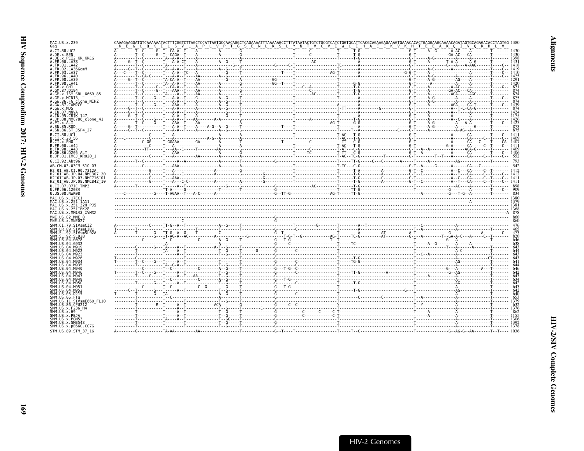| MAC.US.x.239<br>Gag                                                                                                |                                                                                                                                                                                                                                                                                                               |  |  |  |                                                                                                                                                                                                                                                                                                                                                                                                                                                                                                  |  |  |  |
|--------------------------------------------------------------------------------------------------------------------|---------------------------------------------------------------------------------------------------------------------------------------------------------------------------------------------------------------------------------------------------------------------------------------------------------------|--|--|--|--------------------------------------------------------------------------------------------------------------------------------------------------------------------------------------------------------------------------------------------------------------------------------------------------------------------------------------------------------------------------------------------------------------------------------------------------------------------------------------------------|--|--|--|
| A.CI.88.UC2                                                                                                        |                                                                                                                                                                                                                                                                                                               |  |  |  |                                                                                                                                                                                                                                                                                                                                                                                                                                                                                                  |  |  |  |
| A.DE.x.BEN<br>A.DE.x.PEI2 KR KRCG                                                                                  |                                                                                                                                                                                                                                                                                                               |  |  |  |                                                                                                                                                                                                                                                                                                                                                                                                                                                                                                  |  |  |  |
| A.FR.00.LA38<br>A.FR.01.LA42                                                                                       |                                                                                                                                                                                                                                                                                                               |  |  |  |                                                                                                                                                                                                                                                                                                                                                                                                                                                                                                  |  |  |  |
| A.FR.02.LA36GomM                                                                                                   |                                                                                                                                                                                                                                                                                                               |  |  |  |                                                                                                                                                                                                                                                                                                                                                                                                                                                                                                  |  |  |  |
| A.FR.93.LA37<br>A FR 96 IA40                                                                                       |                                                                                                                                                                                                                                                                                                               |  |  |  |                                                                                                                                                                                                                                                                                                                                                                                                                                                                                                  |  |  |  |
| A. FR. 98. LA39<br>A.FR.98.LA41                                                                                    |                                                                                                                                                                                                                                                                                                               |  |  |  |                                                                                                                                                                                                                                                                                                                                                                                                                                                                                                  |  |  |  |
| A.GH.x.GH1                                                                                                         |                                                                                                                                                                                                                                                                                                               |  |  |  |                                                                                                                                                                                                                                                                                                                                                                                                                                                                                                  |  |  |  |
| A.GM.87.D194<br>A.GM.x.ISY SBL 6669 85                                                                             |                                                                                                                                                                                                                                                                                                               |  |  |  |                                                                                                                                                                                                                                                                                                                                                                                                                                                                                                  |  |  |  |
| A.GM.x.MCNI3                                                                                                       |                                                                                                                                                                                                                                                                                                               |  |  |  |                                                                                                                                                                                                                                                                                                                                                                                                                                                                                                  |  |  |  |
| A.GW.86.FG clone NIHZ<br>A.GW.87.CAM2CG                                                                            |                                                                                                                                                                                                                                                                                                               |  |  |  |                                                                                                                                                                                                                                                                                                                                                                                                                                                                                                  |  |  |  |
| A.GW.x.MDS<br>A.IN.07.NNVA                                                                                         |                                                                                                                                                                                                                                                                                                               |  |  |  |                                                                                                                                                                                                                                                                                                                                                                                                                                                                                                  |  |  |  |
| A.IN.95.CRIK 147                                                                                                   |                                                                                                                                                                                                                                                                                                               |  |  |  |                                                                                                                                                                                                                                                                                                                                                                                                                                                                                                  |  |  |  |
| A.JP.08.NMC786 clone 41<br>A.PT.X.ALT                                                                              |                                                                                                                                                                                                                                                                                                               |  |  |  |                                                                                                                                                                                                                                                                                                                                                                                                                                                                                                  |  |  |  |
| A.SN.85.ROD                                                                                                        |                                                                                                                                                                                                                                                                                                               |  |  |  |                                                                                                                                                                                                                                                                                                                                                                                                                                                                                                  |  |  |  |
| A.SN.86.ST JSP4 27<br>B.CT.88.UC1                                                                                  |                                                                                                                                                                                                                                                                                                               |  |  |  | $\overbrace{A\cdot\ldots C\cdot\ldots C\cdot\ldots C\cdot\ldots C\cdot\ldots C\cdot\ldots C\cdot\ldots C\cdot\ldots C\cdot\ldots C\cdot\ldots C\cdot\ldots C\cdot\ldots C\cdot\ldots C\cdot\ldots C\cdot\ldots C\cdot\ldots C\cdot\ldots C\cdot\ldots C\cdot\ldots C\cdot\ldots C\cdot\ldots C\cdot\ldots C\cdot\ldots C\cdot\ldots C\cdot\ldots C\cdot\ldots C\cdot\ldots C\cdot\ldots C\cdot\ldots C\cdot\ldots C\cdot\ldots C\cdot\ldots C\cdot\ldots C\cdot\ldots C\cdot\ldots C\cdot\ldots$ |  |  |  |
| B.CI.X.20 56                                                                                                       |                                                                                                                                                                                                                                                                                                               |  |  |  |                                                                                                                                                                                                                                                                                                                                                                                                                                                                                                  |  |  |  |
| B.CI.x.EHO<br>B.FR.00.LA44                                                                                         |                                                                                                                                                                                                                                                                                                               |  |  |  |                                                                                                                                                                                                                                                                                                                                                                                                                                                                                                  |  |  |  |
| B. FR. 98. LA43                                                                                                    |                                                                                                                                                                                                                                                                                                               |  |  |  |                                                                                                                                                                                                                                                                                                                                                                                                                                                                                                  |  |  |  |
| B.GH.86.D205 ALT<br>B.JP.01.IMCJ <sup>-</sup> KR020 1                                                              |                                                                                                                                                                                                                                                                                                               |  |  |  |                                                                                                                                                                                                                                                                                                                                                                                                                                                                                                  |  |  |  |
| G.CI.92.Abt96                                                                                                      |                                                                                                                                                                                                                                                                                                               |  |  |  |                                                                                                                                                                                                                                                                                                                                                                                                                                                                                                  |  |  |  |
| AB.CM.03.03CM 510 03                                                                                               |                                                                                                                                                                                                                                                                                                               |  |  |  |                                                                                                                                                                                                                                                                                                                                                                                                                                                                                                  |  |  |  |
| H2 01 AB.CI.90.7312A<br>H2 01 AB.JP.04.NMC307 20                                                                   |                                                                                                                                                                                                                                                                                                               |  |  |  |                                                                                                                                                                                                                                                                                                                                                                                                                                                                                                  |  |  |  |
| H2 <sup>-</sup> 01 <sup>-</sup> AB.JP.07.NMC716 <sup>-</sup> 01<br>H2 <sup>-01-AB.JP.08.NMC842<sup>-10</sup></sup> |                                                                                                                                                                                                                                                                                                               |  |  |  |                                                                                                                                                                                                                                                                                                                                                                                                                                                                                                  |  |  |  |
| U.CI.07.07IC TNP3                                                                                                  |                                                                                                                                                                                                                                                                                                               |  |  |  |                                                                                                                                                                                                                                                                                                                                                                                                                                                                                                  |  |  |  |
| U.FR.96.12034<br>U.US.08.NWK08                                                                                     |                                                                                                                                                                                                                                                                                                               |  |  |  |                                                                                                                                                                                                                                                                                                                                                                                                                                                                                                  |  |  |  |
| MAC.US.x.17EC1                                                                                                     |                                                                                                                                                                                                                                                                                                               |  |  |  |                                                                                                                                                                                                                                                                                                                                                                                                                                                                                                  |  |  |  |
| MAC.US.x.251 1A11                                                                                                  |                                                                                                                                                                                                                                                                                                               |  |  |  |                                                                                                                                                                                                                                                                                                                                                                                                                                                                                                  |  |  |  |
| MAC.US.x.251 <sup>-</sup> 32H PJ5<br>MAC.US.x.251 <sup>-</sup> BK28                                                |                                                                                                                                                                                                                                                                                                               |  |  |  |                                                                                                                                                                                                                                                                                                                                                                                                                                                                                                  |  |  |  |
| MAC.US.x.MM142 IVMXX<br>MNE.US.82.MNE 8                                                                            |                                                                                                                                                                                                                                                                                                               |  |  |  |                                                                                                                                                                                                                                                                                                                                                                                                                                                                                                  |  |  |  |
| MNE.US.x.MNE027                                                                                                    |                                                                                                                                                                                                                                                                                                               |  |  |  |                                                                                                                                                                                                                                                                                                                                                                                                                                                                                                  |  |  |  |
| SMM.CI.79.SIVsmCI2                                                                                                 |                                                                                                                                                                                                                                                                                                               |  |  |  |                                                                                                                                                                                                                                                                                                                                                                                                                                                                                                  |  |  |  |
| SMM.LR.89.SIVsmLIB1<br>SMM.SL.92.SIVsmSL92A                                                                        |                                                                                                                                                                                                                                                                                                               |  |  |  |                                                                                                                                                                                                                                                                                                                                                                                                                                                                                                  |  |  |  |
| SMM.SL.92.SL92B<br>SMM. US.04.G078                                                                                 |                                                                                                                                                                                                                                                                                                               |  |  |  |                                                                                                                                                                                                                                                                                                                                                                                                                                                                                                  |  |  |  |
|                                                                                                                    |                                                                                                                                                                                                                                                                                                               |  |  |  |                                                                                                                                                                                                                                                                                                                                                                                                                                                                                                  |  |  |  |
|                                                                                                                    |                                                                                                                                                                                                                                                                                                               |  |  |  |                                                                                                                                                                                                                                                                                                                                                                                                                                                                                                  |  |  |  |
|                                                                                                                    |                                                                                                                                                                                                                                                                                                               |  |  |  |                                                                                                                                                                                                                                                                                                                                                                                                                                                                                                  |  |  |  |
|                                                                                                                    |                                                                                                                                                                                                                                                                                                               |  |  |  |                                                                                                                                                                                                                                                                                                                                                                                                                                                                                                  |  |  |  |
| SMM.US.04.M940                                                                                                     |                                                                                                                                                                                                                                                                                                               |  |  |  |                                                                                                                                                                                                                                                                                                                                                                                                                                                                                                  |  |  |  |
| SMM.US.04.M946                                                                                                     |                                                                                                                                                                                                                                                                                                               |  |  |  |                                                                                                                                                                                                                                                                                                                                                                                                                                                                                                  |  |  |  |
| SMM. U.S. 04. M947<br>SMM.US.04.M949                                                                               |                                                                                                                                                                                                                                                                                                               |  |  |  |                                                                                                                                                                                                                                                                                                                                                                                                                                                                                                  |  |  |  |
| SMM.US.04.M950                                                                                                     |                                                                                                                                                                                                                                                                                                               |  |  |  |                                                                                                                                                                                                                                                                                                                                                                                                                                                                                                  |  |  |  |
|                                                                                                                    |                                                                                                                                                                                                                                                                                                               |  |  |  |                                                                                                                                                                                                                                                                                                                                                                                                                                                                                                  |  |  |  |
|                                                                                                                    |                                                                                                                                                                                                                                                                                                               |  |  |  |                                                                                                                                                                                                                                                                                                                                                                                                                                                                                                  |  |  |  |
| SMM.US.11.SIVsmE660 FL10                                                                                           |                                                                                                                                                                                                                                                                                                               |  |  |  |                                                                                                                                                                                                                                                                                                                                                                                                                                                                                                  |  |  |  |
| SMM.US.86.CFU212<br>SMM IIS x F236 H4                                                                              |                                                                                                                                                                                                                                                                                                               |  |  |  |                                                                                                                                                                                                                                                                                                                                                                                                                                                                                                  |  |  |  |
| SMM.US.x.H9                                                                                                        |                                                                                                                                                                                                                                                                                                               |  |  |  |                                                                                                                                                                                                                                                                                                                                                                                                                                                                                                  |  |  |  |
|                                                                                                                    |                                                                                                                                                                                                                                                                                                               |  |  |  |                                                                                                                                                                                                                                                                                                                                                                                                                                                                                                  |  |  |  |
| SMM.US.x.PBJA<br>SMM.US.x.PGM53                                                                                    |                                                                                                                                                                                                                                                                                                               |  |  |  |                                                                                                                                                                                                                                                                                                                                                                                                                                                                                                  |  |  |  |
| SMM.US.x.SME543                                                                                                    |                                                                                                                                                                                                                                                                                                               |  |  |  |                                                                                                                                                                                                                                                                                                                                                                                                                                                                                                  |  |  |  |
| SMM.US.x.pE660.CG7G<br>STM.US.89.STM 37 16                                                                         | $\begin{tabular}{ c c c c c c c c } \hline & $16.4 & $16.4 & $16.4 & $16.4 & $16.4 & $16.4 & $16.4 & $16.4 & $16.4 & $16.4 & $16.4 & $16.4 & $16.4 & $16.4 & $16.4 & $16.4 & $16.4 & $16.4 & $16.4 & $16.4 & $16.4 & $16.4 & $16.4 & $16.4 & $16.4 & $16.4 & $16.4 & $16.4 & $16.4 & $16.4 & $16.4 & $16.4 &$ |  |  |  |                                                                                                                                                                                                                                                                                                                                                                                                                                                                                                  |  |  |  |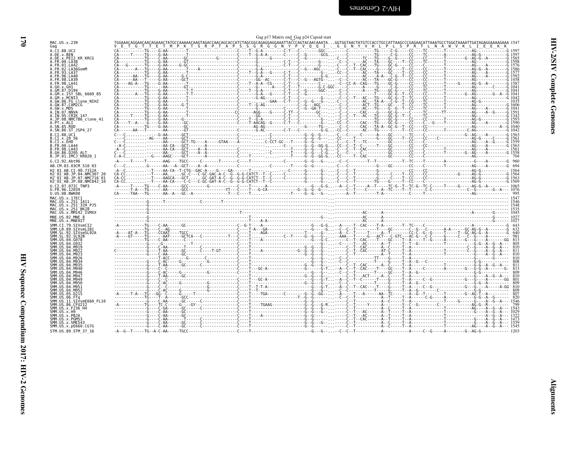| v | ٠<br>۰.<br>v |
|---|--------------|

<span id="page-15-0"></span>

| MAC.US.x.239                                                                                                                              |  |                                                                                                                                                                                                                                                                                                                                                                                                                                      |  | Gag p17 Matrix end Gag p24 Capsid start |  |  |  |  |  |  |
|-------------------------------------------------------------------------------------------------------------------------------------------|--|--------------------------------------------------------------------------------------------------------------------------------------------------------------------------------------------------------------------------------------------------------------------------------------------------------------------------------------------------------------------------------------------------------------------------------------|--|-----------------------------------------|--|--|--|--|--|--|
| Gag                                                                                                                                       |  |                                                                                                                                                                                                                                                                                                                                                                                                                                      |  |                                         |  |  |  |  |  |  |
| A.CI.88.UC2                                                                                                                               |  |                                                                                                                                                                                                                                                                                                                                                                                                                                      |  |                                         |  |  |  |  |  |  |
| A.DE.x.BEN<br>A.DE.x.PEI2 KR KRCG                                                                                                         |  |                                                                                                                                                                                                                                                                                                                                                                                                                                      |  |                                         |  |  |  |  |  |  |
| A.FR.00.LA38                                                                                                                              |  |                                                                                                                                                                                                                                                                                                                                                                                                                                      |  |                                         |  |  |  |  |  |  |
| A.FR.01.LA42<br>A.FR.02.LA36GomM                                                                                                          |  |                                                                                                                                                                                                                                                                                                                                                                                                                                      |  |                                         |  |  |  |  |  |  |
| A.FR.93.LA37                                                                                                                              |  |                                                                                                                                                                                                                                                                                                                                                                                                                                      |  |                                         |  |  |  |  |  |  |
| A.FR.96.LA40<br>A.FR.98.LA39                                                                                                              |  |                                                                                                                                                                                                                                                                                                                                                                                                                                      |  |                                         |  |  |  |  |  |  |
| 4.FR.98.LA41<br>A GH x GH1                                                                                                                |  |                                                                                                                                                                                                                                                                                                                                                                                                                                      |  |                                         |  |  |  |  |  |  |
|                                                                                                                                           |  |                                                                                                                                                                                                                                                                                                                                                                                                                                      |  |                                         |  |  |  |  |  |  |
| A.GM.X.ISY SBL 6669 85                                                                                                                    |  |                                                                                                                                                                                                                                                                                                                                                                                                                                      |  |                                         |  |  |  |  |  |  |
| A.GM.x.MCN13<br>A.GW.86.FG clone NIHZ                                                                                                     |  |                                                                                                                                                                                                                                                                                                                                                                                                                                      |  |                                         |  |  |  |  |  |  |
| A.GW.87.CAM2CG                                                                                                                            |  |                                                                                                                                                                                                                                                                                                                                                                                                                                      |  |                                         |  |  |  |  |  |  |
| A.GW.x.MDS<br>A.IN.07.NNVA                                                                                                                |  |                                                                                                                                                                                                                                                                                                                                                                                                                                      |  |                                         |  |  |  |  |  |  |
| A.IN.95.CRIK 147                                                                                                                          |  |                                                                                                                                                                                                                                                                                                                                                                                                                                      |  |                                         |  |  |  |  |  |  |
| A.JP.08.NMC786 clone 41<br>A.PT.x.ALI                                                                                                     |  | $\begin{bmatrix} \begin{bmatrix} \mathbf{0} & \mathbf{0} & \mathbf{0} & \mathbf{0} & \mathbf{0} & \mathbf{0} & \mathbf{0} & \mathbf{0} & \mathbf{0} & \mathbf{0} & \mathbf{0} & \mathbf{0} & \mathbf{0} & \mathbf{0} & \mathbf{0} & \mathbf{0} & \mathbf{0} & \mathbf{0} & \mathbf{0} & \mathbf{0} & \mathbf{0} & \mathbf{0} & \mathbf{0} & \mathbf{0} & \mathbf{0} & \mathbf{0} & \mathbf{0} & \mathbf{0} & \mathbf{0} & \mathbf{0$ |  |                                         |  |  |  |  |  |  |
| A.SN.85.ROD                                                                                                                               |  |                                                                                                                                                                                                                                                                                                                                                                                                                                      |  |                                         |  |  |  |  |  |  |
| A.SN.86.ST JSP4 27                                                                                                                        |  |                                                                                                                                                                                                                                                                                                                                                                                                                                      |  |                                         |  |  |  |  |  |  |
| B.CT.88.UC1<br>B.CI.X.20 56                                                                                                               |  |                                                                                                                                                                                                                                                                                                                                                                                                                                      |  |                                         |  |  |  |  |  |  |
| B.CI.X.EHO                                                                                                                                |  |                                                                                                                                                                                                                                                                                                                                                                                                                                      |  |                                         |  |  |  |  |  |  |
| B.FR.00.LA44<br>B.FR.98.LA43                                                                                                              |  |                                                                                                                                                                                                                                                                                                                                                                                                                                      |  |                                         |  |  |  |  |  |  |
| B.GH.86.D205 ALT                                                                                                                          |  |                                                                                                                                                                                                                                                                                                                                                                                                                                      |  |                                         |  |  |  |  |  |  |
| B.JP.01.IMCJ KR020 1                                                                                                                      |  |                                                                                                                                                                                                                                                                                                                                                                                                                                      |  |                                         |  |  |  |  |  |  |
| G.CI.92.Abt96                                                                                                                             |  |                                                                                                                                                                                                                                                                                                                                                                                                                                      |  |                                         |  |  |  |  |  |  |
| AB.CM.03.03CM 510 03                                                                                                                      |  |                                                                                                                                                                                                                                                                                                                                                                                                                                      |  |                                         |  |  |  |  |  |  |
| H2 01 AB.CI.90.7312A<br>H2-01-AB.JP.04.NMC307 20                                                                                          |  |                                                                                                                                                                                                                                                                                                                                                                                                                                      |  |                                         |  |  |  |  |  |  |
| H2 <sup>-</sup> 01 <sup>-</sup> AB.JP.07.NMC716 <sup>-</sup> 01                                                                           |  |                                                                                                                                                                                                                                                                                                                                                                                                                                      |  |                                         |  |  |  |  |  |  |
| H2 01 AB.JP.08.NMC842 10                                                                                                                  |  |                                                                                                                                                                                                                                                                                                                                                                                                                                      |  |                                         |  |  |  |  |  |  |
| U.CI.07.07IC TNP3<br>U.FR.96.12034                                                                                                        |  |                                                                                                                                                                                                                                                                                                                                                                                                                                      |  |                                         |  |  |  |  |  |  |
| U.US.08.NWK08                                                                                                                             |  |                                                                                                                                                                                                                                                                                                                                                                                                                                      |  |                                         |  |  |  |  |  |  |
| MAC.US.x.17EC1                                                                                                                            |  |                                                                                                                                                                                                                                                                                                                                                                                                                                      |  |                                         |  |  |  |  |  |  |
| MAC.US.x.251 1A11<br>MAC.US.x.251 32H PJ5                                                                                                 |  |                                                                                                                                                                                                                                                                                                                                                                                                                                      |  |                                         |  |  |  |  |  |  |
| MAC.US.x.251 <sup>-</sup> BK28                                                                                                            |  |                                                                                                                                                                                                                                                                                                                                                                                                                                      |  |                                         |  |  |  |  |  |  |
| MAC.US.x.MM142 IVMXX                                                                                                                      |  |                                                                                                                                                                                                                                                                                                                                                                                                                                      |  |                                         |  |  |  |  |  |  |
| MNE.US.82.MNE 8<br>MNE.US.x.MNE027                                                                                                        |  |                                                                                                                                                                                                                                                                                                                                                                                                                                      |  |                                         |  |  |  |  |  |  |
| SMM.CI.79.SIVsmCI2                                                                                                                        |  |                                                                                                                                                                                                                                                                                                                                                                                                                                      |  |                                         |  |  |  |  |  |  |
| SMM.LR.89.SIVsmLIB1                                                                                                                       |  |                                                                                                                                                                                                                                                                                                                                                                                                                                      |  |                                         |  |  |  |  |  |  |
|                                                                                                                                           |  |                                                                                                                                                                                                                                                                                                                                                                                                                                      |  |                                         |  |  |  |  |  |  |
|                                                                                                                                           |  |                                                                                                                                                                                                                                                                                                                                                                                                                                      |  |                                         |  |  |  |  |  |  |
| SMM.US.04.G078                                                                                                                            |  |                                                                                                                                                                                                                                                                                                                                                                                                                                      |  |                                         |  |  |  |  |  |  |
|                                                                                                                                           |  |                                                                                                                                                                                                                                                                                                                                                                                                                                      |  |                                         |  |  |  |  |  |  |
|                                                                                                                                           |  |                                                                                                                                                                                                                                                                                                                                                                                                                                      |  |                                         |  |  |  |  |  |  |
| 04.M926                                                                                                                                   |  |                                                                                                                                                                                                                                                                                                                                                                                                                                      |  |                                         |  |  |  |  |  |  |
|                                                                                                                                           |  |                                                                                                                                                                                                                                                                                                                                                                                                                                      |  |                                         |  |  |  |  |  |  |
|                                                                                                                                           |  |                                                                                                                                                                                                                                                                                                                                                                                                                                      |  |                                         |  |  |  |  |  |  |
| .04.M946                                                                                                                                  |  |                                                                                                                                                                                                                                                                                                                                                                                                                                      |  |                                         |  |  |  |  |  |  |
|                                                                                                                                           |  |                                                                                                                                                                                                                                                                                                                                                                                                                                      |  |                                         |  |  |  |  |  |  |
|                                                                                                                                           |  |                                                                                                                                                                                                                                                                                                                                                                                                                                      |  |                                         |  |  |  |  |  |  |
|                                                                                                                                           |  |                                                                                                                                                                                                                                                                                                                                                                                                                                      |  |                                         |  |  |  |  |  |  |
| .04.M952                                                                                                                                  |  |                                                                                                                                                                                                                                                                                                                                                                                                                                      |  |                                         |  |  |  |  |  |  |
| SMM.US.06.FTq                                                                                                                             |  |                                                                                                                                                                                                                                                                                                                                                                                                                                      |  |                                         |  |  |  |  |  |  |
|                                                                                                                                           |  |                                                                                                                                                                                                                                                                                                                                                                                                                                      |  |                                         |  |  |  |  |  |  |
|                                                                                                                                           |  |                                                                                                                                                                                                                                                                                                                                                                                                                                      |  |                                         |  |  |  |  |  |  |
|                                                                                                                                           |  |                                                                                                                                                                                                                                                                                                                                                                                                                                      |  |                                         |  |  |  |  |  |  |
| SMM. SL.92. SL92B<br>SMM.US.04.G932<br>SMM.US.04.M919<br>SMM IIS 04 M940<br>SMM IIS 04 M947<br>SMM.US.04.M951<br>SMM.US.<br>SMM.US.x.PBJA |  |                                                                                                                                                                                                                                                                                                                                                                                                                                      |  |                                         |  |  |  |  |  |  |
| SMM.US.x.PGM53<br>SMM.US.x.SME543                                                                                                         |  |                                                                                                                                                                                                                                                                                                                                                                                                                                      |  |                                         |  |  |  |  |  |  |
| SMM.SL.92.SIVsmSL92A<br>SMM.US.86.CFU212<br>SMM.US.x.F236 H4<br>SMM.US.x.H9<br>SMM.US.x.pE660.CG7G<br>STM.US.89.STM 37 16                 |  |                                                                                                                                                                                                                                                                                                                                                                                                                                      |  |                                         |  |  |  |  |  |  |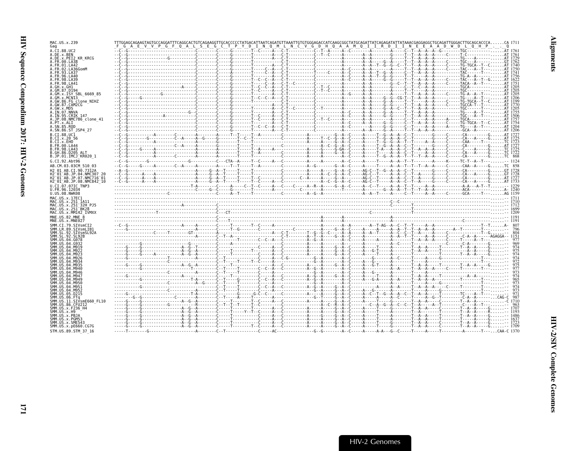| MAC.US.x.239<br>Gag                                                                         | TTTGGAGCAGAAGTAGTGCCAGGATTTCAGGCACTGTCAGAAGGTTGCACCCCCTATGACATTAATCAGATGTTAAATTGTGTGGGAGACCATCAAGCGGCTATGCAGATTATCAGAGATATTATAAACGAGGAGGCTGCAGGATTGGGACTTGCAGCTCCACCCACA_171<br>- F_G_A_E_V_V_P_G_F_Q_A_L_S_E_G_C_T_P_Y_D_T_M_Q_M_L_M_C_V_G_D_H_Q_A_A_A_M_Q_T_T_R_D_I_T_M_E_E_A_A_D_W_D_L_Q_H_P_____Q<br>- F_G_A_E_V_V_P_G_F_Q_A_L_S_E_G_C_T_P_Y_D_T_N_Q_M_L_M_C_V_G_D_H_Q_A_A_A_M_Q_T_T_R_D_I_T_M_C_T_A__A__A_D_                                                                                                   |  |  |  |  |  |  |  |  |  |
|---------------------------------------------------------------------------------------------|---------------------------------------------------------------------------------------------------------------------------------------------------------------------------------------------------------------------------------------------------------------------------------------------------------------------------------------------------------------------------------------------------------------------------------------------------------------------------------------------------------------------|--|--|--|--|--|--|--|--|--|
| A.CI.88.UC2                                                                                 |                                                                                                                                                                                                                                                                                                                                                                                                                                                                                                                     |  |  |  |  |  |  |  |  |  |
| A.DE.x.BEN<br>A.DE.x.PEI2 KR KRCG                                                           |                                                                                                                                                                                                                                                                                                                                                                                                                                                                                                                     |  |  |  |  |  |  |  |  |  |
| A.FR.00.LA38                                                                                |                                                                                                                                                                                                                                                                                                                                                                                                                                                                                                                     |  |  |  |  |  |  |  |  |  |
| A.FR.01.LA42                                                                                |                                                                                                                                                                                                                                                                                                                                                                                                                                                                                                                     |  |  |  |  |  |  |  |  |  |
| A.FR.02.LA36GomM<br>A.FR.93.LA37                                                            |                                                                                                                                                                                                                                                                                                                                                                                                                                                                                                                     |  |  |  |  |  |  |  |  |  |
| A. FR. 96. LA40                                                                             |                                                                                                                                                                                                                                                                                                                                                                                                                                                                                                                     |  |  |  |  |  |  |  |  |  |
| A FR 98 1 439<br>A.FR.98.LA41                                                               |                                                                                                                                                                                                                                                                                                                                                                                                                                                                                                                     |  |  |  |  |  |  |  |  |  |
| A.GH.x.GH1                                                                                  |                                                                                                                                                                                                                                                                                                                                                                                                                                                                                                                     |  |  |  |  |  |  |  |  |  |
| A.GM.87.D194                                                                                |                                                                                                                                                                                                                                                                                                                                                                                                                                                                                                                     |  |  |  |  |  |  |  |  |  |
| A.GM.X.ISY SBL 6669 85<br>A.GM.x.MCNI3                                                      |                                                                                                                                                                                                                                                                                                                                                                                                                                                                                                                     |  |  |  |  |  |  |  |  |  |
| A.GW.86.FG clone NIHZ                                                                       |                                                                                                                                                                                                                                                                                                                                                                                                                                                                                                                     |  |  |  |  |  |  |  |  |  |
| A.GW.87.CAM2CG                                                                              |                                                                                                                                                                                                                                                                                                                                                                                                                                                                                                                     |  |  |  |  |  |  |  |  |  |
| A.GW.x.MDS<br>A.IN.07.NNVA                                                                  |                                                                                                                                                                                                                                                                                                                                                                                                                                                                                                                     |  |  |  |  |  |  |  |  |  |
| A.IN.95.CRIK 147                                                                            |                                                                                                                                                                                                                                                                                                                                                                                                                                                                                                                     |  |  |  |  |  |  |  |  |  |
| A.JP.08.NMC786 clone 41<br>A.PT.x.ALI                                                       |                                                                                                                                                                                                                                                                                                                                                                                                                                                                                                                     |  |  |  |  |  |  |  |  |  |
| A.SN.85.ROD                                                                                 |                                                                                                                                                                                                                                                                                                                                                                                                                                                                                                                     |  |  |  |  |  |  |  |  |  |
| A.SN.86.ST JSP4 27                                                                          |                                                                                                                                                                                                                                                                                                                                                                                                                                                                                                                     |  |  |  |  |  |  |  |  |  |
| B.CT.88.UC1                                                                                 |                                                                                                                                                                                                                                                                                                                                                                                                                                                                                                                     |  |  |  |  |  |  |  |  |  |
| B.CI.X.20 56<br>B.CI.X.EHO                                                                  |                                                                                                                                                                                                                                                                                                                                                                                                                                                                                                                     |  |  |  |  |  |  |  |  |  |
| B.FR.00.LA44                                                                                |                                                                                                                                                                                                                                                                                                                                                                                                                                                                                                                     |  |  |  |  |  |  |  |  |  |
| B. FR. 98. LA43                                                                             |                                                                                                                                                                                                                                                                                                                                                                                                                                                                                                                     |  |  |  |  |  |  |  |  |  |
| B.GH.86.D205 ALT<br>B.JP.01.IMCJ KR020 1                                                    |                                                                                                                                                                                                                                                                                                                                                                                                                                                                                                                     |  |  |  |  |  |  |  |  |  |
| G.CI.92.Abt96                                                                               |                                                                                                                                                                                                                                                                                                                                                                                                                                                                                                                     |  |  |  |  |  |  |  |  |  |
| AB.CM.03.03CM 510 03                                                                        |                                                                                                                                                                                                                                                                                                                                                                                                                                                                                                                     |  |  |  |  |  |  |  |  |  |
| H2 01 AB.CI.90.7312A                                                                        |                                                                                                                                                                                                                                                                                                                                                                                                                                                                                                                     |  |  |  |  |  |  |  |  |  |
| H2 01 AB.JP.04.NMC307                                                                       |                                                                                                                                                                                                                                                                                                                                                                                                                                                                                                                     |  |  |  |  |  |  |  |  |  |
| H2 <sup>-</sup> 01 <sup>-</sup> AB.JP.07.NMC716 <sup>-</sup> 01<br>H2 01 AB.JP.08.NMC842 10 |                                                                                                                                                                                                                                                                                                                                                                                                                                                                                                                     |  |  |  |  |  |  |  |  |  |
| U.CI.07.07IC TNP3                                                                           |                                                                                                                                                                                                                                                                                                                                                                                                                                                                                                                     |  |  |  |  |  |  |  |  |  |
| U.FR.96.12034                                                                               |                                                                                                                                                                                                                                                                                                                                                                                                                                                                                                                     |  |  |  |  |  |  |  |  |  |
| U.US.08.NWK08                                                                               |                                                                                                                                                                                                                                                                                                                                                                                                                                                                                                                     |  |  |  |  |  |  |  |  |  |
|                                                                                             |                                                                                                                                                                                                                                                                                                                                                                                                                                                                                                                     |  |  |  |  |  |  |  |  |  |
| MAC.US.x.17EC1                                                                              |                                                                                                                                                                                                                                                                                                                                                                                                                                                                                                                     |  |  |  |  |  |  |  |  |  |
| MAC.US.x.251 1A11<br>MAC.US.x.251 <sup>-</sup> 32H PJ5                                      |                                                                                                                                                                                                                                                                                                                                                                                                                                                                                                                     |  |  |  |  |  |  |  |  |  |
| MAC.US.x.251 <sup>-</sup> BK28                                                              |                                                                                                                                                                                                                                                                                                                                                                                                                                                                                                                     |  |  |  |  |  |  |  |  |  |
| MAC.US.x.MM142 IVMXX                                                                        |                                                                                                                                                                                                                                                                                                                                                                                                                                                                                                                     |  |  |  |  |  |  |  |  |  |
| MNE.US.82.MNE 8<br>MNE.US.x.MNE027                                                          |                                                                                                                                                                                                                                                                                                                                                                                                                                                                                                                     |  |  |  |  |  |  |  |  |  |
| SMM. CT. 79. STVsmCT2                                                                       |                                                                                                                                                                                                                                                                                                                                                                                                                                                                                                                     |  |  |  |  |  |  |  |  |  |
| SMM.LR.89.SIVsmLIB1                                                                         |                                                                                                                                                                                                                                                                                                                                                                                                                                                                                                                     |  |  |  |  |  |  |  |  |  |
| SMM.SL.92.STVsmSL92A<br>SMM SL 92 SL 92R                                                    |                                                                                                                                                                                                                                                                                                                                                                                                                                                                                                                     |  |  |  |  |  |  |  |  |  |
| SMM US 04 G078                                                                              |                                                                                                                                                                                                                                                                                                                                                                                                                                                                                                                     |  |  |  |  |  |  |  |  |  |
| SMM. U.S. 04. G932<br><b>SMM IIS</b><br>A4 MQ10                                             |                                                                                                                                                                                                                                                                                                                                                                                                                                                                                                                     |  |  |  |  |  |  |  |  |  |
|                                                                                             |                                                                                                                                                                                                                                                                                                                                                                                                                                                                                                                     |  |  |  |  |  |  |  |  |  |
| SMM IIS<br>AA MQJ                                                                           |                                                                                                                                                                                                                                                                                                                                                                                                                                                                                                                     |  |  |  |  |  |  |  |  |  |
|                                                                                             |                                                                                                                                                                                                                                                                                                                                                                                                                                                                                                                     |  |  |  |  |  |  |  |  |  |
| SMM IIS A4 MQ35                                                                             |                                                                                                                                                                                                                                                                                                                                                                                                                                                                                                                     |  |  |  |  |  |  |  |  |  |
| SMM.US.04.M940                                                                              |                                                                                                                                                                                                                                                                                                                                                                                                                                                                                                                     |  |  |  |  |  |  |  |  |  |
| SMM.US.04.M946<br>SMM IIS 04 MQ47                                                           |                                                                                                                                                                                                                                                                                                                                                                                                                                                                                                                     |  |  |  |  |  |  |  |  |  |
| SMM IIS 04 M949                                                                             |                                                                                                                                                                                                                                                                                                                                                                                                                                                                                                                     |  |  |  |  |  |  |  |  |  |
| SMM US 04 M956<br>SMM. U.S. 04. M951                                                        |                                                                                                                                                                                                                                                                                                                                                                                                                                                                                                                     |  |  |  |  |  |  |  |  |  |
| SMM. U.S. 04. M952                                                                          | $\begin{minipage}[t]{.05\textwidth}\begin{minipage}[t]{.05\textwidth}\begin{minipage}[t]{.05\textwidth}\begin{minipage}[t]{.05\textwidth}\begin{minipage}[t]{.05\textwidth}\begin{minipage}[t]{.05\textwidth}\begin{minipage}[t]{.05\textwidth}\begin{minipage}[t]{.05\textwidth}\begin{minipage}[t]{.05\textwidth}\begin{minipage}[t]{.05\textwidth}\begin{minipage}[t]{.05\textwidth}\begin{minipage}[t]{.05\textwidth}\begin{minipage}[t]{.05\textwidth}\begin{minipage}[t]{.05\textwidth}\begin{minipage}[t]{.$ |  |  |  |  |  |  |  |  |  |
| SMM.US.05.D215<br>SMM.US.06.FTa                                                             |                                                                                                                                                                                                                                                                                                                                                                                                                                                                                                                     |  |  |  |  |  |  |  |  |  |
| SMM.US.11.SIVsmE660 FL10                                                                    |                                                                                                                                                                                                                                                                                                                                                                                                                                                                                                                     |  |  |  |  |  |  |  |  |  |
| SMM.US.86.CFU212                                                                            |                                                                                                                                                                                                                                                                                                                                                                                                                                                                                                                     |  |  |  |  |  |  |  |  |  |
| SMM.US.x.F236 H4                                                                            |                                                                                                                                                                                                                                                                                                                                                                                                                                                                                                                     |  |  |  |  |  |  |  |  |  |
| MM.US.x.H9<br>SMM.US.x.PBJA                                                                 |                                                                                                                                                                                                                                                                                                                                                                                                                                                                                                                     |  |  |  |  |  |  |  |  |  |
| SMM IIS x PGM53                                                                             |                                                                                                                                                                                                                                                                                                                                                                                                                                                                                                                     |  |  |  |  |  |  |  |  |  |
| SMM.US.x.SME543<br>SMM. US. x. pE660. CG7G<br>STM.US.89.STM 37 16                           |                                                                                                                                                                                                                                                                                                                                                                                                                                                                                                                     |  |  |  |  |  |  |  |  |  |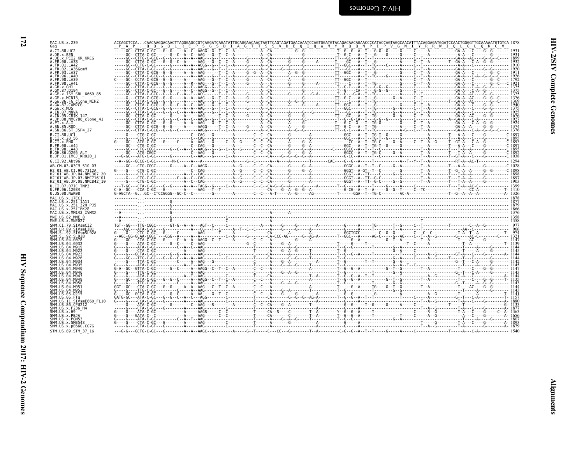| MAC.US.x.239<br>Gag                                                                                                |  |  |  |  | ACCAGCTCCACAACAAGGACAACTTAGGGAGCCGTCAGGATCAGATATTGCAGGAACAACTAGTTCAGTAGATGAACAATCCAGTGGATGTACAGACAACAGAACCCCATACCAGTAGGCAACATTTACAGGAGATCCAACTGGGGTTGCAAAAATGTGTCA 1878                                                                                                                                                                                                                                        |
|--------------------------------------------------------------------------------------------------------------------|--|--|--|--|----------------------------------------------------------------------------------------------------------------------------------------------------------------------------------------------------------------------------------------------------------------------------------------------------------------------------------------------------------------------------------------------------------------|
| A.CI.88.UC2<br>A.DE.x.BEN                                                                                          |  |  |  |  |                                                                                                                                                                                                                                                                                                                                                                                                                |
| A.DE.x.PEI2 KR KRCG<br>FR.00.LA38                                                                                  |  |  |  |  |                                                                                                                                                                                                                                                                                                                                                                                                                |
| FR 01 1 A42                                                                                                        |  |  |  |  |                                                                                                                                                                                                                                                                                                                                                                                                                |
| FR.02.LA36GomM<br>FR 93 1 A37                                                                                      |  |  |  |  |                                                                                                                                                                                                                                                                                                                                                                                                                |
|                                                                                                                    |  |  |  |  |                                                                                                                                                                                                                                                                                                                                                                                                                |
| 98.IA39                                                                                                            |  |  |  |  |                                                                                                                                                                                                                                                                                                                                                                                                                |
| GM.87.D194                                                                                                         |  |  |  |  |                                                                                                                                                                                                                                                                                                                                                                                                                |
| GM.x.ISY SBL 6669 85                                                                                               |  |  |  |  |                                                                                                                                                                                                                                                                                                                                                                                                                |
| GM.x.MCNI3<br>GW.86.FG clone NIHZ                                                                                  |  |  |  |  |                                                                                                                                                                                                                                                                                                                                                                                                                |
| GW.87.CAM2CG                                                                                                       |  |  |  |  |                                                                                                                                                                                                                                                                                                                                                                                                                |
| .GW.x.MDS<br><b>IN.07.NNVA</b>                                                                                     |  |  |  |  | $\begin{tabular}{cccccccc} \hline & \textbf{66} & \textbf{67} & \textbf{68} & \textbf{69} & \textbf{60} & \textbf{60} & \textbf{60} & \textbf{60} & \textbf{60} & \textbf{60} & \textbf{60} & \textbf{60} & \textbf{60} & \textbf{60} & \textbf{60} & \textbf{60} & \textbf{60} & \textbf{60} & \textbf{60} & \textbf{60} & \textbf{60} & \textbf{60} & \textbf{60} & \textbf{60} & \textbf{60} & \textbf{60}$ |
| IN.95.CRIK 147<br>JP.08.NMC786 clone 41                                                                            |  |  |  |  |                                                                                                                                                                                                                                                                                                                                                                                                                |
| PT.x.ALI                                                                                                           |  |  |  |  |                                                                                                                                                                                                                                                                                                                                                                                                                |
| SN.85.ROD<br>A.SN.86.ST JSP4 27                                                                                    |  |  |  |  |                                                                                                                                                                                                                                                                                                                                                                                                                |
| B.CI.88.UC1                                                                                                        |  |  |  |  |                                                                                                                                                                                                                                                                                                                                                                                                                |
| CI.x.2056<br>CI.X.EHO                                                                                              |  |  |  |  |                                                                                                                                                                                                                                                                                                                                                                                                                |
| FR.00.LA44                                                                                                         |  |  |  |  |                                                                                                                                                                                                                                                                                                                                                                                                                |
| FR.98.LA43<br>GH.86.D205 ALT                                                                                       |  |  |  |  |                                                                                                                                                                                                                                                                                                                                                                                                                |
| B.JP.01.IMCJ <sup>-</sup> KR020 1                                                                                  |  |  |  |  |                                                                                                                                                                                                                                                                                                                                                                                                                |
| G.CI.92.Abt96<br>AB.CM.03.03CM 510 03                                                                              |  |  |  |  |                                                                                                                                                                                                                                                                                                                                                                                                                |
| 12 01 AB.CI.90.7312A                                                                                               |  |  |  |  |                                                                                                                                                                                                                                                                                                                                                                                                                |
| 12 <sup>-</sup> 01 <sup>-</sup> AB.JP.04.NMC307<br>H2 <sup>-</sup> 01 <sup>-</sup> AB.JP.07.NMC716 <sup>-</sup> 01 |  |  |  |  |                                                                                                                                                                                                                                                                                                                                                                                                                |
| H2 <sup>-</sup> 01 <sup>-</sup> AB.JP.08.NMC842 <sup>-</sup> 10                                                    |  |  |  |  |                                                                                                                                                                                                                                                                                                                                                                                                                |
| U.CI.07.07IC TNP3<br>U.FR.96.12034                                                                                 |  |  |  |  |                                                                                                                                                                                                                                                                                                                                                                                                                |
| U.US.08.NWK08                                                                                                      |  |  |  |  |                                                                                                                                                                                                                                                                                                                                                                                                                |
| MAC IIS x 17FC1                                                                                                    |  |  |  |  |                                                                                                                                                                                                                                                                                                                                                                                                                |
| MAC.US.x.251 1A11<br>MAC.US.x.251 <sup>-</sup> 32H PJ5                                                             |  |  |  |  |                                                                                                                                                                                                                                                                                                                                                                                                                |
| MAC.US.x.251 <sup>-</sup> BK28<br>MAC.US.x.MM142 IVMXX                                                             |  |  |  |  |                                                                                                                                                                                                                                                                                                                                                                                                                |
| MNE.US.82.MNE 8                                                                                                    |  |  |  |  |                                                                                                                                                                                                                                                                                                                                                                                                                |
| MNE.US.x.MNE027                                                                                                    |  |  |  |  |                                                                                                                                                                                                                                                                                                                                                                                                                |
|                                                                                                                    |  |  |  |  |                                                                                                                                                                                                                                                                                                                                                                                                                |
|                                                                                                                    |  |  |  |  |                                                                                                                                                                                                                                                                                                                                                                                                                |
|                                                                                                                    |  |  |  |  |                                                                                                                                                                                                                                                                                                                                                                                                                |
|                                                                                                                    |  |  |  |  |                                                                                                                                                                                                                                                                                                                                                                                                                |
|                                                                                                                    |  |  |  |  |                                                                                                                                                                                                                                                                                                                                                                                                                |
|                                                                                                                    |  |  |  |  |                                                                                                                                                                                                                                                                                                                                                                                                                |
|                                                                                                                    |  |  |  |  |                                                                                                                                                                                                                                                                                                                                                                                                                |
|                                                                                                                    |  |  |  |  |                                                                                                                                                                                                                                                                                                                                                                                                                |
|                                                                                                                    |  |  |  |  |                                                                                                                                                                                                                                                                                                                                                                                                                |
|                                                                                                                    |  |  |  |  |                                                                                                                                                                                                                                                                                                                                                                                                                |
|                                                                                                                    |  |  |  |  |                                                                                                                                                                                                                                                                                                                                                                                                                |
|                                                                                                                    |  |  |  |  |                                                                                                                                                                                                                                                                                                                                                                                                                |
|                                                                                                                    |  |  |  |  |                                                                                                                                                                                                                                                                                                                                                                                                                |
| 86.CFU212                                                                                                          |  |  |  |  |                                                                                                                                                                                                                                                                                                                                                                                                                |
|                                                                                                                    |  |  |  |  |                                                                                                                                                                                                                                                                                                                                                                                                                |
|                                                                                                                    |  |  |  |  |                                                                                                                                                                                                                                                                                                                                                                                                                |
| SMM.US.x.SME543                                                                                                    |  |  |  |  |                                                                                                                                                                                                                                                                                                                                                                                                                |
| SMM.US.x.pE660.CG7G                                                                                                |  |  |  |  |                                                                                                                                                                                                                                                                                                                                                                                                                |
| STM.US.89.STM 37 16                                                                                                |  |  |  |  |                                                                                                                                                                                                                                                                                                                                                                                                                |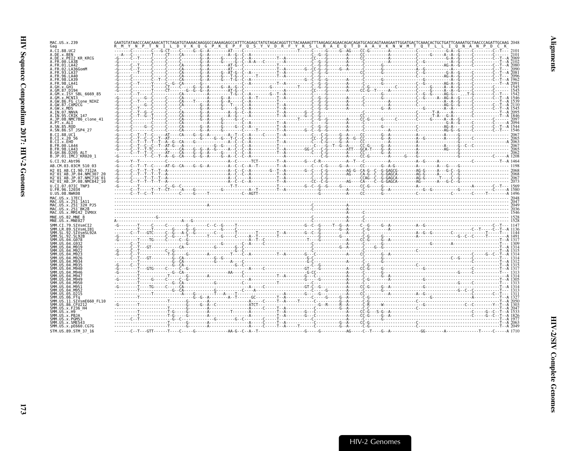| MAC.US.x.239                                                    |                                                                                                                                                                                                                                                                                                                                                                                                                                                |  |  |  |
|-----------------------------------------------------------------|------------------------------------------------------------------------------------------------------------------------------------------------------------------------------------------------------------------------------------------------------------------------------------------------------------------------------------------------------------------------------------------------------------------------------------------------|--|--|--|
| Gag<br>A.CI.88.UC2                                              |                                                                                                                                                                                                                                                                                                                                                                                                                                                |  |  |  |
| A.DE.x.BEN                                                      |                                                                                                                                                                                                                                                                                                                                                                                                                                                |  |  |  |
| A.DE.x.PEI2 KR KRCG<br>A.FR.00.LA38                             |                                                                                                                                                                                                                                                                                                                                                                                                                                                |  |  |  |
| A.FR.01.LA42                                                    |                                                                                                                                                                                                                                                                                                                                                                                                                                                |  |  |  |
| A. FR. 02. I A36GomM                                            |                                                                                                                                                                                                                                                                                                                                                                                                                                                |  |  |  |
| A.FR.96.LA40<br>4. FR.98. LA39                                  |                                                                                                                                                                                                                                                                                                                                                                                                                                                |  |  |  |
| A FR 98 IA41                                                    |                                                                                                                                                                                                                                                                                                                                                                                                                                                |  |  |  |
|                                                                 |                                                                                                                                                                                                                                                                                                                                                                                                                                                |  |  |  |
| A.GM.x.ISY SBL 6669 85                                          |                                                                                                                                                                                                                                                                                                                                                                                                                                                |  |  |  |
| A.GM.x.MCNI3<br>A.GW.86.FG clone NIHZ                           |                                                                                                                                                                                                                                                                                                                                                                                                                                                |  |  |  |
| A.GW.87.CAM2CG                                                  |                                                                                                                                                                                                                                                                                                                                                                                                                                                |  |  |  |
| A.GW.x.MDS<br>A.IN.07.NNVA                                      |                                                                                                                                                                                                                                                                                                                                                                                                                                                |  |  |  |
| A.IN.95.CRIK 147                                                |                                                                                                                                                                                                                                                                                                                                                                                                                                                |  |  |  |
| A.JP.08.NMC786 clone 41                                         |                                                                                                                                                                                                                                                                                                                                                                                                                                                |  |  |  |
| A SN 85 ROD                                                     |                                                                                                                                                                                                                                                                                                                                                                                                                                                |  |  |  |
| A.SN.86.ST JSP4 27<br><b>B.CT.88.IIC1</b>                       | $R = \frac{N}{N} \times \frac{N}{N} = \frac{N}{N} \times \frac{N}{N} = \frac{N}{N} \times \frac{N}{N} = \frac{N}{N} \times \frac{N}{N} = \frac{N}{N} \times \frac{N}{N} = \frac{N}{N} \times \frac{N}{N} = \frac{N}{N} \times \frac{N}{N} = \frac{N}{N} \times \frac{N}{N} = \frac{N}{N} \times \frac{N}{N} = \frac{N}{N} \times \frac{N}{N} = \frac{N}{N} \times \frac{N}{N} = \frac{N}{N} \times \frac{N}{N} = \frac{N}{N} \times \frac{N}{$ |  |  |  |
| B.CT.x.20 56                                                    |                                                                                                                                                                                                                                                                                                                                                                                                                                                |  |  |  |
| B.CI.x.EHO<br>B.FR.00.LA44                                      |                                                                                                                                                                                                                                                                                                                                                                                                                                                |  |  |  |
| B.FR.98.LA43                                                    |                                                                                                                                                                                                                                                                                                                                                                                                                                                |  |  |  |
| B.GH.86.D205 ALT<br>B.JP.01.IMCJ KR020 1                        |                                                                                                                                                                                                                                                                                                                                                                                                                                                |  |  |  |
| G.CI.92.Abt96                                                   |                                                                                                                                                                                                                                                                                                                                                                                                                                                |  |  |  |
| AB.CM.03.03CM 510 03                                            |                                                                                                                                                                                                                                                                                                                                                                                                                                                |  |  |  |
| H2 01 AB.CI.90.7312A<br>H2 01 AB.JP.04.NMC307 2                 |                                                                                                                                                                                                                                                                                                                                                                                                                                                |  |  |  |
| H2 <sup>-</sup> 01 <sup>-</sup> AB.JP.07.NMC716 <sup>-</sup> 01 |                                                                                                                                                                                                                                                                                                                                                                                                                                                |  |  |  |
| H2 01 AB.JP.08.NMC842 10                                        |                                                                                                                                                                                                                                                                                                                                                                                                                                                |  |  |  |
| U.CI.07.07IC TNP3<br>U.FR.96.12034                              |                                                                                                                                                                                                                                                                                                                                                                                                                                                |  |  |  |
|                                                                 |                                                                                                                                                                                                                                                                                                                                                                                                                                                |  |  |  |
| U.US.08.NWK08                                                   |                                                                                                                                                                                                                                                                                                                                                                                                                                                |  |  |  |
| MAC.US.x.17EC1                                                  |                                                                                                                                                                                                                                                                                                                                                                                                                                                |  |  |  |
| MAC.US.x.251 1A11<br>MAC.US.x.251 <sup>-</sup> 32H PJ5          |                                                                                                                                                                                                                                                                                                                                                                                                                                                |  |  |  |
| MAC.US.x.251 <sup>-</sup> BK28                                  |                                                                                                                                                                                                                                                                                                                                                                                                                                                |  |  |  |
| MAC.US.x.MM142 IVMXX<br>MNE.US.82.MNE 8                         |                                                                                                                                                                                                                                                                                                                                                                                                                                                |  |  |  |
| MNE.US.x.MNE027                                                 |                                                                                                                                                                                                                                                                                                                                                                                                                                                |  |  |  |
| SMM.CI.79.SIVsmCI2                                              |                                                                                                                                                                                                                                                                                                                                                                                                                                                |  |  |  |
| SMM.LR.89.SIVsmLIB1<br>SMM.SL.92.SIVsmSL92A                     |                                                                                                                                                                                                                                                                                                                                                                                                                                                |  |  |  |
| SMM. SL.92. SL92B                                               |                                                                                                                                                                                                                                                                                                                                                                                                                                                |  |  |  |
| SMM.US.04.G078<br>SMM IIS 04 G933                               |                                                                                                                                                                                                                                                                                                                                                                                                                                                |  |  |  |
|                                                                 |                                                                                                                                                                                                                                                                                                                                                                                                                                                |  |  |  |
|                                                                 |                                                                                                                                                                                                                                                                                                                                                                                                                                                |  |  |  |
|                                                                 |                                                                                                                                                                                                                                                                                                                                                                                                                                                |  |  |  |
|                                                                 |                                                                                                                                                                                                                                                                                                                                                                                                                                                |  |  |  |
| SMM.US.04.M946                                                  |                                                                                                                                                                                                                                                                                                                                                                                                                                                |  |  |  |
| SMM IIS 04 M947                                                 |                                                                                                                                                                                                                                                                                                                                                                                                                                                |  |  |  |
| SMM.US<br>$AA$ MQ $A$ C<br>SMM US 04 M956                       |                                                                                                                                                                                                                                                                                                                                                                                                                                                |  |  |  |
|                                                                 |                                                                                                                                                                                                                                                                                                                                                                                                                                                |  |  |  |
| SMM.US.05.D215                                                  |                                                                                                                                                                                                                                                                                                                                                                                                                                                |  |  |  |
|                                                                 |                                                                                                                                                                                                                                                                                                                                                                                                                                                |  |  |  |
| SMM.US.11.SIVsmE660 FL10<br>SMM.US.86.CFU212                    |                                                                                                                                                                                                                                                                                                                                                                                                                                                |  |  |  |
| SMM US x F236 H4                                                |                                                                                                                                                                                                                                                                                                                                                                                                                                                |  |  |  |
| SMM.US.x.PBJA                                                   |                                                                                                                                                                                                                                                                                                                                                                                                                                                |  |  |  |
| SMM.US.x.PGM53<br>SMM.US.x.SME543                               |                                                                                                                                                                                                                                                                                                                                                                                                                                                |  |  |  |
| SMM. US. x. pE660. CG7G<br>STM.US.89.STM 37 16                  |                                                                                                                                                                                                                                                                                                                                                                                                                                                |  |  |  |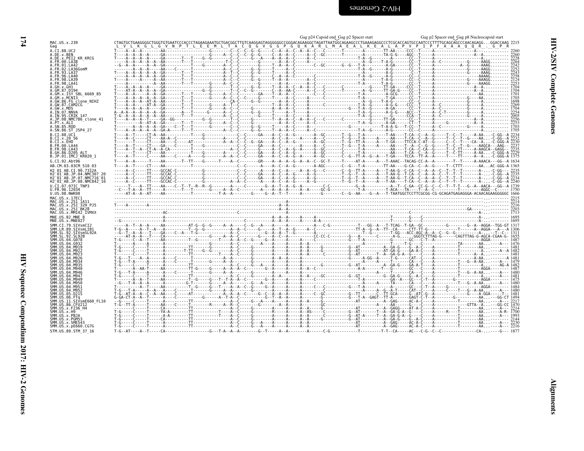| MAC.US.x.239<br>Gag                                                  |                                                                                                                                           |  |
|----------------------------------------------------------------------|-------------------------------------------------------------------------------------------------------------------------------------------|--|
| A.CI.88.UC2<br>A.DE.x.BEN<br>A.DE.x.PEI2_KR_KRCG                     |                                                                                                                                           |  |
| A.FR.00.LA38                                                         |                                                                                                                                           |  |
| A.FR.01.LA42<br>A. FR. 02. LA36GomM                                  |                                                                                                                                           |  |
| A.FR.93.LA37                                                         |                                                                                                                                           |  |
| A.FR.96.LA40<br>A.FR.98.LA39                                         |                                                                                                                                           |  |
| A.FR.98.LA41<br>A.GH.x.GH1                                           |                                                                                                                                           |  |
| A.GM.87.D194                                                         |                                                                                                                                           |  |
| A.GM.x.ISY SBL 6669 85<br>A.GM.x.MCNI3                               |                                                                                                                                           |  |
| A.GW.86.FG clone_NIHZ<br>A.GW.87.CAM2CG                              |                                                                                                                                           |  |
| A.GW.x.MDS<br>A.IN.07.NNVA                                           |                                                                                                                                           |  |
| A. IN. 95. CRIK 147                                                  |                                                                                                                                           |  |
| A.JP.08.NMC786_clone_41<br>A.PT.x.ALI                                |                                                                                                                                           |  |
| A.SN.85.ROD<br>A.SN.86.ST JSP4 27                                    |                                                                                                                                           |  |
| B.CI.88.UC1                                                          |                                                                                                                                           |  |
| B.CI.x.20 56<br>B.CI.x.EHO                                           |                                                                                                                                           |  |
| B.FR.00.LA44<br>B.FR.98.LA43                                         |                                                                                                                                           |  |
| B.GH.86.D205 ALT                                                     |                                                                                                                                           |  |
| B.JP.01.IMCJ KR020 1<br>G.CI.92.Abt96                                | T----A--A------T----AA-------T--TT----G------T----A--C---------GR----A--A--A--G--A--A--C--GC-T-----T-----AT-A----A--A--T-AAAC--TACAG-CC-A |  |
| AB.CM.03.03CM 510 03                                                 |                                                                                                                                           |  |
| H2 01 AB.CI.90.7312A<br>H2 01 AB.JP.04.NMC307 20                     |                                                                                                                                           |  |
| H2 <sup>-01-AB.JP.07.NMC716-01</sup>                                 |                                                                                                                                           |  |
| H2 <sup>-01-AB.JP.08.NMC842<sup>-10</sup></sup><br>U.CI.07.07IC TNP3 |                                                                                                                                           |  |
| U.FR.96.12034<br>U.US.08.NWK08                                       |                                                                                                                                           |  |
| MAC.US.x.17EC1                                                       |                                                                                                                                           |  |
| MAC.US. x.251 1A11<br>MAC.US. x.251 32H PJ5<br>MAC.US. x.251 BK28    |                                                                                                                                           |  |
| MAC.US.x.MM142 IVMXX                                                 |                                                                                                                                           |  |
| MNE.US.82.MNE 8                                                      |                                                                                                                                           |  |
| MNE.US.x.MNE027                                                      |                                                                                                                                           |  |
| SMM.CI.79.SIVsmCI2<br>SMM.LR.89.SIVsmLIB1                            |                                                                                                                                           |  |
| SMM.SL.92.SIVsmSL92A<br>SMM.SL.92.SL92B                              |                                                                                                                                           |  |
| SMM.US.04.G078<br>SMM.US.04.G932                                     |                                                                                                                                           |  |
| SMM.US.04.M919                                                       |                                                                                                                                           |  |
| SMM.US.04.M922<br>SMM.US.04.M923                                     |                                                                                                                                           |  |
| SMM.US.04.M926<br>SMM.US.04.M934                                     |                                                                                                                                           |  |
| SMM.US.04.M935<br>SMM.US.04.M940                                     |                                                                                                                                           |  |
| SMM.US.04.M946                                                       |                                                                                                                                           |  |
| SMM.US.04.M947<br>SMM.US.04.M949                                     |                                                                                                                                           |  |
| SMM.US.04.M950<br>SMM.US.04.M951                                     |                                                                                                                                           |  |
| SMM.US.04.M952                                                       |                                                                                                                                           |  |
| SMM.US.05.D215<br>SMM.US.06.FTq                                      |                                                                                                                                           |  |
| SMM.US.11.SIVsmE660 FL10<br>SMM.US.86.CFU212                         |                                                                                                                                           |  |
| SMM.US.x.F236_H4<br>SMM.US.x.H9                                      |                                                                                                                                           |  |
| SMM.US.x.PBJA                                                        |                                                                                                                                           |  |
| SMM.US.x.PGM53<br>SMM.US.x.SME543                                    |                                                                                                                                           |  |
| SMM.US.x.pE660.CG7G<br>STM.US.89.STM 37 16                           |                                                                                                                                           |  |
|                                                                      |                                                                                                                                           |  |

<span id="page-19-0"></span>

| g p2 Spacer end_Gag p8 Nucleocapsid start              |  |  |  |  |  |  |  |
|--------------------------------------------------------|--|--|--|--|--|--|--|
| CCCTTTTGCAGCAGCCCAACAGAGGGGACCAAG 2215<br>PFAAAQQR.GPR |  |  |  |  |  |  |  |
|                                                        |  |  |  |  |  |  |  |

| <b>I2 KR KRCG</b>                    |                                                                                                                                                                                               |  |  |  |  |
|--------------------------------------|-----------------------------------------------------------------------------------------------------------------------------------------------------------------------------------------------|--|--|--|--|
|                                      |                                                                                                                                                                                               |  |  |  |  |
|                                      |                                                                                                                                                                                               |  |  |  |  |
|                                      |                                                                                                                                                                                               |  |  |  |  |
|                                      |                                                                                                                                                                                               |  |  |  |  |
|                                      |                                                                                                                                                                                               |  |  |  |  |
|                                      |                                                                                                                                                                                               |  |  |  |  |
|                                      |                                                                                                                                                                                               |  |  |  |  |
|                                      |                                                                                                                                                                                               |  |  |  |  |
|                                      |                                                                                                                                                                                               |  |  |  |  |
|                                      |                                                                                                                                                                                               |  |  |  |  |
| SBL 6669 85                          |                                                                                                                                                                                               |  |  |  |  |
| II3                                  |                                                                                                                                                                                               |  |  |  |  |
| G clone NIHZ                         |                                                                                                                                                                                               |  |  |  |  |
| AM2CG                                |                                                                                                                                                                                               |  |  |  |  |
|                                      | .A. A. A. A. A. A. A. A. A. C. C. L. C. C. C. C. C. C. C. C. C. C. A. A. C. C. C. C. C. C. C. C. C. C. A. C. C                                                                                |  |  |  |  |
|                                      |                                                                                                                                                                                               |  |  |  |  |
|                                      |                                                                                                                                                                                               |  |  |  |  |
| RIK 147                              |                                                                                                                                                                                               |  |  |  |  |
| MC786 clone 41                       |                                                                                                                                                                                               |  |  |  |  |
|                                      |                                                                                                                                                                                               |  |  |  |  |
|                                      |                                                                                                                                                                                               |  |  |  |  |
| T JSP4 27                            |                                                                                                                                                                                               |  |  |  |  |
|                                      |                                                                                                                                                                                               |  |  |  |  |
|                                      |                                                                                                                                                                                               |  |  |  |  |
|                                      |                                                                                                                                                                                               |  |  |  |  |
|                                      |                                                                                                                                                                                               |  |  |  |  |
|                                      |                                                                                                                                                                                               |  |  |  |  |
|                                      |                                                                                                                                                                                               |  |  |  |  |
| 205 ALT                              |                                                                                                                                                                                               |  |  |  |  |
| MCJ <sup>-</sup> KR020 1             |                                                                                                                                                                                               |  |  |  |  |
| ot 96                                | T----A--A------T---AA-------T--TT----G------T----A--C--------GR----A--A--C------GR-----A--A--C--GC-T----T----AT-A------AT-A------T---A-AAC--TACAG-CC-A--A-------T--T-----A-AAACA---GG--A 1634 |  |  |  |  |
|                                      |                                                                                                                                                                                               |  |  |  |  |
| 93CM 510 03                          |                                                                                                                                                                                               |  |  |  |  |
| ∷I.90.7312A                          |                                                                                                                                                                                               |  |  |  |  |
| IP.04.NMC307                         | ----A-C-----TT---GCCAC-C----------G---------C--C-----GA----A--C--A--G-----A--G-------T-G--T-A---T-AA-G--T-CA-C--A-A-C--T--T--T--T-----A--C-GG--A 2235                                         |  |  |  |  |
| JP.07.NMC716 <sup>-</sup> 01         |                                                                                                                                                                                               |  |  |  |  |
| JP.08.NMC842 <sup>-</sup> 10         |                                                                                                                                                                                               |  |  |  |  |
| 7IC TNP3                             |                                                                                                                                                                                               |  |  |  |  |
|                                      |                                                                                                                                                                                               |  |  |  |  |
|                                      |                                                                                                                                                                                               |  |  |  |  |
|                                      |                                                                                                                                                                                               |  |  |  |  |
|                                      |                                                                                                                                                                                               |  |  |  |  |
|                                      |                                                                                                                                                                                               |  |  |  |  |
|                                      |                                                                                                                                                                                               |  |  |  |  |
| 251 1A11<br>251 <sup>-</sup> 32H PJ5 |                                                                                                                                                                                               |  |  |  |  |
|                                      |                                                                                                                                                                                               |  |  |  |  |
|                                      |                                                                                                                                                                                               |  |  |  |  |
|                                      |                                                                                                                                                                                               |  |  |  |  |
| 251 <sup>-</sup> BK28<br>MM142 IVMXX |                                                                                                                                                                                               |  |  |  |  |
|                                      |                                                                                                                                                                                               |  |  |  |  |
|                                      |                                                                                                                                                                                               |  |  |  |  |
| TVsml TR'                            |                                                                                                                                                                                               |  |  |  |  |
|                                      |                                                                                                                                                                                               |  |  |  |  |
|                                      |                                                                                                                                                                                               |  |  |  |  |
|                                      |                                                                                                                                                                                               |  |  |  |  |
|                                      |                                                                                                                                                                                               |  |  |  |  |
|                                      |                                                                                                                                                                                               |  |  |  |  |
|                                      |                                                                                                                                                                                               |  |  |  |  |
|                                      |                                                                                                                                                                                               |  |  |  |  |
|                                      |                                                                                                                                                                                               |  |  |  |  |
|                                      |                                                                                                                                                                                               |  |  |  |  |
|                                      |                                                                                                                                                                                               |  |  |  |  |
|                                      |                                                                                                                                                                                               |  |  |  |  |
|                                      |                                                                                                                                                                                               |  |  |  |  |
|                                      |                                                                                                                                                                                               |  |  |  |  |
|                                      |                                                                                                                                                                                               |  |  |  |  |
|                                      |                                                                                                                                                                                               |  |  |  |  |
|                                      |                                                                                                                                                                                               |  |  |  |  |
|                                      |                                                                                                                                                                                               |  |  |  |  |
|                                      |                                                                                                                                                                                               |  |  |  |  |
|                                      |                                                                                                                                                                                               |  |  |  |  |
|                                      |                                                                                                                                                                                               |  |  |  |  |
| IVsmE660 FL10                        |                                                                                                                                                                                               |  |  |  |  |
|                                      |                                                                                                                                                                                               |  |  |  |  |
|                                      |                                                                                                                                                                                               |  |  |  |  |
|                                      |                                                                                                                                                                                               |  |  |  |  |
|                                      |                                                                                                                                                                                               |  |  |  |  |
|                                      |                                                                                                                                                                                               |  |  |  |  |
|                                      |                                                                                                                                                                                               |  |  |  |  |
|                                      |                                                                                                                                                                                               |  |  |  |  |
| oE660.CG7G<br>.STM 37 16             |                                                                                                                                                                                               |  |  |  |  |

Ľ4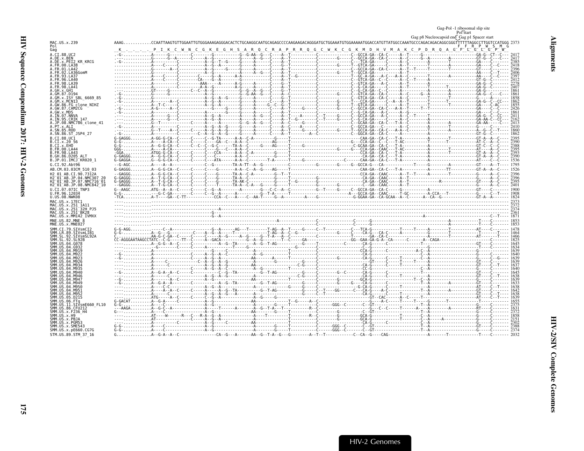<span id="page-20-0"></span>

|                                                                           |  |  |  |  |  | Gag-Pol -1 ribosomal slip site<br>Pol start<br>Gag p8 Nucleocapsid end Gag p1 Spacer start                                                         |  |
|---------------------------------------------------------------------------|--|--|--|--|--|----------------------------------------------------------------------------------------------------------------------------------------------------|--|
| MAC.US.x.239                                                              |  |  |  |  |  | ${\bf AAG CCAATTA GTTGGAATTGTGGGAAGAGGGAGACACTCTGCAAGGGATGAGAGAGAGAGAGAGGGAGGGGATGCTGGAAATGTGGAAATGGAGCATGTTTTTGGCGGGTTTTTTAGGCTTTGGTCCATGGG 2373$ |  |
| Pol<br>Gag                                                                |  |  |  |  |  | K C P D R Q A G F L G L G P                                                                                                                        |  |
| A.CI.88.UC2                                                               |  |  |  |  |  |                                                                                                                                                    |  |
| A.DE.x.BEN<br>A.DE.x.PEI2 KR KRCG                                         |  |  |  |  |  |                                                                                                                                                    |  |
| A.FR.00.LA38<br>A. FR. 01. LA42                                           |  |  |  |  |  |                                                                                                                                                    |  |
| A.FR.02.LA36GomM                                                          |  |  |  |  |  |                                                                                                                                                    |  |
| A. FR. 93. LA37<br>A.FR.96.LA40                                           |  |  |  |  |  |                                                                                                                                                    |  |
|                                                                           |  |  |  |  |  |                                                                                                                                                    |  |
| 4.FR.98.LA41                                                              |  |  |  |  |  |                                                                                                                                                    |  |
|                                                                           |  |  |  |  |  |                                                                                                                                                    |  |
| A.GM.x.MCNI3                                                              |  |  |  |  |  |                                                                                                                                                    |  |
| A.GW.86.FG clone NIHZ                                                     |  |  |  |  |  |                                                                                                                                                    |  |
| A.GW.87.CAM2CG<br>A.GW.x.MDS                                              |  |  |  |  |  |                                                                                                                                                    |  |
| A.IN.07.NNVA                                                              |  |  |  |  |  |                                                                                                                                                    |  |
| A.IN.95.CRIK 147<br>A.JP.08.NMC786 clone 41                               |  |  |  |  |  |                                                                                                                                                    |  |
| A.PT.x.ALI                                                                |  |  |  |  |  |                                                                                                                                                    |  |
| A.SN.85.ROD<br>A.SN.86.ST JSP4 27                                         |  |  |  |  |  |                                                                                                                                                    |  |
| B.CI.88.UC1                                                               |  |  |  |  |  |                                                                                                                                                    |  |
| B.CI.x.20 56<br>B.CI.x.EHO                                                |  |  |  |  |  |                                                                                                                                                    |  |
| B.FR.00.LA44                                                              |  |  |  |  |  |                                                                                                                                                    |  |
| B.FR.98.LA43<br>B.GH.86.D205 ALT                                          |  |  |  |  |  |                                                                                                                                                    |  |
| B.JP.01.IMCJ KR020 1                                                      |  |  |  |  |  |                                                                                                                                                    |  |
| G.CI.92.Abt96                                                             |  |  |  |  |  |                                                                                                                                                    |  |
| AB.CM.03.03CM 510 03                                                      |  |  |  |  |  |                                                                                                                                                    |  |
| H2 01 AB.CI.90.7312A<br>H2 <sup>-</sup> 01 <sup>-</sup> AB.JP.04.NMC307 2 |  |  |  |  |  |                                                                                                                                                    |  |
| H2 <sup>-</sup> 01 <sup>-</sup> AB.JP.07.NMC716 <sup>-</sup> 01           |  |  |  |  |  |                                                                                                                                                    |  |
| H2 <sup>-01-AB.JP.08.NMC842<sup>-10</sup></sup><br>U.CI.07.07IC TNP3      |  |  |  |  |  |                                                                                                                                                    |  |
| U.FR.96.12034                                                             |  |  |  |  |  |                                                                                                                                                    |  |
| U.US.08.NWK08                                                             |  |  |  |  |  |                                                                                                                                                    |  |
| MAC.US.x.251                                                              |  |  |  |  |  |                                                                                                                                                    |  |
| MAC.US.x.251 <sup>-</sup> 32H P.15<br>MAC.US.x.251 <sup>-</sup> BK28      |  |  |  |  |  |                                                                                                                                                    |  |
| MAC.US.x.MM142 IVMXX                                                      |  |  |  |  |  |                                                                                                                                                    |  |
| MNE.US.82.MNE 8                                                           |  |  |  |  |  |                                                                                                                                                    |  |
| MNE.US.x.MNE027<br>SMM CT 79 STVsmCT2                                     |  |  |  |  |  |                                                                                                                                                    |  |
| SIVsmLIBI                                                                 |  |  |  |  |  |                                                                                                                                                    |  |
| SIVsmSL92A<br>SMM.SL.92.SL92B                                             |  |  |  |  |  |                                                                                                                                                    |  |
| SMM.US.04.G078                                                            |  |  |  |  |  |                                                                                                                                                    |  |
|                                                                           |  |  |  |  |  |                                                                                                                                                    |  |
|                                                                           |  |  |  |  |  |                                                                                                                                                    |  |
|                                                                           |  |  |  |  |  |                                                                                                                                                    |  |
|                                                                           |  |  |  |  |  |                                                                                                                                                    |  |
|                                                                           |  |  |  |  |  |                                                                                                                                                    |  |
|                                                                           |  |  |  |  |  |                                                                                                                                                    |  |
|                                                                           |  |  |  |  |  |                                                                                                                                                    |  |
|                                                                           |  |  |  |  |  |                                                                                                                                                    |  |
|                                                                           |  |  |  |  |  |                                                                                                                                                    |  |
| SMM.US.05.D215                                                            |  |  |  |  |  |                                                                                                                                                    |  |
| SMM.US.11.SIVsmE660 FL10                                                  |  |  |  |  |  |                                                                                                                                                    |  |
| MM.US.86.CFU212                                                           |  |  |  |  |  |                                                                                                                                                    |  |
| SMM.US.x.F236 H4<br>SMM.US.x.H9                                           |  |  |  |  |  |                                                                                                                                                    |  |
| SMM.US.x.PBJA<br>SMM.US.x.PGM53                                           |  |  |  |  |  |                                                                                                                                                    |  |
| SMM.US.x.SME543                                                           |  |  |  |  |  |                                                                                                                                                    |  |
| SMM.US.x.pE660.CG7G                                                       |  |  |  |  |  |                                                                                                                                                    |  |
| STM.US.89.STM 37 16                                                       |  |  |  |  |  |                                                                                                                                                    |  |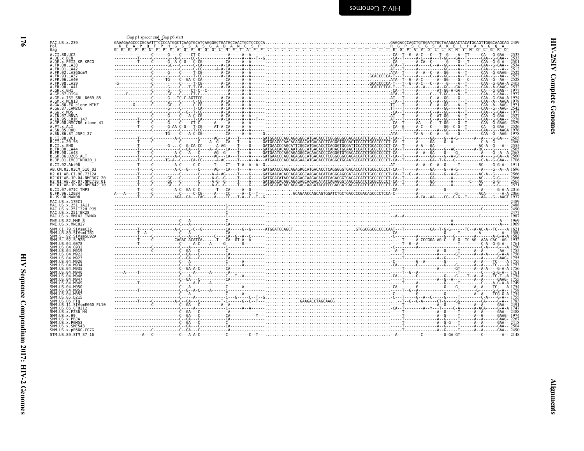<span id="page-21-0"></span>

|                                                                      | Gag p1 spacer end Gag p6 start | $\begin{array}{ c c c c } \hline \textbf{0.1} & \textbf{0.1} & \textbf{0.1} & \textbf{0.1} & \textbf{0.1} & \textbf{0.1} & \textbf{0.1} & \textbf{0.1} & \textbf{0.1} & \textbf{0.1} & \textbf{0.1} & \textbf{0.1} & \textbf{0.1} & \textbf{0.1} & \textbf{0.1} & \textbf{0.1} & \textbf{0.1} & \textbf{0.1} & \textbf{0.1} & \textbf{0.1} & \textbf{0.1} & \textbf{0.1} & \textbf{$ |  |
|----------------------------------------------------------------------|--------------------------------|--------------------------------------------------------------------------------------------------------------------------------------------------------------------------------------------------------------------------------------------------------------------------------------------------------------------------------------------------------------------------------------|--|
| MAC.US.x.239<br>Pol                                                  |                                |                                                                                                                                                                                                                                                                                                                                                                                      |  |
| Gag                                                                  |                                |                                                                                                                                                                                                                                                                                                                                                                                      |  |
| A.CI.88.UC2<br>A.DE.x.BEN                                            |                                |                                                                                                                                                                                                                                                                                                                                                                                      |  |
| A.DE.X.PEI2 KR KRCG                                                  |                                |                                                                                                                                                                                                                                                                                                                                                                                      |  |
| A.FR.00.LA38<br>A.FR.01.LA42                                         |                                |                                                                                                                                                                                                                                                                                                                                                                                      |  |
| A.FR.02.LA36GomM<br>A.FR.93.LA37                                     |                                |                                                                                                                                                                                                                                                                                                                                                                                      |  |
| A.FR.96.LA40                                                         |                                |                                                                                                                                                                                                                                                                                                                                                                                      |  |
| A.FR.98.LA39<br>A.FR.98.LA41                                         |                                |                                                                                                                                                                                                                                                                                                                                                                                      |  |
| A.GH.x.GH1                                                           |                                |                                                                                                                                                                                                                                                                                                                                                                                      |  |
| A.GM.87.D194<br>A.GM.x.ISY SBL 6669 85                               |                                |                                                                                                                                                                                                                                                                                                                                                                                      |  |
| A.GM.x.MCN13<br>A.GW.86.FG clone NIHZ                                |                                |                                                                                                                                                                                                                                                                                                                                                                                      |  |
| A.GW.87.CAM2CG                                                       |                                |                                                                                                                                                                                                                                                                                                                                                                                      |  |
| A.GW.x.MDS<br>A.IN.07.NNVA                                           |                                |                                                                                                                                                                                                                                                                                                                                                                                      |  |
| A.IN.95.CRIK 147                                                     |                                |                                                                                                                                                                                                                                                                                                                                                                                      |  |
| A.JP.08.NMC786 clone 41<br>A.PT.x.ALI                                |                                |                                                                                                                                                                                                                                                                                                                                                                                      |  |
| A.SN.85.ROD                                                          |                                |                                                                                                                                                                                                                                                                                                                                                                                      |  |
| A.SN.86.ST JSP4 27<br>B.CI.88.UC1                                    |                                |                                                                                                                                                                                                                                                                                                                                                                                      |  |
| B.CI.x.20 56                                                         |                                |                                                                                                                                                                                                                                                                                                                                                                                      |  |
| B.CI.X.EHO<br>B. FR. 00. LA44                                        |                                |                                                                                                                                                                                                                                                                                                                                                                                      |  |
| B. FR. 98. LA43                                                      |                                |                                                                                                                                                                                                                                                                                                                                                                                      |  |
| B.GH.86.D205 ALT<br>B.JP.01.IMCJ KR020 1                             |                                |                                                                                                                                                                                                                                                                                                                                                                                      |  |
| G.CI.92.Abt96                                                        |                                |                                                                                                                                                                                                                                                                                                                                                                                      |  |
| AB.CM.03.03CM 510 03                                                 |                                |                                                                                                                                                                                                                                                                                                                                                                                      |  |
| H2 01 AB.CI.90.7312A<br>H2 01 AB.JP.04.NMC307 20                     |                                |                                                                                                                                                                                                                                                                                                                                                                                      |  |
| H2 01 AB.JP.07.NMC716 01                                             |                                |                                                                                                                                                                                                                                                                                                                                                                                      |  |
| H2 <sup>-01-AB.JP.08.NMC842<sup>-10</sup></sup><br>U.CI.07.07IC TNP3 |                                | 0001 12001 12001 12001 12001 12001 12001 12001 12001 12001 12001 12001 12001 12001 12001 12001 12001 12001 1200<br>Control 12001 12001 12001 12001 12001 12001 12001 12001 12001 12001 12001 12001 12001 12001 12001 12001 12001<br>                                                                                                                                                 |  |
| U.FR.96.12034                                                        |                                |                                                                                                                                                                                                                                                                                                                                                                                      |  |
| U.US.08.NWK08<br>MAC.US.x.17EC1                                      |                                |                                                                                                                                                                                                                                                                                                                                                                                      |  |
| MAC.US.x.251_1A11                                                    |                                |                                                                                                                                                                                                                                                                                                                                                                                      |  |
| MAC.US.x.251 <sup>-</sup> 32H PJ5<br>MAC.US.x.251 <sup>-</sup> BK28  |                                |                                                                                                                                                                                                                                                                                                                                                                                      |  |
| MAC.US.x.MM142 IVMXX                                                 |                                |                                                                                                                                                                                                                                                                                                                                                                                      |  |
| MNE.US.82.MNE 8<br>MNE.US.x.MNE027                                   |                                |                                                                                                                                                                                                                                                                                                                                                                                      |  |
| SMM.CI.79.SIVsmCI2                                                   |                                |                                                                                                                                                                                                                                                                                                                                                                                      |  |
| SMM.LR.89.SIVsmLIB1<br>SMM.SL.92.SIVsmSL92A                          |                                |                                                                                                                                                                                                                                                                                                                                                                                      |  |
| SMM.SL.92.SL92B                                                      |                                |                                                                                                                                                                                                                                                                                                                                                                                      |  |
| SMM. US.04.G078<br>SMM. US. 04. G932                                 |                                |                                                                                                                                                                                                                                                                                                                                                                                      |  |
| SMM.US.04.M919                                                       |                                |                                                                                                                                                                                                                                                                                                                                                                                      |  |
| SMM.US.04.M922<br>SMM.US.04.M923                                     |                                |                                                                                                                                                                                                                                                                                                                                                                                      |  |
| SMM IIS 04 M926                                                      |                                |                                                                                                                                                                                                                                                                                                                                                                                      |  |
| SMM.US.04.M934<br>SMM.US.04.M935                                     |                                |                                                                                                                                                                                                                                                                                                                                                                                      |  |
| SMM. US. 04. M940<br>SMM IIS 04 M946                                 |                                |                                                                                                                                                                                                                                                                                                                                                                                      |  |
| SMM. U.S. 04. M947                                                   |                                |                                                                                                                                                                                                                                                                                                                                                                                      |  |
| SMM.US.04.M949<br>SMM.US.04.M950                                     |                                |                                                                                                                                                                                                                                                                                                                                                                                      |  |
| SMM. US.04.M951                                                      |                                |                                                                                                                                                                                                                                                                                                                                                                                      |  |
| SMM. US. 04. M952<br>SMM.US.05.D215                                  |                                |                                                                                                                                                                                                                                                                                                                                                                                      |  |
| SMM.US.06.FTa                                                        |                                |                                                                                                                                                                                                                                                                                                                                                                                      |  |
| SMM.US.11.SIVsmE660 FL10<br>SMM.US.86.CFU212                         |                                |                                                                                                                                                                                                                                                                                                                                                                                      |  |
|                                                                      |                                |                                                                                                                                                                                                                                                                                                                                                                                      |  |
| SMM.US.x.F236 H4                                                     |                                |                                                                                                                                                                                                                                                                                                                                                                                      |  |
| SMM. US. x.H9                                                        |                                |                                                                                                                                                                                                                                                                                                                                                                                      |  |
| SMM.US.x.PBJA<br>SMM.US.x.PGM53                                      |                                |                                                                                                                                                                                                                                                                                                                                                                                      |  |
| SMM.US.x.SME543<br>SMM. US. x. pE660. CG7G                           |                                |                                                                                                                                                                                                                                                                                                                                                                                      |  |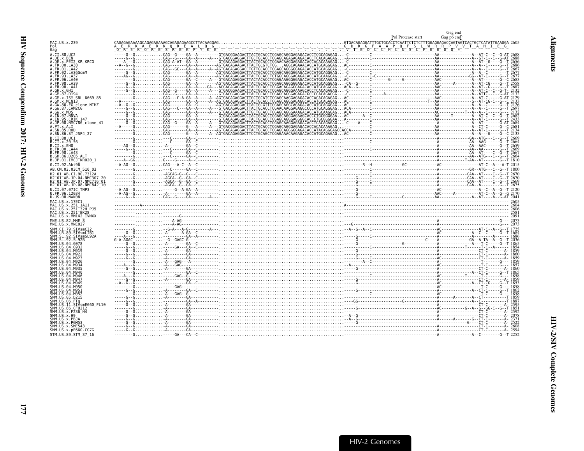<span id="page-22-0"></span>

|                                                           | Pol Protease start                                                                                                                                                                                                                   | Gag end<br>Gag po end |
|-----------------------------------------------------------|--------------------------------------------------------------------------------------------------------------------------------------------------------------------------------------------------------------------------------------|-----------------------|
| MAC.US.x.239<br>Pol                                       |                                                                                                                                                                                                                                      |                       |
| Gag                                                       |                                                                                                                                                                                                                                      |                       |
| A.CI.88.UC2<br>A.DE.x.BEN                                 |                                                                                                                                                                                                                                      |                       |
| A.DE.x.PEI2 KR KRCG<br>A.FR.00.LA38                       |                                                                                                                                                                                                                                      |                       |
| A.FR.01.LA42                                              |                                                                                                                                                                                                                                      |                       |
| A.FR.02.LA36GomM<br>A.FR.93.LA37                          |                                                                                                                                                                                                                                      |                       |
| A.FR.96.LA40<br>A.FR.98.LA39                              |                                                                                                                                                                                                                                      |                       |
| A.FR.98.LA41<br>A.GH.x.GH1                                |                                                                                                                                                                                                                                      |                       |
| A.GM.87.D194                                              |                                                                                                                                                                                                                                      |                       |
| A.GM.x.ISY SBL 6669 85<br>A.GM.x.MCNI3                    |                                                                                                                                                                                                                                      |                       |
| A.GW.86.FG clone_NIHZ<br>A.GW.87.CAM2CG                   |                                                                                                                                                                                                                                      |                       |
| A.GW.x.MDS                                                |                                                                                                                                                                                                                                      |                       |
| A.IN.07.NNVA                                              |                                                                                                                                                                                                                                      |                       |
| A.IN.95.CRIK 147<br>A.JP.08.NMC786_clone_41<br>A.PT.x.ALI |                                                                                                                                                                                                                                      |                       |
| A.SN.85.ROD                                               |                                                                                                                                                                                                                                      |                       |
| A.SN.86.ST JSP4 27<br>B.CT.88.UC1                         |                                                                                                                                                                                                                                      |                       |
| B.CI.x.20 56                                              |                                                                                                                                                                                                                                      |                       |
| B.CI.X.EHO<br>B. FR. 00. LA44                             |                                                                                                                                                                                                                                      |                       |
| B. FR. 98. LA43                                           |                                                                                                                                                                                                                                      |                       |
| B.GH.86.D205 ALT<br>B.JP.01.IMCJ KR020 1                  |                                                                                                                                                                                                                                      |                       |
| G.CI.92.Abt96                                             | $-4.46-6.101$                                                                                                                                                                                                                        |                       |
| AB.CM.03.03CM 510 03<br>H2 01 AB.CI.90.7312A              |                                                                                                                                                                                                                                      |                       |
| H2 01 AB. JP.04. NMC307 20                                |                                                                                                                                                                                                                                      |                       |
| H2-01-AB.JP.07.NMC716-01<br>H2 01 AB.JP.08.NMC842 10      |                                                                                                                                                                                                                                      |                       |
| U.CI.07.07IC TNP3                                         |                                                                                                                                                                                                                                      |                       |
| U.FR.96.12034<br>U.US.08.NWK08                            |                                                                                                                                                                                                                                      |                       |
| MAC.US.x.17EC1                                            | $\frac{260}{2604}$                                                                                                                                                                                                                   |                       |
| MAC.US.x.251 1A11<br>MAC.US.x.251 32H PJ5                 |                                                                                                                                                                                                                                      |                       |
| MAC.US.x.251 <sup>-</sup> BK28<br>MAC.US.x.MM142 IVMXX    |                                                                                                                                                                                                                                      |                       |
| MNE.US.82.MNE 8                                           |                                                                                                                                                                                                                                      |                       |
| MNE.US.x.MNE027<br>SMM.CI.79.SIVsmCI2                     |                                                                                                                                                                                                                                      |                       |
| SMM.LR.89.SIVsmLIB1                                       |                                                                                                                                                                                                                                      |                       |
| SMM.SL.92.<br>SIVsmSL92A<br>SMM.SL.92.                    |                                                                                                                                                                                                                                      |                       |
| SMM.US.04.G078<br>SMM.US.04.<br>G932                      |                                                                                                                                                                                                                                      |                       |
| SMM.US.04                                                 |                                                                                                                                                                                                                                      |                       |
| SMM.US.04<br>SMM.US.04                                    |                                                                                                                                                                                                                                      |                       |
| SMM.US.04.<br>SMM.US.04                                   |                                                                                                                                                                                                                                      |                       |
| SMM.US.04.<br>M935                                        |                                                                                                                                                                                                                                      |                       |
| SMM.US.04.M940<br>SMM.US.04.M946                          |                                                                                                                                                                                                                                      |                       |
| SMM.US.04.<br>M947<br>SMM.US.04.<br>M949                  |                                                                                                                                                                                                                                      |                       |
| SMM.US.04.M950                                            |                                                                                                                                                                                                                                      |                       |
| SMM.US.04.M951<br>SMM.US.04.M952                          |                                                                                                                                                                                                                                      |                       |
| SMM.US.05.D215<br>SMM.US.06.FTq                           |                                                                                                                                                                                                                                      |                       |
| SMM.US.11.SIVsmE660 FL10                                  |                                                                                                                                                                                                                                      |                       |
| SMM.US.86.CFU212<br>SMM. US. x. F236 H4                   | - 1831 - 1831 - 1832 - 1833 - 1834 - 1835 - 1836 - 1837 - 1838 - 1838 - 1839 - 1838 - 1839 - 1839 - 1839 - 183<br>1838 - 1838 - 1838 - 1838 - 1838 - 1838 - 1838 - 1838 - 1838 - 1838 - 1838 - 1838 - 1838 - 1838 - 1838 - 1838<br>1 |                       |
| SMM.US.x.H9<br>SMM.US.x.PBJA                              |                                                                                                                                                                                                                                      |                       |
| SMM.US.x.PGM53                                            |                                                                                                                                                                                                                                      |                       |
| SMM.US.x.SME543<br>SMM. US. x. pE660. CG7G                |                                                                                                                                                                                                                                      |                       |
| STM.US.89.STM 37 16                                       |                                                                                                                                                                                                                                      |                       |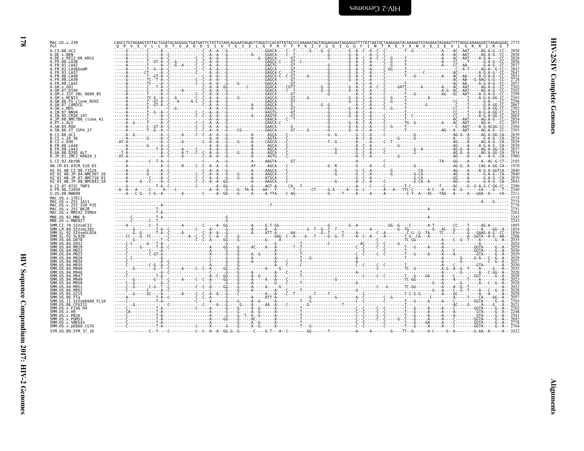| А<br>.GH1<br>7.D194<br>.ISY S.<br>.MCN13<br>6.FG c<br>7.CAM2<br>7.NNV4<br>5.CRIM<br>8.NMC7<br>8.NMC7<br>эĦ<br>A.GM<br>GM.87<br>GM.x.<br>GM.x.<br>GW.86<br>GW.87<br>GW.x.<br>IN.95<br>IN.98<br>А.<br>Ä.<br>.<br>А.<br>AAAAAA<br>AAAAA<br>IN<br>JP<br>JP.08.Nm<br>l<br>B<br>B<br>B.                                                                                                                                                                     |  |
|-------------------------------------------------------------------------------------------------------------------------------------------------------------------------------------------------------------------------------------------------------------------------------------------------------------------------------------------------------------------------------------------------------------------------------------------------------|--|
| Sn. 8b.<br>CI. 88. UC1<br>CI. x. 20 56<br>CI. x. EHO<br>CI. x. EHO<br>FR. 98. LA43<br>GH. 86. D205<br>JP. 01. IMCJ<br>CI. 92. Abts<br>(M. 03. 030)<br>CI. 92. Abts<br>B<br>B<br>B<br>B<br>B<br>G.<br>AB<br>2 01 AB.CI.<br>2 01 AB.CI.<br>2 01 AB.JP.<br>2 01 AB.JP.<br>2 01 AB.JP.<br>.CI.07.07IC.<br>.W.C.US.V.NK<br>H2<br>H2<br>H2<br>H2<br>U<br>U                                                                                                  |  |
| US<br>MAC<br>$_{\rm x}^{\rm x}$<br>$.176$<br>$.251$<br>$.251$<br>$.251$<br>$.100$<br>$.100$<br>$.2$<br>$.100$<br>ÚŠ<br>MA(<br>US<br>US<br>US<br>US<br>US<br>US<br>MAC<br>X<br>ź<br>MA(<br>x<br>MAC<br>X<br>MNE<br>MNE<br>CI<br>$8 \times 79$<br>$79$<br>$89$<br>$92$<br>$92$<br>$04$<br>$94$<br>$4$<br>$4$<br>SMM<br><b>SMM</b><br>$\ddot{\cdot}$<br><b>SMM</b><br>ŠMM<br>,<br><b>SMM</b><br>$\vdots$<br>.<br>SMM<br>¢<br>5MM<br>ē<br>ŠMM<br>SMM<br>ł |  |
| SMM<br>SMM<br>SMM<br>SMM<br>$\frac{1}{1}$<br><b>SMM</b><br>ŠММ<br><b>SMM</b><br>SMM<br>SMM<br>ł<br>$\frac{1}{1}$<br>SMM<br>smm<br>Smm<br>SMM<br>ŠMM<br><b>SMM</b><br>5MM<br>$\ddot{\cdot}$<br>SMM<br>SMM<br>SMM<br>ŠMM<br>SMM<br>.<br>.<br>ł<br>pE<br>ŠMM                                                                                                                                                                                             |  |

| MAC.US.x.239<br>Pol                                                     |  |  |  |  |                                                                                                                                                                                                                                                                                                                                                                                                                                                           |  |
|-------------------------------------------------------------------------|--|--|--|--|-----------------------------------------------------------------------------------------------------------------------------------------------------------------------------------------------------------------------------------------------------------------------------------------------------------------------------------------------------------------------------------------------------------------------------------------------------------|--|
| A.CI.88.UC2                                                             |  |  |  |  |                                                                                                                                                                                                                                                                                                                                                                                                                                                           |  |
| A.DE.x.BEN<br>A.DE.x.PEI2 KR KRCG                                       |  |  |  |  |                                                                                                                                                                                                                                                                                                                                                                                                                                                           |  |
| FR.00.LA38                                                              |  |  |  |  |                                                                                                                                                                                                                                                                                                                                                                                                                                                           |  |
| .FR.01.LA42<br>02.LA36GomM                                              |  |  |  |  |                                                                                                                                                                                                                                                                                                                                                                                                                                                           |  |
| .FR.93.LA37                                                             |  |  |  |  |                                                                                                                                                                                                                                                                                                                                                                                                                                                           |  |
| A.FR.98.LA39                                                            |  |  |  |  |                                                                                                                                                                                                                                                                                                                                                                                                                                                           |  |
| A FR 98 I A41                                                           |  |  |  |  |                                                                                                                                                                                                                                                                                                                                                                                                                                                           |  |
| A.GH.x.GH1<br>A.GM.87.D194                                              |  |  |  |  | $\frac{1}{1} \cdot \frac{1}{1} \cdot \frac{1}{1} \cdot \frac{1}{1} \cdot \frac{1}{1} \cdot \frac{1}{1} \cdot \frac{1}{1} \cdot \frac{1}{1} \cdot \frac{1}{1} \cdot \frac{1}{1} \cdot \frac{1}{1} \cdot \frac{1}{1} \cdot \frac{1}{1} \cdot \frac{1}{1} \cdot \frac{1}{1} \cdot \frac{1}{1} \cdot \frac{1}{1} \cdot \frac{1}{1} \cdot \frac{1}{1} \cdot \frac{1}{1} \cdot \frac{1}{1} \cdot \frac{1}{1} \cdot \frac{1}{1} \cdot \frac{1}{1} \cdot \frac{1$ |  |
| A.GM.x.ISY SBL 6669 85                                                  |  |  |  |  |                                                                                                                                                                                                                                                                                                                                                                                                                                                           |  |
| A.GM.x.MCNI3<br>A.GW.86.FG_clone NIHZ                                   |  |  |  |  |                                                                                                                                                                                                                                                                                                                                                                                                                                                           |  |
| A.GW.87.CAM2CG                                                          |  |  |  |  |                                                                                                                                                                                                                                                                                                                                                                                                                                                           |  |
| .GW.x.MDS<br>A.IN.O7.NNV                                                |  |  |  |  |                                                                                                                                                                                                                                                                                                                                                                                                                                                           |  |
| A.IN.95.CRIK 147                                                        |  |  |  |  |                                                                                                                                                                                                                                                                                                                                                                                                                                                           |  |
| A.JP.08.NMC786 clone 41<br>A.PT.x.ALI                                   |  |  |  |  |                                                                                                                                                                                                                                                                                                                                                                                                                                                           |  |
| A.SN.85.ROD<br>A.SN.86.ST JSP4 27                                       |  |  |  |  |                                                                                                                                                                                                                                                                                                                                                                                                                                                           |  |
| B.CI.88.UC1                                                             |  |  |  |  |                                                                                                                                                                                                                                                                                                                                                                                                                                                           |  |
| B.CI.x.20 56                                                            |  |  |  |  |                                                                                                                                                                                                                                                                                                                                                                                                                                                           |  |
| B.CI.x.EHO<br>B.FR.00.LA44                                              |  |  |  |  |                                                                                                                                                                                                                                                                                                                                                                                                                                                           |  |
| B. FR. 98. LA43                                                         |  |  |  |  |                                                                                                                                                                                                                                                                                                                                                                                                                                                           |  |
| B.GH.86.D205 ALT<br>B.JP.01.IMCJ <sup>-</sup> KR020 1                   |  |  |  |  |                                                                                                                                                                                                                                                                                                                                                                                                                                                           |  |
| G.CI.92.Abt96                                                           |  |  |  |  |                                                                                                                                                                                                                                                                                                                                                                                                                                                           |  |
| AB.CM.03.03CM 510 03                                                    |  |  |  |  |                                                                                                                                                                                                                                                                                                                                                                                                                                                           |  |
| H2 01 AB.CI.90.7312A<br>H2 <sup>-</sup> 01 <sup>-</sup> AB.JP.04.NMC307 |  |  |  |  |                                                                                                                                                                                                                                                                                                                                                                                                                                                           |  |
| H2 <sup>-</sup> 01 <sup>-</sup> AB.JP.07.NMC716 <sup>-</sup> 01         |  |  |  |  |                                                                                                                                                                                                                                                                                                                                                                                                                                                           |  |
| H2 01 AB.JP.08.NMC842 10<br>U.CI.07.07IC TNP3                           |  |  |  |  |                                                                                                                                                                                                                                                                                                                                                                                                                                                           |  |
|                                                                         |  |  |  |  |                                                                                                                                                                                                                                                                                                                                                                                                                                                           |  |
|                                                                         |  |  |  |  |                                                                                                                                                                                                                                                                                                                                                                                                                                                           |  |
| U.FR.96.12034<br>U.US.08.NWK08                                          |  |  |  |  |                                                                                                                                                                                                                                                                                                                                                                                                                                                           |  |
| MAC.US.x.17EC1                                                          |  |  |  |  |                                                                                                                                                                                                                                                                                                                                                                                                                                                           |  |
| MAC.US.x.251 1A11<br>MAC.US.x.251 32H PJ5                               |  |  |  |  |                                                                                                                                                                                                                                                                                                                                                                                                                                                           |  |
| MAC.US.x.251 <sup>-</sup> BK28                                          |  |  |  |  |                                                                                                                                                                                                                                                                                                                                                                                                                                                           |  |
| MAC.US.x.MM142 IVMXX<br>MNE.US.82.MNE 8                                 |  |  |  |  |                                                                                                                                                                                                                                                                                                                                                                                                                                                           |  |
| MNE.US.x.MNE027                                                         |  |  |  |  |                                                                                                                                                                                                                                                                                                                                                                                                                                                           |  |
| SMM.CI.79.SIVsmCI2                                                      |  |  |  |  |                                                                                                                                                                                                                                                                                                                                                                                                                                                           |  |
| SMM.LR.89.SIVsmLIB1<br>SMM.SL.92.SIVsmSL92A                             |  |  |  |  |                                                                                                                                                                                                                                                                                                                                                                                                                                                           |  |
| SMM.SL.92.SL92B<br>SMM.US.04.G078                                       |  |  |  |  |                                                                                                                                                                                                                                                                                                                                                                                                                                                           |  |
| SMM.US.04.G932                                                          |  |  |  |  |                                                                                                                                                                                                                                                                                                                                                                                                                                                           |  |
| SMM.US.04.M919<br>SMM IIS 04 M921                                       |  |  |  |  |                                                                                                                                                                                                                                                                                                                                                                                                                                                           |  |
|                                                                         |  |  |  |  |                                                                                                                                                                                                                                                                                                                                                                                                                                                           |  |
|                                                                         |  |  |  |  |                                                                                                                                                                                                                                                                                                                                                                                                                                                           |  |
| SMM.US                                                                  |  |  |  |  |                                                                                                                                                                                                                                                                                                                                                                                                                                                           |  |
| SMM.US.<br>SMM.US.04.M946                                               |  |  |  |  |                                                                                                                                                                                                                                                                                                                                                                                                                                                           |  |
| SMM.US.04.M947<br>.04 M949                                              |  |  |  |  |                                                                                                                                                                                                                                                                                                                                                                                                                                                           |  |
| SMM.US                                                                  |  |  |  |  |                                                                                                                                                                                                                                                                                                                                                                                                                                                           |  |
| SMM IIS<br>SMM IIS                                                      |  |  |  |  |                                                                                                                                                                                                                                                                                                                                                                                                                                                           |  |
|                                                                         |  |  |  |  |                                                                                                                                                                                                                                                                                                                                                                                                                                                           |  |
| .11.SIVsmE660 FL10                                                      |  |  |  |  |                                                                                                                                                                                                                                                                                                                                                                                                                                                           |  |
| SMM.US.86.CFU212                                                        |  |  |  |  |                                                                                                                                                                                                                                                                                                                                                                                                                                                           |  |
| SMM.US.x.F236 H4<br>SMM IIS x H9                                        |  |  |  |  |                                                                                                                                                                                                                                                                                                                                                                                                                                                           |  |
| SMM.US.x.PBJA                                                           |  |  |  |  |                                                                                                                                                                                                                                                                                                                                                                                                                                                           |  |
| SMM.US.x.PGM53<br>SMM.US.x.SME543                                       |  |  |  |  |                                                                                                                                                                                                                                                                                                                                                                                                                                                           |  |
| SMM.US.x.pE660.CG7G<br>STM.US.89.STM 37 16                              |  |  |  |  |                                                                                                                                                                                                                                                                                                                                                                                                                                                           |  |

**HIV-2/SIV Complete Genomes** 

**178**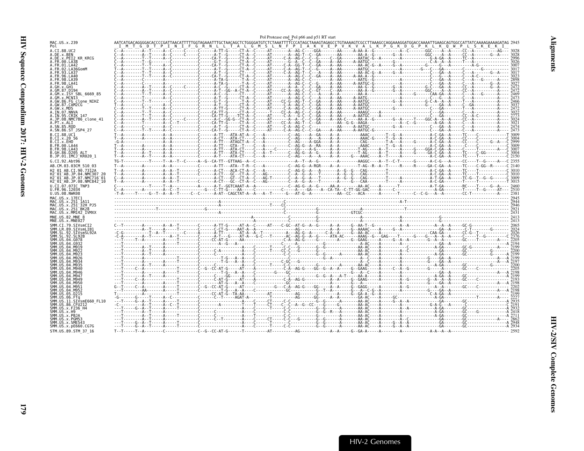<span id="page-24-0"></span>

| MAC.US.x.239                                                                                                                       |  | Pol Protease end Pol p66 and p51 RT start |                                                                                                                                                                                                                             |  |
|------------------------------------------------------------------------------------------------------------------------------------|--|-------------------------------------------|-----------------------------------------------------------------------------------------------------------------------------------------------------------------------------------------------------------------------------|--|
|                                                                                                                                    |  |                                           |                                                                                                                                                                                                                             |  |
| A.CI.88.UC2<br>A.DE.x.BEN                                                                                                          |  |                                           |                                                                                                                                                                                                                             |  |
| A.DE.x.PEI2 KR KRCG                                                                                                                |  |                                           |                                                                                                                                                                                                                             |  |
| .FR.01.LA42                                                                                                                        |  |                                           |                                                                                                                                                                                                                             |  |
| .FR.02.LA36GomM<br>FR.93.LA37                                                                                                      |  |                                           |                                                                                                                                                                                                                             |  |
| FR 96 1 440                                                                                                                        |  |                                           |                                                                                                                                                                                                                             |  |
| 98.LA39<br>FR 98 1 441                                                                                                             |  |                                           |                                                                                                                                                                                                                             |  |
|                                                                                                                                    |  |                                           |                                                                                                                                                                                                                             |  |
|                                                                                                                                    |  |                                           |                                                                                                                                                                                                                             |  |
|                                                                                                                                    |  |                                           |                                                                                                                                                                                                                             |  |
| GW.86.FG clone NIHZ<br>GW.87.CAM2CG                                                                                                |  |                                           |                                                                                                                                                                                                                             |  |
| .GW.x.MDS                                                                                                                          |  |                                           |                                                                                                                                                                                                                             |  |
| .IN.07.NNVA<br>.IN.95.CRIK 147                                                                                                     |  |                                           |                                                                                                                                                                                                                             |  |
| .JP.08.NMC786 clone 41                                                                                                             |  |                                           |                                                                                                                                                                                                                             |  |
|                                                                                                                                    |  |                                           |                                                                                                                                                                                                                             |  |
| A.SN.86.ST JSP4 27                                                                                                                 |  |                                           |                                                                                                                                                                                                                             |  |
| B.CI.X.20 56                                                                                                                       |  |                                           |                                                                                                                                                                                                                             |  |
| B.CI.x.EHO                                                                                                                         |  |                                           |                                                                                                                                                                                                                             |  |
| B.FR.00.LA44<br>B.FR.98.LA43                                                                                                       |  |                                           |                                                                                                                                                                                                                             |  |
| .GH.86.D205 ALT                                                                                                                    |  |                                           |                                                                                                                                                                                                                             |  |
| B.JP.01.IMCJ <sup>-</sup> KR020 1<br>G.CI.92.Abt96                                                                                 |  |                                           |                                                                                                                                                                                                                             |  |
| AB.CM.03.03CM 510 03                                                                                                               |  |                                           |                                                                                                                                                                                                                             |  |
| H2 01 AB.CI.90.7312A                                                                                                               |  |                                           |                                                                                                                                                                                                                             |  |
|                                                                                                                                    |  |                                           |                                                                                                                                                                                                                             |  |
| H2 <sup>-</sup> 01 <sup>-</sup> AB.JP.07.NMC716 <sup>-</sup> 01<br>H2 <sup>-</sup> 01 <sup>-</sup> AB.JP.08.NMC842 <sup>-</sup> 10 |  |                                           |                                                                                                                                                                                                                             |  |
| U.CI.07.07IC TNP3                                                                                                                  |  |                                           |                                                                                                                                                                                                                             |  |
| U.FR.96.12034<br>U.US.08.NWK08                                                                                                     |  |                                           |                                                                                                                                                                                                                             |  |
| MAC.US.x.17EC1                                                                                                                     |  |                                           |                                                                                                                                                                                                                             |  |
| MAC.US.x.251 1A11<br>MAC.US.x.251 <sup>-</sup> 32H PJ5                                                                             |  |                                           | $2413$ and $2413$ and $2413$ and $2413$ and $2413$ and $2413$ and $2413$ and $2413$ and $2413$ and $2413$ and $2413$ and $2413$ and $2413$ and $2413$ and $2413$ and $2413$ and $2413$ and $2413$ and $2413$ and $2413$ and |  |
| MAC.US.x.251 <sup>-</sup> BK28                                                                                                     |  |                                           |                                                                                                                                                                                                                             |  |
| MAC.US.x.MM142 IVMXX<br>MNE.US.82.MNE                                                                                              |  |                                           |                                                                                                                                                                                                                             |  |
| MNE.US.x.MNE027                                                                                                                    |  |                                           |                                                                                                                                                                                                                             |  |
|                                                                                                                                    |  |                                           |                                                                                                                                                                                                                             |  |
|                                                                                                                                    |  |                                           |                                                                                                                                                                                                                             |  |
|                                                                                                                                    |  |                                           |                                                                                                                                                                                                                             |  |
|                                                                                                                                    |  |                                           |                                                                                                                                                                                                                             |  |
|                                                                                                                                    |  |                                           |                                                                                                                                                                                                                             |  |
|                                                                                                                                    |  |                                           |                                                                                                                                                                                                                             |  |
|                                                                                                                                    |  |                                           |                                                                                                                                                                                                                             |  |
|                                                                                                                                    |  |                                           |                                                                                                                                                                                                                             |  |
|                                                                                                                                    |  |                                           |                                                                                                                                                                                                                             |  |
|                                                                                                                                    |  |                                           |                                                                                                                                                                                                                             |  |
|                                                                                                                                    |  |                                           |                                                                                                                                                                                                                             |  |
|                                                                                                                                    |  |                                           |                                                                                                                                                                                                                             |  |
|                                                                                                                                    |  |                                           |                                                                                                                                                                                                                             |  |
|                                                                                                                                    |  |                                           |                                                                                                                                                                                                                             |  |
| 86.CFU212                                                                                                                          |  |                                           |                                                                                                                                                                                                                             |  |
|                                                                                                                                    |  |                                           |                                                                                                                                                                                                                             |  |
|                                                                                                                                    |  |                                           |                                                                                                                                                                                                                             |  |
|                                                                                                                                    |  |                                           |                                                                                                                                                                                                                             |  |
| SMM.US.x.pE660.CG7G                                                                                                                |  |                                           |                                                                                                                                                                                                                             |  |
| STM.US.89.STM 37 16                                                                                                                |  |                                           |                                                                                                                                                                                                                             |  |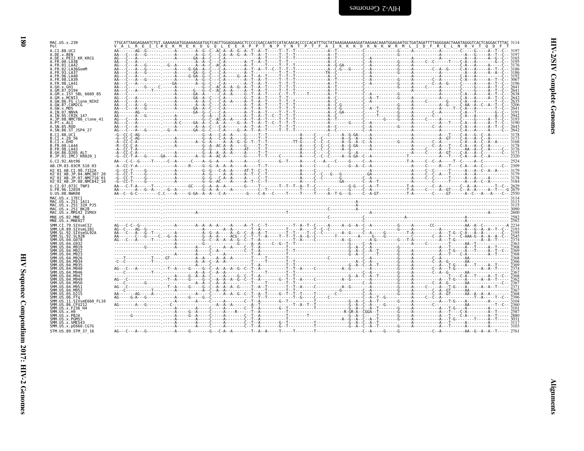| S<br>ı<br>!<br>? |  |
|------------------|--|
| ì<br>i           |  |
| ì<br>i<br>!      |  |

|                                                                                                                                                                                                                                                                                                                                                                               |  |  | TTGCATTAAGAGAAATCTGT.GAAAAGATGGAAAAGGATGGTCAGTTGGAGGAAGCTCCCCCGACCAATCCATACAACACCCCCCACATTTGCTATAAAGAAAAAGGATAAGAACAAATGGAGAATGCTGATAGATTTTAGGGAACTAAATAGGGTCACTCAGGACTTTAC 3114 |  |  |  |
|-------------------------------------------------------------------------------------------------------------------------------------------------------------------------------------------------------------------------------------------------------------------------------------------------------------------------------------------------------------------------------|--|--|----------------------------------------------------------------------------------------------------------------------------------------------------------------------------------|--|--|--|
| A.CI.88.UC2<br>A.DE.x.BEN                                                                                                                                                                                                                                                                                                                                                     |  |  |                                                                                                                                                                                  |  |  |  |
| A.DE.x.PEI2 KR KRCG                                                                                                                                                                                                                                                                                                                                                           |  |  |                                                                                                                                                                                  |  |  |  |
| A.FR.00.LA38                                                                                                                                                                                                                                                                                                                                                                  |  |  |                                                                                                                                                                                  |  |  |  |
| A.FR.01.LA42                                                                                                                                                                                                                                                                                                                                                                  |  |  |                                                                                                                                                                                  |  |  |  |
| A.FR.02.LA36GomM<br>A. FR. 93. LA37                                                                                                                                                                                                                                                                                                                                           |  |  |                                                                                                                                                                                  |  |  |  |
| A.FR.96.LA40                                                                                                                                                                                                                                                                                                                                                                  |  |  |                                                                                                                                                                                  |  |  |  |
| A.FR.98.LA39                                                                                                                                                                                                                                                                                                                                                                  |  |  |                                                                                                                                                                                  |  |  |  |
| A.FR.98.LA41                                                                                                                                                                                                                                                                                                                                                                  |  |  |                                                                                                                                                                                  |  |  |  |
| A.GH.x.GH1<br>A.GM.87.D194                                                                                                                                                                                                                                                                                                                                                    |  |  |                                                                                                                                                                                  |  |  |  |
| A.GM.x.ISY SBL 6669 85                                                                                                                                                                                                                                                                                                                                                        |  |  |                                                                                                                                                                                  |  |  |  |
| A.GM.x.MCN13                                                                                                                                                                                                                                                                                                                                                                  |  |  |                                                                                                                                                                                  |  |  |  |
| A.GW.86.FG clone NIHZ                                                                                                                                                                                                                                                                                                                                                         |  |  |                                                                                                                                                                                  |  |  |  |
| A.GW.87.CAM2CG                                                                                                                                                                                                                                                                                                                                                                |  |  |                                                                                                                                                                                  |  |  |  |
| A.GW.x.MDS<br>A.IN.07.NNVA                                                                                                                                                                                                                                                                                                                                                    |  |  |                                                                                                                                                                                  |  |  |  |
| A.IN.95.CRIK 147                                                                                                                                                                                                                                                                                                                                                              |  |  |                                                                                                                                                                                  |  |  |  |
| A.JP.08.NMC786 clone 41                                                                                                                                                                                                                                                                                                                                                       |  |  |                                                                                                                                                                                  |  |  |  |
| A.PT.x.ALI                                                                                                                                                                                                                                                                                                                                                                    |  |  |                                                                                                                                                                                  |  |  |  |
| A.SN.85.ROD                                                                                                                                                                                                                                                                                                                                                                   |  |  |                                                                                                                                                                                  |  |  |  |
| A.SN.86.ST JSP4 27                                                                                                                                                                                                                                                                                                                                                            |  |  |                                                                                                                                                                                  |  |  |  |
| B.CI.88.UC1                                                                                                                                                                                                                                                                                                                                                                   |  |  |                                                                                                                                                                                  |  |  |  |
| B.CI.X.20 56<br>B.CI.X.EHO                                                                                                                                                                                                                                                                                                                                                    |  |  |                                                                                                                                                                                  |  |  |  |
| B. FR. 00. LA44                                                                                                                                                                                                                                                                                                                                                               |  |  |                                                                                                                                                                                  |  |  |  |
| B. FR. 98. LA43                                                                                                                                                                                                                                                                                                                                                               |  |  |                                                                                                                                                                                  |  |  |  |
| B.GH.86.D205 ALT                                                                                                                                                                                                                                                                                                                                                              |  |  |                                                                                                                                                                                  |  |  |  |
| B.JP.01.IMCJ <sup>-</sup> KR020 1                                                                                                                                                                                                                                                                                                                                             |  |  |                                                                                                                                                                                  |  |  |  |
| G.CI.92.Abt96                                                                                                                                                                                                                                                                                                                                                                 |  |  |                                                                                                                                                                                  |  |  |  |
| AB.CM.03.03CM 510 03                                                                                                                                                                                                                                                                                                                                                          |  |  |                                                                                                                                                                                  |  |  |  |
| H2 01 AB.CI.90.7312A                                                                                                                                                                                                                                                                                                                                                          |  |  |                                                                                                                                                                                  |  |  |  |
| H2 01 AB.JP.04.NMC307 20                                                                                                                                                                                                                                                                                                                                                      |  |  |                                                                                                                                                                                  |  |  |  |
| H2-01-AB.JP.07.NMC716-01                                                                                                                                                                                                                                                                                                                                                      |  |  |                                                                                                                                                                                  |  |  |  |
| H2 <sup>-01-AB.JP.08.NMC842<sup>-10</sup></sup>                                                                                                                                                                                                                                                                                                                               |  |  |                                                                                                                                                                                  |  |  |  |
| U.CI.07.07IC TNP3                                                                                                                                                                                                                                                                                                                                                             |  |  |                                                                                                                                                                                  |  |  |  |
| U.FR.96.12034<br>U.US.08.NWK08                                                                                                                                                                                                                                                                                                                                                |  |  |                                                                                                                                                                                  |  |  |  |
| MAC.US.x.17EC1                                                                                                                                                                                                                                                                                                                                                                |  |  |                                                                                                                                                                                  |  |  |  |
| MAC.US.x.251 1A11                                                                                                                                                                                                                                                                                                                                                             |  |  |                                                                                                                                                                                  |  |  |  |
| MAC.US.x.251 <sup>-32H</sup> PJ5                                                                                                                                                                                                                                                                                                                                              |  |  |                                                                                                                                                                                  |  |  |  |
| MAC.US.x.251 <sup>-</sup> BK28                                                                                                                                                                                                                                                                                                                                                |  |  |                                                                                                                                                                                  |  |  |  |
|                                                                                                                                                                                                                                                                                                                                                                               |  |  |                                                                                                                                                                                  |  |  |  |
|                                                                                                                                                                                                                                                                                                                                                                               |  |  |                                                                                                                                                                                  |  |  |  |
| MAC.US.x.MM142 IVMXX<br>MNE.US.82.MNE 8                                                                                                                                                                                                                                                                                                                                       |  |  |                                                                                                                                                                                  |  |  |  |
|                                                                                                                                                                                                                                                                                                                                                                               |  |  |                                                                                                                                                                                  |  |  |  |
|                                                                                                                                                                                                                                                                                                                                                                               |  |  |                                                                                                                                                                                  |  |  |  |
|                                                                                                                                                                                                                                                                                                                                                                               |  |  |                                                                                                                                                                                  |  |  |  |
|                                                                                                                                                                                                                                                                                                                                                                               |  |  |                                                                                                                                                                                  |  |  |  |
|                                                                                                                                                                                                                                                                                                                                                                               |  |  |                                                                                                                                                                                  |  |  |  |
|                                                                                                                                                                                                                                                                                                                                                                               |  |  |                                                                                                                                                                                  |  |  |  |
|                                                                                                                                                                                                                                                                                                                                                                               |  |  |                                                                                                                                                                                  |  |  |  |
|                                                                                                                                                                                                                                                                                                                                                                               |  |  |                                                                                                                                                                                  |  |  |  |
|                                                                                                                                                                                                                                                                                                                                                                               |  |  |                                                                                                                                                                                  |  |  |  |
|                                                                                                                                                                                                                                                                                                                                                                               |  |  |                                                                                                                                                                                  |  |  |  |
|                                                                                                                                                                                                                                                                                                                                                                               |  |  |                                                                                                                                                                                  |  |  |  |
|                                                                                                                                                                                                                                                                                                                                                                               |  |  |                                                                                                                                                                                  |  |  |  |
|                                                                                                                                                                                                                                                                                                                                                                               |  |  |                                                                                                                                                                                  |  |  |  |
|                                                                                                                                                                                                                                                                                                                                                                               |  |  |                                                                                                                                                                                  |  |  |  |
|                                                                                                                                                                                                                                                                                                                                                                               |  |  |                                                                                                                                                                                  |  |  |  |
| MNE.US.x.MNE027<br>SMM.CI.79.SIVsmCI2<br>SMM.LR.89.SIVsmLIB1<br>SMM. SL. 92. SIVsmSL92A<br>SMM. SL. 92. SL92B<br>SMM.US.04.G078<br>SMM.US.04.G932<br>SMM.US.04.M919<br>SMM.US.04.M922<br>SMM.US.04.M923<br>SMM.US.04.M926<br>SMM.US.04.M934<br>SMM. US. 04. M935<br>SMM.US.04.M940<br>SMM. US.04.M946<br>SMM.US.04.M947<br>SMM.US.04.M949<br>SMM.US.04.M950<br>SMM.US.04.M951 |  |  |                                                                                                                                                                                  |  |  |  |
|                                                                                                                                                                                                                                                                                                                                                                               |  |  |                                                                                                                                                                                  |  |  |  |
|                                                                                                                                                                                                                                                                                                                                                                               |  |  |                                                                                                                                                                                  |  |  |  |
|                                                                                                                                                                                                                                                                                                                                                                               |  |  |                                                                                                                                                                                  |  |  |  |
| SMM.US.04.M952<br>SMM.US.05.D215<br>SMM.US.06.FTq<br>SMM.US.11.SIVsmE660 FL10                                                                                                                                                                                                                                                                                                 |  |  |                                                                                                                                                                                  |  |  |  |
|                                                                                                                                                                                                                                                                                                                                                                               |  |  |                                                                                                                                                                                  |  |  |  |
|                                                                                                                                                                                                                                                                                                                                                                               |  |  |                                                                                                                                                                                  |  |  |  |
| SMM.US.86.CFU212<br>SMM.US.x.F236 H4<br>SMM.US.x.H9<br>SMM.US.x.PBJA                                                                                                                                                                                                                                                                                                          |  |  |                                                                                                                                                                                  |  |  |  |
|                                                                                                                                                                                                                                                                                                                                                                               |  |  |                                                                                                                                                                                  |  |  |  |
| SMM.US.x.PGM53<br>SMM.US.x.SME543<br>SMM. US. x. pE660. CG7G                                                                                                                                                                                                                                                                                                                  |  |  |                                                                                                                                                                                  |  |  |  |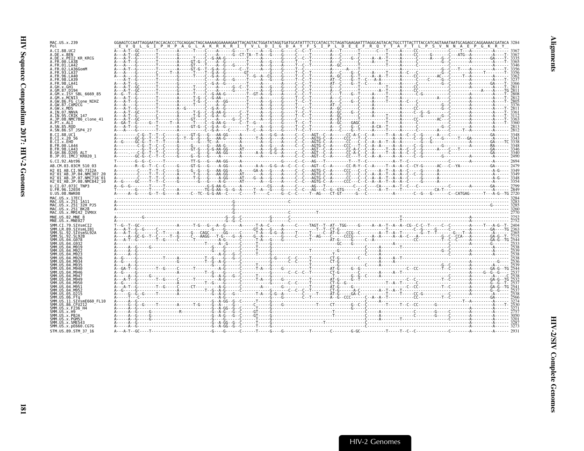| MAC.US.x.239<br>Pol                                                                                     |  |  |  |  |  |
|---------------------------------------------------------------------------------------------------------|--|--|--|--|--|
| A.CI.88.UC2                                                                                             |  |  |  |  |  |
| A.DE.x.BEN<br>A.DE.x.PEI2 KR KRCG                                                                       |  |  |  |  |  |
| A.FR.00.LA38<br>A.FR.01.LA42                                                                            |  |  |  |  |  |
| A.FR.02.LA36GomM                                                                                        |  |  |  |  |  |
| FR.93.LA37<br>A.FR.96.LA40                                                                              |  |  |  |  |  |
| A.FR.98.LA39                                                                                            |  |  |  |  |  |
|                                                                                                         |  |  |  |  |  |
| GM.x.ISY SBL 6669 85                                                                                    |  |  |  |  |  |
| A.GM.x.MCNI3<br>A.GW.86.FG clone NIHZ                                                                   |  |  |  |  |  |
| A.GW.87.CAM2CG                                                                                          |  |  |  |  |  |
| A.GW.x.MDS<br>A.IN.07.NNVA                                                                              |  |  |  |  |  |
| A.IN.95.CRIK 147                                                                                        |  |  |  |  |  |
| A.JP.08.NMC786 clone 41<br>PT.x.ALI                                                                     |  |  |  |  |  |
| A.SN.85.ROD<br>A.SN.86.ST JSP4 27                                                                       |  |  |  |  |  |
| B.CI.88.UC1                                                                                             |  |  |  |  |  |
| R.CT x 20 56<br>B.CT.x.EHO                                                                              |  |  |  |  |  |
| B.FR.00.LA44<br>B. FR. 98. LA43                                                                         |  |  |  |  |  |
| B.GH.86.D205 ALT                                                                                        |  |  |  |  |  |
| B.JP.01.IMCJ KR020 1<br>G.CI.92.Abt96                                                                   |  |  |  |  |  |
| AB.CM.03.03CM 510 03                                                                                    |  |  |  |  |  |
| H2 01 AB.CI.90.7312A                                                                                    |  |  |  |  |  |
| H2 <sup>-01-AB.JP.04.NMC307 20</sup><br>H2 <sup>-</sup> 01 <sup>-</sup> AB.JP.07.NMC716 <sup>-</sup> 01 |  |  |  |  |  |
| H2 01 AB.JP.08.NMC842 10                                                                                |  |  |  |  |  |
| U.CI.07.07IC TNP3                                                                                       |  |  |  |  |  |
| U.FR.96.12034                                                                                           |  |  |  |  |  |
| U.US.08.NWK08                                                                                           |  |  |  |  |  |
| MAC.US.x.17EC1<br>MAC.US.x.251 1A11                                                                     |  |  |  |  |  |
| MAC.US.x.251 <sup>-</sup> 32H PJ5                                                                       |  |  |  |  |  |
| MAC.US.x.251 <sup>-</sup> BK28<br>MAC.US.x.MM142 IVMXX                                                  |  |  |  |  |  |
| MNE.US.82.MNE 8                                                                                         |  |  |  |  |  |
| MNE.US.x.MNE027<br>SMM.CI.79.SIVsmCI2                                                                   |  |  |  |  |  |
| SMM.LR.89.SIVsmLIB1                                                                                     |  |  |  |  |  |
| SMM.SL.92.SIVsmSL92A<br>SMM.SL.92.SL92B                                                                 |  |  |  |  |  |
| SMM.US.04.G078<br>SMM US 04 G932                                                                        |  |  |  |  |  |
|                                                                                                         |  |  |  |  |  |
|                                                                                                         |  |  |  |  |  |
|                                                                                                         |  |  |  |  |  |
|                                                                                                         |  |  |  |  |  |
| SMM.US.04.M946                                                                                          |  |  |  |  |  |
| SMM.US.04.M947<br>SMM.US                                                                                |  |  |  |  |  |
|                                                                                                         |  |  |  |  |  |
| SMM LIS                                                                                                 |  |  |  |  |  |
| SMM.US.05.D215                                                                                          |  |  |  |  |  |
| .SIVsmE660 FL10<br>SMM.US.86.CFU212                                                                     |  |  |  |  |  |
| SMM.US.x.F236 H4                                                                                        |  |  |  |  |  |
| SMM.US.x.H9<br>SMM.US.x.PBJA                                                                            |  |  |  |  |  |
| SMM.US.x.PGM53<br>SMM.US.x.SME543                                                                       |  |  |  |  |  |
| SMM.US.x.pE660.CG7G<br>STM.US.89.STM 37 16                                                              |  |  |  |  |  |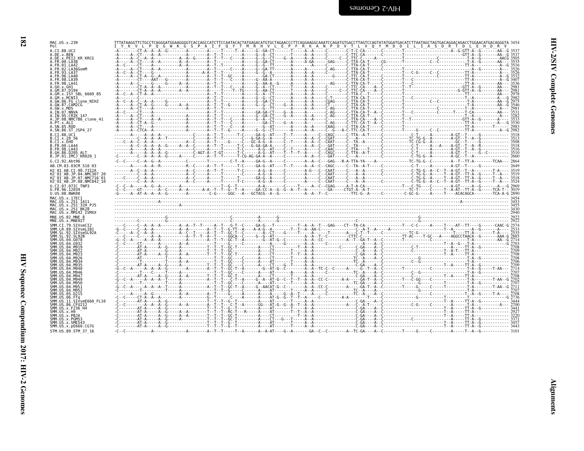| ì<br>ミてい                   |  |
|----------------------------|--|
| ļ<br>Ĭ                     |  |
| ٦<br>-<br>-<br>-<br>-<br>ļ |  |

ᄇ

| MAC.US.x.239<br>Pol                                                                         |  |  |  |  |
|---------------------------------------------------------------------------------------------|--|--|--|--|
| A.CI.88.UC2<br>A.DE.x.BEN                                                                   |  |  |  |  |
| A.DE.x.PEI2 KR KRCG<br>A.FR.00.LA38                                                         |  |  |  |  |
| A.FR.01.LA42<br>A.FR.02.LA36GomM                                                            |  |  |  |  |
| A.FR.93.LA37<br>A.FR.96.LA40                                                                |  |  |  |  |
| A.FR.98.LA39<br>A.FR.98.LA41                                                                |  |  |  |  |
| A.GH.x.GH1<br>A.GM.87.D194                                                                  |  |  |  |  |
| A.GM.x.ISY SBL 6669 85<br>A.GM.x.MCNI3                                                      |  |  |  |  |
| A.GW.86.FG clone NIHZ<br>A.GW.87.CAM2CG                                                     |  |  |  |  |
| A.GW.x.MDS<br>A. IN. 07. NNVA                                                               |  |  |  |  |
| A.IN.95.CRIK 147<br>A.JP.08.NMC786 clone 41                                                 |  |  |  |  |
| A.PT.x.ALI<br>A.SN.85.ROD                                                                   |  |  |  |  |
| A.SN.86.ST JSP4 27<br>B.CI.88.UC1                                                           |  |  |  |  |
| B.CI.x.20 56<br>B.CI.x.EHO                                                                  |  |  |  |  |
| B.FR.00.LA44<br>B.FR.98.LA43                                                                |  |  |  |  |
| B.GH.86.D205 ALT<br>B.JP.01.IMCJ KR020 1                                                    |  |  |  |  |
| G.CI.92.Abt96                                                                               |  |  |  |  |
| AB.CM.03.03CM 510 03<br>H2 01 AB.CI.90.7312A                                                |  |  |  |  |
| H2 01 AB. JP. 04. NMC307<br>H2 <sup>-</sup> 01 <sup>-</sup> AB.JP.07.NMC716 <sup>-</sup> 01 |  |  |  |  |
| H2 01 AB.JP.08.NMC842 10<br>U.CI.07.07IC TNP3                                               |  |  |  |  |
| U.FR.96.12034<br>U.US.08.NWK08                                                              |  |  |  |  |
| MAC.US.x.17EC1<br>MAC.US.x.251 1A11                                                         |  |  |  |  |
| MAC.US.x.251-32H PJ5<br>MAC.US.x.251-BK28                                                   |  |  |  |  |
| MAC.US.x.MM142 IVMXX                                                                        |  |  |  |  |
| MNE.US.82.MNE 8<br>MNE.US.x.MNE027                                                          |  |  |  |  |
| SMM.CI.79.SIVsmCI2<br>SMM.LR.89.SIVsmLIB1                                                   |  |  |  |  |
| SMM.SL.92.SIVsmSL92A<br>SMM.SL.92.SL92B                                                     |  |  |  |  |
| SMM.US.04.G078                                                                              |  |  |  |  |
| SMM.US                                                                                      |  |  |  |  |
|                                                                                             |  |  |  |  |
|                                                                                             |  |  |  |  |
| SMM.US.                                                                                     |  |  |  |  |
| SMM.US.<br>SMM.US.04.M949                                                                   |  |  |  |  |
| SMM.US.<br>.04 M956<br>SMM.US.                                                              |  |  |  |  |
| SMM.US.<br>SMM.US.05.D215                                                                   |  |  |  |  |
| SMM.US.06.FTq<br>SMM.US.11.SIVsmE660 FL10                                                   |  |  |  |  |
| SMM.US.86.CFU212<br>SMM.US.x.F236 H4                                                        |  |  |  |  |
| SMM.US.x.H9<br>SMM.US.x.PBJA                                                                |  |  |  |  |
| SMM.US.x.PGM53<br>SMM.US.x.SME543                                                           |  |  |  |  |
| SMM. US. x. pE660. CG7G<br>STM.US.89.STM 37 16                                              |  |  |  |  |

**HIV-2 Genomes**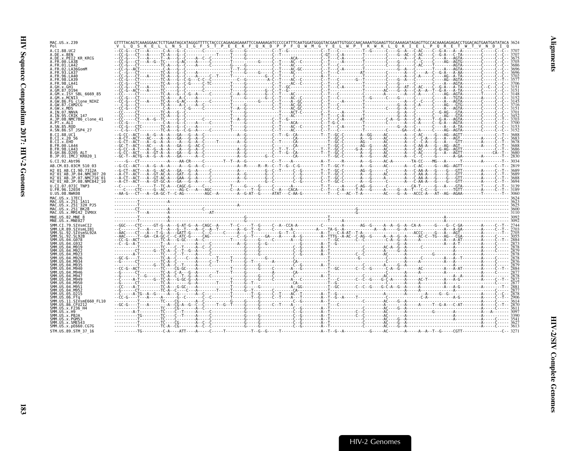| MAC.US.x.239<br>Pol                                                                     |  |  |  |
|-----------------------------------------------------------------------------------------|--|--|--|
| A.CI.88.UC2<br>A.DE.x.BEN                                                               |  |  |  |
| A.DE.x.PEI2 KR KRCG<br>A. FR. 00. LA38                                                  |  |  |  |
| A. FR. 01. LA42                                                                         |  |  |  |
| A.FR.02.LA36GomM<br>.FR.93.LA37                                                         |  |  |  |
| A FR 96 I A40<br>. FR . 98 . LA39                                                       |  |  |  |
| A.GH.x.GH1                                                                              |  |  |  |
| A.GM.87.D194                                                                            |  |  |  |
| A.GM.x.ISY SBL 6669 85<br>A.GM.x.MCNI3                                                  |  |  |  |
| A.GW.86.FG clone NIHZ<br>A.GW.87.CAM2CG                                                 |  |  |  |
| A.GW.x.MDS<br>A.IN.07.NNVA                                                              |  |  |  |
| A.IN.95.CRIK 147                                                                        |  |  |  |
| A.JP.08.NMC786 clone 41<br>A.PT.x.ALI                                                   |  |  |  |
| A. SN. 85. ROD<br>A.SN.86.ST JSP4 27                                                    |  |  |  |
| B.CI.88.UC1                                                                             |  |  |  |
| B.CI.X.20 56<br>B.CT.x.EHO                                                              |  |  |  |
| B.FR.00.LA44<br>B.FR.98.LA43                                                            |  |  |  |
| B.GH.86.D205 ALT<br>B.JP.01.IMCJ <sup>-</sup> KR020 1                                   |  |  |  |
| G.CI.92.Abt96                                                                           |  |  |  |
| AB.CM.03.03CM 510 03                                                                    |  |  |  |
| H2 01 AB.CI.90.7312A<br>H2 <sup>-01-AB.JP.04.NMC307</sup>                               |  |  |  |
| H2 <sup>-01-AB.JP.07.NMC716-01</sup><br>H2 <sup>-01-AB.JP.08.NMC842<sup>-10</sup></sup> |  |  |  |
| U.CI.07.07IC TNP3                                                                       |  |  |  |
| U.FR.96.12034<br>U.US.08.NWK08                                                          |  |  |  |
| MAC.US.x.17EC1                                                                          |  |  |  |
| MAC.US.x.251 1A11<br>MAC.US.x.251 32H PJ5                                               |  |  |  |
| MAC.US.x.251 <sup>-</sup> BK28<br>MAC.US.x.MM142 IVMXX                                  |  |  |  |
| MNE.US.82.MNE 8<br>MNE.US.x.MNE027                                                      |  |  |  |
| SMM.CI.79.SIVsmCI                                                                       |  |  |  |
| SMM.LR.89.SIVsmLIB1<br>SMM.SL.92.SIVsmSL92A                                             |  |  |  |
| SMM.SL.92.SL92B<br>SMM.US.04.G078                                                       |  |  |  |
| SMM. U.S. 04. G932                                                                      |  |  |  |
| SMM.US.04.M919<br>-04 MQ2                                                               |  |  |  |
| SMM. U.S. 04. M92<br>SMM. U.S. 04. M926                                                 |  |  |  |
| A4 MQ34                                                                                 |  |  |  |
| SMM. US. 04. M940<br>SMM. US. 04. M946                                                  |  |  |  |
| SMM IIS 04 M947                                                                         |  |  |  |
| SMM.US.04.M949<br>SMM.US.04.M950                                                        |  |  |  |
| SMM. US. 04. M951<br>SMM.US<br>.04 M952                                                 |  |  |  |
| SMM.US.05.D215<br>SMM US 06 FTn                                                         |  |  |  |
| SMM.US.11.SIVsmE660 FL10                                                                |  |  |  |
| SMM.US.86.CFU212<br>SMM. US. x. F236 H4                                                 |  |  |  |
| SMM.US.x.H9<br>SMM.US.x.PBJA                                                            |  |  |  |
| SMM.US.x.PGM53<br>SMM.US.x.SME543                                                       |  |  |  |
| SMM.US.x.pE660.CG7G                                                                     |  |  |  |
| STM.US.89.STM 37 16                                                                     |  |  |  |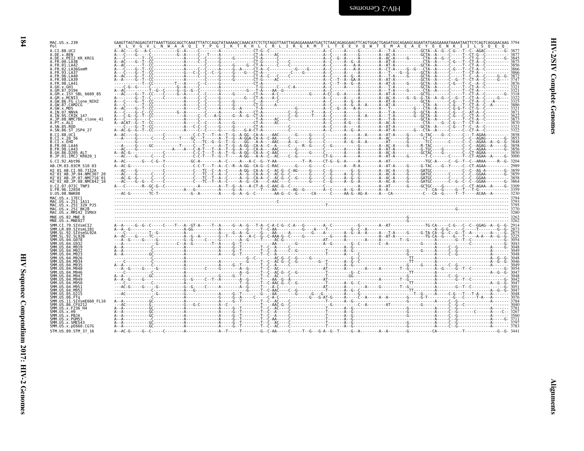| ľ.<br>ミクエ        |  |
|------------------|--|
| ١<br>ì<br>ļ<br>i |  |
| ١<br>Í           |  |

 $\blacksquare$ 

| MAC.US.x.239<br>Pol                                                                                     |  | K L V G V L N W A A Q I Y P G I K T K H L C R L I R G K M T L T E E V Q W T E M A E A E Y E E N K I I L S Q E Q                                                                                                                                                                                                                                                                                                                       |  |
|---------------------------------------------------------------------------------------------------------|--|---------------------------------------------------------------------------------------------------------------------------------------------------------------------------------------------------------------------------------------------------------------------------------------------------------------------------------------------------------------------------------------------------------------------------------------|--|
| A.CI.88.UC2<br>A.DE.x.BEN                                                                               |  |                                                                                                                                                                                                                                                                                                                                                                                                                                       |  |
| A.DE.X.PEI2 KR KRCG<br>A.FR.00.LA38                                                                     |  |                                                                                                                                                                                                                                                                                                                                                                                                                                       |  |
| A.FR.01.LA42                                                                                            |  |                                                                                                                                                                                                                                                                                                                                                                                                                                       |  |
| A.FR.02.LA36GomM<br>A.FR.93.LA37                                                                        |  |                                                                                                                                                                                                                                                                                                                                                                                                                                       |  |
| A.FR.96.LA40<br>A FR 98 1 439                                                                           |  |                                                                                                                                                                                                                                                                                                                                                                                                                                       |  |
| A.FR.98.LA41<br>A.GH.x.GH1                                                                              |  |                                                                                                                                                                                                                                                                                                                                                                                                                                       |  |
| A.GM.87.D194<br>A.GM.x.ISY SBL 6669 85                                                                  |  |                                                                                                                                                                                                                                                                                                                                                                                                                                       |  |
| A.GM.x.MCN13<br>A.GW.86.FG clone NIHZ                                                                   |  |                                                                                                                                                                                                                                                                                                                                                                                                                                       |  |
| A.GW.87.CAM2CG<br>A.GW.x.MDS                                                                            |  |                                                                                                                                                                                                                                                                                                                                                                                                                                       |  |
| A.IN.07.NNVA<br>A.IN.95.CRIK 147                                                                        |  | $\begin{array}{cccccccccccc} \mathbf{0} & \mathbf{0} & \mathbf{0} & \mathbf{0} & \mathbf{0} & \mathbf{0} & \mathbf{0} & \mathbf{0} & \mathbf{0} & \mathbf{0} & \mathbf{0} & \mathbf{0} & \mathbf{0} & \mathbf{0} & \mathbf{0} & \mathbf{0} & \mathbf{0} & \mathbf{0} & \mathbf{0} & \mathbf{0} & \mathbf{0} & \mathbf{0} & \mathbf{0} & \mathbf{0} & \mathbf{0} & \mathbf{0} & \mathbf{0} & \mathbf{0} & \mathbf{0} & \mathbf{0} & \$ |  |
| A.JP.08.NMC786_clone_41<br>A.PT.x.ALI                                                                   |  |                                                                                                                                                                                                                                                                                                                                                                                                                                       |  |
| A.SN.85.ROD<br>A.SN.86.ST JSP4 27                                                                       |  |                                                                                                                                                                                                                                                                                                                                                                                                                                       |  |
| B.CI.88.UC1                                                                                             |  |                                                                                                                                                                                                                                                                                                                                                                                                                                       |  |
| B.CI.x.20 56<br>B.CI.X.EHO                                                                              |  |                                                                                                                                                                                                                                                                                                                                                                                                                                       |  |
| B.FR.00.LA44<br>B.FR.98.LA43                                                                            |  |                                                                                                                                                                                                                                                                                                                                                                                                                                       |  |
| B.GH.86.D205 ALT<br>B.JP.01.IMCJ KR020 1                                                                |  |                                                                                                                                                                                                                                                                                                                                                                                                                                       |  |
| G.CI.92.Abt96                                                                                           |  |                                                                                                                                                                                                                                                                                                                                                                                                                                       |  |
| AB.CM.03.03CM 510 03<br>H2 01 AB.CI.90.7312A                                                            |  |                                                                                                                                                                                                                                                                                                                                                                                                                                       |  |
| H2 <sup>-01-AB.JP.04.NMC307 20</sup><br>H2 <sup>-</sup> 01 <sup>-</sup> AB.JP.07.NMC716 <sup>-</sup> 01 |  |                                                                                                                                                                                                                                                                                                                                                                                                                                       |  |
| H2 01 AB.JP.08.NMC842 10                                                                                |  |                                                                                                                                                                                                                                                                                                                                                                                                                                       |  |
| U.CI.07.07IC TNP3<br>U.FR.96.12034                                                                      |  |                                                                                                                                                                                                                                                                                                                                                                                                                                       |  |
| U.US.08.NWK08<br>MAC.US.x.17EC1                                                                         |  |                                                                                                                                                                                                                                                                                                                                                                                                                                       |  |
| MAC.US.x.251 1A11<br>MAC.US.x.251 32H PJ5                                                               |  |                                                                                                                                                                                                                                                                                                                                                                                                                                       |  |
| MAC.US.x.251 <sup>-</sup> BK28<br>MAC.US.x.MM142 IVMXX                                                  |  |                                                                                                                                                                                                                                                                                                                                                                                                                                       |  |
| MNE.US.82.MNE 8                                                                                         |  |                                                                                                                                                                                                                                                                                                                                                                                                                                       |  |
| MNE.US.x.MNE027<br>SMM.CI.79.SIVsmCI2                                                                   |  |                                                                                                                                                                                                                                                                                                                                                                                                                                       |  |
| SMM.LR.89.SIVsmLIB1<br>SMM.SL.92.SIVsmSL92A                                                             |  |                                                                                                                                                                                                                                                                                                                                                                                                                                       |  |
| SMM.US.04.G078                                                                                          |  |                                                                                                                                                                                                                                                                                                                                                                                                                                       |  |
| SMM US 04 G932                                                                                          |  |                                                                                                                                                                                                                                                                                                                                                                                                                                       |  |
|                                                                                                         |  |                                                                                                                                                                                                                                                                                                                                                                                                                                       |  |
|                                                                                                         |  |                                                                                                                                                                                                                                                                                                                                                                                                                                       |  |
|                                                                                                         |  |                                                                                                                                                                                                                                                                                                                                                                                                                                       |  |
| SMM.US.04.M946                                                                                          |  |                                                                                                                                                                                                                                                                                                                                                                                                                                       |  |
| SMM. U.S. 04. M947<br>SMM.US.04.M949                                                                    |  |                                                                                                                                                                                                                                                                                                                                                                                                                                       |  |
| SMM. US. 04. M950<br>SMM. U.S. 04. M951                                                                 |  |                                                                                                                                                                                                                                                                                                                                                                                                                                       |  |
| SMM.US.04.M952<br>SMM.US.05.D215                                                                        |  |                                                                                                                                                                                                                                                                                                                                                                                                                                       |  |
| SMM.US.06.FTq<br>SMM.US.11.SIVsmE660 FL10                                                               |  |                                                                                                                                                                                                                                                                                                                                                                                                                                       |  |
| SMM.US.86.CFU212                                                                                        |  |                                                                                                                                                                                                                                                                                                                                                                                                                                       |  |
| SMM.US.x.F236 H4<br>SMM.US.x.H9                                                                         |  |                                                                                                                                                                                                                                                                                                                                                                                                                                       |  |
| SMM.US.x.PBJA<br>SMM.US.x.PGM53                                                                         |  |                                                                                                                                                                                                                                                                                                                                                                                                                                       |  |
| SMM.US.x.SME543<br>SMM.US.x.pE660.CG7G                                                                  |  |                                                                                                                                                                                                                                                                                                                                                                                                                                       |  |
| STM. US. 89. STM 37 16                                                                                  |  |                                                                                                                                                                                                                                                                                                                                                                                                                                       |  |

HIV-2 Genomes

STM.US.89.STM 37 16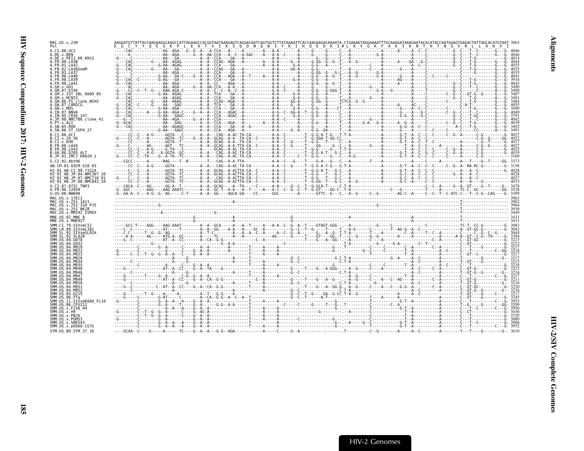| MAC.US.x.239<br>Pol                                                                                                                                                                      | AAGGATGTTATTACCAAGAAGGCAAGCCATTAGAAGCCACGGTAATAAAGAGTCAGGACAATCAGTGGTCTTATAAAATTCACCAAGAAGACAAAATA . CTGAAAGTAGGAAAATTTGCAAAGATAAAGATACACATACCAATGGAGTCAGCTATTAGCACATGTAAT 3963<br>T V I K S Q D N Q W S Y K I H Q E D K I#L K V G K F A K I K N T H T N G V R L |  |
|------------------------------------------------------------------------------------------------------------------------------------------------------------------------------------------|------------------------------------------------------------------------------------------------------------------------------------------------------------------------------------------------------------------------------------------------------------------|--|
| A.CI.88.UC2<br>A.DE.x.BEN                                                                                                                                                                |                                                                                                                                                                                                                                                                  |  |
| A.DE.X.PEI2 KR KRCG<br>A.FR.00.LA38                                                                                                                                                      |                                                                                                                                                                                                                                                                  |  |
| A.FR.01.LA42<br>A.FR.02.LA36GomM                                                                                                                                                         |                                                                                                                                                                                                                                                                  |  |
| A.FR.93.LA37<br>A. FR. 96. LA40                                                                                                                                                          |                                                                                                                                                                                                                                                                  |  |
| A. FR. 98. LA41<br>A GH x GH1                                                                                                                                                            |                                                                                                                                                                                                                                                                  |  |
| A.GM.87.D194<br>A.GM.x.ISY SBL 6669 85                                                                                                                                                   |                                                                                                                                                                                                                                                                  |  |
| A.GM.x.MCN13<br>A.GW.86.FG_clone NIHZ                                                                                                                                                    |                                                                                                                                                                                                                                                                  |  |
| A.GW.87.CAM2CG<br>A.GW.x.MDS                                                                                                                                                             |                                                                                                                                                                                                                                                                  |  |
| A.IN.07.NNVA<br>A.IN.95.CRIK 147                                                                                                                                                         |                                                                                                                                                                                                                                                                  |  |
| A.JP.08.NMC786 clone 41<br>A.PT.x.ALT<br>A.SN.85.ROD                                                                                                                                     |                                                                                                                                                                                                                                                                  |  |
| A.SN.86.ST JSP4 27<br>B.CI.88.UC1                                                                                                                                                        |                                                                                                                                                                                                                                                                  |  |
| B.CI.X.20 56<br>B.CT.x.EHO                                                                                                                                                               |                                                                                                                                                                                                                                                                  |  |
| B. FR. 00. LA44<br>B. FR. 98. LA43                                                                                                                                                       |                                                                                                                                                                                                                                                                  |  |
| ;.GH.86.D205 ALT<br>B.JP.01.IMCJ KR020 1                                                                                                                                                 |                                                                                                                                                                                                                                                                  |  |
| G.CI.92.Abt96<br>AB.CM.03.03CM 510 03                                                                                                                                                    |                                                                                                                                                                                                                                                                  |  |
| H2 01 AB.CI.90.7312A                                                                                                                                                                     |                                                                                                                                                                                                                                                                  |  |
| H2 <sup>-</sup> 01 <sup>-</sup> AB.JP.04.NMC307 20<br>H2 <sup>-</sup> 01 <sup>-</sup> AB.JP.07.NMC716 <sup>-</sup> 01<br>H2 <sup>-</sup> 01 <sup>-</sup> AB.JP.08.NMC842 <sup>-</sup> 10 |                                                                                                                                                                                                                                                                  |  |
| U.CI.07.07IC TNP3<br>U.FR.96.12034                                                                                                                                                       |                                                                                                                                                                                                                                                                  |  |
| U.US.08.NWK08<br>MAC.US.x.17EC1                                                                                                                                                          |                                                                                                                                                                                                                                                                  |  |
| MAC.US.x.251_1A11<br>MAC. US. x. 251<br><sup>-</sup> 32H PJ5                                                                                                                             |                                                                                                                                                                                                                                                                  |  |
| MAC.US.x.251 <sup>-</sup> BK28<br>MAC.US.x.MM142 IVMXX                                                                                                                                   |                                                                                                                                                                                                                                                                  |  |
| MNE.US.82.MNE 8<br>MNE.US.x.MNE027                                                                                                                                                       |                                                                                                                                                                                                                                                                  |  |
| SMM.CI.79.SIVsmCI2<br>SMM.LR.89.SIVsmLIB1                                                                                                                                                |                                                                                                                                                                                                                                                                  |  |
| SMM.SL.92.SIVsmSL92A<br>SMM.SL.92.SL92B                                                                                                                                                  |                                                                                                                                                                                                                                                                  |  |
|                                                                                                                                                                                          |                                                                                                                                                                                                                                                                  |  |
|                                                                                                                                                                                          |                                                                                                                                                                                                                                                                  |  |
| SMM.US.04.M923                                                                                                                                                                           |                                                                                                                                                                                                                                                                  |  |
|                                                                                                                                                                                          |                                                                                                                                                                                                                                                                  |  |
| SMM. US. 04. M946<br>SMM IIS 04 M947                                                                                                                                                     |                                                                                                                                                                                                                                                                  |  |
|                                                                                                                                                                                          |                                                                                                                                                                                                                                                                  |  |
|                                                                                                                                                                                          |                                                                                                                                                                                                                                                                  |  |
| SMM.US.05.D215                                                                                                                                                                           |                                                                                                                                                                                                                                                                  |  |
| SMM.US.11.SIVsmE660 FL10<br>SMM.US.86.CFU212                                                                                                                                             |                                                                                                                                                                                                                                                                  |  |
| SMM.US.x.F236 H4<br>SMM.US.x.H9                                                                                                                                                          |                                                                                                                                                                                                                                                                  |  |
| SMM.US.x.PBJA<br>SMM IIS x PGM53                                                                                                                                                         |                                                                                                                                                                                                                                                                  |  |
| SMM.US.x.pE660.CG7G                                                                                                                                                                      |                                                                                                                                                                                                                                                                  |  |
| SMM.US.x.SME543<br>STM.US.89.STM 37 16                                                                                                                                                   |                                                                                                                                                                                                                                                                  |  |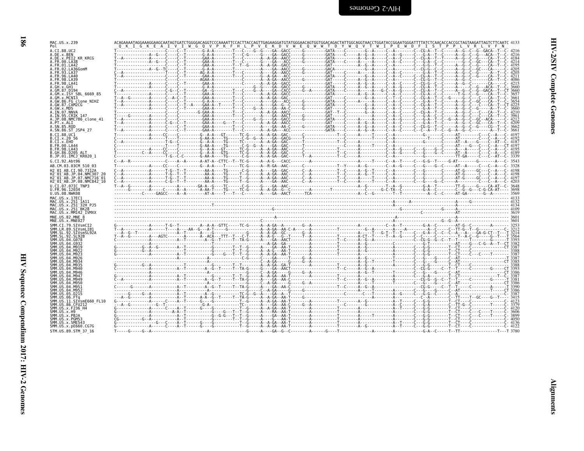| í,<br>ミスト        |
|------------------|
| ś<br>ĭ           |
| ć<br>ì<br>j<br>ţ |

 $\blacksquare$ 

|                                                                                                         |                                                                                                                                                                                                                                                                                                                                                                                                                                  |  |  | P V E K D V W E Q W W T D Y W Q V T |  |  |  |  |
|---------------------------------------------------------------------------------------------------------|----------------------------------------------------------------------------------------------------------------------------------------------------------------------------------------------------------------------------------------------------------------------------------------------------------------------------------------------------------------------------------------------------------------------------------|--|--|-------------------------------------|--|--|--|--|
| A.CI.88.UC2                                                                                             |                                                                                                                                                                                                                                                                                                                                                                                                                                  |  |  |                                     |  |  |  |  |
| A.DE.x.BEN<br>A.DE.X.PEI2 KR KRCG                                                                       |                                                                                                                                                                                                                                                                                                                                                                                                                                  |  |  |                                     |  |  |  |  |
| A.FR.00.LA38                                                                                            |                                                                                                                                                                                                                                                                                                                                                                                                                                  |  |  |                                     |  |  |  |  |
| A.FR.01.LA42<br>A.FR.02.LA36GomM                                                                        |                                                                                                                                                                                                                                                                                                                                                                                                                                  |  |  |                                     |  |  |  |  |
| A. FR. 93. LA37                                                                                         |                                                                                                                                                                                                                                                                                                                                                                                                                                  |  |  |                                     |  |  |  |  |
| A.FR.96.LA40<br>A. FR. 98. LA39                                                                         |                                                                                                                                                                                                                                                                                                                                                                                                                                  |  |  |                                     |  |  |  |  |
| A.FR.98.LA41                                                                                            |                                                                                                                                                                                                                                                                                                                                                                                                                                  |  |  |                                     |  |  |  |  |
| A.GM.87.D194                                                                                            |                                                                                                                                                                                                                                                                                                                                                                                                                                  |  |  |                                     |  |  |  |  |
| A.GM.x.ISY SBL 6669 85<br>A.GM.x.MCNI3                                                                  |                                                                                                                                                                                                                                                                                                                                                                                                                                  |  |  |                                     |  |  |  |  |
| A.GW.86.FG clone NIHZ                                                                                   |                                                                                                                                                                                                                                                                                                                                                                                                                                  |  |  |                                     |  |  |  |  |
| A.GW.87.CAM2CG<br>A.GW.x.MDS                                                                            | $\begin{bmatrix} \textbf{1} & \textbf{1} & \textbf{1} & \textbf{1} & \textbf{1} & \textbf{1} & \textbf{1} & \textbf{1} & \textbf{1} & \textbf{1} & \textbf{1} & \textbf{1} & \textbf{1} & \textbf{1} & \textbf{1} & \textbf{1} & \textbf{1} & \textbf{1} & \textbf{1} & \textbf{1} & \textbf{1} & \textbf{1} & \textbf{1} & \textbf{1} & \textbf{1} & \textbf{1} & \textbf{1} & \textbf{1} & \textbf{1} & \textbf{1} & \textbf{$ |  |  |                                     |  |  |  |  |
| A.IN.07.NNVA                                                                                            |                                                                                                                                                                                                                                                                                                                                                                                                                                  |  |  |                                     |  |  |  |  |
| A.IN.95.CRIK 147<br>NMC786 clone 41                                                                     |                                                                                                                                                                                                                                                                                                                                                                                                                                  |  |  |                                     |  |  |  |  |
| A.PT.x.ALI<br>A SN 85 ROD                                                                               |                                                                                                                                                                                                                                                                                                                                                                                                                                  |  |  |                                     |  |  |  |  |
| A.SN.86.ST JSP4 27                                                                                      |                                                                                                                                                                                                                                                                                                                                                                                                                                  |  |  |                                     |  |  |  |  |
| B.CT.88.UC1                                                                                             | $\begin{bmatrix} \frac{1}{2} & \frac{1}{2} & \frac{1}{2} & \frac{1}{2} & \frac{1}{2} & \frac{1}{2} & \frac{1}{2} & \frac{1}{2} & \frac{1}{2} & \frac{1}{2} & \frac{1}{2} & \frac{1}{2} & \frac{1}{2} & \frac{1}{2} & \frac{1}{2} & \frac{1}{2} & \frac{1}{2} & \frac{1}{2} & \frac{1}{2} & \frac{1}{2} & \frac{1}{2} & \frac{1}{2} & \frac{1}{2} & \frac{1}{2} & \frac{1}{2} & \frac{1}{2} & \frac{1}{2$                         |  |  |                                     |  |  |  |  |
| B.CI.X.20 56<br>B.CI.X.EHO                                                                              |                                                                                                                                                                                                                                                                                                                                                                                                                                  |  |  |                                     |  |  |  |  |
| B. FR. 00. LA44                                                                                         |                                                                                                                                                                                                                                                                                                                                                                                                                                  |  |  |                                     |  |  |  |  |
| B.FR.98.LA43<br>B.GH.86.D205 ALT                                                                        |                                                                                                                                                                                                                                                                                                                                                                                                                                  |  |  |                                     |  |  |  |  |
| B.JP.01.IMCJ KR020 1                                                                                    |                                                                                                                                                                                                                                                                                                                                                                                                                                  |  |  |                                     |  |  |  |  |
| G.CI.92.Abt96<br>AB.CM.03.03CM 510 03                                                                   |                                                                                                                                                                                                                                                                                                                                                                                                                                  |  |  |                                     |  |  |  |  |
| H2 01 AB.CI.90.7312A                                                                                    | C--A------------A------T-G--T--T--------AA-A----TG------C-G-----A----GA--GAC------C-A-------T--C-----A--G--T----C--A----C---G-----C--A---C--A198                                                                                                                                                                                                                                                                                 |  |  |                                     |  |  |  |  |
| H2 01 AB.JP.04.NMC307 20                                                                                |                                                                                                                                                                                                                                                                                                                                                                                                                                  |  |  |                                     |  |  |  |  |
| H2 <sup>-01-AB.JP.07.NMC716-01</sup><br>H2 <sup>-</sup> 01 <sup>-</sup> AB.JP.08.NMC842 <sup>-</sup> 10 |                                                                                                                                                                                                                                                                                                                                                                                                                                  |  |  |                                     |  |  |  |  |
| U.CI.07.07IC TNP3                                                                                       |                                                                                                                                                                                                                                                                                                                                                                                                                                  |  |  |                                     |  |  |  |  |
| U.FR.96.12034<br>U.US.08.NWK08                                                                          |                                                                                                                                                                                                                                                                                                                                                                                                                                  |  |  |                                     |  |  |  |  |
| MAC.US.x.17EC1                                                                                          |                                                                                                                                                                                                                                                                                                                                                                                                                                  |  |  |                                     |  |  |  |  |
| MAC.US.x.251 1A11<br>MAC.US.x.251 <sup>-</sup> 32H PJ5                                                  | $\frac{4134}{4134}$ $\frac{4134}{4104}$ $\frac{4134}{4104}$ $\frac{4134}{4104}$ $\frac{4134}{4104}$ $\frac{4134}{4104}$ $\frac{4134}{4104}$ $\frac{4134}{4104}$ $\frac{4134}{4104}$ $\frac{4134}{4104}$ $\frac{4134}{4104}$ $\frac{4134}{4104}$ $\frac{4134}{4104}$ $\frac{4134}{4104$                                                                                                                                           |  |  |                                     |  |  |  |  |
| MAC.US.x.251 <sup>-</sup> BK28                                                                          |                                                                                                                                                                                                                                                                                                                                                                                                                                  |  |  |                                     |  |  |  |  |
| MAC.US.x.MM142 IVMXX<br>MNE.US.82.MNE 8                                                                 |                                                                                                                                                                                                                                                                                                                                                                                                                                  |  |  |                                     |  |  |  |  |
|                                                                                                         |                                                                                                                                                                                                                                                                                                                                                                                                                                  |  |  |                                     |  |  |  |  |
| MNE.US.x.MNE027                                                                                         |                                                                                                                                                                                                                                                                                                                                                                                                                                  |  |  |                                     |  |  |  |  |
| SMM.CI.79.SIVsmCI2                                                                                      |                                                                                                                                                                                                                                                                                                                                                                                                                                  |  |  |                                     |  |  |  |  |
| SMM.LR.89.SIVsmLIB1<br>SMM.SL.92.SIVsmSL92A                                                             |                                                                                                                                                                                                                                                                                                                                                                                                                                  |  |  |                                     |  |  |  |  |
| SMM.SL.92.SL92B                                                                                         |                                                                                                                                                                                                                                                                                                                                                                                                                                  |  |  |                                     |  |  |  |  |
| SMM US 04 G078<br>SMM IIS A4 GQ31                                                                       |                                                                                                                                                                                                                                                                                                                                                                                                                                  |  |  |                                     |  |  |  |  |
|                                                                                                         |                                                                                                                                                                                                                                                                                                                                                                                                                                  |  |  |                                     |  |  |  |  |
|                                                                                                         |                                                                                                                                                                                                                                                                                                                                                                                                                                  |  |  |                                     |  |  |  |  |
|                                                                                                         |                                                                                                                                                                                                                                                                                                                                                                                                                                  |  |  |                                     |  |  |  |  |
|                                                                                                         |                                                                                                                                                                                                                                                                                                                                                                                                                                  |  |  |                                     |  |  |  |  |
| SMM.US.04.M946                                                                                          |                                                                                                                                                                                                                                                                                                                                                                                                                                  |  |  |                                     |  |  |  |  |
| SMM IIS A4 MQ47                                                                                         |                                                                                                                                                                                                                                                                                                                                                                                                                                  |  |  |                                     |  |  |  |  |
|                                                                                                         |                                                                                                                                                                                                                                                                                                                                                                                                                                  |  |  |                                     |  |  |  |  |
| SMM IIS 04 M951                                                                                         |                                                                                                                                                                                                                                                                                                                                                                                                                                  |  |  |                                     |  |  |  |  |
| SMM. US. 04. M952                                                                                       |                                                                                                                                                                                                                                                                                                                                                                                                                                  |  |  |                                     |  |  |  |  |
| SMM.US.11.SIVsmE660 FL10                                                                                |                                                                                                                                                                                                                                                                                                                                                                                                                                  |  |  |                                     |  |  |  |  |
| SMM.US.86.CFU212                                                                                        |                                                                                                                                                                                                                                                                                                                                                                                                                                  |  |  |                                     |  |  |  |  |
| SMM.US.x.F236 H4<br>SMM.US.x.H9                                                                         |                                                                                                                                                                                                                                                                                                                                                                                                                                  |  |  |                                     |  |  |  |  |
| SMM.US.x.PBJA                                                                                           |                                                                                                                                                                                                                                                                                                                                                                                                                                  |  |  |                                     |  |  |  |  |
| SMM.US.x.PGM53<br>SMM.US.x.SME543                                                                       |                                                                                                                                                                                                                                                                                                                                                                                                                                  |  |  |                                     |  |  |  |  |
| SMM.US.x.pE660.CG7G<br>STM.US.89.STM 37 16                                                              |                                                                                                                                                                                                                                                                                                                                                                                                                                  |  |  |                                     |  |  |  |  |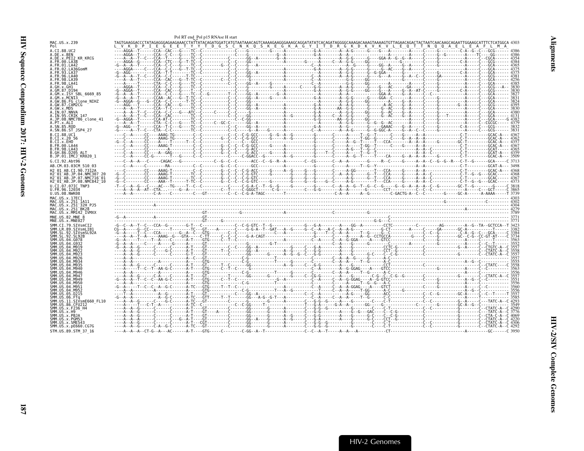<span id="page-32-0"></span>

| MAC.US.x.239<br>Pol                                                        |  |  |  |  |
|----------------------------------------------------------------------------|--|--|--|--|
| A.CI.88.UC2<br>A.DE.x.BEN                                                  |  |  |  |  |
| A.DE.X.PEI2 KR KRCG                                                        |  |  |  |  |
| A.FR.00.LA38<br>A.FR.01.LA42                                               |  |  |  |  |
| .FR 02 LA36GomM                                                            |  |  |  |  |
| ∟FR 93 IA37                                                                |  |  |  |  |
|                                                                            |  |  |  |  |
| A.FR.98.LA41                                                               |  |  |  |  |
| ∖GH x GH1                                                                  |  |  |  |  |
| A.GM.x.ISY SBL 6669 85                                                     |  |  |  |  |
|                                                                            |  |  |  |  |
| A.GW.86.FG clone NIHZ<br>A.GW.87.CAM2CG                                    |  |  |  |  |
| A.GW.x.MDS                                                                 |  |  |  |  |
| A.IN.07.NNVA<br>A.IN.95.CRIK 147                                           |  |  |  |  |
| A.JP.08.NMC786 clone 41                                                    |  |  |  |  |
| A.PT.x.ALI<br>A.SN.85.ROD                                                  |  |  |  |  |
| A.SN.86.ST JSP4 27                                                         |  |  |  |  |
| B.CI.88.UC1                                                                |  |  |  |  |
| B.CI.X.20 56<br>B.CI.X.EHO                                                 |  |  |  |  |
| B.FR.00.LA44                                                               |  |  |  |  |
| B.FR.98.LA43<br>B.GH.86.D205 ALT                                           |  |  |  |  |
| B.JP.01.IMCJ KR020 1                                                       |  |  |  |  |
| G.CI.92.Abt96                                                              |  |  |  |  |
| AB.CM.03.03CM 510 03                                                       |  |  |  |  |
| H2 01 AB.CI.90.7312A<br>H2 <sup>-</sup> 01 <sup>-</sup> AB.JP.04.NMC307 20 |  |  |  |  |
| H2 <sup>-</sup> 01 <sup>-</sup> AB.JP.07.NMC716 <sup>-</sup> 01            |  |  |  |  |
| H2 <sup>-</sup> 01 <sup>-</sup> AB.JP.08.NMC842 <sup>-</sup> 10            |  |  |  |  |
| U.CI.07.07IC TNP3<br>U.FR.96.1203 <sup>z</sup>                             |  |  |  |  |
| U.US.08.NWK08                                                              |  |  |  |  |
| MAC.US.x.17EC1                                                             |  |  |  |  |
| MAC.US.x.251 1A11<br>MAC.US.x.251 32H PJ5                                  |  |  |  |  |
| MAC.US.x.251 <sup>-</sup> BK28                                             |  |  |  |  |
| MAC.US.x.MM142 IVMXX<br>MNE.US.82.MNE 8                                    |  |  |  |  |
| MNE.US.x.MNE027                                                            |  |  |  |  |
| SMM.CI.79.SIVsmCI2                                                         |  |  |  |  |
| SMM.LR.89.SIVsmLIB1<br>SIVsmSL92A                                          |  |  |  |  |
|                                                                            |  |  |  |  |
|                                                                            |  |  |  |  |
|                                                                            |  |  |  |  |
|                                                                            |  |  |  |  |
|                                                                            |  |  |  |  |
|                                                                            |  |  |  |  |
|                                                                            |  |  |  |  |
|                                                                            |  |  |  |  |
|                                                                            |  |  |  |  |
|                                                                            |  |  |  |  |
|                                                                            |  |  |  |  |
|                                                                            |  |  |  |  |
|                                                                            |  |  |  |  |
|                                                                            |  |  |  |  |
| SIVsmE660 FL10<br>IM. US. 86. CFU212                                       |  |  |  |  |
|                                                                            |  |  |  |  |
| MM.US.x.H9<br>SMM.US.x.PBJA                                                |  |  |  |  |
| SMM.US.x.PGM53                                                             |  |  |  |  |
| SMM.US.x.SME543                                                            |  |  |  |  |
| SMM.US.x.pE660.CG7G<br>STM.US.89.STM 37 16                                 |  |  |  |  |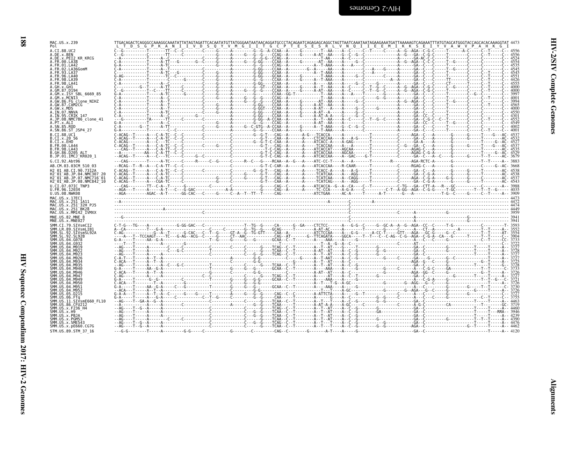| ٦<br>リスト           |  |
|--------------------|--|
| ļ<br>i             |  |
| ì<br>$\frac{1}{2}$ |  |

 $\blacksquare$ 

HIV-2 Genomes

| <b>FUL</b>                                      |  |  |  |  |  |  |  |  |
|-------------------------------------------------|--|--|--|--|--|--|--|--|
| A.CI.88.UC2                                     |  |  |  |  |  |  |  |  |
| A.DE.x.BEN                                      |  |  |  |  |  |  |  |  |
| A.DE.x.PEI2 KR KRCG                             |  |  |  |  |  |  |  |  |
| A.FR.00.LA38                                    |  |  |  |  |  |  |  |  |
| A. FR. 01. LA42                                 |  |  |  |  |  |  |  |  |
| A.FR.02.LA36GomM                                |  |  |  |  |  |  |  |  |
| A. FR. 93. LA37                                 |  |  |  |  |  |  |  |  |
| A. FR. 96. LA40                                 |  |  |  |  |  |  |  |  |
|                                                 |  |  |  |  |  |  |  |  |
| A.FR.98.LA39                                    |  |  |  |  |  |  |  |  |
| A.FR.98.LA41                                    |  |  |  |  |  |  |  |  |
| A.GH.x.GH1                                      |  |  |  |  |  |  |  |  |
| A.GM.87.D194                                    |  |  |  |  |  |  |  |  |
| A.GM.X.ISY SBL 6669 85                          |  |  |  |  |  |  |  |  |
| A.GM.x.MCNI3                                    |  |  |  |  |  |  |  |  |
| A.GW.86.FG clone NIHZ                           |  |  |  |  |  |  |  |  |
| A.GW.87.CAM2CG                                  |  |  |  |  |  |  |  |  |
|                                                 |  |  |  |  |  |  |  |  |
| A.GW.x.MDS                                      |  |  |  |  |  |  |  |  |
| A.IN.07.NNVA                                    |  |  |  |  |  |  |  |  |
| A.IN.95.CRIK 147                                |  |  |  |  |  |  |  |  |
| A.JP.08.NMC786 clone 41                         |  |  |  |  |  |  |  |  |
| A.PT.x.ALI                                      |  |  |  |  |  |  |  |  |
| A.SN.85.ROD                                     |  |  |  |  |  |  |  |  |
| A.SN.86.ST JSP4 27                              |  |  |  |  |  |  |  |  |
|                                                 |  |  |  |  |  |  |  |  |
| B.CI.88.UC1                                     |  |  |  |  |  |  |  |  |
| B.CI.x.20 56                                    |  |  |  |  |  |  |  |  |
| B.CI.x.EHO                                      |  |  |  |  |  |  |  |  |
| B. FR. 00. LA44                                 |  |  |  |  |  |  |  |  |
| B. FR. 98. LA43                                 |  |  |  |  |  |  |  |  |
| B.GH.86.D205 ALT                                |  |  |  |  |  |  |  |  |
| B.JP.01.IMCJ <sup>-</sup> KR020 1               |  |  |  |  |  |  |  |  |
|                                                 |  |  |  |  |  |  |  |  |
| G.CI.92.Abt96                                   |  |  |  |  |  |  |  |  |
| AB.CM.03.03CM 510 03                            |  |  |  |  |  |  |  |  |
|                                                 |  |  |  |  |  |  |  |  |
| H <sub>2</sub> 01 AB.CI.90.7312A                |  |  |  |  |  |  |  |  |
| H2 <sup>-01-AB.JP.04.NMC307</sup>               |  |  |  |  |  |  |  |  |
| H2 <sup>-01-AB.JP.07.NMC716-01</sup>            |  |  |  |  |  |  |  |  |
| H2 <sup>-01-AB.JP.08.NMC842<sup>-10</sup></sup> |  |  |  |  |  |  |  |  |
| U.CI.07.07IC TNP3                               |  |  |  |  |  |  |  |  |
|                                                 |  |  |  |  |  |  |  |  |
|                                                 |  |  |  |  |  |  |  |  |
|                                                 |  |  |  |  |  |  |  |  |
| U.FR.96.12034<br>U.US.08.NWK08                  |  |  |  |  |  |  |  |  |
|                                                 |  |  |  |  |  |  |  |  |
| MAC.US.x.17EC1                                  |  |  |  |  |  |  |  |  |
| MAC.US.x.251 1A11                               |  |  |  |  |  |  |  |  |
| MAC.US.x.251 32H PJ5                            |  |  |  |  |  |  |  |  |
| MAC.US.x.251 <sup>-</sup> BK28                  |  |  |  |  |  |  |  |  |
| MAC.US.x.MM142 IVMXX                            |  |  |  |  |  |  |  |  |
| MNE.US.82.MNE 8                                 |  |  |  |  |  |  |  |  |
|                                                 |  |  |  |  |  |  |  |  |
| MNE.US.x.MNE027                                 |  |  |  |  |  |  |  |  |
| SMM.CI.79.SIVsmCI2                              |  |  |  |  |  |  |  |  |
| SMM.LR.89.SIVsmLIB1                             |  |  |  |  |  |  |  |  |
| SMM.SL.92.SIVsmSL92A                            |  |  |  |  |  |  |  |  |
| SMM. SL. 92. SL92B                              |  |  |  |  |  |  |  |  |
| SMM.US.04.G078                                  |  |  |  |  |  |  |  |  |
| SMM US 04 G932                                  |  |  |  |  |  |  |  |  |
| .04.M919                                        |  |  |  |  |  |  |  |  |
|                                                 |  |  |  |  |  |  |  |  |
|                                                 |  |  |  |  |  |  |  |  |
| <b>SMM 11S.</b>                                 |  |  |  |  |  |  |  |  |
|                                                 |  |  |  |  |  |  |  |  |
| SMM. US. 04. M934                               |  |  |  |  |  |  |  |  |
| SMM. US. 04. M935                               |  |  |  |  |  |  |  |  |
| SMM.US.04.M940                                  |  |  |  |  |  |  |  |  |
| SMM.US.04.M946                                  |  |  |  |  |  |  |  |  |
| SMM. U.S. 04. M947                              |  |  |  |  |  |  |  |  |
| SMM.US.04.M949                                  |  |  |  |  |  |  |  |  |
| SMM.US.<br>.04.M956                             |  |  |  |  |  |  |  |  |
|                                                 |  |  |  |  |  |  |  |  |
| SMM.US                                          |  |  |  |  |  |  |  |  |
| SMM. US.04.M952                                 |  |  |  |  |  |  |  |  |
| SMM.US.<br>.05.D215                             |  |  |  |  |  |  |  |  |
|                                                 |  |  |  |  |  |  |  |  |
| SMM.US.11.SIVsmE660 FL10                        |  |  |  |  |  |  |  |  |
| SMM.US.86.CFU212                                |  |  |  |  |  |  |  |  |
| SMM.US.x.F236 H4                                |  |  |  |  |  |  |  |  |
| SMM.US.x.H9                                     |  |  |  |  |  |  |  |  |
| SMM.US.x.PBJA                                   |  |  |  |  |  |  |  |  |
|                                                 |  |  |  |  |  |  |  |  |
| SMM.US.x.PGM53                                  |  |  |  |  |  |  |  |  |
| SMM.US.x.SME543                                 |  |  |  |  |  |  |  |  |
| SMM. US. x. pE660. CG7G<br>STM.US.89.STM 37 16  |  |  |  |  |  |  |  |  |

MAC.US.x.239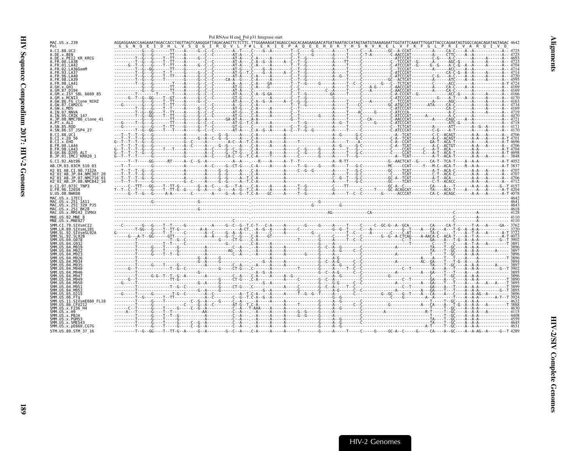<span id="page-34-0"></span>

| MAC.US.x.239<br>Pol<br>A.CI.88.UC2<br>A.DE.x.BEN                                                                                                 |  |
|--------------------------------------------------------------------------------------------------------------------------------------------------|--|
|                                                                                                                                                  |  |
|                                                                                                                                                  |  |
| A.DE.X.PEI2 KR KRCG                                                                                                                              |  |
| A. FR. 00. LA38<br>A FR 01 1 A42                                                                                                                 |  |
| A.FR.02.LA36GomM                                                                                                                                 |  |
| A FR 93 1 437<br>A. FR. 96. LA40                                                                                                                 |  |
| A. FR. 98. LA39                                                                                                                                  |  |
| A.FR.98.LA41<br>A.GH.x.GH1                                                                                                                       |  |
| A.GM.87.D194<br>A.GM.X.ISY SBL 6669 85                                                                                                           |  |
| A.GM.x.MCNI3                                                                                                                                     |  |
| A.GW.86.FG clone NIHZ<br>A.GW.87.CAM2CG                                                                                                          |  |
| A.GW.x.MDS                                                                                                                                       |  |
| A.IN.07.NNVA<br>A.IN.95.CRIK 147                                                                                                                 |  |
| A.JP.08.NMC786 clone 41                                                                                                                          |  |
| A.PT.x.ALI<br>A.SN.85.ROD                                                                                                                        |  |
| A.SN.86.ST JSP4 27                                                                                                                               |  |
| B.CT.88.UC1<br>B.CI.X.20 56                                                                                                                      |  |
| B.CI.x.EHO                                                                                                                                       |  |
| B. FR. 00. LA44<br>B.FR.98.LA43                                                                                                                  |  |
| B.GH.86.D205 ALT                                                                                                                                 |  |
| B.JP.01.IMCJ KR020 1                                                                                                                             |  |
|                                                                                                                                                  |  |
| G.CI.92.Abt96                                                                                                                                    |  |
| AB.CM.03.03CM 510 03<br>H2 01 AB.CI.90.7312A                                                                                                     |  |
| H2 01 AB.JP.04.NMC307 20                                                                                                                         |  |
| H2 <sup>-</sup> 01 <sup>-</sup> AB.JP.07.NMC716 <sup>-</sup> 01<br>H2 <sup>-</sup> 01 <sup>-</sup> AB.JP.08.NMC842 <sup>-</sup> 10               |  |
| U.CI.07.07IC TNP3                                                                                                                                |  |
| U.FR.96.12034<br>U.US.08.NWK08                                                                                                                   |  |
| MAC.US.x.17EC1                                                                                                                                   |  |
| MAC.US.x.251 1A11<br>MAC.US.x.251 32H PJ5                                                                                                        |  |
| MAC. US. x. 251 BK28                                                                                                                             |  |
| $\frac{404}{601}$<br>$\frac{464}{603}$<br>$\frac{464}{603}$<br>$\frac{464}{603}$<br>$\frac{464}{603}$<br>MAC.US.x.MM142 IVMXX<br>MNE.US.82.MNE 8 |  |
| MNE.US.x.MNE027                                                                                                                                  |  |
| SMM.CI.79.SIVsmCI2<br>SMM.LR.89.SIVsmLIB1                                                                                                        |  |
| SMM SL 92 STVsmSL924                                                                                                                             |  |
|                                                                                                                                                  |  |
|                                                                                                                                                  |  |
|                                                                                                                                                  |  |
|                                                                                                                                                  |  |
|                                                                                                                                                  |  |
|                                                                                                                                                  |  |
|                                                                                                                                                  |  |
|                                                                                                                                                  |  |
|                                                                                                                                                  |  |
|                                                                                                                                                  |  |
|                                                                                                                                                  |  |
|                                                                                                                                                  |  |
| SMM.US.86.CFU212<br>SMM US x F236 H4                                                                                                             |  |
|                                                                                                                                                  |  |
| SMM.US.x.PBJA<br>SMM.US.x.PGM53                                                                                                                  |  |
| SMM.US.x.SME543<br>SMM.US.x.pE660.CG7G                                                                                                           |  |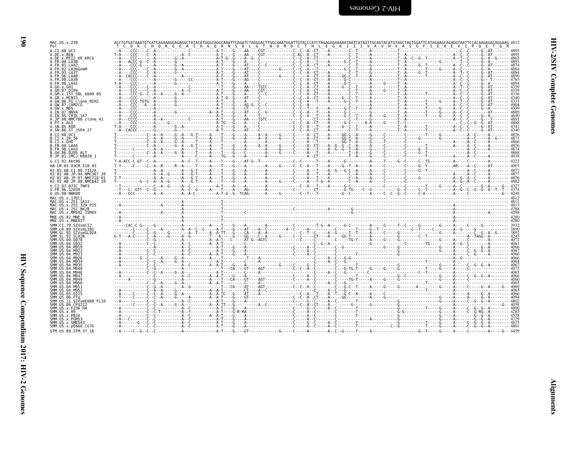| A.CI.88.UC2                                                     |  |  |  |
|-----------------------------------------------------------------|--|--|--|
| A.DE.x.BEN                                                      |  |  |  |
| A.DE.x.PEI2 KR KRCG                                             |  |  |  |
| A.FR.00.LA38                                                    |  |  |  |
| A FR 01 IA42<br>.FR.02.LA36GomM                                 |  |  |  |
| A.FR.93.LA37                                                    |  |  |  |
| A.FR.96.LA40                                                    |  |  |  |
| A FR 98 IA39                                                    |  |  |  |
| A.FR.98.LA41                                                    |  |  |  |
| A.GH.x.GH1                                                      |  |  |  |
| A.GM.87.D194                                                    |  |  |  |
| A.GM.x.ISY SBL 6669 85<br>A.GM.x.MCNI3                          |  |  |  |
| A.GW.86.FG clone NIHZ                                           |  |  |  |
| A.GW.87.CAM2CG                                                  |  |  |  |
| A GW x MDS                                                      |  |  |  |
| A.IN.07.NNVA                                                    |  |  |  |
| A. IN. 95. CRIK 147                                             |  |  |  |
| A.JP.08.NMC786 clone 41                                         |  |  |  |
| A.PT.x.ALT<br>A.SN.85.ROD                                       |  |  |  |
| A.SN.86.ST JSP4 27                                              |  |  |  |
| B.CI.88.UC1                                                     |  |  |  |
| B.CI.X.20 56                                                    |  |  |  |
| R.CT.x.FHO                                                      |  |  |  |
| B.FR.00.LA44                                                    |  |  |  |
| B. FR. 98. LA43                                                 |  |  |  |
| B.GH.86.D205 ALT                                                |  |  |  |
| B.JP.01.IMCJ KR020 1                                            |  |  |  |
| G.CI.92.Abt96                                                   |  |  |  |
| AB.CM.03.03CM 510 03                                            |  |  |  |
| H2 01 AB.CI.90.7312A                                            |  |  |  |
| H2 <sup>-</sup> 01 <sup>-</sup> AB.JP.04.NMC307 20              |  |  |  |
| H2 <sup>-</sup> 01 <sup>-</sup> AB.JP.07.NMC716 <sup>-</sup> 01 |  |  |  |
| H2 01 AB.JP.08.NMC842 10                                        |  |  |  |
| U.CI.07.07IC TNP3                                               |  |  |  |
|                                                                 |  |  |  |
| U.FR.96.12034                                                   |  |  |  |
| U.US.08.NWK08                                                   |  |  |  |
| MAC.US.x.17EC1                                                  |  |  |  |
| MAC.US.x.251 1A11                                               |  |  |  |
| MAC.US.x.251 32H PJ5                                            |  |  |  |
| MAC.US.x.251 <sup>-</sup> BK28                                  |  |  |  |
| MAC.US.x.MM142 IVMXX                                            |  |  |  |
| MNE.US.82.MNE 8<br>MNE.US.x.MNE027                              |  |  |  |
|                                                                 |  |  |  |
| SMM.CI.79.SIVsmCI2<br>SMM.LR.89.SIVsmLIB1                       |  |  |  |
| SMM.SL.92.SIVsmSL92A                                            |  |  |  |
| SMM SI 92 SI 92R                                                |  |  |  |
| SMM.US.04.G078                                                  |  |  |  |
| SMM.US.04.G932                                                  |  |  |  |
| SMM.US.04.M919                                                  |  |  |  |
|                                                                 |  |  |  |
| SMM.US.04.M926                                                  |  |  |  |
| SMM IIS A4 MQ3⊿                                                 |  |  |  |
|                                                                 |  |  |  |
| SMM IIS 04 M946                                                 |  |  |  |
| SMM.US.04.M946<br>SMM IIS A4 MQ47                               |  |  |  |
| SMM.US.04.M949                                                  |  |  |  |
| SMM.US.04.M950                                                  |  |  |  |
| SMM.US.04.M951                                                  |  |  |  |
| SMM.US.04.M952                                                  |  |  |  |
| SMM.US.05.D215                                                  |  |  |  |
| SMM IIS 06 FTa                                                  |  |  |  |
| SMM.US.11.SIVsmE660 FL10                                        |  |  |  |
| SMM.US.86.CFU212                                                |  |  |  |
| SMM.US.x.F236 H4<br>SMM.US.x.H9                                 |  |  |  |
| SMM.US.x.PBJA                                                   |  |  |  |
| SMM.US.x.PGM53                                                  |  |  |  |
| SMM.US.x.SME543                                                 |  |  |  |
| SMM.US.x.pE660.CG7G<br>STM.US.89.STM 37 16                      |  |  |  |

| MAC.US.x.239<br>Pol                                                                                                | T C D K C H Q K G E A I H G Q A N S D L G T W Q M D C T H L E G K I I I V A V H V A S G F I E A E V I P Q E T G R                                                              |  |
|--------------------------------------------------------------------------------------------------------------------|--------------------------------------------------------------------------------------------------------------------------------------------------------------------------------|--|
| A.CI.88.UC2                                                                                                        |                                                                                                                                                                                |  |
| A.DE.x.BEN                                                                                                         |                                                                                                                                                                                |  |
| A.DE.x.PEI2 KR KRCG<br>A.FR.00.LA38                                                                                |                                                                                                                                                                                |  |
| A.FR.01.LA42                                                                                                       |                                                                                                                                                                                |  |
| A.FR.02.LA36GomM<br>A.FR.93.LA37                                                                                   |                                                                                                                                                                                |  |
| A.FR.96.LA40                                                                                                       |                                                                                                                                                                                |  |
| A.FR.98.LA39                                                                                                       |                                                                                                                                                                                |  |
| A.FR.98.LA41<br>A.GH.x.GH1                                                                                         |                                                                                                                                                                                |  |
| A.GM.87.D194                                                                                                       |                                                                                                                                                                                |  |
| A.GM.x.ISY SBL 6669 85                                                                                             |                                                                                                                                                                                |  |
| A.GM.x.MCNI3<br>A.GW.86.FG clone NIHZ                                                                              |                                                                                                                                                                                |  |
| A.GW.87.CAM2CG                                                                                                     |                                                                                                                                                                                |  |
| A.GW.x.MDS<br>A.IN.07.NNVA                                                                                         |                                                                                                                                                                                |  |
| A.IN.95.CRIK 147                                                                                                   |                                                                                                                                                                                |  |
| A.JP.08.NMC786 clone 41<br>A.PT.x.ALI                                                                              |                                                                                                                                                                                |  |
| A.SN.85.ROD                                                                                                        |                                                                                                                                                                                |  |
| A.SN.86.ST JSP4 27                                                                                                 |                                                                                                                                                                                |  |
| B.CT.88.UC1                                                                                                        |                                                                                                                                                                                |  |
| B.CI.X.20 56<br>B.CI.x.EHO                                                                                         |                                                                                                                                                                                |  |
| B.FR.00.LA44                                                                                                       |                                                                                                                                                                                |  |
| B. FR. 98. LA43                                                                                                    |                                                                                                                                                                                |  |
| B.GH.86.D205 ALT<br>B.JP.01.IMCJ KR020 1                                                                           |                                                                                                                                                                                |  |
| G.CI.92.Abt96                                                                                                      |                                                                                                                                                                                |  |
| AB.CM.03.03CM 510 03                                                                                               |                                                                                                                                                                                |  |
| H2 01 AB.CI.90.7312A                                                                                               |                                                                                                                                                                                |  |
| H2 <sup>-</sup> 01 <sup>-</sup> AB.JP.04.NMC307 20                                                                 |                                                                                                                                                                                |  |
| H2 <sup>-</sup> 01 <sup>-</sup> AB.JP.07.NMC716 <sup>-</sup> 01<br>H2 <sup>-01-AB.JP.08.NMC842<sup>-10</sup></sup> |                                                                                                                                                                                |  |
| U.CI.07.07IC TNP3                                                                                                  |                                                                                                                                                                                |  |
| U.FR.96.12034                                                                                                      |                                                                                                                                                                                |  |
| U.US.08.NWK08                                                                                                      |                                                                                                                                                                                |  |
| MAC.US.x.17EC1<br>MAC.US.x.251 1A11                                                                                |                                                                                                                                                                                |  |
| MAC.US.x.251 32H PJ5                                                                                               |                                                                                                                                                                                |  |
| MAC.US.x.251 BK28<br>MAC.US.x.MM142 IVMXX                                                                          |                                                                                                                                                                                |  |
| MNE.US.82.MNE 8                                                                                                    |                                                                                                                                                                                |  |
| MNE.US.x.MNE027                                                                                                    |                                                                                                                                                                                |  |
| SMM.CI.79.SIVsmCI2                                                                                                 |                                                                                                                                                                                |  |
| SMM.LR.89.SIVsmLIB1<br>SMM.SL.92.SIVsmSL92A                                                                        |                                                                                                                                                                                |  |
| SMM. SL. 92. SL92B                                                                                                 |                                                                                                                                                                                |  |
| SMM.US.04.G078                                                                                                     |                                                                                                                                                                                |  |
| SMM.US.04.G932<br>SMM.US.04.M919                                                                                   | $30068\n 4007\n 4007\n 4007\n 4008\n 4009\n 4000\n 4000\n 4000\n 4000\n 4000\n 4000\n 4000\n 4000\n 4000\n 4000\n 4000\n 4000\n 4000\n 4000\n 4000\n 4000\n 4000\n 4000\n 400$ |  |
| SMM. U.S. 04. M922                                                                                                 |                                                                                                                                                                                |  |
| SMM.US.04.M923<br>SMM IIS 04 M926                                                                                  |                                                                                                                                                                                |  |
| SMM US 04 M934                                                                                                     |                                                                                                                                                                                |  |
| SMM.US.04.M935                                                                                                     |                                                                                                                                                                                |  |
| SMM.US.04.M940<br>SMM. US. 04. M946                                                                                |                                                                                                                                                                                |  |
| SMM.US.04.M947                                                                                                     |                                                                                                                                                                                |  |
| SMM.US.04.M949                                                                                                     |                                                                                                                                                                                |  |
| SMM.US.04.M950<br>SMM.US.04.M951                                                                                   |                                                                                                                                                                                |  |
| SMM.US.04.M952                                                                                                     |                                                                                                                                                                                |  |
| SMM.US.05.D215<br>SMM US 06 FTa                                                                                    |                                                                                                                                                                                |  |
| SMM.US.11.SIVsmE660 FL10                                                                                           |                                                                                                                                                                                |  |
| SMM.US.86.CFU212                                                                                                   |                                                                                                                                                                                |  |
| SMM.US.x.F236 H4<br>SMM.US.x.H9                                                                                    |                                                                                                                                                                                |  |
| SMM.US.x.PBJA                                                                                                      |                                                                                                                                                                                |  |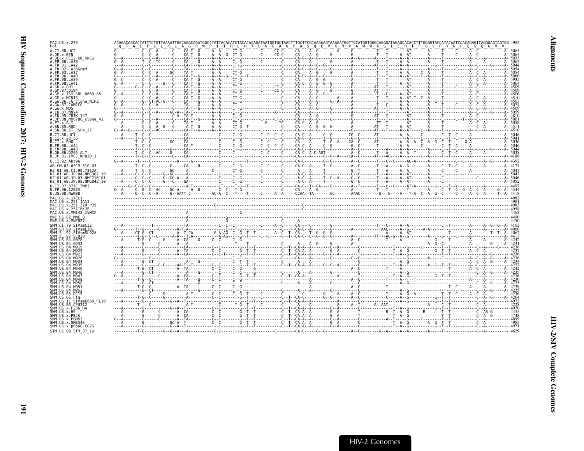| MAC.US.x.239                                                         |                 |  |
|----------------------------------------------------------------------|-----------------|--|
| A.CI.88.UC2<br>A.DE.x.BEN                                            |                 |  |
| A.DE.x.PEI2 KR KRCG<br>A.FR.00.LA38                                  |                 |  |
| A.FR.01.LA42<br>.FR.02.LA36GomM                                      |                 |  |
| <b>FR 93 1 437</b><br>.FR.96.IA40                                    |                 |  |
| .FR.98.LA41                                                          |                 |  |
| . GH . X . GHT<br>GM.87.D194                                         |                 |  |
| A.GM.x.ISY SBL 6669 85<br>A.GM.x.MCNI3                               |                 |  |
| A.GW.86.FG clone NIHZ                                                |                 |  |
| A.GW.87.CAM2CG<br>A.GW.x.MDS                                         |                 |  |
| A.IN.07.NNVA<br>A. IN. 95. CRIK 147                                  |                 |  |
| JP.08.NMC786 clone 41<br>.PT.x.ALI                                   |                 |  |
| A.SN.85.ROD<br>A.SN.86.ST JSP4 27                                    |                 |  |
| R. CT. 88. HC1<br>B.CI.x.20 56                                       |                 |  |
| B.CI.X.EHO<br>B.FR.00.LA44                                           |                 |  |
| B.FR.98.LA43<br>B.GH.86.D205 ALT                                     |                 |  |
| B.JP.01.IMCJ KR020 1                                                 |                 |  |
| G.CI.92.Abt96<br>AB.CM.03.03CM 510 03                                |                 |  |
| H <sub>2</sub> 01 AB.CT.90.7312A<br>H2 01 AB.JP.04.NMC307 2          |                 |  |
| H2 <sup>-01-AB.JP.07.NMC716-01</sup>                                 |                 |  |
| H2 <sup>-01-AB.JP.08.NMC842<sup>-10</sup></sup><br>U.CI.07.07IC TNP3 |                 |  |
| U.FR.96.12034<br>U.US.08.NWK08                                       |                 |  |
| MAC. U.S. x. 17EC1<br>MAC.US.x.251 1A11                              | $\overline{AB}$ |  |
| MAC.US.x.251 32H PJ5<br>MAC.US.x.251 <sup>-</sup> BK28               |                 |  |
| MAC.US.x.MM142 IVMXX                                                 |                 |  |
| MNE.US.82.MNE 8<br>MNE.US.x.MNE027                                   |                 |  |
| SMM.CI.79.SIVsmCI2<br>SMM.LR.89.SIVsmLIB1                            |                 |  |
| SMM.SL.92.SIVsmSL92A<br>SMM.SL.92.SL92B                              |                 |  |
| SMM.US.04.G078<br>SMM. U.S. 04. G932                                 |                 |  |
| 04 M919                                                              |                 |  |
|                                                                      |                 |  |
|                                                                      |                 |  |
| SMM US 04 M946                                                       |                 |  |
| SMM. U.S. 04. M947<br>SMM.US.04.M949                                 |                 |  |
| SMM.US.04.M950<br>04 M951                                            |                 |  |
| <b>SMM 115</b><br>.04.M952                                           |                 |  |
| SMM.US.11.SIVsmE660 FL10                                             |                 |  |
| SMM.US.86.CFU212                                                     |                 |  |
| SMM.US.x.F236 H4<br>SMM IIS x H9                                     |                 |  |
| SMM.US.x.PBJA<br>SMM.US.x.PGM53                                      |                 |  |
| SMM.US.x.SME543<br>SMM. US. x. pE660. CG7G                           |                 |  |
| STM.US.89.STM 37 16                                                  |                 |  |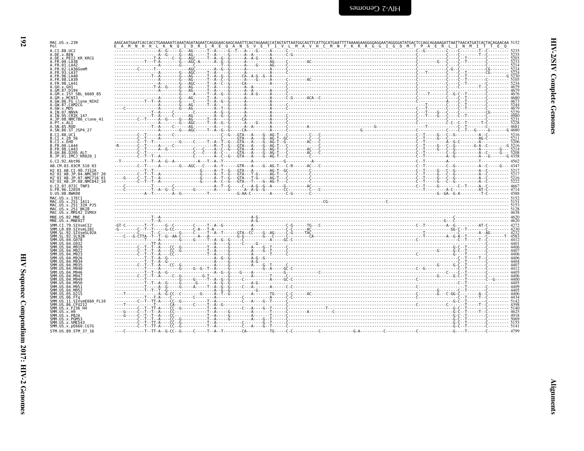| į<br>יים הי<br>ſ. |  |
|-------------------|--|
| くしょう<br>i         |  |
| Ĭ<br>ì            |  |

| MAC.US.x.239                                                                                                                                                                                                                                                                                                                                                     |  |  |  |
|------------------------------------------------------------------------------------------------------------------------------------------------------------------------------------------------------------------------------------------------------------------------------------------------------------------------------------------------------------------|--|--|--|
| A.CI.88.UC2<br>A.DE.x.BEN                                                                                                                                                                                                                                                                                                                                        |  |  |  |
| A.DE.X.PEI2 KR KRCG                                                                                                                                                                                                                                                                                                                                              |  |  |  |
| A.FR.00.LA38                                                                                                                                                                                                                                                                                                                                                     |  |  |  |
| A.FR.01.LA42                                                                                                                                                                                                                                                                                                                                                     |  |  |  |
| A. FR. 02. LA36GomM<br>A. FR. 93. LA37                                                                                                                                                                                                                                                                                                                           |  |  |  |
| A.FR.96.LA40                                                                                                                                                                                                                                                                                                                                                     |  |  |  |
| A. FR. 98. LA39                                                                                                                                                                                                                                                                                                                                                  |  |  |  |
| A.FR.98.LA41                                                                                                                                                                                                                                                                                                                                                     |  |  |  |
| A.GH.x.GH1                                                                                                                                                                                                                                                                                                                                                       |  |  |  |
| A.GM.87.D194<br>A.GM.x.ISY SBL 6669 85                                                                                                                                                                                                                                                                                                                           |  |  |  |
| A.GM.x.MCN13                                                                                                                                                                                                                                                                                                                                                     |  |  |  |
| A.GW.86.FG clone NIHZ                                                                                                                                                                                                                                                                                                                                            |  |  |  |
| A.GW.87.CAM2CG                                                                                                                                                                                                                                                                                                                                                   |  |  |  |
| A.GW.x.MDS                                                                                                                                                                                                                                                                                                                                                       |  |  |  |
| A.IN.07.NNVA<br>A. IN. 95. CRIK 147                                                                                                                                                                                                                                                                                                                              |  |  |  |
| A.JP.08.NMC786 clone 41                                                                                                                                                                                                                                                                                                                                          |  |  |  |
| A.PT.x.ALI                                                                                                                                                                                                                                                                                                                                                       |  |  |  |
| A.SN.85.ROD                                                                                                                                                                                                                                                                                                                                                      |  |  |  |
| A.SN.86.ST JSP4 27                                                                                                                                                                                                                                                                                                                                               |  |  |  |
| B.CI.88.UC1                                                                                                                                                                                                                                                                                                                                                      |  |  |  |
| B.CI.x.20 56                                                                                                                                                                                                                                                                                                                                                     |  |  |  |
| B.CI.x.EHO                                                                                                                                                                                                                                                                                                                                                       |  |  |  |
| B. FR. 00. LA44<br>B. FR. 98. LA43                                                                                                                                                                                                                                                                                                                               |  |  |  |
| B.GH.86.D205 ALT                                                                                                                                                                                                                                                                                                                                                 |  |  |  |
| B.JP.01.IMCJ KR020 1                                                                                                                                                                                                                                                                                                                                             |  |  |  |
| G.CI.92.Aht96                                                                                                                                                                                                                                                                                                                                                    |  |  |  |
| AB.CM.03.03CM 510 03                                                                                                                                                                                                                                                                                                                                             |  |  |  |
|                                                                                                                                                                                                                                                                                                                                                                  |  |  |  |
| H2 01 AB.CI.90.7312A<br>H2 01 AB.JP.04.NMC307 20                                                                                                                                                                                                                                                                                                                 |  |  |  |
| H2 <sup>-01-AB.JP.07.NMC716-01</sup>                                                                                                                                                                                                                                                                                                                             |  |  |  |
| H2 01 AB.JP.08.NMC842 10                                                                                                                                                                                                                                                                                                                                         |  |  |  |
| U.CI.07.07IC TNP3                                                                                                                                                                                                                                                                                                                                                |  |  |  |
| U.FR.96.12034                                                                                                                                                                                                                                                                                                                                                    |  |  |  |
| U.US.08.NWK08                                                                                                                                                                                                                                                                                                                                                    |  |  |  |
| MAC.US.x.17EC1<br>MAC.US.x.251 1A11                                                                                                                                                                                                                                                                                                                              |  |  |  |
| MAC. US. x. 251 32H PJ5                                                                                                                                                                                                                                                                                                                                          |  |  |  |
| MAC. US. x. 251 BK28                                                                                                                                                                                                                                                                                                                                             |  |  |  |
| MAC.US.x.MM142 IVMXX                                                                                                                                                                                                                                                                                                                                             |  |  |  |
| MNE.US.82.MNE 8                                                                                                                                                                                                                                                                                                                                                  |  |  |  |
| MNE.US.x.MNE027                                                                                                                                                                                                                                                                                                                                                  |  |  |  |
| SMM. CT. 79. STVsmCT2                                                                                                                                                                                                                                                                                                                                            |  |  |  |
| SMM.LR.89.SIVsmLIB1                                                                                                                                                                                                                                                                                                                                              |  |  |  |
| SMM.SL.92.SIVsmSL92A<br>SMM. SL. 92. SL92B                                                                                                                                                                                                                                                                                                                       |  |  |  |
| SMM. US. 04. G078                                                                                                                                                                                                                                                                                                                                                |  |  |  |
| SMM US 04 G932                                                                                                                                                                                                                                                                                                                                                   |  |  |  |
| SMM. U.S. 04. M919                                                                                                                                                                                                                                                                                                                                               |  |  |  |
| SMM. U.S. 04. M922                                                                                                                                                                                                                                                                                                                                               |  |  |  |
| SMM. U.S. 04. M923                                                                                                                                                                                                                                                                                                                                               |  |  |  |
|                                                                                                                                                                                                                                                                                                                                                                  |  |  |  |
|                                                                                                                                                                                                                                                                                                                                                                  |  |  |  |
|                                                                                                                                                                                                                                                                                                                                                                  |  |  |  |
|                                                                                                                                                                                                                                                                                                                                                                  |  |  |  |
|                                                                                                                                                                                                                                                                                                                                                                  |  |  |  |
|                                                                                                                                                                                                                                                                                                                                                                  |  |  |  |
|                                                                                                                                                                                                                                                                                                                                                                  |  |  |  |
|                                                                                                                                                                                                                                                                                                                                                                  |  |  |  |
|                                                                                                                                                                                                                                                                                                                                                                  |  |  |  |
|                                                                                                                                                                                                                                                                                                                                                                  |  |  |  |
|                                                                                                                                                                                                                                                                                                                                                                  |  |  |  |
|                                                                                                                                                                                                                                                                                                                                                                  |  |  |  |
|                                                                                                                                                                                                                                                                                                                                                                  |  |  |  |
|                                                                                                                                                                                                                                                                                                                                                                  |  |  |  |
|                                                                                                                                                                                                                                                                                                                                                                  |  |  |  |
|                                                                                                                                                                                                                                                                                                                                                                  |  |  |  |
| SMM. U.S. 04. M926<br>SMM. US. 04. M934<br>SMM. US. 04. M935<br>SMM.US.04.M940<br>SMM. US.04.M946<br>SMM IIS 04 M947<br>SMM.US.04.M949<br>SMM.US.04.M950<br>SMM. U.S. 04. M951<br>SMM. U.S. 04. M952<br>SMM.US.05.D215<br>SMM.US.06.FTq<br>SMM.US.11.SIVsmE660 FL10<br>SMM.US.86.CFU212<br>SMM. US. x. F236 H4<br>SMM.US.x.H9<br>SMM.US.x.PBJA<br>SMM.US.x.PGM53 |  |  |  |
| SMM.US.x.SME543<br>SMM. US. x. pE660. CG7G                                                                                                                                                                                                                                                                                                                       |  |  |  |

STM.US.89.STM 37 16

 $\mathfrak{g}$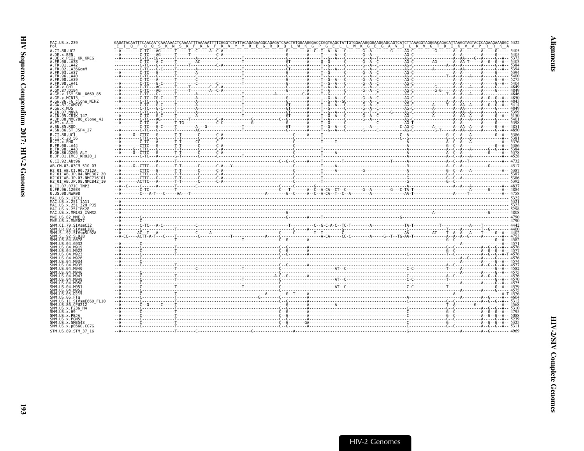| MAC.US.x.239<br>Pol                                                 |  |
|---------------------------------------------------------------------|--|
| A.CI.88.UC2                                                         |  |
| A.DE.X.BEN<br>A.DE.x.PEI2 KR KRCG                                   |  |
| A.FR.00.LA38<br>A.FR.01.LA42                                        |  |
| A. FR. 02. LA36GomM                                                 |  |
| A.FR.93.LA37<br>A.FR.96.LA40                                        |  |
| A. FR. 98. LA39<br>A.FR.98.LA41                                     |  |
|                                                                     |  |
| A GM 87 D194<br>A.GM.x.ISY SBL 6669 85                              |  |
| A.GM.x.MCN13                                                        |  |
| A.GW.86.FG_clone NIHZ<br>A.GW.87.CAM2CG                             |  |
| A.GW.x.MDS<br>A.IN.07.NNVA                                          |  |
| A.IN.95.CRIK 147                                                    |  |
| A.JP.08.NMC786 clone 41<br>A.PT.x.ALI                               |  |
| A.SN.85.ROD<br>A.SN.86.ST JSP4 27                                   |  |
| B.CT.88.UC1                                                         |  |
| B.CI.X.20 56<br>B.CI.X.EHO                                          |  |
| B. FR. 00. LA44                                                     |  |
| B. FR. 98. LA43<br>B.GH.86.D205 ALT                                 |  |
| B.JP.01.IMCJ KR020 1                                                |  |
| G.CI.92.Abt96<br>AB.CM.03.03CM 510 03                               |  |
| H2 01 AB.CI.90.7312A                                                |  |
| H2 01 AB. JP. 04. NMC307 20<br>H2 <sup>-01-AB.JP.07.NMC716-01</sup> |  |
| H2 01 AB.JP.08.NMC842 10                                            |  |
| U.CI.07.07IC TNP3<br>U.FR.96.12034                                  |  |
| U.US.08.NWK08                                                       |  |
| MAC.US.x.17EC1<br>MAC.US.x.251 1A11                                 |  |
| MAC.US.x.251 <sup>-32H</sup> PJ5                                    |  |
| MAC.US.x.251 BK28<br>MAC.US.x.MM142 IVMXX                           |  |
| MNE.US.82.MNE 8                                                     |  |
| MNE.US.x.MNE027<br>SMM.CI.79.SIVsmCI2                               |  |
| SMM.LR.89.SIVsmLIB1                                                 |  |
| SMM.SL.92.SIVsmSL92A<br>SMM.SL.92.SL92B                             |  |
| SMM. US. 04. G078                                                   |  |
| SMM.US.04.G932                                                      |  |
| SMM.US                                                              |  |
| <b>SMM IIS</b>                                                      |  |
|                                                                     |  |
| SMM IIS 04 M946                                                     |  |
| SMM IIS 04 M947                                                     |  |
| SMM.US<br>SMM LIS<br>04.M956                                        |  |
| <b>SMM IIS</b>                                                      |  |
| <b>SMM 11S</b>                                                      |  |
| SIVsmE660 FL10                                                      |  |
| SMM. US. 86. CFU212<br>SMM.US.x.F236 H4                             |  |
| SMM.US.x.H9                                                         |  |
| SMM.US.x.PBJA<br>SMM.US.x.PGM53                                     |  |
| SMM.US.x.SME543<br>SMM.US.x.pE660.CG7G                              |  |
| STM.US.89.STM 37 16                                                 |  |
|                                                                     |  |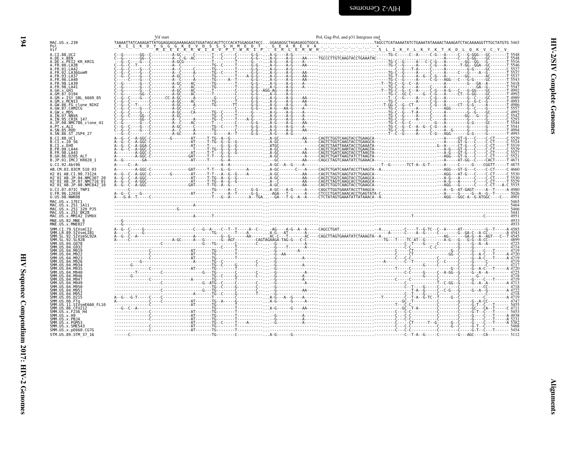<span id="page-39-0"></span>

|                                                                                          | Vif start |  | Pol, Gag-Pol, and p31 Integrase end |  |
|------------------------------------------------------------------------------------------|-----------|--|-------------------------------------|--|
| MAC.US.x.239                                                                             |           |  |                                     |  |
| Vif                                                                                      |           |  |                                     |  |
| A.CI.88.UC2                                                                              |           |  |                                     |  |
| A.DE.x.BEN<br>A.DE.x.PEI2 KR KRCG                                                        |           |  |                                     |  |
| A.FR.00.LA38<br>A. FR. 01. LA42                                                          |           |  |                                     |  |
| A.FR.02.LA36GomM                                                                         |           |  |                                     |  |
| A FR 93 I A37                                                                            |           |  |                                     |  |
| A.FR.98.LA39                                                                             |           |  |                                     |  |
| A FR 98 I A41<br>.GH.x.GH1                                                               |           |  |                                     |  |
| 4.GM.87.D194                                                                             |           |  |                                     |  |
| A.GM.x.ISY SBL 6669 85<br>A.GM.x.MCNI3                                                   |           |  |                                     |  |
| A.GW.86.FG clone NIHZ<br>A.GW.87.CAM2CG                                                  |           |  |                                     |  |
| A.GW.x.MDS                                                                               |           |  |                                     |  |
| A. IN. 07. NNVA<br>A.IN.95.CRIK 147                                                      |           |  |                                     |  |
| A.JP.08.NMC786 clone 41                                                                  |           |  |                                     |  |
| A.PT.x.ALI<br>A.SN.85.ROD                                                                |           |  |                                     |  |
| A.SN.86.ST JSP4 27                                                                       |           |  |                                     |  |
| B.CI.88.UC1<br>B.CI.X.20 56                                                              |           |  |                                     |  |
| B.CI.x.EHO                                                                               |           |  |                                     |  |
| B.FR.00.LA44<br>B. FR. 98. LA43                                                          |           |  |                                     |  |
| B.GH.86.D205 ALT                                                                         |           |  |                                     |  |
| B.JP.01.IMCJ KR020 1                                                                     |           |  |                                     |  |
| G.CI.92.Abt96<br>AB.CM.03.03CM 510 03                                                    |           |  |                                     |  |
| H2 01 AB.CI.90.7312A                                                                     |           |  |                                     |  |
| H2 01 AB.JP.04.NMC307<br>H2 <sup>-</sup> 01 <sup>-</sup> AB.JP.07.NMC716 <sup>-</sup> 01 |           |  |                                     |  |
| H2 <sup>-</sup> 01 <sup>-</sup> AB.JP.08.NMC842 <sup>-</sup> 10                          |           |  |                                     |  |
| U.CI.07.07IC TNP3<br>U.FR.96.12034                                                       |           |  |                                     |  |
| U.US.08.NWK08                                                                            |           |  |                                     |  |
| MAC.US.x.17EC1                                                                           |           |  |                                     |  |
| MAC.US.x.251 1A11<br>MAC.US.x.251 32H PJ5                                                |           |  |                                     |  |
| MAC.US.x.251 <sup>-</sup> BK28<br>MAC.US.x.MM142 IVMXX                                   |           |  |                                     |  |
| MNE.US.82.MNE 8                                                                          |           |  |                                     |  |
| MNE.US.x.MNE027                                                                          |           |  |                                     |  |
| SMM.CI.79.SIVsmCI2<br>SMM.LR.89.SIVsmLIB1                                                |           |  |                                     |  |
| SMM.SL.92.SIVsmSL92A                                                                     |           |  |                                     |  |
| SMM.US.04.G078                                                                           |           |  |                                     |  |
|                                                                                          |           |  |                                     |  |
|                                                                                          |           |  |                                     |  |
|                                                                                          |           |  |                                     |  |
|                                                                                          |           |  |                                     |  |
| SMM IIS                                                                                  |           |  |                                     |  |
| SMM IIS A4 MQ46                                                                          |           |  |                                     |  |
|                                                                                          |           |  |                                     |  |
|                                                                                          |           |  |                                     |  |
|                                                                                          |           |  |                                     |  |
|                                                                                          |           |  |                                     |  |
|                                                                                          |           |  |                                     |  |
| SMM.US.86.CFU212<br>SMM.US.x.F236 H4                                                     |           |  |                                     |  |
|                                                                                          |           |  |                                     |  |
|                                                                                          |           |  |                                     |  |
| SMM.US.x.PBJA                                                                            |           |  |                                     |  |
| SMM.US.x.PGM53<br>SMM.US.x.SME543                                                        |           |  |                                     |  |
| SMM. US. x. pE660. CG7G<br>STM.US.89.STM 37 16                                           |           |  |                                     |  |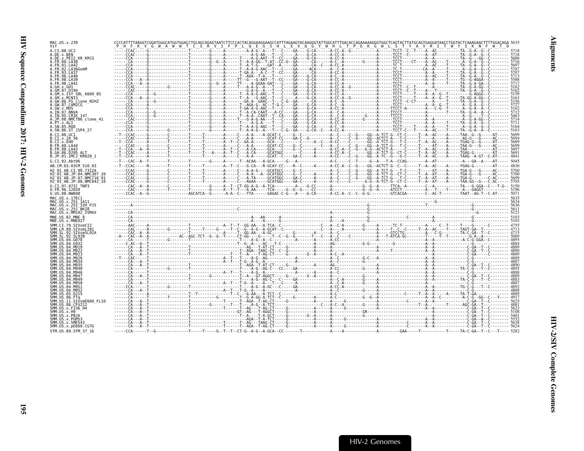| MAC.US.x.239                                                                                                                       | <u>PHFKVGWAWWTCSRVIFPLQEGSHLEVQGYWHLTPEKGWLSTYAVRITWYSKNF</u>                                                                                                                                                                                                                                                                                                                                                               |  |  |  |  |  |  |  |
|------------------------------------------------------------------------------------------------------------------------------------|-----------------------------------------------------------------------------------------------------------------------------------------------------------------------------------------------------------------------------------------------------------------------------------------------------------------------------------------------------------------------------------------------------------------------------|--|--|--|--|--|--|--|
| A.CI.88.UC2<br>A.DE.x.BEN                                                                                                          |                                                                                                                                                                                                                                                                                                                                                                                                                             |  |  |  |  |  |  |  |
| A.DE.x.PEI2 KR KRCG                                                                                                                |                                                                                                                                                                                                                                                                                                                                                                                                                             |  |  |  |  |  |  |  |
| A.FR.00.LA38<br>.FR.01.LA42                                                                                                        |                                                                                                                                                                                                                                                                                                                                                                                                                             |  |  |  |  |  |  |  |
| .FR.02.LA36GomM<br><b>FR 93 1 437</b>                                                                                              |                                                                                                                                                                                                                                                                                                                                                                                                                             |  |  |  |  |  |  |  |
| . FR. 96. LA40                                                                                                                     |                                                                                                                                                                                                                                                                                                                                                                                                                             |  |  |  |  |  |  |  |
| .FR.98.LA41                                                                                                                        |                                                                                                                                                                                                                                                                                                                                                                                                                             |  |  |  |  |  |  |  |
| .GM.87.D194                                                                                                                        |                                                                                                                                                                                                                                                                                                                                                                                                                             |  |  |  |  |  |  |  |
| .GM.x.ISY SBL 6669 85                                                                                                              |                                                                                                                                                                                                                                                                                                                                                                                                                             |  |  |  |  |  |  |  |
| .GM.x.MCNI3<br>A.GW.86.FG clone NIHZ                                                                                               |                                                                                                                                                                                                                                                                                                                                                                                                                             |  |  |  |  |  |  |  |
| .GW.87.CAM2CG<br>.GW.x.MDS                                                                                                         |                                                                                                                                                                                                                                                                                                                                                                                                                             |  |  |  |  |  |  |  |
| .IN.07.NNVA<br>A.IN.95.CRIK 147                                                                                                    |                                                                                                                                                                                                                                                                                                                                                                                                                             |  |  |  |  |  |  |  |
| .JP.08.NMC786 clone 41                                                                                                             |                                                                                                                                                                                                                                                                                                                                                                                                                             |  |  |  |  |  |  |  |
| PT.x.ALI<br>.SN.85.ROD                                                                                                             |                                                                                                                                                                                                                                                                                                                                                                                                                             |  |  |  |  |  |  |  |
| A.SN.86.ST JSP4 27                                                                                                                 |                                                                                                                                                                                                                                                                                                                                                                                                                             |  |  |  |  |  |  |  |
| B.CI.x.20 56                                                                                                                       |                                                                                                                                                                                                                                                                                                                                                                                                                             |  |  |  |  |  |  |  |
| B.CI.x.EHO<br>.FR.00.LA44                                                                                                          |                                                                                                                                                                                                                                                                                                                                                                                                                             |  |  |  |  |  |  |  |
| B.FR.98.LA43                                                                                                                       |                                                                                                                                                                                                                                                                                                                                                                                                                             |  |  |  |  |  |  |  |
| B.GH.86.D205 ALT<br>B.JP.01.IMCJ <sup>-</sup> KR020 1                                                                              |                                                                                                                                                                                                                                                                                                                                                                                                                             |  |  |  |  |  |  |  |
| G.CI.92.Abt96                                                                                                                      |                                                                                                                                                                                                                                                                                                                                                                                                                             |  |  |  |  |  |  |  |
| AB.CM.03.03CM 510 03                                                                                                               | --T--CCAC-----R--------T-------T------T-------A--T--C---G-CA---R-GCAY-CC----R--C----A------A-CC-A--C--G---GG--ACTCT-G--C--C-----T--A--AC---A-----YGAG-G---------AT----- 4830                                                                                                                                                                                                                                                |  |  |  |  |  |  |  |
| H2 01 AB.CI.90.7312A                                                                                                               |                                                                                                                                                                                                                                                                                                                                                                                                                             |  |  |  |  |  |  |  |
| H2 <sup>-</sup> 01 <sup>-</sup> AB.JP.07.NMC716 <sup>-</sup> 01<br>H2 <sup>-</sup> 01 <sup>-</sup> AB.JP.08.NMC842 <sup>-</sup> 10 |                                                                                                                                                                                                                                                                                                                                                                                                                             |  |  |  |  |  |  |  |
| U.CI.07.07IC TNP3                                                                                                                  |                                                                                                                                                                                                                                                                                                                                                                                                                             |  |  |  |  |  |  |  |
| U.FR.96.12034<br>U.US.08.NWK08                                                                                                     |                                                                                                                                                                                                                                                                                                                                                                                                                             |  |  |  |  |  |  |  |
| MAC.US.x.17EC1                                                                                                                     |                                                                                                                                                                                                                                                                                                                                                                                                                             |  |  |  |  |  |  |  |
| MAC.US.x.251 1A11<br>MAC.US.x.251 <sup>-</sup> 32H PJ5                                                                             |                                                                                                                                                                                                                                                                                                                                                                                                                             |  |  |  |  |  |  |  |
|                                                                                                                                    |                                                                                                                                                                                                                                                                                                                                                                                                                             |  |  |  |  |  |  |  |
| MAC.US.x.251 <sup>-</sup> BK28                                                                                                     |                                                                                                                                                                                                                                                                                                                                                                                                                             |  |  |  |  |  |  |  |
| MAC.US.x.MM142 IVMXX                                                                                                               |                                                                                                                                                                                                                                                                                                                                                                                                                             |  |  |  |  |  |  |  |
| MNE.US.82.MNE 8<br>MNE.US.x.MNE027                                                                                                 |                                                                                                                                                                                                                                                                                                                                                                                                                             |  |  |  |  |  |  |  |
| SMM.CI.79.SIVsmCI2<br>SMM.LR.89.SIVsmLIB1                                                                                          |                                                                                                                                                                                                                                                                                                                                                                                                                             |  |  |  |  |  |  |  |
|                                                                                                                                    |                                                                                                                                                                                                                                                                                                                                                                                                                             |  |  |  |  |  |  |  |
|                                                                                                                                    |                                                                                                                                                                                                                                                                                                                                                                                                                             |  |  |  |  |  |  |  |
|                                                                                                                                    |                                                                                                                                                                                                                                                                                                                                                                                                                             |  |  |  |  |  |  |  |
|                                                                                                                                    |                                                                                                                                                                                                                                                                                                                                                                                                                             |  |  |  |  |  |  |  |
|                                                                                                                                    |                                                                                                                                                                                                                                                                                                                                                                                                                             |  |  |  |  |  |  |  |
|                                                                                                                                    |                                                                                                                                                                                                                                                                                                                                                                                                                             |  |  |  |  |  |  |  |
|                                                                                                                                    |                                                                                                                                                                                                                                                                                                                                                                                                                             |  |  |  |  |  |  |  |
|                                                                                                                                    |                                                                                                                                                                                                                                                                                                                                                                                                                             |  |  |  |  |  |  |  |
|                                                                                                                                    |                                                                                                                                                                                                                                                                                                                                                                                                                             |  |  |  |  |  |  |  |
|                                                                                                                                    |                                                                                                                                                                                                                                                                                                                                                                                                                             |  |  |  |  |  |  |  |
|                                                                                                                                    |                                                                                                                                                                                                                                                                                                                                                                                                                             |  |  |  |  |  |  |  |
|                                                                                                                                    |                                                                                                                                                                                                                                                                                                                                                                                                                             |  |  |  |  |  |  |  |
| SMM.US.86.CFU212                                                                                                                   |                                                                                                                                                                                                                                                                                                                                                                                                                             |  |  |  |  |  |  |  |
| SMM.US.x.F236 H4                                                                                                                   | $\xbrace{\mathbf{0},\mathbf{1},\mathbf{2},\mathbf{3},\mathbf{4},\mathbf{5},\mathbf{6},\mathbf{6},\mathbf{7},\mathbf{8},\mathbf{8},\mathbf{8},\mathbf{7},\mathbf{8},\mathbf{8},\mathbf{8},\mathbf{8},\mathbf{8},\mathbf{8},\mathbf{8},\mathbf{8},\mathbf{8},\mathbf{8},\mathbf{8},\mathbf{8},\mathbf{8},\mathbf{8},\mathbf{8},\mathbf{8},\mathbf{8},\mathbf{8},\mathbf{8},\mathbf{8},\mathbf{8},\mathbf{8},\mathbf{8},\math$ |  |  |  |  |  |  |  |
| SMM.US.x.PGM53                                                                                                                     |                                                                                                                                                                                                                                                                                                                                                                                                                             |  |  |  |  |  |  |  |
| SMM.US.x.SME543<br>SMM. US. x. pE660. CG7G                                                                                         |                                                                                                                                                                                                                                                                                                                                                                                                                             |  |  |  |  |  |  |  |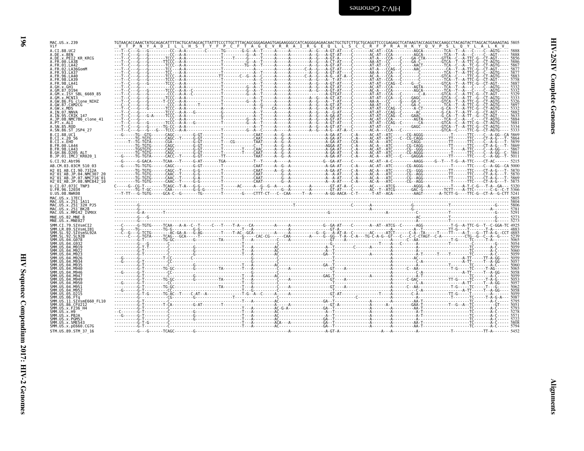| יי ל<br>י   |
|-------------|
|             |
|             |
|             |
|             |
|             |
|             |
|             |
|             |
| ֠<br>j      |
|             |
|             |
| i           |
|             |
|             |
|             |
|             |
|             |
|             |
| ים די היא ל |
|             |
|             |
|             |

 $\blacksquare$ 

TGTAACACCAAACTATGCAGACATTTTACTGCATAGCACTTATTTCCCTTTGCTTTACAGCGGGAAGAGCGGCAACAGGGAAGACACTGCTGTCGCGGGTTCCCGAGGCTCATAGTACCATACCAACCTACCACACTTAGCACTGAAAGTAG 5805<br>VTPNYADILLIHSTYFPCFTAGEVRRAIRGEVRRAIRGEVLSCCRFPRRAHKYQVPSLQVPSLQ

| MAC.US.x.239<br>Vif                                              |  |  | AGCACTTATTTCCCTTGCTTTACAGCGGGAGAAGTGAGAAGGGCCCATCAGGGGAGAACAACTGCTGTCTTGCTGCAGGTTCCCGAGAGCTCATAAGTACCAGGTACCAAGCCTACAGTACTTAGCACTGAAAGTAG 5805 |
|------------------------------------------------------------------|--|--|------------------------------------------------------------------------------------------------------------------------------------------------|
| A.CI.88.UC2                                                      |  |  |                                                                                                                                                |
| A.DE.x.BEN<br>A.DE.x.PEI2 KR KRCG                                |  |  |                                                                                                                                                |
| A. FR. 00. LA38                                                  |  |  |                                                                                                                                                |
| A.FR.01.LA42<br>A. FR. 02. LA36GomM                              |  |  |                                                                                                                                                |
| A.FR.93.LA37<br>A.FR.96.LA40                                     |  |  |                                                                                                                                                |
| A.FR.98.LA39                                                     |  |  |                                                                                                                                                |
| A.FR.98.LA41                                                     |  |  |                                                                                                                                                |
| A.GH.x.GH1<br>A.GM.87.D194                                       |  |  |                                                                                                                                                |
| A.GM.X.ISY SBL 6669 85<br>A.GM.X.MCN13                           |  |  |                                                                                                                                                |
| A.GW.86.FG clone NIHZ                                            |  |  |                                                                                                                                                |
| A.GW.87.CAM2CG                                                   |  |  |                                                                                                                                                |
| A.GW.x.MDS<br>A.IN.07.NNVA                                       |  |  |                                                                                                                                                |
| A. IN. 95. CRIK 147<br>A.JP.08.NMC786_clone_41                   |  |  |                                                                                                                                                |
| A.PT.x.ALI                                                       |  |  |                                                                                                                                                |
| A.SN.85.ROD<br>A.SN.86.ST_JSP4 27                                |  |  |                                                                                                                                                |
| B.CI.88.UC1                                                      |  |  |                                                                                                                                                |
| B.CI.X.20 56                                                     |  |  |                                                                                                                                                |
| B.CI.x.EHO<br>B. FR. 00. LA44                                    |  |  |                                                                                                                                                |
| <b>B.FR.98.LA43</b>                                              |  |  |                                                                                                                                                |
| B.GH.86.D205 ALT<br>B.JP.01.IMCJ KR020 1                         |  |  |                                                                                                                                                |
| G.CI.92.Abt96                                                    |  |  |                                                                                                                                                |
| AB.CM.03.03CM 510 03                                             |  |  |                                                                                                                                                |
| H2 01 AB.CI.90.7312A                                             |  |  |                                                                                                                                                |
| H2 01 AB JP 04 NMC307 26<br>H2 <sup>-01-AB.JP.07.NMC716-01</sup> |  |  |                                                                                                                                                |
| H2 <sup>-01-AB.JP.08.NMC842<sup>-10</sup></sup>                  |  |  |                                                                                                                                                |
| U.CI.07.07IC TNP3<br>U.FR.96.12034                               |  |  |                                                                                                                                                |
| U.US.08.NWK08                                                    |  |  |                                                                                                                                                |
| MAC.US.x.17EC1                                                   |  |  |                                                                                                                                                |
| MAC.US.x.251 1A11<br>MAC.US.x.251 32H PJ5                        |  |  |                                                                                                                                                |
| MAC.US.x.251 <sup>-</sup> BK28<br>MAC.US.x.MM142 IVMXX           |  |  |                                                                                                                                                |
| MNE.US.82.MNE 8                                                  |  |  |                                                                                                                                                |
| MNE.US.x.MNE027                                                  |  |  |                                                                                                                                                |
| SMM.CI.79.SIVsmCI2                                               |  |  |                                                                                                                                                |
| SMM.LR.89.SIVsmLIB1<br>SMM.SL.92.SIVsmSL92A                      |  |  |                                                                                                                                                |
| SMM.SL.92.SL92B<br>SMM. US. 04. G078                             |  |  |                                                                                                                                                |
| SMM. U.S. 04. G932                                               |  |  |                                                                                                                                                |
| SMM US 04 M919<br>SMM.US.04.M922                                 |  |  |                                                                                                                                                |
| SMM.US.04.M923                                                   |  |  |                                                                                                                                                |
| SMM.US.04.M926<br>SMM.US.04.M934                                 |  |  |                                                                                                                                                |
| SMM. U.S. 04. M935                                               |  |  |                                                                                                                                                |
| SMM. U.S. 04. M940<br>SMM.US.04.M946                             |  |  |                                                                                                                                                |
| SMM.US.04.M947                                                   |  |  |                                                                                                                                                |
| SMM.US.04.M949<br>SMM. U.S. 04. M956                             |  |  |                                                                                                                                                |
| SMM.US.04.M951                                                   |  |  |                                                                                                                                                |
| SMM.US.04.M952<br>SMM.US.05.D215                                 |  |  |                                                                                                                                                |
| SMM.US.06.FTq                                                    |  |  |                                                                                                                                                |
| SMM.US.11.SIVsmE660 FL10<br>SMM.US.86.CFU212                     |  |  |                                                                                                                                                |
| SMM.US.x.F236 H4                                                 |  |  |                                                                                                                                                |
| SMM.US.x.H9<br>SMM.US.x.PBJA                                     |  |  |                                                                                                                                                |
| SMM.US.x.PGM53                                                   |  |  |                                                                                                                                                |
| SMM.US.x.SME543<br>SMM. US. x. pE660. CG7G                       |  |  |                                                                                                                                                |
| STM.US.89.STM 37 16                                              |  |  |                                                                                                                                                |
|                                                                  |  |  |                                                                                                                                                |

196

MAC.US.x.239<br>Vif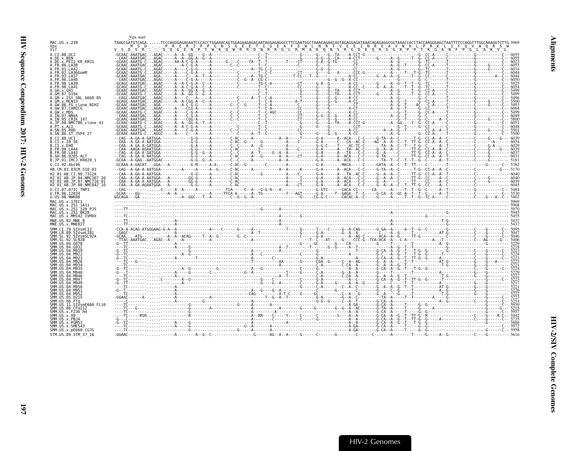<span id="page-42-0"></span>

| MAC.US.x.239                                                                             |  |  |  |  |  |  |  |  |  |  |  |
|------------------------------------------------------------------------------------------|--|--|--|--|--|--|--|--|--|--|--|
| Vpx<br>Vif                                                                               |  |  |  |  |  |  |  |  |  |  |  |
| A.CI.88.UC2                                                                              |  |  |  |  |  |  |  |  |  |  |  |
| A.DE.x.BEN<br>A.DE.x.PEI2 KR KRCG                                                        |  |  |  |  |  |  |  |  |  |  |  |
| A.FR.00.LA38                                                                             |  |  |  |  |  |  |  |  |  |  |  |
| A.FR.01.LA42                                                                             |  |  |  |  |  |  |  |  |  |  |  |
| A.FR.02.LA36GomM<br><b>FR 93 LA37</b>                                                    |  |  |  |  |  |  |  |  |  |  |  |
| 96.LA40                                                                                  |  |  |  |  |  |  |  |  |  |  |  |
|                                                                                          |  |  |  |  |  |  |  |  |  |  |  |
|                                                                                          |  |  |  |  |  |  |  |  |  |  |  |
|                                                                                          |  |  |  |  |  |  |  |  |  |  |  |
| .GM.x.ISY SBL 6669 85<br>.GM.x.MCNI3                                                     |  |  |  |  |  |  |  |  |  |  |  |
| A.GW.86.FG clone NIHZ                                                                    |  |  |  |  |  |  |  |  |  |  |  |
| A.GW.87.CAM2CG                                                                           |  |  |  |  |  |  |  |  |  |  |  |
| A.GW.x.MDS<br>A.IN.07.NNVA                                                               |  |  |  |  |  |  |  |  |  |  |  |
| A.IN.95.CRIK 147                                                                         |  |  |  |  |  |  |  |  |  |  |  |
| A.JP.08.NMC786_clone 41                                                                  |  |  |  |  |  |  |  |  |  |  |  |
| A.PT.x.ALI<br>A.SN.85.ROD                                                                |  |  |  |  |  |  |  |  |  |  |  |
| A.SN.86.ST JSP4 27                                                                       |  |  |  |  |  |  |  |  |  |  |  |
| B.CI.88.UC1                                                                              |  |  |  |  |  |  |  |  |  |  |  |
| B.CI.x.20 56                                                                             |  |  |  |  |  |  |  |  |  |  |  |
| B.CI.x.EHO<br>B.FR.00.LA44                                                               |  |  |  |  |  |  |  |  |  |  |  |
| B.FR.98.LA43                                                                             |  |  |  |  |  |  |  |  |  |  |  |
| B.GH.86.D205 ALT                                                                         |  |  |  |  |  |  |  |  |  |  |  |
| B.JP.01.IMCJ <sup>-</sup> KR020 1<br>G.CI.92.Abt96                                       |  |  |  |  |  |  |  |  |  |  |  |
| AB.CM.03.03CM 510 03                                                                     |  |  |  |  |  |  |  |  |  |  |  |
| H2 01 AB.CI.90.7312A                                                                     |  |  |  |  |  |  |  |  |  |  |  |
| H2 <sup>-</sup> 01 <sup>-</sup> AB.JP.04.NMC307 20                                       |  |  |  |  |  |  |  |  |  |  |  |
| H2 <sup>-</sup> 01 <sup>-</sup> AB.JP.07.NMC716 <sup>-</sup> 01                          |  |  |  |  |  |  |  |  |  |  |  |
| H2 <sup>-</sup> 01 <sup>-</sup> AB.JP.08.NMC842 <sup>-</sup> 10<br>U.CI.07.07IC TNP3     |  |  |  |  |  |  |  |  |  |  |  |
|                                                                                          |  |  |  |  |  |  |  |  |  |  |  |
|                                                                                          |  |  |  |  |  |  |  |  |  |  |  |
| U.FR.96.12034<br>U.US.08.NWK08                                                           |  |  |  |  |  |  |  |  |  |  |  |
| MAC.US.x.17EC1                                                                           |  |  |  |  |  |  |  |  |  |  |  |
|                                                                                          |  |  |  |  |  |  |  |  |  |  |  |
| MAC.US.x.251_1A11<br>MAC.US.x.251 <sup>-</sup> 32H PJ5<br>MAC.US.x.251 <sup>-</sup> BK28 |  |  |  |  |  |  |  |  |  |  |  |
| MAC.US.x.MM142 IVMXX                                                                     |  |  |  |  |  |  |  |  |  |  |  |
| MNE.US.82.MNE 8                                                                          |  |  |  |  |  |  |  |  |  |  |  |
| MNE.US.x.MNE027                                                                          |  |  |  |  |  |  |  |  |  |  |  |
| SMM.CI.79.SIVsmCI2<br>SMM IR 89 STVsmlTR                                                 |  |  |  |  |  |  |  |  |  |  |  |
|                                                                                          |  |  |  |  |  |  |  |  |  |  |  |
|                                                                                          |  |  |  |  |  |  |  |  |  |  |  |
|                                                                                          |  |  |  |  |  |  |  |  |  |  |  |
|                                                                                          |  |  |  |  |  |  |  |  |  |  |  |
|                                                                                          |  |  |  |  |  |  |  |  |  |  |  |
|                                                                                          |  |  |  |  |  |  |  |  |  |  |  |
|                                                                                          |  |  |  |  |  |  |  |  |  |  |  |
| SMM.US.                                                                                  |  |  |  |  |  |  |  |  |  |  |  |
|                                                                                          |  |  |  |  |  |  |  |  |  |  |  |
|                                                                                          |  |  |  |  |  |  |  |  |  |  |  |
| SMM.US                                                                                   |  |  |  |  |  |  |  |  |  |  |  |
| SMM LIS 04 M951                                                                          |  |  |  |  |  |  |  |  |  |  |  |
| SMM.US<br><b>SNN HIS</b>                                                                 |  |  |  |  |  |  |  |  |  |  |  |
|                                                                                          |  |  |  |  |  |  |  |  |  |  |  |
| SMM.US.11.SIVsmE660 FL10                                                                 |  |  |  |  |  |  |  |  |  |  |  |
| SMM.US.86.CFU212                                                                         |  |  |  |  |  |  |  |  |  |  |  |
|                                                                                          |  |  |  |  |  |  |  |  |  |  |  |
| SMM.US.x.PBJA                                                                            |  |  |  |  |  |  |  |  |  |  |  |
| SMM.US.x.PGM53<br>SMM.US.x.SME543                                                        |  |  |  |  |  |  |  |  |  |  |  |
| SMM.US.x.pE660.CG7G<br>STM.US.89.STM 37 16                                               |  |  |  |  |  |  |  |  |  |  |  |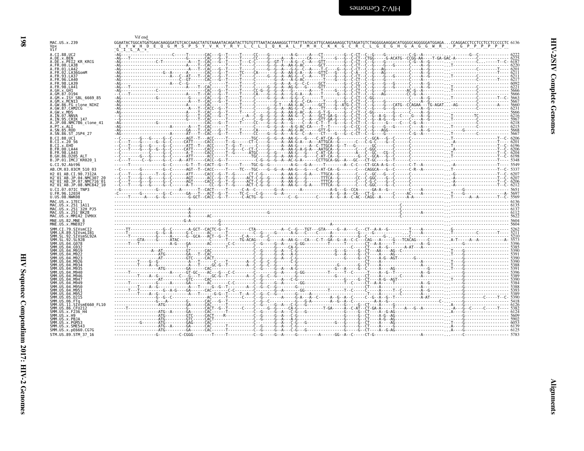<span id="page-43-0"></span>

| ミスト         |  |
|-------------|--|
| Î<br>ļ<br>i |  |
| ì<br>i.     |  |

| MAC.US.x.239                                                    | RYLCLIOKALFMHCKKGCRCLGEGHGAGGWR.PGPPPPP                                                                                                                                                                                                                                                                                                                                                                                              |  |
|-----------------------------------------------------------------|--------------------------------------------------------------------------------------------------------------------------------------------------------------------------------------------------------------------------------------------------------------------------------------------------------------------------------------------------------------------------------------------------------------------------------------|--|
| Vpx<br>Vif                                                      | Y W H D E O G M S P S Y V K Y                                                                                                                                                                                                                                                                                                                                                                                                        |  |
| A.CI.88.UC2                                                     |                                                                                                                                                                                                                                                                                                                                                                                                                                      |  |
| A.DE.x.BEN                                                      |                                                                                                                                                                                                                                                                                                                                                                                                                                      |  |
| A.DE.x.PEI2 KR KRCG<br>.FR.00.LA38                              |                                                                                                                                                                                                                                                                                                                                                                                                                                      |  |
| .FR.01.LA42                                                     |                                                                                                                                                                                                                                                                                                                                                                                                                                      |  |
| 02.LA36GomM                                                     |                                                                                                                                                                                                                                                                                                                                                                                                                                      |  |
| 93.LA37<br>96.IA 40                                             |                                                                                                                                                                                                                                                                                                                                                                                                                                      |  |
| 98.1439                                                         |                                                                                                                                                                                                                                                                                                                                                                                                                                      |  |
| 98.LA41                                                         |                                                                                                                                                                                                                                                                                                                                                                                                                                      |  |
| GH x GH1<br>.GM.87.D194                                         |                                                                                                                                                                                                                                                                                                                                                                                                                                      |  |
| A.GM.x.ISY SBL 6669 85                                          |                                                                                                                                                                                                                                                                                                                                                                                                                                      |  |
| .GM.x.MCNI3                                                     |                                                                                                                                                                                                                                                                                                                                                                                                                                      |  |
| A.GW.86.FG clone NIHZ<br>A.GW.87.CAM2CG                         |                                                                                                                                                                                                                                                                                                                                                                                                                                      |  |
| A.GW.x.MDS                                                      |                                                                                                                                                                                                                                                                                                                                                                                                                                      |  |
| A.IN.07.NNVA                                                    |                                                                                                                                                                                                                                                                                                                                                                                                                                      |  |
| A.IN.95.CRIK 147<br>A.JP.08.NMC786 clone 41                     |                                                                                                                                                                                                                                                                                                                                                                                                                                      |  |
| A.PT.x.ALI                                                      |                                                                                                                                                                                                                                                                                                                                                                                                                                      |  |
| A.SN.85.ROD<br>A.SN.86.ST JSP4 27                               |                                                                                                                                                                                                                                                                                                                                                                                                                                      |  |
| B.CI.88.UC1                                                     |                                                                                                                                                                                                                                                                                                                                                                                                                                      |  |
| B.CI.x.20 56                                                    |                                                                                                                                                                                                                                                                                                                                                                                                                                      |  |
| $CT \times FHO$                                                 |                                                                                                                                                                                                                                                                                                                                                                                                                                      |  |
| B.FR.00.LA44<br>B.FR.98.LA43                                    |                                                                                                                                                                                                                                                                                                                                                                                                                                      |  |
| B.GH.86.D205 ALT                                                |                                                                                                                                                                                                                                                                                                                                                                                                                                      |  |
| B.JP.01.IMCJ KR020 1                                            |                                                                                                                                                                                                                                                                                                                                                                                                                                      |  |
| G.CI.92.Abt96                                                   |                                                                                                                                                                                                                                                                                                                                                                                                                                      |  |
| AB.CM.03.03CM 510 03                                            |                                                                                                                                                                                                                                                                                                                                                                                                                                      |  |
| H2 01 AB.CI.90.7312A                                            |                                                                                                                                                                                                                                                                                                                                                                                                                                      |  |
| H2 <sup>-</sup> 01 <sup>-</sup> AB.JP.07.NMC716 <sup>-</sup> 01 |                                                                                                                                                                                                                                                                                                                                                                                                                                      |  |
| H2 <sup>-</sup> 01 <sup>-</sup> AB.JP.08.NMC842 <sup>-</sup> 10 |                                                                                                                                                                                                                                                                                                                                                                                                                                      |  |
| U.CI.07.07IC TNP3<br>U.FR.96.12034                              |                                                                                                                                                                                                                                                                                                                                                                                                                                      |  |
| U.US.08.NWK08                                                   |                                                                                                                                                                                                                                                                                                                                                                                                                                      |  |
| MAC.US.x.17EC1                                                  |                                                                                                                                                                                                                                                                                                                                                                                                                                      |  |
| MAC.US.x.251 1A11                                               |                                                                                                                                                                                                                                                                                                                                                                                                                                      |  |
| MAC.US.x.251 32H PJ5<br>MAC.US.x.251 BK28                       |                                                                                                                                                                                                                                                                                                                                                                                                                                      |  |
| MAC.US.x.MM142 IVMXX                                            |                                                                                                                                                                                                                                                                                                                                                                                                                                      |  |
| MNE.US.82.MNE 8                                                 |                                                                                                                                                                                                                                                                                                                                                                                                                                      |  |
| MNE.US.x.MNE027                                                 |                                                                                                                                                                                                                                                                                                                                                                                                                                      |  |
| SMM.CI.79.SIVsmCI2<br>SMM.LR.89.SIVsmLIB1                       |                                                                                                                                                                                                                                                                                                                                                                                                                                      |  |
| SMM.SL.92.SIVsmSL92A                                            |                                                                                                                                                                                                                                                                                                                                                                                                                                      |  |
| SMM.SL<br>SMM.US.04.G078                                        |                                                                                                                                                                                                                                                                                                                                                                                                                                      |  |
|                                                                 |                                                                                                                                                                                                                                                                                                                                                                                                                                      |  |
| <b>IIS 04 M919</b>                                              |                                                                                                                                                                                                                                                                                                                                                                                                                                      |  |
|                                                                 |                                                                                                                                                                                                                                                                                                                                                                                                                                      |  |
|                                                                 |                                                                                                                                                                                                                                                                                                                                                                                                                                      |  |
| SMM IIS A4 MQ34<br>SMM.US.04.M935                               |                                                                                                                                                                                                                                                                                                                                                                                                                                      |  |
| 04.M940                                                         |                                                                                                                                                                                                                                                                                                                                                                                                                                      |  |
| SMM.US.04.M946                                                  |                                                                                                                                                                                                                                                                                                                                                                                                                                      |  |
| SMM IIS A4 MQ4C                                                 |                                                                                                                                                                                                                                                                                                                                                                                                                                      |  |
|                                                                 | $\begin{smallmatrix} \mathbf{1} & \mathbf{0} & \mathbf{0} & \mathbf{0} & \mathbf{0} & \mathbf{0} & \mathbf{0} & \mathbf{0} & \mathbf{0} & \mathbf{0} & \mathbf{0} & \mathbf{0} & \mathbf{0} & \mathbf{0} & \mathbf{0} & \mathbf{0} & \mathbf{0} & \mathbf{0} & \mathbf{0} & \mathbf{0} & \mathbf{0} & \mathbf{0} & \mathbf{0} & \mathbf{0} & \mathbf{0} & \mathbf{0} & \mathbf{0} & \mathbf{0} & \mathbf{0} & \mathbf{0} & \mathbf{$ |  |
|                                                                 |                                                                                                                                                                                                                                                                                                                                                                                                                                      |  |
| 05.D215                                                         |                                                                                                                                                                                                                                                                                                                                                                                                                                      |  |
| FTa                                                             |                                                                                                                                                                                                                                                                                                                                                                                                                                      |  |
| SIVsmE660 FL10.                                                 |                                                                                                                                                                                                                                                                                                                                                                                                                                      |  |
| 86.CFU212<br>.x.F236 H4                                         |                                                                                                                                                                                                                                                                                                                                                                                                                                      |  |
|                                                                 |                                                                                                                                                                                                                                                                                                                                                                                                                                      |  |
|                                                                 |                                                                                                                                                                                                                                                                                                                                                                                                                                      |  |
|                                                                 |                                                                                                                                                                                                                                                                                                                                                                                                                                      |  |
| SMM.US.x.pE660.CG7G                                             |                                                                                                                                                                                                                                                                                                                                                                                                                                      |  |
| STM.US.89.STM 37 16                                             |                                                                                                                                                                                                                                                                                                                                                                                                                                      |  |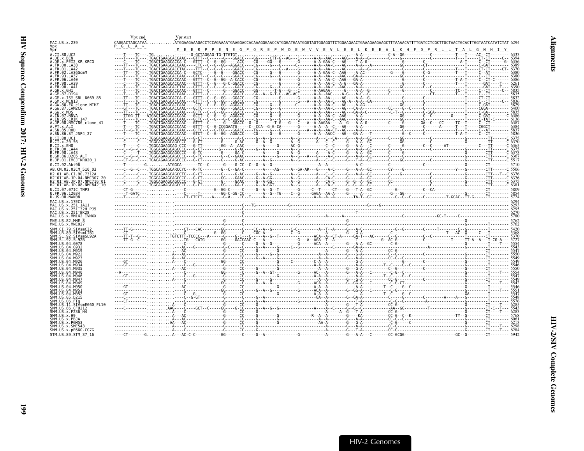<span id="page-44-0"></span>

|                                                                                             | Vpx end                                                                                                                                                                                                                                                  | Vpr start                                                                                                                                         |  |  |  |  |  |  |
|---------------------------------------------------------------------------------------------|----------------------------------------------------------------------------------------------------------------------------------------------------------------------------------------------------------------------------------------------------------|---------------------------------------------------------------------------------------------------------------------------------------------------|--|--|--|--|--|--|
| MAC.US.x.239                                                                                | CAGGACTAGCATAA                                                                                                                                                                                                                                           | ATGGAAGAAAGACCTCCAGAAAATGAAGGACCACAAAGGGAACCATGGGATGAATGGGTAGTGGAAGTTCTGGAAGAACTGAAAGAAGCTTTAAAACATTTTGATCCTCGCTTGCTAACTGCACTTGGTAATCATATCTATGCAC |  |  |  |  |  |  |
| Vbr                                                                                         | PGLA *                                                                                                                                                                                                                                                   | M E E R P P E N E G P O R E P W D E W V V E V L E E L K E E A L K H F D P R L L T A L                                                             |  |  |  |  |  |  |
|                                                                                             |                                                                                                                                                                                                                                                          |                                                                                                                                                   |  |  |  |  |  |  |
| A.CI.88.UC2<br>A.DE.X.BEN                                                                   |                                                                                                                                                                                                                                                          |                                                                                                                                                   |  |  |  |  |  |  |
| A.DE.x.PEI2 KR KRCG                                                                         |                                                                                                                                                                                                                                                          |                                                                                                                                                   |  |  |  |  |  |  |
| A.FR.00.LA38<br>A.FR.01.LA42                                                                |                                                                                                                                                                                                                                                          |                                                                                                                                                   |  |  |  |  |  |  |
| A.FR.02.LA36GomM                                                                            |                                                                                                                                                                                                                                                          |                                                                                                                                                   |  |  |  |  |  |  |
| A FR 93 I A37                                                                               |                                                                                                                                                                                                                                                          |                                                                                                                                                   |  |  |  |  |  |  |
| A.FR.96.LA40<br>A. FR. 98. LA39                                                             |                                                                                                                                                                                                                                                          |                                                                                                                                                   |  |  |  |  |  |  |
| .FR.98.LA41                                                                                 |                                                                                                                                                                                                                                                          |                                                                                                                                                   |  |  |  |  |  |  |
| AGH XGHI                                                                                    |                                                                                                                                                                                                                                                          |                                                                                                                                                   |  |  |  |  |  |  |
| A.GM.x.ISY SBL 6669 85                                                                      |                                                                                                                                                                                                                                                          |                                                                                                                                                   |  |  |  |  |  |  |
|                                                                                             |                                                                                                                                                                                                                                                          |                                                                                                                                                   |  |  |  |  |  |  |
| A.GW.86.FG clone NIHZ                                                                       |                                                                                                                                                                                                                                                          |                                                                                                                                                   |  |  |  |  |  |  |
| A.GW.87.CAM2CG<br>A.GW.x.MDS                                                                |                                                                                                                                                                                                                                                          |                                                                                                                                                   |  |  |  |  |  |  |
| A.IN.07.NNVA                                                                                |                                                                                                                                                                                                                                                          |                                                                                                                                                   |  |  |  |  |  |  |
| A.IN.95.CRIK 147                                                                            |                                                                                                                                                                                                                                                          |                                                                                                                                                   |  |  |  |  |  |  |
| A.JP.08.NMC786 clone 41<br>A.PT.x.ALI                                                       |                                                                                                                                                                                                                                                          |                                                                                                                                                   |  |  |  |  |  |  |
| A.SN.85.ROD                                                                                 |                                                                                                                                                                                                                                                          |                                                                                                                                                   |  |  |  |  |  |  |
| A.SN.86.ST JSP4 27                                                                          |                                                                                                                                                                                                                                                          |                                                                                                                                                   |  |  |  |  |  |  |
| B.CT.88.UC1                                                                                 |                                                                                                                                                                                                                                                          |                                                                                                                                                   |  |  |  |  |  |  |
| B.CI.X.20 56<br>B.CI.X.EHO                                                                  |                                                                                                                                                                                                                                                          |                                                                                                                                                   |  |  |  |  |  |  |
| B.FR.00.LA44                                                                                |                                                                                                                                                                                                                                                          |                                                                                                                                                   |  |  |  |  |  |  |
| B.FR.98.LA43<br>AI T                                                                        |                                                                                                                                                                                                                                                          |                                                                                                                                                   |  |  |  |  |  |  |
| B.GH.86.D205<br>B.JP.01.IMCJ <sup>-</sup> KR020 1                                           |                                                                                                                                                                                                                                                          |                                                                                                                                                   |  |  |  |  |  |  |
| G.CI.92.Abt96                                                                               |                                                                                                                                                                                                                                                          |                                                                                                                                                   |  |  |  |  |  |  |
| AB.CM.03.03CM 510 03                                                                        |                                                                                                                                                                                                                                                          |                                                                                                                                                   |  |  |  |  |  |  |
| H2 01 AB.CI.90.7312A                                                                        |                                                                                                                                                                                                                                                          |                                                                                                                                                   |  |  |  |  |  |  |
| H2 01 AB.JP.04.NMC307 26                                                                    |                                                                                                                                                                                                                                                          |                                                                                                                                                   |  |  |  |  |  |  |
| H2 <sup>-</sup> 01 <sup>-</sup> AB.JP.07.NMC716 <sup>-</sup> 01<br>H2 01 AB.JP.08.NMC842 10 |                                                                                                                                                                                                                                                          |                                                                                                                                                   |  |  |  |  |  |  |
| U.CI.07.07IC TNP3                                                                           |                                                                                                                                                                                                                                                          |                                                                                                                                                   |  |  |  |  |  |  |
| U.FR.96.12034                                                                               |                                                                                                                                                                                                                                                          |                                                                                                                                                   |  |  |  |  |  |  |
| U.US.08.NWK08                                                                               |                                                                                                                                                                                                                                                          |                                                                                                                                                   |  |  |  |  |  |  |
| MAC.US.x.17EC1                                                                              |                                                                                                                                                                                                                                                          |                                                                                                                                                   |  |  |  |  |  |  |
| MAC.US.x.251 1A11<br>MAC.US.x.251 <sup>-</sup> 32H PJ5                                      | $\begin{bmatrix} 2293 \\ 293 \end{bmatrix}$<br>(3293)<br>Comparison (2003) - Comparison (2003) - Comparison (2003) - Comparison (2003) - Comparison (2003) - Comparison<br>Comparison (2003) - Comparison (2003) - Comparison (2003) - Comparison (2003) |                                                                                                                                                   |  |  |  |  |  |  |
| MAC.US.x.251 <sup>-</sup> BK28                                                              |                                                                                                                                                                                                                                                          |                                                                                                                                                   |  |  |  |  |  |  |
| MAC.US.x.MM142 IVMXX                                                                        |                                                                                                                                                                                                                                                          |                                                                                                                                                   |  |  |  |  |  |  |
| MNE.US.82.MNE 8<br>MNE.US.x.MNE027                                                          |                                                                                                                                                                                                                                                          |                                                                                                                                                   |  |  |  |  |  |  |
| SMM.CI.79.SIVsmCI2                                                                          |                                                                                                                                                                                                                                                          |                                                                                                                                                   |  |  |  |  |  |  |
| SMM.LR.89.SIVsmLIB1                                                                         |                                                                                                                                                                                                                                                          |                                                                                                                                                   |  |  |  |  |  |  |
| SMM.SL.92.SIVsmSL92A                                                                        |                                                                                                                                                                                                                                                          |                                                                                                                                                   |  |  |  |  |  |  |
| SMM SL 92.SL92B                                                                             |                                                                                                                                                                                                                                                          |                                                                                                                                                   |  |  |  |  |  |  |
|                                                                                             |                                                                                                                                                                                                                                                          |                                                                                                                                                   |  |  |  |  |  |  |
|                                                                                             |                                                                                                                                                                                                                                                          |                                                                                                                                                   |  |  |  |  |  |  |
|                                                                                             |                                                                                                                                                                                                                                                          |                                                                                                                                                   |  |  |  |  |  |  |
|                                                                                             |                                                                                                                                                                                                                                                          |                                                                                                                                                   |  |  |  |  |  |  |
|                                                                                             |                                                                                                                                                                                                                                                          |                                                                                                                                                   |  |  |  |  |  |  |
|                                                                                             |                                                                                                                                                                                                                                                          |                                                                                                                                                   |  |  |  |  |  |  |
|                                                                                             |                                                                                                                                                                                                                                                          |                                                                                                                                                   |  |  |  |  |  |  |
|                                                                                             |                                                                                                                                                                                                                                                          |                                                                                                                                                   |  |  |  |  |  |  |
|                                                                                             |                                                                                                                                                                                                                                                          |                                                                                                                                                   |  |  |  |  |  |  |
| 04 M951                                                                                     |                                                                                                                                                                                                                                                          |                                                                                                                                                   |  |  |  |  |  |  |
| .04.M952<br>SMM.US.05.D215                                                                  |                                                                                                                                                                                                                                                          |                                                                                                                                                   |  |  |  |  |  |  |
|                                                                                             |                                                                                                                                                                                                                                                          |                                                                                                                                                   |  |  |  |  |  |  |
| .SIVsmE660 FL10                                                                             |                                                                                                                                                                                                                                                          |                                                                                                                                                   |  |  |  |  |  |  |
| SMM.US.86.CFU212<br>SMM.US.x.F236 H4                                                        |                                                                                                                                                                                                                                                          |                                                                                                                                                   |  |  |  |  |  |  |
| SMM US x H9                                                                                 |                                                                                                                                                                                                                                                          |                                                                                                                                                   |  |  |  |  |  |  |
| SMM.US.x.PBJA                                                                               |                                                                                                                                                                                                                                                          |                                                                                                                                                   |  |  |  |  |  |  |
| SMM.US.x.PGM53<br>SMM.US.x.SME543                                                           |                                                                                                                                                                                                                                                          |                                                                                                                                                   |  |  |  |  |  |  |
| SMM.US.x.pE660.CG7G                                                                         |                                                                                                                                                                                                                                                          |                                                                                                                                                   |  |  |  |  |  |  |
| STM.US.89.STM 37 16                                                                         |                                                                                                                                                                                                                                                          |                                                                                                                                                   |  |  |  |  |  |  |
|                                                                                             |                                                                                                                                                                                                                                                          |                                                                                                                                                   |  |  |  |  |  |  |

**661**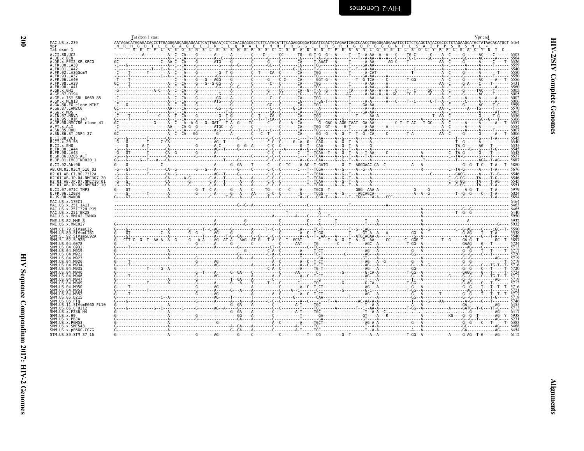<span id="page-45-0"></span>

| MAC.US.x.239                                                    | Tat exon 1 start<br>AATAGACATGGAGACACCCTTGAGGGAGCAGGAGAACTCATTAGAATCCTCCAACGAGCGCTCTTCATGCATTTCAGAGGCGGATGCATCCACTCCAGAATCGGCCAACCTGGGGGAGGAAATCCTCTCTCAGCTATACCGCCCTCTAGAAGCATGCTATAACACATGCT 6464 | Vpr end |
|-----------------------------------------------------------------|-----------------------------------------------------------------------------------------------------------------------------------------------------------------------------------------------------|---------|
| Vpr<br>Tat exon 1                                               | ORAL FMH FRGGCIH SRIGOP GGGN PLSA<br>SNERS SCISEAD AST PESAN LGEEI LSOL                                                                                                                             | ᡲ᠆ᡏ᠆ᢆᡀ  |
| A.CI.88.UC2<br>A.DE.x.BEN                                       |                                                                                                                                                                                                     |         |
| A.DE.x.PEI2 KR KRCG                                             |                                                                                                                                                                                                     |         |
| A.FR.00.LA38<br>A.FR.01.LA42                                    |                                                                                                                                                                                                     |         |
| A.FR.02.LA36GomM                                                |                                                                                                                                                                                                     |         |
| 4. FR. 93. LA37<br>FR.96.LA40                                   |                                                                                                                                                                                                     |         |
| A.FR.98.LA39<br>. FR . 98 . LA41                                |                                                                                                                                                                                                     |         |
| 1 GH x GH1                                                      |                                                                                                                                                                                                     |         |
| A.GM.x.ISY SBL 6669 85                                          |                                                                                                                                                                                                     |         |
| A.GM.x.MCNI3                                                    |                                                                                                                                                                                                     |         |
| A.GW.86.FG_clone NIHZ<br>A.GW.87.CAM2CG                         |                                                                                                                                                                                                     |         |
| A.GW.x.MDS                                                      |                                                                                                                                                                                                     |         |
| A. IN. 07. NNVA<br>A.IN.95.CRIK 147                             |                                                                                                                                                                                                     |         |
| A.JP.08.NMC786 clone 41<br>A.PT.X.ALI                           |                                                                                                                                                                                                     |         |
| A SN 85 ROD                                                     |                                                                                                                                                                                                     |         |
| A.SN.86.ST JSP4 27<br>B.CI.88.UC1                               |                                                                                                                                                                                                     |         |
| B.CI.x.20 56                                                    |                                                                                                                                                                                                     |         |
| B.CI.X.EHO<br>B.FR.00.LA44                                      |                                                                                                                                                                                                     |         |
| B. FR. 98. LA43                                                 |                                                                                                                                                                                                     |         |
| B.GH.86.D205 ALT<br>B.JP.01.IMCJ KR020 1                        |                                                                                                                                                                                                     |         |
| G.CI.92.Abt96                                                   |                                                                                                                                                                                                     |         |
| AB.CM.03.03CM 510 03                                            |                                                                                                                                                                                                     |         |
| H2 01 AB.CI.90.7312A                                            |                                                                                                                                                                                                     |         |
| H2 01 AB.JP.04.NMC307 2<br>H2 <sup>-01-AB.JP.07.NMC716-01</sup> |                                                                                                                                                                                                     |         |
| H2 <sup>-</sup> 01 <sup>-</sup> AB.JP.08.NMC842 <sup>-10</sup>  |                                                                                                                                                                                                     |         |
| U.CI.07.07IC TNP3<br>U.FR.96.12034                              |                                                                                                                                                                                                     |         |
| U.US.08.NWK08                                                   |                                                                                                                                                                                                     |         |
| MAC.US.x.17EC1<br>MAC.US.x.251 1A11                             |                                                                                                                                                                                                     |         |
| MAC.US.x.251 32H PJ5                                            |                                                                                                                                                                                                     |         |
| MAC.US.x.251 <sup>-</sup> BK28<br>MAC.US.x.MM142 IVMXX          |                                                                                                                                                                                                     |         |
| MNE.US.82.MNE 8                                                 |                                                                                                                                                                                                     |         |
| MNE.US.x.MNE027<br>SMM.CI.79.SIVsmCI2                           |                                                                                                                                                                                                     |         |
| SMM.LR.89.SIVsmLIB1                                             |                                                                                                                                                                                                     |         |
| SMM.SL.92.SIVsmSL92A<br>SMM.SL.92.SL92B                         |                                                                                                                                                                                                     |         |
| SMM.US.04.G078                                                  |                                                                                                                                                                                                     |         |
|                                                                 |                                                                                                                                                                                                     |         |
|                                                                 |                                                                                                                                                                                                     |         |
|                                                                 |                                                                                                                                                                                                     |         |
|                                                                 |                                                                                                                                                                                                     |         |
| SMM.US.04.M940                                                  |                                                                                                                                                                                                     |         |
|                                                                 |                                                                                                                                                                                                     |         |
| SMM.US.04.M949                                                  |                                                                                                                                                                                                     |         |
| SMM.US.04.M950<br>SMM.US.04.M951                                |                                                                                                                                                                                                     |         |
| SMM US.04.M952                                                  |                                                                                                                                                                                                     |         |
| SMM.US.05.D215<br>SMM.US.06.FTa                                 |                                                                                                                                                                                                     |         |
| SMM.US.11.SIVsmE660 FL10<br>SMM.US.86.CFU212                    |                                                                                                                                                                                                     |         |
| SMM.US.x.F236 H4                                                |                                                                                                                                                                                                     |         |
| SMM IIS x H9<br>SMM.US.x.PBJA                                   |                                                                                                                                                                                                     |         |
| SMM.US.x.PGM53                                                  |                                                                                                                                                                                                     |         |
| SMM.US.x.SME543<br>SMM.US.x.pE660.CG7G                          |                                                                                                                                                                                                     |         |
| STM.US.89.STM 37 16                                             |                                                                                                                                                                                                     |         |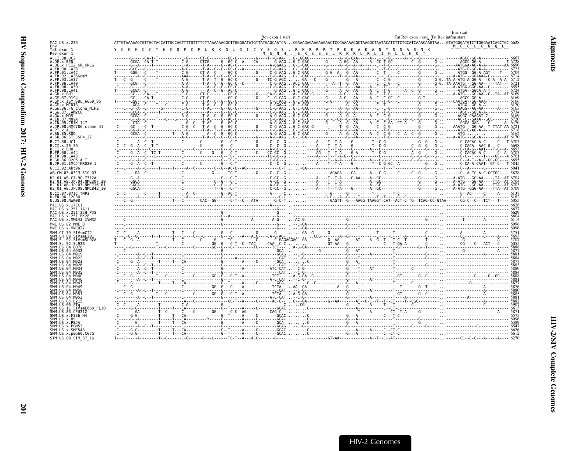|                                                                                      |  | Rev exon 1 start | Tat Rev exon 1 end Tat Rev intron start |                                                                                                                                                        |
|--------------------------------------------------------------------------------------|--|------------------|-----------------------------------------|--------------------------------------------------------------------------------------------------------------------------------------------------------|
| MAC.US.x.239                                                                         |  |                  |                                         | ATTGTAAAAAGTGTTGCTACCATTCTCTTAAAAAAGGCTTGGGGATATGTTATGAGCAATCACGAAAGAGAAGAAGAACTCCGAAAAAGGCTAATACATCTTCTGCATCAAACAAGTAAGTATGGGATGTCTTGCGAATCACCCCGC662 |
| Env<br>Tat exon 1<br>Rev exon 1                                                      |  |                  |                                         | M G C L G N Q L                                                                                                                                        |
| A.CI.88.UC2                                                                          |  |                  |                                         |                                                                                                                                                        |
| A.DE.x.BEN<br>.x.PEI2 KR KRCG                                                        |  |                  |                                         |                                                                                                                                                        |
| A.FR.00.LA38                                                                         |  |                  |                                         |                                                                                                                                                        |
| A.FR.01.LA42                                                                         |  |                  |                                         |                                                                                                                                                        |
| .02.LA36GomM                                                                         |  |                  |                                         |                                                                                                                                                        |
| .93.LA37<br>96.LA40                                                                  |  |                  |                                         |                                                                                                                                                        |
| 98.LA39                                                                              |  |                  |                                         |                                                                                                                                                        |
| .98.1441                                                                             |  |                  |                                         |                                                                                                                                                        |
|                                                                                      |  |                  |                                         |                                                                                                                                                        |
| GM.x.ISY SBL 6669 85                                                                 |  |                  |                                         |                                                                                                                                                        |
| GM.x.MCNI3                                                                           |  |                  |                                         |                                                                                                                                                        |
| A.GW.86.FG clone NIHZ                                                                |  |                  |                                         |                                                                                                                                                        |
| A.GW.87.CAM2CG<br>A.GW.x.MDS                                                         |  |                  |                                         |                                                                                                                                                        |
| A.IN.07.NNVA                                                                         |  |                  |                                         |                                                                                                                                                        |
| A.IN.95.CRIK 147                                                                     |  |                  |                                         |                                                                                                                                                        |
| A.JP.08.NMC786 clone 41<br>A.PT.x.ALI                                                |  |                  |                                         |                                                                                                                                                        |
| .SN.85.ROD                                                                           |  |                  |                                         |                                                                                                                                                        |
| A.SN.86.ST JSP4 27                                                                   |  |                  |                                         |                                                                                                                                                        |
| B.CI.88.UC1                                                                          |  |                  |                                         |                                                                                                                                                        |
| B.CI.X.20 56<br>B.CI.x.EHO                                                           |  |                  |                                         |                                                                                                                                                        |
| B.FR.00.LA44                                                                         |  |                  |                                         |                                                                                                                                                        |
| B.FR.98.LA43                                                                         |  |                  |                                         |                                                                                                                                                        |
| B.GH.86.D205 ALT<br>B.JP.01.IMCJ <sup>-</sup> KR020 1                                |  |                  |                                         |                                                                                                                                                        |
| G.CI.92.Abt96                                                                        |  |                  |                                         |                                                                                                                                                        |
| AB.CM.03.03CM 510 03                                                                 |  |                  |                                         |                                                                                                                                                        |
| H2 01 AB.CI.90.7312A                                                                 |  |                  |                                         |                                                                                                                                                        |
| H2 <sup>-</sup> 01 <sup>-</sup> AB.JP.04.NMC307 20                                   |  |                  |                                         |                                                                                                                                                        |
| H2 01 AB.JP.07.NMC716 01                                                             |  |                  |                                         |                                                                                                                                                        |
| H2 <sup>-</sup> 01 <sup>-</sup> AB.JP.08.NMC842 <sup>-</sup> 10<br>U.CI.07.07IC TNP3 |  |                  |                                         |                                                                                                                                                        |
| U.FR.96.12034                                                                        |  |                  |                                         |                                                                                                                                                        |
| U.US.08.NWK08                                                                        |  |                  |                                         |                                                                                                                                                        |
| MAC.US.x.17EC1                                                                       |  |                  |                                         |                                                                                                                                                        |
| MAC.US.x.251_1A11                                                                    |  |                  |                                         |                                                                                                                                                        |
|                                                                                      |  |                  |                                         |                                                                                                                                                        |
|                                                                                      |  |                  |                                         |                                                                                                                                                        |
| MAC.US.x.251-32H PJ5<br>MAC.US.x.251-BK28<br>MAC.US.x.MM142 IVMXX                    |  |                  |                                         |                                                                                                                                                        |
| MNE.US.82.MNE 8                                                                      |  |                  |                                         |                                                                                                                                                        |
| MNE.US.x.MNE027                                                                      |  |                  |                                         |                                                                                                                                                        |
| SMM.CI.79.SIVsmCI2                                                                   |  |                  |                                         |                                                                                                                                                        |
| SMM.LR.89.SIVsmLIB1<br>SMM.SL.92.SIVsmSL92A                                          |  |                  |                                         |                                                                                                                                                        |
| $.92.$ SL92B                                                                         |  |                  |                                         |                                                                                                                                                        |
| .04.6078                                                                             |  |                  |                                         |                                                                                                                                                        |
| 04.G932                                                                              |  |                  |                                         |                                                                                                                                                        |
|                                                                                      |  |                  |                                         |                                                                                                                                                        |
|                                                                                      |  |                  |                                         |                                                                                                                                                        |
|                                                                                      |  |                  |                                         |                                                                                                                                                        |
| <b>04 M935</b>                                                                       |  |                  |                                         |                                                                                                                                                        |
| $.04.$ M940                                                                          |  |                  |                                         |                                                                                                                                                        |
| $04.$ M946                                                                           |  |                  |                                         |                                                                                                                                                        |
| $04$ Mg $4c$                                                                         |  |                  |                                         |                                                                                                                                                        |
|                                                                                      |  |                  |                                         |                                                                                                                                                        |
|                                                                                      |  |                  |                                         |                                                                                                                                                        |
| 05.D215                                                                              |  |                  |                                         |                                                                                                                                                        |
| .06.FTa                                                                              |  |                  |                                         |                                                                                                                                                        |
| 11.SIVsmE660 FL10<br>.86.CFU212                                                      |  |                  |                                         |                                                                                                                                                        |
| .x.F236 H4                                                                           |  |                  |                                         |                                                                                                                                                        |
|                                                                                      |  |                  |                                         |                                                                                                                                                        |
| SMM.US.x.PBJA<br>SMM.US.x.PGM53                                                      |  |                  |                                         |                                                                                                                                                        |
| SMM.US.x.SME543                                                                      |  |                  |                                         |                                                                                                                                                        |
| SMM. US. x. pE660. CG7G<br>STM.US.89.STM 37 16                                       |  |                  |                                         |                                                                                                                                                        |

<span id="page-46-0"></span>Env start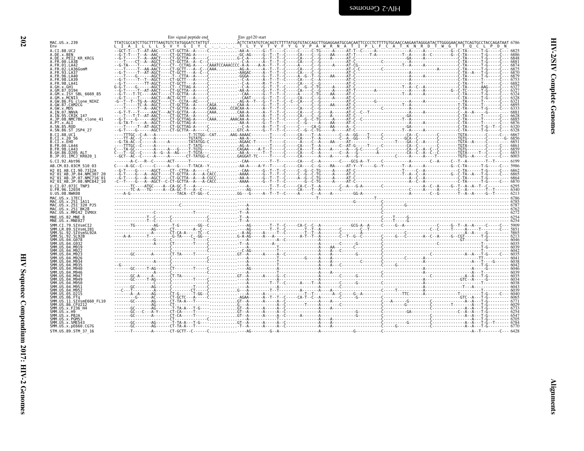| ٧ |  |
|---|--|

<span id="page-47-0"></span>

| MAC.US.x.239                                                                                                       | Env signal peptide end | Env $gp120$ start |  |
|--------------------------------------------------------------------------------------------------------------------|------------------------|-------------------|--|
| Env<br>A.CI.88.UC2                                                                                                 |                        |                   |  |
| A.DE.x.BEN                                                                                                         |                        |                   |  |
| A.DE.x.PEI2 KR KRCG<br>A.FR.00.LA38                                                                                |                        |                   |  |
| A.FR.01.LA42                                                                                                       |                        |                   |  |
| A.FR.02.LA36GomM<br>A. FR. 93. LA37                                                                                |                        |                   |  |
| A.FR.96.LA40<br>A.FR.98.LA39                                                                                       |                        |                   |  |
| 4.FR.98.LA41                                                                                                       |                        |                   |  |
| A GH x GH1<br>A.GM.87.D194                                                                                         |                        |                   |  |
| A.GM.X.ISY SBL 6669 85                                                                                             |                        |                   |  |
| A.GM.x.MCN13<br>A.GW.86.FG_clone NIHZ                                                                              |                        |                   |  |
| A.GW.87.CAM2CG<br>A.GW.x.MDS                                                                                       |                        |                   |  |
| A.IN.07.NNVA                                                                                                       |                        |                   |  |
| A.IN.95.CRIK 147<br>A.JP.08.NMC786 clone 41                                                                        |                        |                   |  |
| A.PT.x.ALI                                                                                                         |                        |                   |  |
| A.SN.85.ROD<br>A.SN.86.ST JSP4 27                                                                                  |                        |                   |  |
| B.CI.88.UC1                                                                                                        |                        |                   |  |
| B.CI.X.20 56<br>B.CI.X.EHO                                                                                         |                        |                   |  |
| <b>B.FR.00.LA44</b>                                                                                                |                        |                   |  |
| B.FR.98.LA43<br>B.GH.86.D205                                                                                       |                        |                   |  |
| B.JP.01.IMCJ <sup>-</sup> KR020 1                                                                                  |                        |                   |  |
| G.CI.92.Abt96<br>AB.CM.03.03CM 510 03                                                                              |                        |                   |  |
| H2 01 AB.CI.90.7312A                                                                                               |                        |                   |  |
| H2 01 AB.JP.04.NMC307 20                                                                                           |                        |                   |  |
| H2 <sup>-</sup> 01 <sup>-</sup> AB.JP.07.NMC716 <sup>-</sup> 01<br>H2 <sup>-01-AB.JP.08.NMC842<sup>-10</sup></sup> |                        |                   |  |
| U.CI.07.07IC TNP3                                                                                                  |                        |                   |  |
| U.FR.96.12034<br>U.US.08.NWK08                                                                                     |                        |                   |  |
| MAC.US.x.17EC1                                                                                                     |                        |                   |  |
| MAC.US.x.251 1A11<br>MAC.US.x.251 32H PJ5                                                                          |                        |                   |  |
| MAC.US.x.251 <sup>-</sup> BK28                                                                                     |                        |                   |  |
| MAC.US.x.MM142 IVMXX<br>MNE.US.82.MNE 8                                                                            |                        |                   |  |
| MNE.US.x.MNE027                                                                                                    |                        |                   |  |
| SMM.CI.79.SIVsmCI2<br>SMM.LR.89.SIVsmLIB1                                                                          |                        |                   |  |
| SMM.SL.92.SIVsmSL92A                                                                                               |                        |                   |  |
| SMM. SL.92. SL92B<br>SMM.US.04.G078                                                                                |                        |                   |  |
|                                                                                                                    |                        |                   |  |
|                                                                                                                    |                        |                   |  |
|                                                                                                                    |                        |                   |  |
|                                                                                                                    |                        |                   |  |
| SMM.US.04.M940                                                                                                     |                        |                   |  |
| SMM IIS 04 M946<br>SMM IIS 04 M947                                                                                 |                        |                   |  |
| SMM IIS 04 M949                                                                                                    |                        |                   |  |
| SMM.US.04.M950<br>SMM.US.04.M951                                                                                   |                        |                   |  |
| SMM.US.04.M952                                                                                                     |                        |                   |  |
| SMM.US.05.D215<br>SMM.US.06.FTq                                                                                    |                        |                   |  |
| SMM.US.11.SIVsmE660 FL10                                                                                           |                        |                   |  |
| SMM.US.86.CFU212<br>SMM.US.x.F236 H4                                                                               |                        |                   |  |
| SMM.US.x.H9<br>SMM.US.x.PBJA                                                                                       |                        |                   |  |
| SMM.US.x.PGM53                                                                                                     |                        |                   |  |
| SMM.US.x.SME543<br>SMM.US.x.pE660.CG7G                                                                             |                        |                   |  |
| STM.US.89.STM 37 16                                                                                                |                        |                   |  |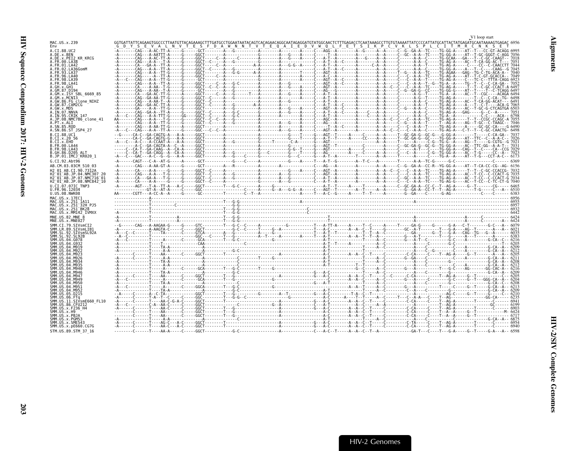<span id="page-48-0"></span>

|                                                                                                                      |  |  |  |  | V1 loop start                                                                                                                                                                 |
|----------------------------------------------------------------------------------------------------------------------|--|--|--|--|-------------------------------------------------------------------------------------------------------------------------------------------------------------------------------|
| MAC.US.x.239<br>Fny                                                                                                  |  |  |  |  | GGTGATTATTCAGAAGTGGCCCTTAATGTTACAGAAAGCTTTGATGCCTGGAATAATACAGTCACAGAACAGGCAATAGAGGATGTATGGCAACTCTTTGAGACCTCAATAAAGCCTTGTAAAATTATCCCCATTATGCATTACTATGAGATGCAATAAAAGTGAGAC 6956 |
| A.CI.88.UC2                                                                                                          |  |  |  |  |                                                                                                                                                                               |
| A.DE.x.BEN<br>A.DE.X.PEI2 KR KRCG                                                                                    |  |  |  |  |                                                                                                                                                                               |
| A.FR.00.LA38                                                                                                         |  |  |  |  |                                                                                                                                                                               |
| A.FR.01.LA42<br>A.FR.02.LA36GomM                                                                                     |  |  |  |  |                                                                                                                                                                               |
| A FR 93 I A37                                                                                                        |  |  |  |  |                                                                                                                                                                               |
| FR.96.LA40<br><b>4 FR 98 IA39</b>                                                                                    |  |  |  |  |                                                                                                                                                                               |
| LER 98 LA41                                                                                                          |  |  |  |  |                                                                                                                                                                               |
| A GM 87 D194                                                                                                         |  |  |  |  |                                                                                                                                                                               |
| A.GM.x.ISY SBL 6669 85                                                                                               |  |  |  |  |                                                                                                                                                                               |
| A.GM.x.MCNI3<br>A.GW.86.FG clone NIHZ                                                                                |  |  |  |  |                                                                                                                                                                               |
| A.GW.87.CAM2CG                                                                                                       |  |  |  |  |                                                                                                                                                                               |
| A.GW.x.MDS<br>A.IN.07.NNVA                                                                                           |  |  |  |  |                                                                                                                                                                               |
| A.IN.95.CRIK 147                                                                                                     |  |  |  |  |                                                                                                                                                                               |
| A.JP.08.NMC786 clone 41<br>A.PT.x.ALI                                                                                |  |  |  |  |                                                                                                                                                                               |
| A.SN.85.ROD                                                                                                          |  |  |  |  |                                                                                                                                                                               |
| A.SN.86.ST JSP4 27<br>B.CT.88.UC1                                                                                    |  |  |  |  |                                                                                                                                                                               |
| B.CI.X.20 56                                                                                                         |  |  |  |  |                                                                                                                                                                               |
| B.CT.x.EHO                                                                                                           |  |  |  |  |                                                                                                                                                                               |
| B.FR.00.LA44<br>B.FR.98.LA43                                                                                         |  |  |  |  |                                                                                                                                                                               |
| B.GH.86.D205 ALT                                                                                                     |  |  |  |  |                                                                                                                                                                               |
| B.JP.01.IMCJ KR020 1<br>G.CI.92.Abt96                                                                                |  |  |  |  |                                                                                                                                                                               |
| AB.CM.03.03CM 510 03                                                                                                 |  |  |  |  |                                                                                                                                                                               |
| H2 01 AB.CI.90.7312A                                                                                                 |  |  |  |  |                                                                                                                                                                               |
| H2 <sup>-</sup> 01 <sup>-</sup> AB.JP.04.NMC307 2<br>H2 <sup>-</sup> 01 <sup>-</sup> AB.JP.07.NMC716 <sup>-</sup> 01 |  |  |  |  |                                                                                                                                                                               |
| H2 01 AB.JP.08.NMC842 10                                                                                             |  |  |  |  |                                                                                                                                                                               |
| U.CI.07.07IC TNP3                                                                                                    |  |  |  |  |                                                                                                                                                                               |
| U.FR.96.12034<br>U.US.08.NWK08                                                                                       |  |  |  |  |                                                                                                                                                                               |
| MAC.US.x.17EC1                                                                                                       |  |  |  |  |                                                                                                                                                                               |
| MAC.US.x.251 1A11<br>MAC.US.x.251 32H PJ5                                                                            |  |  |  |  |                                                                                                                                                                               |
| MAC.US.x.251 <sup>-BK28</sup>                                                                                        |  |  |  |  |                                                                                                                                                                               |
| MAC.US.x.MM142 IVMXX                                                                                                 |  |  |  |  |                                                                                                                                                                               |
| MNE.US.82.MNE 8<br>MNE.US.x.MNE027                                                                                   |  |  |  |  |                                                                                                                                                                               |
| SMM.CI.79.SIVsmCI2                                                                                                   |  |  |  |  |                                                                                                                                                                               |
| SMM.LR.89.SIVsmLIB1<br>SMM.SL.92.SIVsmSL92A                                                                          |  |  |  |  |                                                                                                                                                                               |
|                                                                                                                      |  |  |  |  |                                                                                                                                                                               |
| SMM.US.04.G078                                                                                                       |  |  |  |  |                                                                                                                                                                               |
|                                                                                                                      |  |  |  |  |                                                                                                                                                                               |
|                                                                                                                      |  |  |  |  |                                                                                                                                                                               |
| SMM IIS A4 MQ26                                                                                                      |  |  |  |  |                                                                                                                                                                               |
| SMM IIS.<br>SMM IIS 04 M935                                                                                          |  |  |  |  |                                                                                                                                                                               |
|                                                                                                                      |  |  |  |  |                                                                                                                                                                               |
| SMM US 04. M946<br>SMM IIS 04 M947                                                                                   |  |  |  |  |                                                                                                                                                                               |
| SMM IIS A4 MQ40                                                                                                      |  |  |  |  |                                                                                                                                                                               |
| SMM IIS 04 M950                                                                                                      |  |  |  |  |                                                                                                                                                                               |
|                                                                                                                      |  |  |  |  |                                                                                                                                                                               |
| MM.US.05.D215                                                                                                        |  |  |  |  |                                                                                                                                                                               |
| SMM IIS 11 STVsmF660 FL10                                                                                            |  |  |  |  |                                                                                                                                                                               |
| SMM IIS 86 CEII212<br>SMM.US.x.F236 H4                                                                               |  |  |  |  |                                                                                                                                                                               |
| SMM IIS x H9                                                                                                         |  |  |  |  |                                                                                                                                                                               |
| SMM.US.x.PBJA<br>SMM.US.x.PGM53                                                                                      |  |  |  |  |                                                                                                                                                                               |
| SMM.US.x.SME543                                                                                                      |  |  |  |  |                                                                                                                                                                               |
| SMM.US.x.pE660.CG7G<br>STM.US.89.STM 37 16                                                                           |  |  |  |  |                                                                                                                                                                               |
|                                                                                                                      |  |  |  |  |                                                                                                                                                                               |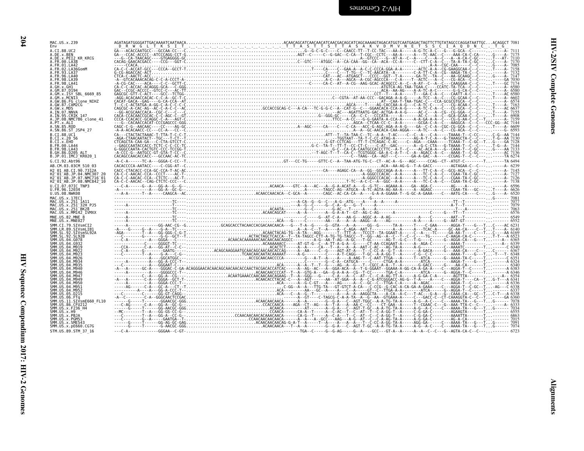| Env<br>A.CI.88.UC2<br>A.DE.x.BEN<br>A.DE.x. PEI2 KR KRCG<br>A.FR.00.LA38<br>A.FR.01.LA42<br>A. FR. 02. LA36GomM<br>A.FR.93.LA37<br>FR.96.LA40<br>A.FR.98.LA39<br>A.FR.98.LA41<br>A.GH.X.GH1<br>A.GM.87.D194                                                                                                                                                                                                      |  |
|------------------------------------------------------------------------------------------------------------------------------------------------------------------------------------------------------------------------------------------------------------------------------------------------------------------------------------------------------------------------------------------------------------------|--|
|                                                                                                                                                                                                                                                                                                                                                                                                                  |  |
|                                                                                                                                                                                                                                                                                                                                                                                                                  |  |
|                                                                                                                                                                                                                                                                                                                                                                                                                  |  |
|                                                                                                                                                                                                                                                                                                                                                                                                                  |  |
|                                                                                                                                                                                                                                                                                                                                                                                                                  |  |
| A.GM.x.ISY SBL 6669 85<br>A.GM.x.MCN13                                                                                                                                                                                                                                                                                                                                                                           |  |
| A.GM.x.MCN13<br>A.GW.86.FG_clone_NIHZ<br>A.GW.87.CAM2CG<br>A.GW.x.MDS<br>A.IN.07.NNVA<br>A.IN.95.CRIK_147<br>A.JP.08.NMC786_clone_41                                                                                                                                                                                                                                                                             |  |
|                                                                                                                                                                                                                                                                                                                                                                                                                  |  |
| A.PT.x.ALI                                                                                                                                                                                                                                                                                                                                                                                                       |  |
| SN.85.ROD<br>A.SN.86.ST_JSP4_27                                                                                                                                                                                                                                                                                                                                                                                  |  |
| $B.CI.88.UCIB.CI.x.20 56$                                                                                                                                                                                                                                                                                                                                                                                        |  |
| B.CI.X.EHO<br><b>B.FR.98.LA43</b>                                                                                                                                                                                                                                                                                                                                                                                |  |
| B.GH.86.D205 ALT<br>B.JP.01.IMCJ KR020 1                                                                                                                                                                                                                                                                                                                                                                         |  |
| G.CI.92.Abt96<br>AB.CM.03.03CM 510 03                                                                                                                                                                                                                                                                                                                                                                            |  |
| H2 01 AB.CI.90.7312A<br>H2 01 AB.CI.90.7312A<br>H2 01 AB.JP.04.NMC307 20<br>H2 01 AB.JP.07.NMC716 01<br>H2 01 AB.JP.08.NMC842 10                                                                                                                                                                                                                                                                                 |  |
|                                                                                                                                                                                                                                                                                                                                                                                                                  |  |
| U.CI.07.07IC TNP3<br>U.FR.96.12034<br>U.US.08.NWK08                                                                                                                                                                                                                                                                                                                                                              |  |
| MAC.US.x.17EC1                                                                                                                                                                                                                                                                                                                                                                                                   |  |
| MAC.US.x.251_1A11<br>MAC.US.x.251_32H_PJ5<br>MAC.US.x.251_8K28<br>MAC.US.x.251_8K28<br>MAC.US.x.MM142_IVMXX                                                                                                                                                                                                                                                                                                      |  |
| MNE.US.82.MNE 8<br>MNE.US.x.MNE027                                                                                                                                                                                                                                                                                                                                                                               |  |
|                                                                                                                                                                                                                                                                                                                                                                                                                  |  |
| SMM.CI.79.SIVsmCI2<br>SMM.LR.89.SIVsmLIB1<br>SMM.SL.92.SIVsmSL92A<br>SMM.SL.92.SL92B                                                                                                                                                                                                                                                                                                                             |  |
|                                                                                                                                                                                                                                                                                                                                                                                                                  |  |
| SMM. SL. 92. SL928<br>SMM. US. 04. G978<br>SMM. US. 04. G932<br>SMM. US. 04. M919<br>SMM. US. 04. M922<br>SMM. US. 04. M923<br>SMM. US. 04. M926                                                                                                                                                                                                                                                                 |  |
| SMM. US. 04. M934                                                                                                                                                                                                                                                                                                                                                                                                |  |
| SMM.US.04.M935                                                                                                                                                                                                                                                                                                                                                                                                   |  |
|                                                                                                                                                                                                                                                                                                                                                                                                                  |  |
|                                                                                                                                                                                                                                                                                                                                                                                                                  |  |
|                                                                                                                                                                                                                                                                                                                                                                                                                  |  |
|                                                                                                                                                                                                                                                                                                                                                                                                                  |  |
|                                                                                                                                                                                                                                                                                                                                                                                                                  |  |
|                                                                                                                                                                                                                                                                                                                                                                                                                  |  |
|                                                                                                                                                                                                                                                                                                                                                                                                                  |  |
| SMM. US. 04. M940<br>SMM. US. 04. M946<br>SMM. US. 04. M947<br>SMM. US. 04. M949<br>SMM. US. 04. M950<br>SMM. US. 04. M951<br>SMM. US. 04. M952<br>SMM.US.05.D215<br>SMM . US . 06 . DZ15<br>SMM . US . 06 . FTq<br>SMM . US . 31 . STVsmE660_FL10<br>SMM . US . 86 . CFU212<br>SMM . US . x . F236_H4<br>SMM . US . x . PBJA<br>SMM . US . x . PBJA<br>SMM.US.x.PGM53<br>SMM.US.x.SME543<br>SMM.US.x.pE660.CG7G |  |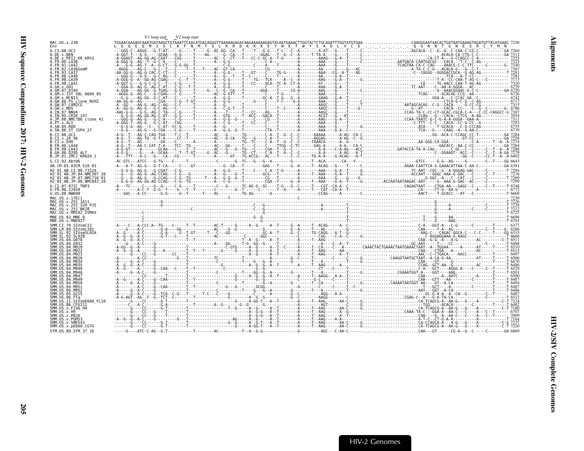<span id="page-50-0"></span>

|                                                                                             | V1 loop end V2 loop start |  |  |                                                                                                                                                                                                                                                                                                                                                                                |
|---------------------------------------------------------------------------------------------|---------------------------|--|--|--------------------------------------------------------------------------------------------------------------------------------------------------------------------------------------------------------------------------------------------------------------------------------------------------------------------------------------------------------------------------------|
| MAC.US.x.239<br>Env                                                                         |                           |  |  | $\begin{bmatrix} \mathbf{1604}\mathbf{0.66}\mathbf{0.76}\mathbf{0.76}\mathbf{0.76}\mathbf{0.76}\mathbf{0.76}\mathbf{0.76}\mathbf{0.76}\mathbf{0.76}\mathbf{0.76}\mathbf{0.76}\mathbf{0.76}\mathbf{0.76}\mathbf{0.76}\mathbf{0.76}\mathbf{0.76}\mathbf{0.76}\mathbf{0.76}\mathbf{0.76}\mathbf{0.76}\mathbf{0.76}\mathbf{0.76}\mathbf{0.76}\mathbf{0.76}\mathbf{0.76}\mathbf{0.$ |
| A.CI.88.UC2                                                                                 |                           |  |  |                                                                                                                                                                                                                                                                                                                                                                                |
| A.DE.x.BEN<br>A.DE.x.PEI2 KR KRCG                                                           |                           |  |  |                                                                                                                                                                                                                                                                                                                                                                                |
| A.FR.00.LA38                                                                                |                           |  |  |                                                                                                                                                                                                                                                                                                                                                                                |
| A.FR.01.LA42<br>A.FR.02.LA36GomM                                                            |                           |  |  |                                                                                                                                                                                                                                                                                                                                                                                |
| A FR 93 1 437                                                                               |                           |  |  |                                                                                                                                                                                                                                                                                                                                                                                |
|                                                                                             |                           |  |  |                                                                                                                                                                                                                                                                                                                                                                                |
| A FR 98 I A41                                                                               |                           |  |  |                                                                                                                                                                                                                                                                                                                                                                                |
|                                                                                             |                           |  |  |                                                                                                                                                                                                                                                                                                                                                                                |
| A.GM.87.D194<br>A.GM.x.ISY SBL 6669 85                                                      |                           |  |  |                                                                                                                                                                                                                                                                                                                                                                                |
| A.GM.x.MCNI3                                                                                |                           |  |  |                                                                                                                                                                                                                                                                                                                                                                                |
| A.GW.86.FG clone NIHZ<br>A.GW.87.CAM2CG                                                     |                           |  |  |                                                                                                                                                                                                                                                                                                                                                                                |
| A.GW.x.MDS                                                                                  |                           |  |  |                                                                                                                                                                                                                                                                                                                                                                                |
| A.IN.07.NNVA<br>A TN 95 CRTK 147                                                            |                           |  |  |                                                                                                                                                                                                                                                                                                                                                                                |
| A.JP.08.NMC786 clone 41                                                                     |                           |  |  |                                                                                                                                                                                                                                                                                                                                                                                |
| A.PT.x.ALI                                                                                  |                           |  |  |                                                                                                                                                                                                                                                                                                                                                                                |
| A.SN.85.ROD<br>A.SN.86.ST JSP4 27                                                           |                           |  |  |                                                                                                                                                                                                                                                                                                                                                                                |
| B.CT.88.UC1                                                                                 |                           |  |  |                                                                                                                                                                                                                                                                                                                                                                                |
| B.CI.X.20 56                                                                                |                           |  |  |                                                                                                                                                                                                                                                                                                                                                                                |
| B.CI.X.EHO<br>B. FR. 00. LA44                                                               |                           |  |  |                                                                                                                                                                                                                                                                                                                                                                                |
| B. FR. 98. LA43                                                                             |                           |  |  |                                                                                                                                                                                                                                                                                                                                                                                |
| B.GH.86.D205 ALT                                                                            |                           |  |  |                                                                                                                                                                                                                                                                                                                                                                                |
| B.JP.01.IMCJ KR020 1<br>G.CI.92.Abt96                                                       |                           |  |  |                                                                                                                                                                                                                                                                                                                                                                                |
| AB.CM.03.03CM 510 03                                                                        |                           |  |  |                                                                                                                                                                                                                                                                                                                                                                                |
| H <sub>2</sub> 01 AB.CT.90.7312A                                                            |                           |  |  |                                                                                                                                                                                                                                                                                                                                                                                |
| H2 <sup>-01-AB.JP.04.NMC307</sup>                                                           |                           |  |  |                                                                                                                                                                                                                                                                                                                                                                                |
| H2 <sup>-</sup> 01 <sup>-</sup> AB.JP.07.NMC716 <sup>-</sup> 01<br>H2 01 AB.JP.08.NMC842 10 |                           |  |  |                                                                                                                                                                                                                                                                                                                                                                                |
| U.CI.07.07IC TNP3                                                                           |                           |  |  |                                                                                                                                                                                                                                                                                                                                                                                |
| U.FR.96.12034                                                                               |                           |  |  |                                                                                                                                                                                                                                                                                                                                                                                |
| U.US.08.NWK08                                                                               |                           |  |  |                                                                                                                                                                                                                                                                                                                                                                                |
| MAC.US.x.17EC1<br>MAC.US.x.251 1A11                                                         |                           |  |  |                                                                                                                                                                                                                                                                                                                                                                                |
| MAC.US.x.251 32H PJ5                                                                        |                           |  |  |                                                                                                                                                                                                                                                                                                                                                                                |
| MAC.US.x.251 <sup>-</sup> BK28<br>MAC.US.x.MM142 IVMXX                                      |                           |  |  |                                                                                                                                                                                                                                                                                                                                                                                |
| MNE.US.82.MNE 8                                                                             |                           |  |  |                                                                                                                                                                                                                                                                                                                                                                                |
| MNE.US.x.MNE027                                                                             |                           |  |  |                                                                                                                                                                                                                                                                                                                                                                                |
|                                                                                             |                           |  |  |                                                                                                                                                                                                                                                                                                                                                                                |
| SMM IR 89 STVsmlTR1                                                                         |                           |  |  |                                                                                                                                                                                                                                                                                                                                                                                |
|                                                                                             |                           |  |  |                                                                                                                                                                                                                                                                                                                                                                                |
|                                                                                             |                           |  |  |                                                                                                                                                                                                                                                                                                                                                                                |
|                                                                                             |                           |  |  |                                                                                                                                                                                                                                                                                                                                                                                |
|                                                                                             |                           |  |  |                                                                                                                                                                                                                                                                                                                                                                                |
|                                                                                             |                           |  |  |                                                                                                                                                                                                                                                                                                                                                                                |
|                                                                                             |                           |  |  |                                                                                                                                                                                                                                                                                                                                                                                |
|                                                                                             |                           |  |  |                                                                                                                                                                                                                                                                                                                                                                                |
|                                                                                             |                           |  |  |                                                                                                                                                                                                                                                                                                                                                                                |
|                                                                                             |                           |  |  |                                                                                                                                                                                                                                                                                                                                                                                |
|                                                                                             |                           |  |  |                                                                                                                                                                                                                                                                                                                                                                                |
|                                                                                             |                           |  |  |                                                                                                                                                                                                                                                                                                                                                                                |
|                                                                                             |                           |  |  |                                                                                                                                                                                                                                                                                                                                                                                |
|                                                                                             |                           |  |  |                                                                                                                                                                                                                                                                                                                                                                                |
| 11.SIVsmE660 FL10<br>SMM.US.86.CFU212                                                       |                           |  |  |                                                                                                                                                                                                                                                                                                                                                                                |
| SMM.US.x.F236 H4                                                                            |                           |  |  |                                                                                                                                                                                                                                                                                                                                                                                |
| SMM.US.x.PBJA                                                                               |                           |  |  |                                                                                                                                                                                                                                                                                                                                                                                |
| SMM.US.x.PGM53                                                                              |                           |  |  |                                                                                                                                                                                                                                                                                                                                                                                |
| SMM.US.x.SME543                                                                             |                           |  |  |                                                                                                                                                                                                                                                                                                                                                                                |
| SMM.US.x.pE660.CG7G                                                                         |                           |  |  |                                                                                                                                                                                                                                                                                                                                                                                |
| STM.US.89.STM 37 16                                                                         |                           |  |  |                                                                                                                                                                                                                                                                                                                                                                                |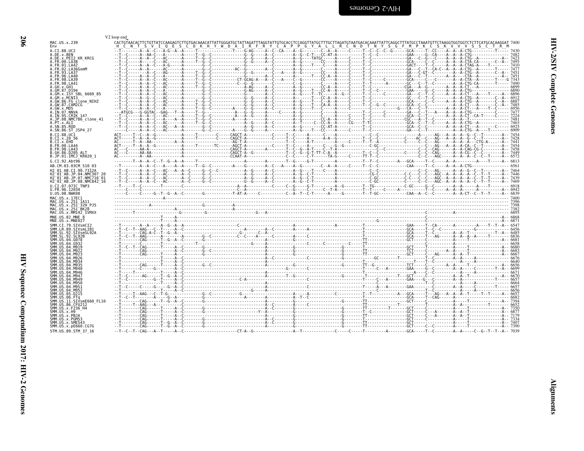<span id="page-51-0"></span>

| į      |
|--------|
| ì<br>i |
| ļ<br>ļ |

|                                                                                                                                    | V <sub>2</sub> loop end                                                                                                                                                                                                                                                                                                                                                                                                          |  |  |
|------------------------------------------------------------------------------------------------------------------------------------|----------------------------------------------------------------------------------------------------------------------------------------------------------------------------------------------------------------------------------------------------------------------------------------------------------------------------------------------------------------------------------------------------------------------------------|--|--|
| MAC.US.x.239<br>Env                                                                                                                | CACTGTAACACTTCTGTTATCCAAGAGTCTTGTGACAAACATTATTGGGATGCTATTAGGTATTGGGCATGTATGCACCTCCAGGTTATGCTTTGCTTAGATGTAATGACACAAATTATTCAGGCTTTATGCCTAAATGTTCTAAGGTGGTGGTCTCTTCATGCACAAGGAT 740C<br>H C N T S V I Q E S C D K H Y W D A I R F R Y C A P P G Y A L L R C N D T N Y S G F M P K C S K V V V S S C T R M                                                                                                                           |  |  |
| A.CI.88.UC2                                                                                                                        | $\frac{1}{1-\frac{1}{1-\frac{1}{1-\frac{1}{1-\frac{1}{1-\frac{1}{1-\frac{1}{1-\frac{1}{1-\frac{1}{1-\frac{1}{1-\frac{1}{1-\frac{1}{1-\frac{1}{1-\frac{1}{1-\frac{1}{1-\frac{1}{1-\frac{1}{1-\frac{1}{1-\frac{1}{1-\frac{1}{1-\frac{1}{1-\frac{1}{1-\frac{1}{1-\frac{1}{1-\frac{1}{1-\frac{1}{1-\frac{1}{1-\frac{1}{1-\frac{1}{1-\frac{1}{1-\frac{1}{1-\frac{1}{1-\frac{1}{1-\frac{1}{1-\frac{1}{1-\frac{1}{1-\frac{1$            |  |  |
| A.DE.x.BEN<br>A.DE.x.PEI2 KR KRCG                                                                                                  |                                                                                                                                                                                                                                                                                                                                                                                                                                  |  |  |
| A FR 00 LA38                                                                                                                       |                                                                                                                                                                                                                                                                                                                                                                                                                                  |  |  |
| A.FR.01.LA42<br>A.FR.02.LA36GomM                                                                                                   |                                                                                                                                                                                                                                                                                                                                                                                                                                  |  |  |
| A.FR.93.LA37                                                                                                                       |                                                                                                                                                                                                                                                                                                                                                                                                                                  |  |  |
| A.FR.96.LA40<br>. FR. 98. LA39                                                                                                     |                                                                                                                                                                                                                                                                                                                                                                                                                                  |  |  |
| A.FR.98.LA41<br>A.GH.x.GH1                                                                                                         |                                                                                                                                                                                                                                                                                                                                                                                                                                  |  |  |
| A.GM.87.D194                                                                                                                       |                                                                                                                                                                                                                                                                                                                                                                                                                                  |  |  |
| A.GM.x.ISY SBL 6669 85<br>A.GM.x.MCN13                                                                                             |                                                                                                                                                                                                                                                                                                                                                                                                                                  |  |  |
| A.GW.86.FG clone NIHZ                                                                                                              |                                                                                                                                                                                                                                                                                                                                                                                                                                  |  |  |
| A.GW.87.CAM2CG<br>A.GW.x.MDS                                                                                                       |                                                                                                                                                                                                                                                                                                                                                                                                                                  |  |  |
| A.IN.07.NNVA                                                                                                                       |                                                                                                                                                                                                                                                                                                                                                                                                                                  |  |  |
| A.IN.95.CRIK 147<br>A.JP.08.NMC786 clone 41                                                                                        |                                                                                                                                                                                                                                                                                                                                                                                                                                  |  |  |
| A.PT.x.ALI<br>A.SN.85.ROD                                                                                                          |                                                                                                                                                                                                                                                                                                                                                                                                                                  |  |  |
| A.SN.86.ST JSP4 27                                                                                                                 | $\begin{bmatrix} \textbf{1} & \textbf{1} & \textbf{1} & \textbf{1} & \textbf{1} & \textbf{1} & \textbf{1} & \textbf{1} & \textbf{1} & \textbf{1} & \textbf{1} & \textbf{1} & \textbf{1} & \textbf{1} & \textbf{1} & \textbf{1} & \textbf{1} & \textbf{1} & \textbf{1} & \textbf{1} & \textbf{1} & \textbf{1} & \textbf{1} & \textbf{1} & \textbf{1} & \textbf{1} & \textbf{1} & \textbf{1} & \textbf{1} & \textbf{1} & \textbf{$ |  |  |
| B.CT.88.UC1                                                                                                                        |                                                                                                                                                                                                                                                                                                                                                                                                                                  |  |  |
| B.CI.x.20_56<br>B.CI.x.EHO                                                                                                         |                                                                                                                                                                                                                                                                                                                                                                                                                                  |  |  |
| B.FR.00.LA44                                                                                                                       |                                                                                                                                                                                                                                                                                                                                                                                                                                  |  |  |
| R FR 98 1 443<br>B.GH.86.D205 ALT                                                                                                  |                                                                                                                                                                                                                                                                                                                                                                                                                                  |  |  |
| B.JP.01.IMCJ KR020 1                                                                                                               |                                                                                                                                                                                                                                                                                                                                                                                                                                  |  |  |
| G.CI.92.Abt96<br>AB.CM.03.03CM 510 03                                                                                              |                                                                                                                                                                                                                                                                                                                                                                                                                                  |  |  |
| H2 01 AB.CI.90.7312A                                                                                                               |                                                                                                                                                                                                                                                                                                                                                                                                                                  |  |  |
| H2 <sup>-</sup> 01 <sup>-</sup> AB.JP.04.NMC307 20                                                                                 |                                                                                                                                                                                                                                                                                                                                                                                                                                  |  |  |
| H2 <sup>-</sup> 01 <sup>-</sup> AB.JP.07.NMC716 <sup>-</sup> 01<br>H2 <sup>-</sup> 01 <sup>-</sup> AB.JP.08.NMC842 <sup>-</sup> 10 |                                                                                                                                                                                                                                                                                                                                                                                                                                  |  |  |
| U.CI.07.07IC TNP3                                                                                                                  |                                                                                                                                                                                                                                                                                                                                                                                                                                  |  |  |
| U.FR.96.12034<br>U.US.08.NWK08                                                                                                     |                                                                                                                                                                                                                                                                                                                                                                                                                                  |  |  |
| MAC.US.x.17EC1                                                                                                                     |                                                                                                                                                                                                                                                                                                                                                                                                                                  |  |  |
| MAC.US.x.251 1A11<br>MAC.US.x.251 <sup>-</sup> 32H PJ5                                                                             |                                                                                                                                                                                                                                                                                                                                                                                                                                  |  |  |
| MAC.US.x.251 <sup>-</sup> BK28                                                                                                     |                                                                                                                                                                                                                                                                                                                                                                                                                                  |  |  |
| MAC.US.x.MM142 IVMXX                                                                                                               |                                                                                                                                                                                                                                                                                                                                                                                                                                  |  |  |
| MNE.US.82.MNE 8<br>MNE.US.x.MNE027                                                                                                 |                                                                                                                                                                                                                                                                                                                                                                                                                                  |  |  |
| SMM.CI.79.SIVsmCI2                                                                                                                 |                                                                                                                                                                                                                                                                                                                                                                                                                                  |  |  |
| SMM.LR.89.SIVsmLIB1<br>SMM.SL.92.SIVsmSL92A                                                                                        |                                                                                                                                                                                                                                                                                                                                                                                                                                  |  |  |
| SMM.SL.92.SL92B                                                                                                                    |                                                                                                                                                                                                                                                                                                                                                                                                                                  |  |  |
| SMM.US.04.G078<br>SMM.US.04.G932                                                                                                   |                                                                                                                                                                                                                                                                                                                                                                                                                                  |  |  |
|                                                                                                                                    |                                                                                                                                                                                                                                                                                                                                                                                                                                  |  |  |
| SMM.US.                                                                                                                            |                                                                                                                                                                                                                                                                                                                                                                                                                                  |  |  |
|                                                                                                                                    |                                                                                                                                                                                                                                                                                                                                                                                                                                  |  |  |
|                                                                                                                                    |                                                                                                                                                                                                                                                                                                                                                                                                                                  |  |  |
| SMM IIS 04 M946<br>SMM.US.04.M946                                                                                                  |                                                                                                                                                                                                                                                                                                                                                                                                                                  |  |  |
| SMM.US.04.M947                                                                                                                     |                                                                                                                                                                                                                                                                                                                                                                                                                                  |  |  |
|                                                                                                                                    |                                                                                                                                                                                                                                                                                                                                                                                                                                  |  |  |
| SMM.US.04.M951<br>SMM.US.04.M952                                                                                                   |                                                                                                                                                                                                                                                                                                                                                                                                                                  |  |  |
| SMM.US.05.D215                                                                                                                     |                                                                                                                                                                                                                                                                                                                                                                                                                                  |  |  |
| SMM.US.<br>06.FTa<br>SMM.US.11.SIVsmE660 FL10                                                                                      |                                                                                                                                                                                                                                                                                                                                                                                                                                  |  |  |
| SMM.US.86.CFU212                                                                                                                   |                                                                                                                                                                                                                                                                                                                                                                                                                                  |  |  |
| SMM.US.x.F236 H4<br>SMM.US.x.H9                                                                                                    |                                                                                                                                                                                                                                                                                                                                                                                                                                  |  |  |
| SMM.US.x.PBJA                                                                                                                      |                                                                                                                                                                                                                                                                                                                                                                                                                                  |  |  |
| SMM.US.x.PGM53<br>SMM.US.x.SME543                                                                                                  |                                                                                                                                                                                                                                                                                                                                                                                                                                  |  |  |
| SMM.US.x.pE660.CG7G                                                                                                                |                                                                                                                                                                                                                                                                                                                                                                                                                                  |  |  |

STM.US.89.STM 37 16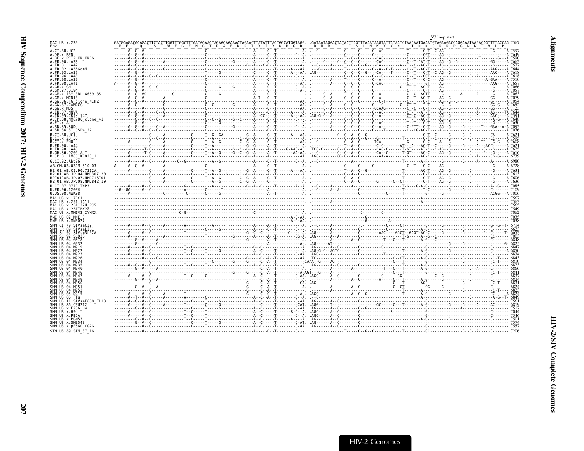<span id="page-52-0"></span>

|                                                                                             |                                                                                                                                                                                                                          |  |  | V <sub>3</sub> loop start |  |
|---------------------------------------------------------------------------------------------|--------------------------------------------------------------------------------------------------------------------------------------------------------------------------------------------------------------------------|--|--|---------------------------|--|
| MAC.US.x.239                                                                                | GATGGAGACACAGACTTCTACTTTGGCTTTGGCTTTAATGGAACTAGAGCAGAAAATAGAACTTATATTTACTGGCATGGTAGGGATAATAGGACTATAATTAGTTTAAATAAGTATTATAATTAACTATATAACAATGTAGAAGTAGGAATGAGGAAATAAGGACAGTTTTACCAG 756                                    |  |  |                           |  |
| A.CI.88.UC2                                                                                 |                                                                                                                                                                                                                          |  |  |                           |  |
| A.DE.x.BEN<br>A.DE.X.PEI2 KR KRCG                                                           |                                                                                                                                                                                                                          |  |  |                           |  |
| A.FR.00.LA38                                                                                |                                                                                                                                                                                                                          |  |  |                           |  |
| A.FR.01.LA42<br>A.FR.02.LA36GomM                                                            |                                                                                                                                                                                                                          |  |  |                           |  |
| .93.LA37                                                                                    |                                                                                                                                                                                                                          |  |  |                           |  |
| 4. FR. 96. I A46                                                                            |                                                                                                                                                                                                                          |  |  |                           |  |
| A.FR.98.LA41                                                                                |                                                                                                                                                                                                                          |  |  |                           |  |
|                                                                                             |                                                                                                                                                                                                                          |  |  |                           |  |
| A.GM.x.ISY SBL 6669 85                                                                      |                                                                                                                                                                                                                          |  |  |                           |  |
| GM.x.MCNI3<br>A.GW.86.FG clone NIHZ                                                         |                                                                                                                                                                                                                          |  |  |                           |  |
| A.GW.87.CAM2CG                                                                              |                                                                                                                                                                                                                          |  |  |                           |  |
| A.GW.x.MDS<br>A.IN.07.NNVA                                                                  |                                                                                                                                                                                                                          |  |  |                           |  |
| A.IN.95.CRIK 147                                                                            |                                                                                                                                                                                                                          |  |  |                           |  |
| A.JP.08.NMC786 clone 41<br>A.PT.x.ALT                                                       |                                                                                                                                                                                                                          |  |  |                           |  |
| A.SN.85.ROD                                                                                 |                                                                                                                                                                                                                          |  |  |                           |  |
| A.SN.86.ST JSP4 27                                                                          |                                                                                                                                                                                                                          |  |  |                           |  |
| B.CT.88.UC1<br>B.CI.X.20 56                                                                 |                                                                                                                                                                                                                          |  |  |                           |  |
| B.CI.X.EHO                                                                                  |                                                                                                                                                                                                                          |  |  |                           |  |
| B.FR.00.LA44<br>B. FR. 98. LA43                                                             |                                                                                                                                                                                                                          |  |  |                           |  |
| B.GH.86.D205 ALT                                                                            |                                                                                                                                                                                                                          |  |  |                           |  |
| B.JP.01.IMCJ KR020 1                                                                        |                                                                                                                                                                                                                          |  |  |                           |  |
| G.CI.92.Abt96                                                                               |                                                                                                                                                                                                                          |  |  |                           |  |
| AB.CM.03.03CM 510 03<br>H <sub>2</sub> 01 AB.CI.90.7312A                                    | According to the Community Community Community Community Community Community Community Community Community Community Community Community Community Community Community Community Community Community Community Community |  |  |                           |  |
| H2 <sup>-01-AB.JP.04.NMC307</sup>                                                           |                                                                                                                                                                                                                          |  |  |                           |  |
| H2 <sup>-</sup> 01 <sup>-</sup> AB.JP.07.NMC716 <sup>-</sup> 01<br>H2 01 AB.JP.08.NMC842 10 |                                                                                                                                                                                                                          |  |  |                           |  |
| U.CI.07.07IC TNP3                                                                           |                                                                                                                                                                                                                          |  |  |                           |  |
| U.FR.96.12034                                                                               |                                                                                                                                                                                                                          |  |  |                           |  |
| U.US.08.NWK08                                                                               |                                                                                                                                                                                                                          |  |  |                           |  |
| MAC.US.x.17EC1<br>MAC.US.x.251 1A11                                                         |                                                                                                                                                                                                                          |  |  |                           |  |
| MAC.US.x.251 <sup>-32H</sup> PJ5                                                            |                                                                                                                                                                                                                          |  |  |                           |  |
| MAC.US.x.251 BK28<br>MAC.US.x.MM142 IVMXX                                                   |                                                                                                                                                                                                                          |  |  |                           |  |
| MNE.US.82.MNE 8                                                                             |                                                                                                                                                                                                                          |  |  |                           |  |
| MNE.US.x.MNE027                                                                             |                                                                                                                                                                                                                          |  |  |                           |  |
| SMM.CI.79.SIVsmCI2<br>SMM.LR.89.SIVsmLIB1                                                   |                                                                                                                                                                                                                          |  |  |                           |  |
| SMM.SL.92.SIVsmSL92A                                                                        |                                                                                                                                                                                                                          |  |  |                           |  |
| SMM US 04.G078                                                                              |                                                                                                                                                                                                                          |  |  |                           |  |
|                                                                                             |                                                                                                                                                                                                                          |  |  |                           |  |
|                                                                                             |                                                                                                                                                                                                                          |  |  |                           |  |
|                                                                                             |                                                                                                                                                                                                                          |  |  |                           |  |
| SMM IIS                                                                                     |                                                                                                                                                                                                                          |  |  |                           |  |
|                                                                                             |                                                                                                                                                                                                                          |  |  |                           |  |
| SMM IIS A4 MQ46                                                                             |                                                                                                                                                                                                                          |  |  |                           |  |
|                                                                                             |                                                                                                                                                                                                                          |  |  |                           |  |
| 04 M949                                                                                     |                                                                                                                                                                                                                          |  |  |                           |  |
|                                                                                             |                                                                                                                                                                                                                          |  |  |                           |  |
| SMM.US.04.M952<br>MM.US.05.D215                                                             |                                                                                                                                                                                                                          |  |  |                           |  |
|                                                                                             |                                                                                                                                                                                                                          |  |  |                           |  |
| SMM IIS 11 STVsmF660 FL16                                                                   |                                                                                                                                                                                                                          |  |  |                           |  |
| SMM.US.86.CFU212<br>SMM.US.x.F236 H4                                                        |                                                                                                                                                                                                                          |  |  |                           |  |
| MM.US.x.H9                                                                                  |                                                                                                                                                                                                                          |  |  |                           |  |
| SMM.US.x.PBJA<br>SMM.US.x.PGM53                                                             |                                                                                                                                                                                                                          |  |  |                           |  |
| SMM.US.x.SME543                                                                             |                                                                                                                                                                                                                          |  |  |                           |  |
| SMM.US.x.pE660.CG7G<br>STM.US.89.STM 37 16                                                  |                                                                                                                                                                                                                          |  |  |                           |  |
|                                                                                             |                                                                                                                                                                                                                          |  |  |                           |  |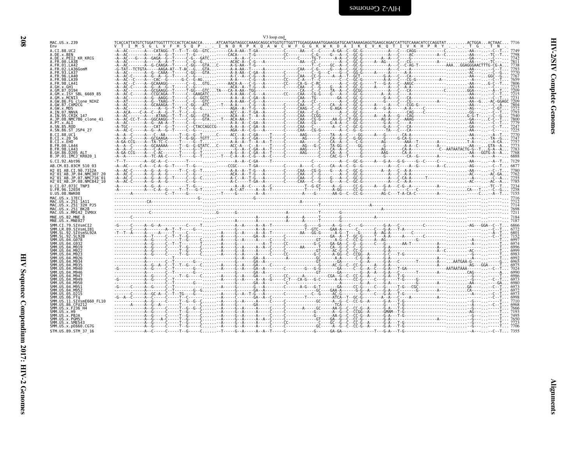| MAC.US.x.239<br>Fny                                                                                                                                                                                                       | TCACCATTATGTCTGGATTGGTTTTCCACTCACAACCAATCAATGATAGGCCAAAGCAGGCATGGTGTTGGAGGAAAATGGAAGGATGCAATAAAAGAGGTGAAGCAGACCATTGTCAAACATCCCAGGTATACTGGAACTAAC 7716                                                                                                                                                                                                                                                                           |  |
|---------------------------------------------------------------------------------------------------------------------------------------------------------------------------------------------------------------------------|---------------------------------------------------------------------------------------------------------------------------------------------------------------------------------------------------------------------------------------------------------------------------------------------------------------------------------------------------------------------------------------------------------------------------------|--|
| A.CI.88.UC2                                                                                                                                                                                                               | V T I M S G L V F H S Q P  I N D R P K Q A W C W F G G K W K D A I K E V K Q T I V K H P R Y T G T N<br>-A--AC-------A---CATAGG--T--T--GG--GTC-----CA-A-AA--T-GA-----------C------AA---C--C--C--CA-C--GC-G---                                                                                                                                                                                                                   |  |
| A.DE.X.BEN<br>A.DE.X.PEI2 KR KRCG                                                                                                                                                                                         |                                                                                                                                                                                                                                                                                                                                                                                                                                 |  |
| A.FR.00.LA38                                                                                                                                                                                                              |                                                                                                                                                                                                                                                                                                                                                                                                                                 |  |
| A.FR.01.LA42                                                                                                                                                                                                              |                                                                                                                                                                                                                                                                                                                                                                                                                                 |  |
| A.FR.02.LA36GomM                                                                                                                                                                                                          |                                                                                                                                                                                                                                                                                                                                                                                                                                 |  |
| A.FR.93.LA37<br>A. FR. 96. LA40                                                                                                                                                                                           |                                                                                                                                                                                                                                                                                                                                                                                                                                 |  |
| A. FR. 98. LA39                                                                                                                                                                                                           |                                                                                                                                                                                                                                                                                                                                                                                                                                 |  |
| A.FR.98.LA41                                                                                                                                                                                                              |                                                                                                                                                                                                                                                                                                                                                                                                                                 |  |
| A.GH.x.GH1                                                                                                                                                                                                                |                                                                                                                                                                                                                                                                                                                                                                                                                                 |  |
| A.GM.87.D194<br>A.GM.x.ISY SBL 6669 85                                                                                                                                                                                    |                                                                                                                                                                                                                                                                                                                                                                                                                                 |  |
| A.GM.x.MCNI3                                                                                                                                                                                                              |                                                                                                                                                                                                                                                                                                                                                                                                                                 |  |
| A.GW.86.FG clone NIHZ                                                                                                                                                                                                     |                                                                                                                                                                                                                                                                                                                                                                                                                                 |  |
| A.GW.87.CAM2CG                                                                                                                                                                                                            |                                                                                                                                                                                                                                                                                                                                                                                                                                 |  |
| A.GW.x.MDS<br>A.IN.07.NNVA                                                                                                                                                                                                | $A-AC  \text{---} A-AC  \text{---} A-AC  \text{---} A-AC  \text{---} A-AC  \text{---} A-AC  \text{---} A-AC  \text{---} A-AC  \text{---} A-AC  \text{---} A-AC  \text{---} A-AC  \text{---} A-AC  \text{---} A-AC  \text{---} A-AC  \text{---} A-AC  \text{---} A-AC  \text{---} A-AC  \text{---} A-AC  \text{---} A-AC  \text{---} A-AC  \text{---} A-AC  \text{---} A-AC  \text{---} A-AC  \text{---} A-AC  \text{---} A-AC $ |  |
| A.IN.95.CRIK 147                                                                                                                                                                                                          |                                                                                                                                                                                                                                                                                                                                                                                                                                 |  |
| A.JP.08.NMC786 clone 41                                                                                                                                                                                                   |                                                                                                                                                                                                                                                                                                                                                                                                                                 |  |
| A.PT.x.ALI                                                                                                                                                                                                                |                                                                                                                                                                                                                                                                                                                                                                                                                                 |  |
| A.SN.85.ROD                                                                                                                                                                                                               |                                                                                                                                                                                                                                                                                                                                                                                                                                 |  |
| A.SN.86.ST JSP4 27<br>B.CI.88.UC1                                                                                                                                                                                         |                                                                                                                                                                                                                                                                                                                                                                                                                                 |  |
| B.CI.X.20 56                                                                                                                                                                                                              | -Â--Â--C-----À--GČGAAGA-----Ť--Ğ-GĞ--ŤGŤŤ---------Ğ-À--Č-ĞÄ-----Ť-----Č-------------------ÂG--Č--G--Ğ--G--Ğ                                                                                                                                                                                                                                                                                                                     |  |
| B.CI.X.EHO                                                                                                                                                                                                                |                                                                                                                                                                                                                                                                                                                                                                                                                                 |  |
| B.FR.00.LA44                                                                                                                                                                                                              |                                                                                                                                                                                                                                                                                                                                                                                                                                 |  |
| B. FR. 98. LA43                                                                                                                                                                                                           |                                                                                                                                                                                                                                                                                                                                                                                                                                 |  |
| B.GH.86.D205 ALT<br>B.JP.01.IMCJ KR020 1                                                                                                                                                                                  |                                                                                                                                                                                                                                                                                                                                                                                                                                 |  |
| G.CI.92.Abt96                                                                                                                                                                                                             |                                                                                                                                                                                                                                                                                                                                                                                                                                 |  |
| AB.CM.03.03CM 510 03                                                                                                                                                                                                      |                                                                                                                                                                                                                                                                                                                                                                                                                                 |  |
| H2 01 AB.CI.90.7312A                                                                                                                                                                                                      |                                                                                                                                                                                                                                                                                                                                                                                                                                 |  |
| H2 <sup>-01-AB.JP.04.NMC307 20</sup>                                                                                                                                                                                      |                                                                                                                                                                                                                                                                                                                                                                                                                                 |  |
| H2 <sup>-01-AB.JP.07.NMC716-01</sup>                                                                                                                                                                                      |                                                                                                                                                                                                                                                                                                                                                                                                                                 |  |
| H2 <sup>-01-AB.JP.08.NMC842<sup>-10</sup></sup>                                                                                                                                                                           |                                                                                                                                                                                                                                                                                                                                                                                                                                 |  |
| U.CI.07.07IC TNP3                                                                                                                                                                                                         |                                                                                                                                                                                                                                                                                                                                                                                                                                 |  |
| U.FR.96.12034<br>U.US.08.NWK08                                                                                                                                                                                            |                                                                                                                                                                                                                                                                                                                                                                                                                                 |  |
| MAC.US.x.17EC1                                                                                                                                                                                                            |                                                                                                                                                                                                                                                                                                                                                                                                                                 |  |
| MAC.US.x.251 1A11                                                                                                                                                                                                         |                                                                                                                                                                                                                                                                                                                                                                                                                                 |  |
| MAC.US.x.251 <sup>-32H</sup> PJ5                                                                                                                                                                                          |                                                                                                                                                                                                                                                                                                                                                                                                                                 |  |
| MAC.US.x.251 <sup>-</sup> BK28                                                                                                                                                                                            |                                                                                                                                                                                                                                                                                                                                                                                                                                 |  |
| MAC.US.x.MM142 IVMXX                                                                                                                                                                                                      |                                                                                                                                                                                                                                                                                                                                                                                                                                 |  |
| MNE.US.82.MNE 8<br>MNE.US.x.MNE027                                                                                                                                                                                        |                                                                                                                                                                                                                                                                                                                                                                                                                                 |  |
| SMM.CI.79.SIVsmCI2                                                                                                                                                                                                        |                                                                                                                                                                                                                                                                                                                                                                                                                                 |  |
| SMM.LR.89.SIVsmLIB1                                                                                                                                                                                                       |                                                                                                                                                                                                                                                                                                                                                                                                                                 |  |
| SMM.SL.92.SIVsmSL92A                                                                                                                                                                                                      |                                                                                                                                                                                                                                                                                                                                                                                                                                 |  |
| SMM.SL.92.SL92B                                                                                                                                                                                                           |                                                                                                                                                                                                                                                                                                                                                                                                                                 |  |
| SMM.US.<br>.04.6078<br>.04.6932                                                                                                                                                                                           |                                                                                                                                                                                                                                                                                                                                                                                                                                 |  |
| SMM. U.S. 04. M919                                                                                                                                                                                                        |                                                                                                                                                                                                                                                                                                                                                                                                                                 |  |
| SMM. US. 04. M922                                                                                                                                                                                                         |                                                                                                                                                                                                                                                                                                                                                                                                                                 |  |
| SMM.US.04.M923<br>$.04.$ M926                                                                                                                                                                                             |                                                                                                                                                                                                                                                                                                                                                                                                                                 |  |
| 04.M934                                                                                                                                                                                                                   |                                                                                                                                                                                                                                                                                                                                                                                                                                 |  |
| 04.M935                                                                                                                                                                                                                   |                                                                                                                                                                                                                                                                                                                                                                                                                                 |  |
| $.04.$ M940                                                                                                                                                                                                               |                                                                                                                                                                                                                                                                                                                                                                                                                                 |  |
| SMM. U.S. 04. M946                                                                                                                                                                                                        |                                                                                                                                                                                                                                                                                                                                                                                                                                 |  |
| SMM. US. 04. M947<br>SMM. US.04.M949                                                                                                                                                                                      |                                                                                                                                                                                                                                                                                                                                                                                                                                 |  |
| SMM.US.04.M950                                                                                                                                                                                                            |                                                                                                                                                                                                                                                                                                                                                                                                                                 |  |
| $.04.$ M951<br><b>SMM IIS</b>                                                                                                                                                                                             |                                                                                                                                                                                                                                                                                                                                                                                                                                 |  |
| SMM LIS<br>04.M952                                                                                                                                                                                                        |                                                                                                                                                                                                                                                                                                                                                                                                                                 |  |
|                                                                                                                                                                                                                           |                                                                                                                                                                                                                                                                                                                                                                                                                                 |  |
|                                                                                                                                                                                                                           |                                                                                                                                                                                                                                                                                                                                                                                                                                 |  |
|                                                                                                                                                                                                                           |                                                                                                                                                                                                                                                                                                                                                                                                                                 |  |
|                                                                                                                                                                                                                           |                                                                                                                                                                                                                                                                                                                                                                                                                                 |  |
|                                                                                                                                                                                                                           |                                                                                                                                                                                                                                                                                                                                                                                                                                 |  |
|                                                                                                                                                                                                                           |                                                                                                                                                                                                                                                                                                                                                                                                                                 |  |
|                                                                                                                                                                                                                           |                                                                                                                                                                                                                                                                                                                                                                                                                                 |  |
|                                                                                                                                                                                                                           |                                                                                                                                                                                                                                                                                                                                                                                                                                 |  |
| SMM.US.05.D215<br>SMM.US.06.FTa<br>SMM.US.11.SIVsmE660 FL10<br>SMM. US.86. CFU212<br>SMM.US.x.F236 H4<br>SMM IIS x HQ<br>SMM.US.x.PBJA<br>SMM.US.x.PGM53<br>SMM.US.x.SME543<br>SMM.US.x.pE660.CG7G<br>STM.US.89.STM 37 16 |                                                                                                                                                                                                                                                                                                                                                                                                                                 |  |

<span id="page-53-0"></span>V3 loop end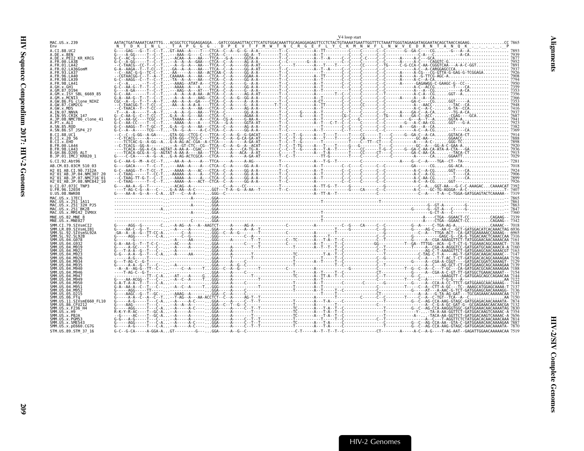<span id="page-54-0"></span>

|                                                                                                         |             | V <sub>4</sub> loop start |
|---------------------------------------------------------------------------------------------------------|-------------|---------------------------|
| MAC.US.x.239<br>Env                                                                                     |             |                           |
| A.CI.88.UC2<br>A.DE.x.BEN                                                                               |             |                           |
| A.DE.X.PEI2 KR KRCG                                                                                     |             |                           |
| A.FR.00.LA38<br>A.FR.01.LA42                                                                            |             |                           |
| A. FR. 02. LA36GomM<br>A.FR.93.LA37                                                                     |             |                           |
| FR.96.LA40<br>A.FR.98.LA39                                                                              |             |                           |
| A.FR.98.LA41                                                                                            |             |                           |
| A.GH.x.GH1<br>A.GM.87.D194                                                                              |             |                           |
| A.GM.x.ISY SBL 6669 85                                                                                  |             |                           |
| A.GM.x.MCNI3<br>A.GW.86.FG_clone_NIHZ<br>A.GW.87.CAM2CG                                                 |             |                           |
| A.GW.x.MDS<br>A.IN.07.NNVA                                                                              |             |                           |
| A.IN.95.CRIK 147                                                                                        |             |                           |
| A.JP.08.NMC786 clone 41<br>A.PT.x.ALI                                                                   |             |                           |
| A.SN.85.ROD<br>A.SN.86.ST JSP4 27                                                                       |             |                           |
| B.CI.88.UC1                                                                                             |             |                           |
| B.CI.X.20 56<br>B.CI.x.EHO                                                                              |             |                           |
| B.FR.00.LA44<br>B. FR. 98. LA43                                                                         |             |                           |
| B.GH.86.D205 ALT<br>B.JP.01.IMCJ <sup>-</sup> KR020 1                                                   |             |                           |
| G.CI.92.Abt96                                                                                           | $6 - 6 - 8$ |                           |
| AB.CM.03.03CM 510 03<br>H2 01 AB.CI.90.7312A                                                            |             |                           |
| H2 <sup>-01-AB.JP.04.NMC307</sup>                                                                       |             |                           |
| H2 <sup>-01-AB.JP.07.NMC716-01</sup><br>H2 <sup>-</sup> 01 <sup>-</sup> AB.JP.08.NMC842 <sup>-</sup> 10 |             |                           |
| U.CI.07.07IC TNP3<br>U.FR.96.12034                                                                      |             |                           |
| U.US.08.NWK08                                                                                           |             |                           |
| MAC. US. x. 17EC1<br>MAC.US.x.251 1A11                                                                  |             |                           |
| MAC.US.x.251 <sup>-</sup> 32H PJ5<br>MAC.US.x.251 <sup>-</sup> BK28                                     |             |                           |
| MAC.US.x.MM142 IVMXX                                                                                    |             |                           |
| MNE.US.82.MNE 8<br>MNE.US.x.MNE027                                                                      |             |                           |
| SMM.CI.79.SIVsmCI<br>SMM.LR.89.SIVsmLIB                                                                 |             |                           |
| SMM.SL.92.SIVsmSL92A                                                                                    |             |                           |
| SMM.US.04.G078                                                                                          |             |                           |
| SMM.US.04.M919                                                                                          |             |                           |
| SMM.US                                                                                                  |             |                           |
|                                                                                                         |             |                           |
|                                                                                                         |             |                           |
|                                                                                                         |             |                           |
| SMM.US.04.M947                                                                                          |             |                           |
| SMM.US.04.M950<br>SMM.US.                                                                               |             |                           |
| SMM. US.04.M952<br>SMM.US.<br>.05.D215                                                                  |             |                           |
| .SIVsmE660 FL10                                                                                         |             |                           |
| SMM.US.86.CFU212                                                                                        |             |                           |
| SMM.US.x.F236 H4<br>SMM.US.x.H9                                                                         |             |                           |
| SMM.US.x.PBJA<br>SMM.US.x.PGM53                                                                         |             |                           |
| SMM.US.x.SME543<br>SMM.US.x.pE660.CG7G                                                                  |             |                           |
| STM.US.89.STM 37 16                                                                                     |             |                           |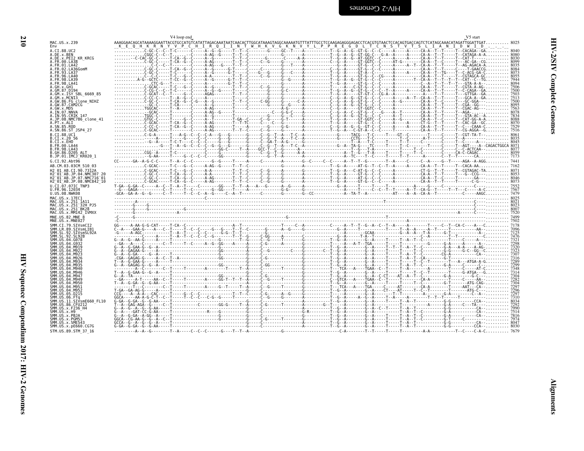|                                                                                                                                   | V <sub>4</sub> loop end                                                                                                                                                                                                                                                                                                                                                                                                                                                                                                                          | V5 start |
|-----------------------------------------------------------------------------------------------------------------------------------|--------------------------------------------------------------------------------------------------------------------------------------------------------------------------------------------------------------------------------------------------------------------------------------------------------------------------------------------------------------------------------------------------------------------------------------------------------------------------------------------------------------------------------------------------|----------|
| MAC.US.x.239<br>Env                                                                                                               | K E Q H K R N Y V P C H I R Q I I N T W H K V G K N V Y L P P R E G D<br>T C N S T V T S L I A N I D W I D<br>$\frac{\sum_{i=0}^{K} \left(\frac{1}{\sqrt{1-\frac{1}{\sqrt{1-\frac{1}{\sqrt{1-\frac{1}{\sqrt{1-\frac{1}{\sqrt{1-\frac{1}{\sqrt{1-\frac{1}{\sqrt{1-\frac{1}{\sqrt{1-\frac{1}{\sqrt{1-\frac{1}{\sqrt{1-\frac{1}{\sqrt{1-\frac{1}{\sqrt{1-\frac{1}{\sqrt{1-\frac{1}{\sqrt{1-\frac{1}{\sqrt{1-\frac{1}{\sqrt{1-\frac{1}{\sqrt{1-\frac{1}{\sqrt{1-\frac{1}{\sqrt{1-\frac{1}{\sqrt{1-\frac{1}{\sqrt{1-\frac{1}{\sqrt{1-\frac{1}{\sqrt{$ |          |
| A.CI.88.UC2                                                                                                                       |                                                                                                                                                                                                                                                                                                                                                                                                                                                                                                                                                  |          |
| A.DE.x.BEN<br>A.DE.X.PEI2 KR KRCG                                                                                                 |                                                                                                                                                                                                                                                                                                                                                                                                                                                                                                                                                  |          |
| A.FR.00.LA38<br>A.FR.01.LA42                                                                                                      |                                                                                                                                                                                                                                                                                                                                                                                                                                                                                                                                                  |          |
| A.FR.02.LA36GomM<br>A.FR.93.LA37                                                                                                  |                                                                                                                                                                                                                                                                                                                                                                                                                                                                                                                                                  |          |
| A.FR.96.LA40                                                                                                                      |                                                                                                                                                                                                                                                                                                                                                                                                                                                                                                                                                  |          |
| A.FR.98.LA39<br>A.FR.98.LA41                                                                                                      |                                                                                                                                                                                                                                                                                                                                                                                                                                                                                                                                                  |          |
| A GH x GH1<br>A GM 87 D194                                                                                                        |                                                                                                                                                                                                                                                                                                                                                                                                                                                                                                                                                  |          |
| A.GM.x.ISY SBL 6669 85                                                                                                            |                                                                                                                                                                                                                                                                                                                                                                                                                                                                                                                                                  |          |
| A.GM.x.MCNI3<br>A.GW.86.FG clone NIHZ                                                                                             |                                                                                                                                                                                                                                                                                                                                                                                                                                                                                                                                                  |          |
| A.GW.87.CAM2CG<br>A.GW.x.MDS                                                                                                      |                                                                                                                                                                                                                                                                                                                                                                                                                                                                                                                                                  |          |
| A.IN.07.NNVA                                                                                                                      |                                                                                                                                                                                                                                                                                                                                                                                                                                                                                                                                                  |          |
| A.IN.95.CRIK 147<br>A.JP.08.NMC786 clone 41                                                                                       |                                                                                                                                                                                                                                                                                                                                                                                                                                                                                                                                                  |          |
| A.PT.x.ALI<br>A. SN. 85. ROD                                                                                                      |                                                                                                                                                                                                                                                                                                                                                                                                                                                                                                                                                  |          |
| A.SN.86.ST JSP4 27                                                                                                                |                                                                                                                                                                                                                                                                                                                                                                                                                                                                                                                                                  |          |
| B.CT.88.UC1<br>B.CI.x.20 56                                                                                                       |                                                                                                                                                                                                                                                                                                                                                                                                                                                                                                                                                  |          |
| B.CI.X.EHO<br>B. FR. 00. LA44                                                                                                     |                                                                                                                                                                                                                                                                                                                                                                                                                                                                                                                                                  |          |
| B. FR. 98. LA43                                                                                                                   |                                                                                                                                                                                                                                                                                                                                                                                                                                                                                                                                                  |          |
| B.GH.86.D205 ALT<br>B.JP.01.IMCJ KR020 1                                                                                          |                                                                                                                                                                                                                                                                                                                                                                                                                                                                                                                                                  |          |
| G.CI.92.Abt96                                                                                                                     | $c_1, \ldots, c_{n-1}, c_{n-2}, c_{n-1}, \ldots, c_{n-1}, c_{n-2}, c_{n-1}, c_{n-1}, c_{n-2}, c_{n-1}, c_{n-1}, c_{n-2}, c_{n-1}, c_{n-1}, c_{n-2}, c_{n-1}, c_{n-1}, c_{n-2}, c_{n-1}, c_{n-1}, c_{n-1}, c_{n-1}, c_{n-1}, c_{n-1}, c_{n-1}, c_{n-1}, c_{n-1}, c_{n-1}, c_{n-1}, c_{n-1}, c_{n-1}, c_{n-1}, c_{n-1}, c_{n-1}, c_{n-1}, c_{n-$                                                                                                                                                                                                   |          |
| AB.CM.03.03CM 510 03<br>H2 01 AB.CI.90.7312A                                                                                      |                                                                                                                                                                                                                                                                                                                                                                                                                                                                                                                                                  |          |
| H2 01 AB. JP. 04. NMC307 20                                                                                                       |                                                                                                                                                                                                                                                                                                                                                                                                                                                                                                                                                  |          |
| H2 <sup>-</sup> 01 <sup>-</sup> AB.JP.07.NMC716 <sup>-</sup> 01<br>H2 <sup>-</sup> 01 <sup>-</sup> AB.JP.08.NMC842 <sup>-10</sup> |                                                                                                                                                                                                                                                                                                                                                                                                                                                                                                                                                  |          |
| U.CI.07.07IC TNP3<br>U.FR.96.12034                                                                                                |                                                                                                                                                                                                                                                                                                                                                                                                                                                                                                                                                  |          |
| U.US.08.NWK08                                                                                                                     |                                                                                                                                                                                                                                                                                                                                                                                                                                                                                                                                                  |          |
| MAC.US.x.17EC1<br>MAC.US.x.251 1A11                                                                                               |                                                                                                                                                                                                                                                                                                                                                                                                                                                                                                                                                  |          |
| MAC.US.x.251 32H PJ5<br>MAC.US.x.251 <sup>-</sup> BK28                                                                            |                                                                                                                                                                                                                                                                                                                                                                                                                                                                                                                                                  |          |
| MAC.US.x.MM142 IVMXX                                                                                                              |                                                                                                                                                                                                                                                                                                                                                                                                                                                                                                                                                  |          |
| MNE.US.82.MNE 8<br>MNE.US.x.MNE027                                                                                                |                                                                                                                                                                                                                                                                                                                                                                                                                                                                                                                                                  |          |
| SMM.CI.79.SIVsmCI2                                                                                                                |                                                                                                                                                                                                                                                                                                                                                                                                                                                                                                                                                  |          |
| SMM.LR.89.SIVsmLIB1<br>SMM.SL.92.SIVsmSL92A                                                                                       |                                                                                                                                                                                                                                                                                                                                                                                                                                                                                                                                                  |          |
| SMM SI 92 SI92R<br>SMM US 04 G078                                                                                                 |                                                                                                                                                                                                                                                                                                                                                                                                                                                                                                                                                  |          |
| SMM.US.04.G932<br>SMM.US.04.M919                                                                                                  |                                                                                                                                                                                                                                                                                                                                                                                                                                                                                                                                                  |          |
|                                                                                                                                   |                                                                                                                                                                                                                                                                                                                                                                                                                                                                                                                                                  |          |
|                                                                                                                                   |                                                                                                                                                                                                                                                                                                                                                                                                                                                                                                                                                  |          |
| SMM.US                                                                                                                            |                                                                                                                                                                                                                                                                                                                                                                                                                                                                                                                                                  |          |
| SMM IIS 04 M946                                                                                                                   |                                                                                                                                                                                                                                                                                                                                                                                                                                                                                                                                                  |          |
| SMM IIS A4 MQ47                                                                                                                   |                                                                                                                                                                                                                                                                                                                                                                                                                                                                                                                                                  |          |
| SMM IIS 04 M949                                                                                                                   |                                                                                                                                                                                                                                                                                                                                                                                                                                                                                                                                                  |          |
| SMM IIS A4 MQ51<br>SMM.US.04.M952                                                                                                 |                                                                                                                                                                                                                                                                                                                                                                                                                                                                                                                                                  |          |
| SMM.US.05.D215                                                                                                                    |                                                                                                                                                                                                                                                                                                                                                                                                                                                                                                                                                  |          |
| SMM.US.06.FTa<br>SMM.US.11.SIVsmE660 FL10                                                                                         |                                                                                                                                                                                                                                                                                                                                                                                                                                                                                                                                                  |          |
| SMM.US.86.CFU212<br>SMM.US.x.F236 H4                                                                                              |                                                                                                                                                                                                                                                                                                                                                                                                                                                                                                                                                  |          |
| SMM IIS x H9                                                                                                                      |                                                                                                                                                                                                                                                                                                                                                                                                                                                                                                                                                  |          |
| MM.US.x.PBJA<br>SMM.US.x.PGM53                                                                                                    |                                                                                                                                                                                                                                                                                                                                                                                                                                                                                                                                                  |          |
| SMM.US.x.pE660.CG7G                                                                                                               |                                                                                                                                                                                                                                                                                                                                                                                                                                                                                                                                                  |          |
| STM.US.89.STM 37 16                                                                                                               |                                                                                                                                                                                                                                                                                                                                                                                                                                                                                                                                                  |          |

<span id="page-55-0"></span>**HIV-2/SIV Complete Genomes**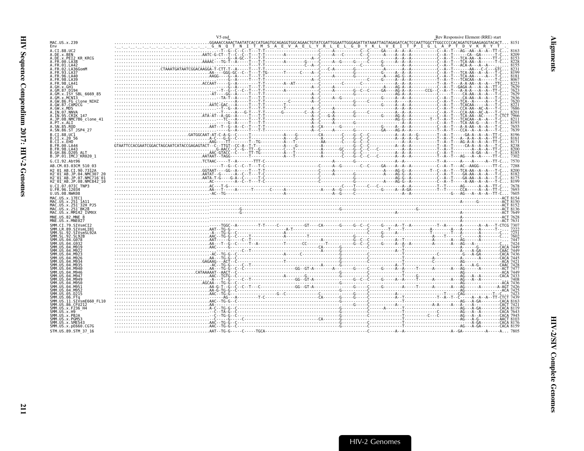<span id="page-56-0"></span>

|                                                           | V5 end                                                                                                                                                                                                                                                                                                                                                                                                                                                     | Rev Responsive Element (RRE) start |
|-----------------------------------------------------------|------------------------------------------------------------------------------------------------------------------------------------------------------------------------------------------------------------------------------------------------------------------------------------------------------------------------------------------------------------------------------------------------------------------------------------------------------------|------------------------------------|
| MAC.US.x.239                                              |                                                                                                                                                                                                                                                                                                                                                                                                                                                            |                                    |
| Fny                                                       |                                                                                                                                                                                                                                                                                                                                                                                                                                                            |                                    |
| A.CI.88.UC2<br>A.DE.x.BEN                                 |                                                                                                                                                                                                                                                                                                                                                                                                                                                            |                                    |
| A.DE.x.PEI2 KR KRCG                                       |                                                                                                                                                                                                                                                                                                                                                                                                                                                            |                                    |
| A.FR.00.LA38                                              |                                                                                                                                                                                                                                                                                                                                                                                                                                                            |                                    |
| A. FR. 01. LA42                                           |                                                                                                                                                                                                                                                                                                                                                                                                                                                            |                                    |
| A.FR.02.LA36GomM<br>A. FR. 93. LA37                       |                                                                                                                                                                                                                                                                                                                                                                                                                                                            |                                    |
| A. FR. 96. LA40                                           |                                                                                                                                                                                                                                                                                                                                                                                                                                                            |                                    |
| .98.LA39                                                  |                                                                                                                                                                                                                                                                                                                                                                                                                                                            |                                    |
| A. FR. 98. LA41                                           |                                                                                                                                                                                                                                                                                                                                                                                                                                                            |                                    |
| A.GH.x.GH1<br>A.GM.87.D194                                |                                                                                                                                                                                                                                                                                                                                                                                                                                                            |                                    |
| A.GM.x.ISY SBL 6669 85                                    |                                                                                                                                                                                                                                                                                                                                                                                                                                                            |                                    |
| A.GM.x.MCNI3                                              |                                                                                                                                                                                                                                                                                                                                                                                                                                                            |                                    |
| A.GW.86.FG clone NIHZ<br>A.GW.87.CAM2CG                   |                                                                                                                                                                                                                                                                                                                                                                                                                                                            |                                    |
| A.GW.x.MDS                                                |                                                                                                                                                                                                                                                                                                                                                                                                                                                            |                                    |
| A.IN.07.NNVA                                              |                                                                                                                                                                                                                                                                                                                                                                                                                                                            |                                    |
| A.IN.95.CRIK 147                                          |                                                                                                                                                                                                                                                                                                                                                                                                                                                            |                                    |
| A.JP.08.NMC786 clone 41<br>A.PT.x.ALI                     |                                                                                                                                                                                                                                                                                                                                                                                                                                                            |                                    |
| A.SN.85.ROD                                               |                                                                                                                                                                                                                                                                                                                                                                                                                                                            |                                    |
| A.SN.86.ST JSP4 27                                        |                                                                                                                                                                                                                                                                                                                                                                                                                                                            |                                    |
| B.CI.88.UC1                                               |                                                                                                                                                                                                                                                                                                                                                                                                                                                            |                                    |
| B.CI.x.20 56                                              |                                                                                                                                                                                                                                                                                                                                                                                                                                                            |                                    |
| B.CI.x.EHO<br>B.FR.00.LA44                                |                                                                                                                                                                                                                                                                                                                                                                                                                                                            |                                    |
| B. FR. 98. LA43                                           |                                                                                                                                                                                                                                                                                                                                                                                                                                                            |                                    |
| B.GH.86.D205 ALT                                          |                                                                                                                                                                                                                                                                                                                                                                                                                                                            |                                    |
| B.JP.01.IMCJ <sup>-</sup> KR020 1                         | $\frac{1}{1}$ . The contract of $\frac{1}{2}$ . The contract of $\frac{1}{2}$ . The contract of $\frac{1}{2}$ . The contract of $\frac{1}{2}$ . The contract of $\frac{1}{2}$ . The contract of $\frac{1}{2}$ . The contract of $\frac{1}{2}$ . The contract                                                                                                                                                                                               |                                    |
| G.CI.92.Abt96                                             |                                                                                                                                                                                                                                                                                                                                                                                                                                                            |                                    |
| AB.CM.03.03CM 510 03                                      |                                                                                                                                                                                                                                                                                                                                                                                                                                                            |                                    |
| H2 01 AB.CI.90.7312A<br>H2 <sup>-01-AB.JP.04.NMC307</sup> |                                                                                                                                                                                                                                                                                                                                                                                                                                                            |                                    |
| H2 <sup>-01-AB.JP.07.NMC716-01</sup>                      |                                                                                                                                                                                                                                                                                                                                                                                                                                                            |                                    |
| H2 01 AB.JP.08.NMC842 10                                  |                                                                                                                                                                                                                                                                                                                                                                                                                                                            |                                    |
| U.CI.07.07IC TNP3                                         |                                                                                                                                                                                                                                                                                                                                                                                                                                                            |                                    |
| U.FR.96.12034                                             |                                                                                                                                                                                                                                                                                                                                                                                                                                                            |                                    |
| U.US.08.NWK08                                             |                                                                                                                                                                                                                                                                                                                                                                                                                                                            |                                    |
|                                                           |                                                                                                                                                                                                                                                                                                                                                                                                                                                            |                                    |
| MAC.US.x.17EC1                                            |                                                                                                                                                                                                                                                                                                                                                                                                                                                            |                                    |
| MAC.US.x.251 1A11                                         |                                                                                                                                                                                                                                                                                                                                                                                                                                                            |                                    |
| MAC.US.x.251 32H PJ5<br>MAC.US.x.251 <sup>-</sup> BK28    |                                                                                                                                                                                                                                                                                                                                                                                                                                                            |                                    |
| MAC.US.x.MM142 IVMXX                                      | 1813 A. 1912 - المستحقة المستخدمات المستخدمات المستخدمات المستخدمات المستخدمات المستخدمات المستخدمات المستخدم<br>ACT 8132 - المستخدمات المستخدمات المستخدمات المستخدمات المستخدمات المستخدمات المستخدمات المستخدمات المستخدمات<br>A                                                                                                                                                                                                                        |                                    |
| MNE.US.82.MNE 8                                           | م المستخدم المستخدم المستخدمات المستخدمات المستخدمات المستخدمات المستخدمات المستخدمات المستخدمات المستخدمات المستخدمات                                                                                                                                                                                                                                                                                                                                     |                                    |
| MNE.US.x.MNE027                                           |                                                                                                                                                                                                                                                                                                                                                                                                                                                            |                                    |
| SMM.CI.79.SIVsmCI2<br>SMM.LR.89.SIVsmLIB1                 |                                                                                                                                                                                                                                                                                                                                                                                                                                                            |                                    |
|                                                           |                                                                                                                                                                                                                                                                                                                                                                                                                                                            |                                    |
| SMM SI                                                    |                                                                                                                                                                                                                                                                                                                                                                                                                                                            |                                    |
|                                                           |                                                                                                                                                                                                                                                                                                                                                                                                                                                            |                                    |
|                                                           |                                                                                                                                                                                                                                                                                                                                                                                                                                                            |                                    |
|                                                           |                                                                                                                                                                                                                                                                                                                                                                                                                                                            |                                    |
|                                                           |                                                                                                                                                                                                                                                                                                                                                                                                                                                            |                                    |
|                                                           |                                                                                                                                                                                                                                                                                                                                                                                                                                                            |                                    |
|                                                           |                                                                                                                                                                                                                                                                                                                                                                                                                                                            |                                    |
| SMM IIS<br>SMM IIS A4 MQ46                                |                                                                                                                                                                                                                                                                                                                                                                                                                                                            |                                    |
|                                                           |                                                                                                                                                                                                                                                                                                                                                                                                                                                            |                                    |
|                                                           |                                                                                                                                                                                                                                                                                                                                                                                                                                                            |                                    |
|                                                           |                                                                                                                                                                                                                                                                                                                                                                                                                                                            |                                    |
|                                                           |                                                                                                                                                                                                                                                                                                                                                                                                                                                            |                                    |
| SMM.US.04.M952<br><b>SMM IIS</b><br>.05.D215              |                                                                                                                                                                                                                                                                                                                                                                                                                                                            |                                    |
| .06.FTa                                                   |                                                                                                                                                                                                                                                                                                                                                                                                                                                            |                                    |
| .11.SIVsmE660 FL10                                        |                                                                                                                                                                                                                                                                                                                                                                                                                                                            |                                    |
| SMM.US.86.CFU212                                          |                                                                                                                                                                                                                                                                                                                                                                                                                                                            |                                    |
| SMM.US.x.F236 H4<br>SMM.US.x.H9                           |                                                                                                                                                                                                                                                                                                                                                                                                                                                            |                                    |
| SMM.US.x.PBJA                                             |                                                                                                                                                                                                                                                                                                                                                                                                                                                            |                                    |
| SMM.US.x.PGM53                                            |                                                                                                                                                                                                                                                                                                                                                                                                                                                            |                                    |
| SMM.US.x.SME543<br>SMM.US.x.pE660.CG7G                    | $\frac{AC}{AC} = \frac{AC}{AC} = \frac{AC}{AC} = \frac{AC}{AC} = \frac{AC}{AC} = \frac{AC}{AC} = \frac{AC}{AC} = \frac{AC}{AC} = \frac{AC}{AC} = \frac{AC}{AC} = \frac{AC}{AC} = \frac{AC}{AC} = \frac{AC}{AC} = \frac{AC}{AC} = \frac{AC}{AC} = \frac{AC}{AC} = \frac{AC}{AC} = \frac{AC}{AC} = \frac{AC}{AC} = \frac{AC}{AC} = \frac{AC}{AC} = \frac{AC}{AC} = \frac{AC}{AC} = \frac{AC}{AC} = \frac{AC}{AC} = \frac{AC}{AC} = \frac{AC}{AC} = \frac{AC$ |                                    |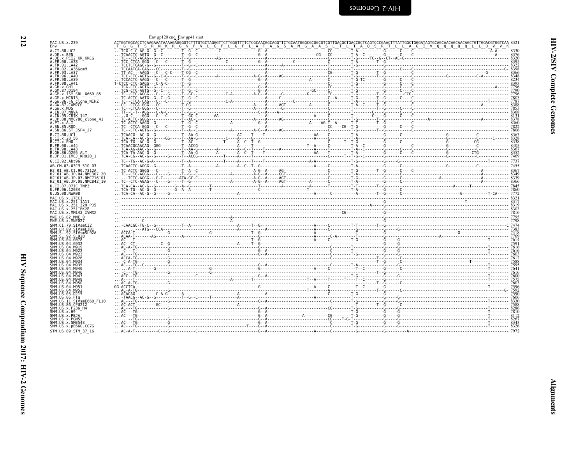<span id="page-57-0"></span>

| MAC.US.x.239<br>Env                                                          |                                                                                                                                                                                                                                      |  |  |  |
|------------------------------------------------------------------------------|--------------------------------------------------------------------------------------------------------------------------------------------------------------------------------------------------------------------------------------|--|--|--|
| A.CI.88.UC2<br>A.DE.x.BEN                                                    |                                                                                                                                                                                                                                      |  |  |  |
| A.DE.x.PEI2 KR KRCG                                                          |                                                                                                                                                                                                                                      |  |  |  |
| A. FR. 00. LA38<br>A.FR.01.LA42                                              |                                                                                                                                                                                                                                      |  |  |  |
| A. FR. 02. LA36GomM<br>A.FR.93.LA37                                          |                                                                                                                                                                                                                                      |  |  |  |
| A.FR.96.LA40<br>A. FR. 98. LA39                                              |                                                                                                                                                                                                                                      |  |  |  |
| A.FR.98.LA41                                                                 |                                                                                                                                                                                                                                      |  |  |  |
| A.GH.x.GH1<br>A.GM.87.D194                                                   |                                                                                                                                                                                                                                      |  |  |  |
| A.GM.x.ISY SBL 6669 85<br>A.GM.x.MCNI3                                       |                                                                                                                                                                                                                                      |  |  |  |
| A.GW.86.FG clone NIHZ                                                        |                                                                                                                                                                                                                                      |  |  |  |
| A.GW.87.CAM2CG<br>A.GW.x.MDS<br>A.IN.07.NNVA                                 |                                                                                                                                                                                                                                      |  |  |  |
| A. IN. 95. CRIK 147                                                          |                                                                                                                                                                                                                                      |  |  |  |
| A.JP.08.NMC786 clone 41<br>A.PT.x.ALI                                        |                                                                                                                                                                                                                                      |  |  |  |
| A.SN.85.ROD<br>A.SN.86.ST JSP4 27                                            |                                                                                                                                                                                                                                      |  |  |  |
| B.CI.88.UC1<br>B.CI.X.20 56                                                  |                                                                                                                                                                                                                                      |  |  |  |
| B.CT.x.EHO                                                                   |                                                                                                                                                                                                                                      |  |  |  |
| B.FR.00.LA44<br>B.FR.98.LA43                                                 |                                                                                                                                                                                                                                      |  |  |  |
| B.GH.86.D205 ALT<br>B.JP.01.IMCJ KR020 1                                     |                                                                                                                                                                                                                                      |  |  |  |
| G.CI.92.Ah <sub>t</sub> 96                                                   |                                                                                                                                                                                                                                      |  |  |  |
| AB.CM.03.03CM 510 03<br>H2 01 AB.CI.90.7312A                                 |                                                                                                                                                                                                                                      |  |  |  |
| H2 <sup>-01-AB.JP.04.NMC307 20</sup><br>H2 <sup>-01-AB.JP.07.NMC716-01</sup> |                                                                                                                                                                                                                                      |  |  |  |
| H2 <sup>-01-AB.JP.08.NMC842<sup>-10</sup></sup>                              |                                                                                                                                                                                                                                      |  |  |  |
| U.CI.07.07IC TNP3<br>U.FR.96.12034                                           |                                                                                                                                                                                                                                      |  |  |  |
| U.US.08.NWK08<br>MAC.US.x.17EC1                                              |                                                                                                                                                                                                                                      |  |  |  |
| MAC.US.x.251_1A11<br>MAC.US.x.251 32H PJ5                                    |                                                                                                                                                                                                                                      |  |  |  |
| MAC. US. x. 251 BK28                                                         |                                                                                                                                                                                                                                      |  |  |  |
| MAC.US.x.MM142 IVMXX<br>MNE.US.82.MNE 8                                      |                                                                                                                                                                                                                                      |  |  |  |
| MNE.US.x.MNE027<br>SMM.CI.79.SIVsmCI2                                        | <u> 1768 - 1899 - 1899 - 1899 - 1899 - 1899 - 1899 - 1899 - 1899 - 1899 - 1899 - 1899 - 1899 - 1899 - 1899 - 1899 - 1899 - 1899 - 1899 - 1899 - 1899 - 1899 - 1899 - 1899 - 1899 - 1899 - 1899 - 1899 - 1899 - 1899 - 1899 - 189</u> |  |  |  |
| SMM.LR.89.SIVsmLIB1                                                          |                                                                                                                                                                                                                                      |  |  |  |
| SMM.SL.92.SIVsmSL92A<br>SMM.SL.92.SL92B                                      |                                                                                                                                                                                                                                      |  |  |  |
| SMM.US.04.G078<br>SMM.US.04.G932                                             |                                                                                                                                                                                                                                      |  |  |  |
| SMM.US.04.M919<br>SMM IIS 04 M922                                            |                                                                                                                                                                                                                                      |  |  |  |
| SMM.US.04.M923<br>SMM.US.04.M926                                             |                                                                                                                                                                                                                                      |  |  |  |
| SMM.US.04.M934<br>SMM. US. 04. M935                                          |                                                                                                                                                                                                                                      |  |  |  |
| SMM. US. 04. M940<br>SMM. U.S. 04. M946                                      |                                                                                                                                                                                                                                      |  |  |  |
| SMM. US. 04. M947                                                            |                                                                                                                                                                                                                                      |  |  |  |
| SMM.US.04.M949<br>SMM.US.04.M950                                             |                                                                                                                                                                                                                                      |  |  |  |
| SMM.US.04.M951<br>SMM.US.04.M952                                             |                                                                                                                                                                                                                                      |  |  |  |
| SMM.US.05.D215<br>SMM.US.06.FTq                                              |                                                                                                                                                                                                                                      |  |  |  |
| SMM.US.11.SIVsmE660 FL10<br>SMM.US.86.CFU212                                 |                                                                                                                                                                                                                                      |  |  |  |
| SMM.US.x.F236 H4<br>SMM.US.x.H9                                              |                                                                                                                                                                                                                                      |  |  |  |
| SMM.US.x.PBJA<br>SMM.US.x.PGM53                                              |                                                                                                                                                                                                                                      |  |  |  |
| SMM.US.x.SME543                                                              |                                                                                                                                                                                                                                      |  |  |  |
| SMM.US.x.pE660.CG7G<br>STM.US.89.STM 37 16                                   |                                                                                                                                                                                                                                      |  |  |  |

**212**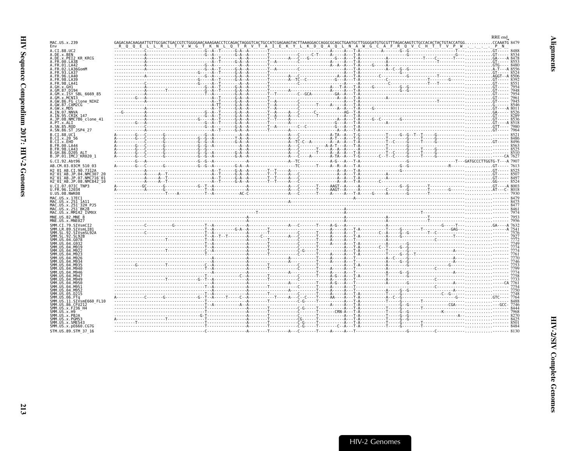<span id="page-58-0"></span>

| MAC.US.x.239                                                                         |  |  |  |  |  |  | RRE end |  |
|--------------------------------------------------------------------------------------|--|--|--|--|--|--|---------|--|
|                                                                                      |  |  |  |  |  |  |         |  |
| A.CI.88.UC2<br>A.DE.x.BEN                                                            |  |  |  |  |  |  |         |  |
| A.DE.x.PEI2 KR KRCG<br>A.FR.00.LA38                                                  |  |  |  |  |  |  |         |  |
| A.FR.01.LA42                                                                         |  |  |  |  |  |  |         |  |
| .FR.02.LA36GomM<br>A. FR. 93. LA37                                                   |  |  |  |  |  |  |         |  |
| A.FR.96.LA40                                                                         |  |  |  |  |  |  |         |  |
| A.FR.98.LA39<br>A.FR.98.LA41                                                         |  |  |  |  |  |  |         |  |
| A.GH.x.GH1<br>A.GM.87.D194                                                           |  |  |  |  |  |  |         |  |
| A.GM.x.ISY SBL 6669 85                                                               |  |  |  |  |  |  |         |  |
| A.GM.x.MCNI3<br>A.GW.86.FG clone NIHZ                                                |  |  |  |  |  |  |         |  |
| A.GW.87.CAM2CG                                                                       |  |  |  |  |  |  |         |  |
| A.GW.x.MDS<br>A.IN.07.NNVA                                                           |  |  |  |  |  |  |         |  |
| A.IN.95.CRIK 147                                                                     |  |  |  |  |  |  |         |  |
| A.JP.08.NMC786 clone 41                                                              |  |  |  |  |  |  |         |  |
| A.PT.x.ALI<br>A.SN.85.ROD<br>A.SN.86.ST JSP4 27                                      |  |  |  |  |  |  |         |  |
| B.CI.88.UC1                                                                          |  |  |  |  |  |  |         |  |
| B.CI.x.20 56                                                                         |  |  |  |  |  |  |         |  |
| B.CI.X.EHO<br>B.FR.00.LA44                                                           |  |  |  |  |  |  |         |  |
| B.FR.98.LA43<br>B.GH.86.D205 ALT                                                     |  |  |  |  |  |  |         |  |
| B.JP.01.IMCJ KR020 1                                                                 |  |  |  |  |  |  |         |  |
| G.CI.92.Abt96                                                                        |  |  |  |  |  |  |         |  |
| AB.CM.03.03CM 510 03                                                                 |  |  |  |  |  |  |         |  |
| H2 01 AB.CI.90.7312A<br>H2 <sup>-</sup> 01 <sup>-</sup> AB.JP.04.NMC307 20           |  |  |  |  |  |  |         |  |
| H2 01 AB.JP.07.NMC716 01                                                             |  |  |  |  |  |  |         |  |
| H2 <sup>-</sup> 01 <sup>-</sup> AB.JP.08.NMC842 <sup>-</sup> 10<br>U.CI.07.07IC TNP3 |  |  |  |  |  |  |         |  |
| U.FR.96.12034                                                                        |  |  |  |  |  |  |         |  |
| U.US.08.NWK08<br>MAC.US.x.17EC1                                                      |  |  |  |  |  |  |         |  |
| MAC.US.x.251 1A11                                                                    |  |  |  |  |  |  |         |  |
| MAC.US.x.251 32H PJ5<br>MAC.US.x.251 <sup>-</sup> BK28                               |  |  |  |  |  |  |         |  |
| MAC.US.x.MM142 IVMXX                                                                 |  |  |  |  |  |  |         |  |
| MNE.US.82.MNE 8<br>MNE.US.x.MNE027                                                   |  |  |  |  |  |  |         |  |
| SMM.CI.79.SIVsmCI2                                                                   |  |  |  |  |  |  |         |  |
|                                                                                      |  |  |  |  |  |  |         |  |
|                                                                                      |  |  |  |  |  |  |         |  |
|                                                                                      |  |  |  |  |  |  |         |  |
|                                                                                      |  |  |  |  |  |  |         |  |
|                                                                                      |  |  |  |  |  |  |         |  |
|                                                                                      |  |  |  |  |  |  |         |  |
|                                                                                      |  |  |  |  |  |  |         |  |
|                                                                                      |  |  |  |  |  |  |         |  |
|                                                                                      |  |  |  |  |  |  |         |  |
|                                                                                      |  |  |  |  |  |  |         |  |
|                                                                                      |  |  |  |  |  |  |         |  |
|                                                                                      |  |  |  |  |  |  |         |  |
|                                                                                      |  |  |  |  |  |  |         |  |
| SMM.US.86.CFU212                                                                     |  |  |  |  |  |  |         |  |
|                                                                                      |  |  |  |  |  |  |         |  |
| SMM.US.x.PBJA                                                                        |  |  |  |  |  |  |         |  |
| SMM.US.x.PGM53<br>SMM.US.x.SME543                                                    |  |  |  |  |  |  |         |  |
| SMM. US. x. pE660. CG7G                                                              |  |  |  |  |  |  |         |  |
| STM.US.89.STM 37 16                                                                  |  |  |  |  |  |  |         |  |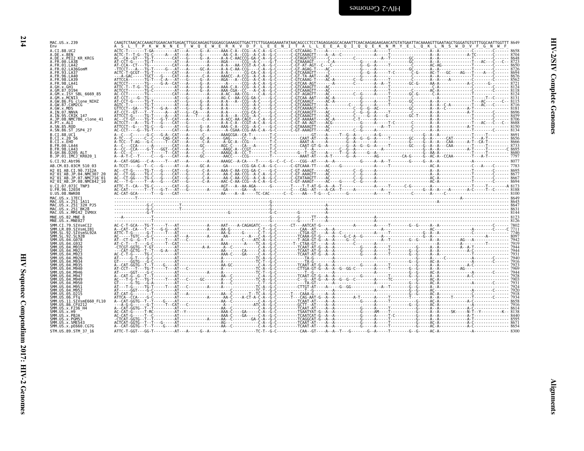| I |  |
|---|--|
|   |  |
|   |  |
|   |  |

| MAC.US.x.239                                                                                | CAAGTCTAACACCAAAGTGGAACAATGAGACTTGGCAAGAGTGGGAGCGAAAGGTTGACTTCTTGGAAGAAAATATAACAGCCCTCCTAGAGGAGGCACAAATTCAACAAGAGGAAGAACATGTATGAATTACAAAAGTTGAATAGCTGGGATGTGTTTGGCAATTGGCTTT 8649                                             |     |                                                                   |  |
|---------------------------------------------------------------------------------------------|-------------------------------------------------------------------------------------------------------------------------------------------------------------------------------------------------------------------------------|-----|-------------------------------------------------------------------|--|
| Env<br>A.CI.88.UC2                                                                          | W N N E T W Q E W E R K V D F L                                                                                                                                                                                               | E E | N I T A L L E E A Q I Q Q E K N M Y E L Q K L N S W D V F G N W F |  |
| A.DE.x.BEN<br>A.DE.X.PEI2 KR KRCG                                                           |                                                                                                                                                                                                                               |     |                                                                   |  |
| A.FR.00.LA38<br>A.FR.01.LA42                                                                |                                                                                                                                                                                                                               |     |                                                                   |  |
| .02.LA36GomM<br>A. FR. 93. LA37                                                             |                                                                                                                                                                                                                               |     |                                                                   |  |
| A.FR.96.LA40<br>A.FR.98.LA39                                                                |                                                                                                                                                                                                                               |     |                                                                   |  |
| A.FR.98.LA41                                                                                |                                                                                                                                                                                                                               |     |                                                                   |  |
| A.GH.x.GH1<br>A.GM.87.D194                                                                  |                                                                                                                                                                                                                               |     |                                                                   |  |
| A.GM.X.ISY SBL 6669 85<br>A.GM.x.MCN13                                                      |                                                                                                                                                                                                                               |     |                                                                   |  |
| A.GW.86.FG clone_NIHZ<br>A.GW.87.CAM2CG                                                     |                                                                                                                                                                                                                               |     |                                                                   |  |
| A.GW.x.MDS<br>A.IN.07.NNVA                                                                  |                                                                                                                                                                                                                               |     |                                                                   |  |
| A.IN.95.CRIK 147                                                                            |                                                                                                                                                                                                                               |     |                                                                   |  |
| A.JP.08.NMC786 clone 41<br>A.PT.x.ALI                                                       |                                                                                                                                                                                                                               |     |                                                                   |  |
| A.SN.85.ROD<br>A.SN.86.ST JSP4 27                                                           |                                                                                                                                                                                                                               |     |                                                                   |  |
| B.CI.88.UC1<br>B.CI.X.20 56                                                                 |                                                                                                                                                                                                                               |     |                                                                   |  |
| B.CI.x.EHO                                                                                  |                                                                                                                                                                                                                               |     |                                                                   |  |
| B.FR.00.LA44<br>B.FR.98.LA43                                                                |                                                                                                                                                                                                                               |     |                                                                   |  |
| B.GH.86.D205 ALT<br>B.JP.01.IMCJ <sup>-</sup> KR020 1                                       |                                                                                                                                                                                                                               |     |                                                                   |  |
| G.CI.92.Abt96                                                                               |                                                                                                                                                                                                                               |     |                                                                   |  |
| AB.CM.03.03CM 510 03<br>H2 01 AB.CI.90.7312A                                                |                                                                                                                                                                                                                               |     |                                                                   |  |
| H2 01 AB.JP.04.NMC307 20<br>H2 <sup>-</sup> 01 <sup>-</sup> AB.JP.07.NMC716 <sup>-</sup> 01 |                                                                                                                                                                                                                               |     |                                                                   |  |
| H2 <sup>-</sup> 01 <sup>-</sup> AB.JP.08.NMC842 <sup>-</sup> 10                             | metric of the Control Control Control Control Control Control Control Control Control Control Control Control Control Control Control Control Control Control Control Control Control Control Control Control Control Control |     |                                                                   |  |
| U.CI.07.07IC TNP3<br>U.FR.96.12034                                                          |                                                                                                                                                                                                                               |     |                                                                   |  |
| U.US.08.NWK08<br>MAC.US.x.17EC1                                                             |                                                                                                                                                                                                                               |     |                                                                   |  |
| MAC.US.x.251 1A11                                                                           |                                                                                                                                                                                                                               |     |                                                                   |  |
| MAC.US.x.251 <sup>-</sup> 32H PJ5<br>MAC.US.x.251 <sup>-</sup> BK28                         |                                                                                                                                                                                                                               |     |                                                                   |  |
| MAC.US.x.MM142 IVMXX<br>MNE.US.82.MNE 8                                                     |                                                                                                                                                                                                                               |     |                                                                   |  |
| MNE.US.x.MNE027<br>SMM.CI.79.SIVsmCI2                                                       |                                                                                                                                                                                                                               |     |                                                                   |  |
| SMM.LR.89.SIVsmLIB1                                                                         |                                                                                                                                                                                                                               |     |                                                                   |  |
| SMM.SL.92.SIVsmSL92A<br>SMM. SL. 92. SL92B                                                  |                                                                                                                                                                                                                               |     |                                                                   |  |
| SMM US 04 G078<br>SMM.US.04.G932                                                            |                                                                                                                                                                                                                               |     |                                                                   |  |
| SMM.US.<br>.04.M919                                                                         |                                                                                                                                                                                                                               |     |                                                                   |  |
|                                                                                             |                                                                                                                                                                                                                               |     |                                                                   |  |
|                                                                                             |                                                                                                                                                                                                                               |     |                                                                   |  |
| SMM.US.                                                                                     |                                                                                                                                                                                                                               |     |                                                                   |  |
| SMM. US. 04. M946<br>SMM IIS 04 M947                                                        |                                                                                                                                                                                                                               |     |                                                                   |  |
| SMM. US. 04. M949<br>SMM.US.04.M950                                                         |                                                                                                                                                                                                                               |     |                                                                   |  |
| SMM.US.04.M951<br>SMM.US.                                                                   |                                                                                                                                                                                                                               |     |                                                                   |  |
| SMM.US.05.D215                                                                              |                                                                                                                                                                                                                               |     |                                                                   |  |
| SMM.US.11.SIVsmE660 FL10                                                                    |                                                                                                                                                                                                                               |     |                                                                   |  |
| SMM.US.86.CFU212<br>SMM.US.x.F236 H4                                                        |                                                                                                                                                                                                                               |     |                                                                   |  |
| SMM IIS x H9<br>SMM.US.x.PBJA                                                               |                                                                                                                                                                                                                               |     |                                                                   |  |
| SMM.US.x.PGM53<br>SMM.US.x.SME543                                                           |                                                                                                                                                                                                                               |     |                                                                   |  |
| SMM.US.x.pE660.CG7G                                                                         |                                                                                                                                                                                                                               |     |                                                                   |  |
| STM.US.89.STM 37 16                                                                         |                                                                                                                                                                                                                               |     |                                                                   |  |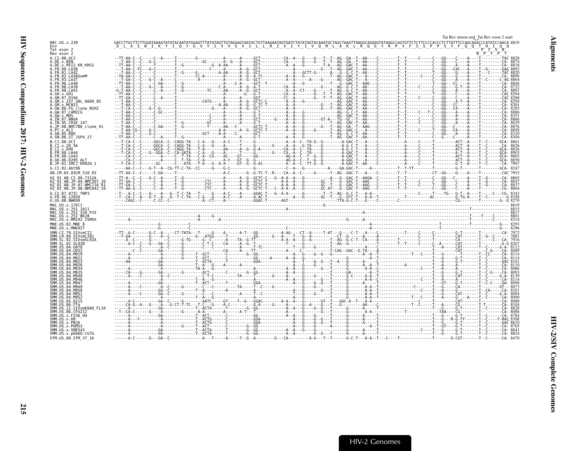<span id="page-60-0"></span>

|                                                                                      | Tat Rev intron end Tat Rev exon 2 start                                                                                                                                                                                                                                                                                                                                                                        |  |
|--------------------------------------------------------------------------------------|----------------------------------------------------------------------------------------------------------------------------------------------------------------------------------------------------------------------------------------------------------------------------------------------------------------------------------------------------------------------------------------------------------------|--|
| MAC.US.x.239<br>Env                                                                  | GACCTTGCTTCTTGGATAAAGTATATACAATATGGAGTTTATALAGTTGTAGGAGTAATACTGTTAAGAATAGTGATATATAGTACAAATGCTAAGTTAAGGCAGGGGTATAGGCCAGTGTTCTCTTCCCCACCCTCTTATTTCCAGCAGACCCATATCCAACA 8819<br>GACCTTGCTTCTTGGATAAAGTA1AIACAAIAIGGAGIIIAIAIAGIIGIAAGGAAIAGIIAAGAAIAGIUSILIAIAGUALUMULIANGLIANGGUALUMULIANGGUA<br>D L A S W I K Y I O Y G V Y I L V V G V I L L L R I V L T Y I V O M L A K L R O G Y R P V F S S P P S Y F G O T |  |
| Tat exon 2<br>Rev exon 2                                                             | <u>Ν' Ρ' Υ' Ρ' Τ΄</u><br>- Τ- - - - - - - - ΤΑΣ 8828                                                                                                                                                                                                                                                                                                                                                           |  |
| A.CI.88.UC2<br>A.DE.x.BEN                                                            |                                                                                                                                                                                                                                                                                                                                                                                                                |  |
| A.DE.x.PEI2 KR KRCG<br>A.FR.00.LA38                                                  |                                                                                                                                                                                                                                                                                                                                                                                                                |  |
| A. FR. 01. LA42<br>A.FR.02.LA36GomM                                                  |                                                                                                                                                                                                                                                                                                                                                                                                                |  |
| A. FR. 93. LA37<br>A FR 96 1 440                                                     |                                                                                                                                                                                                                                                                                                                                                                                                                |  |
| A. FR. 98. LA39<br>A. FR. 98. LA41                                                   |                                                                                                                                                                                                                                                                                                                                                                                                                |  |
| A.GH.x.GH1<br>A.GM.87.D194                                                           |                                                                                                                                                                                                                                                                                                                                                                                                                |  |
| A.GM.x.ISY SBL 6669 85<br>A.GM.x.MCNI3                                               |                                                                                                                                                                                                                                                                                                                                                                                                                |  |
| A.GW.86.FG clone NIHZ<br>A.GW.87.CAM2CG                                              |                                                                                                                                                                                                                                                                                                                                                                                                                |  |
| A. IN. 07. NNVA                                                                      |                                                                                                                                                                                                                                                                                                                                                                                                                |  |
| A.IN.95.CRIK 147<br>A.JP.08.NMC786 clone 41                                          |                                                                                                                                                                                                                                                                                                                                                                                                                |  |
| A.PT.x.ALI<br>A.SN.85.ROD                                                            |                                                                                                                                                                                                                                                                                                                                                                                                                |  |
| A.SN.86.ST JSP4 27<br>B.CI.88.UC1                                                    |                                                                                                                                                                                                                                                                                                                                                                                                                |  |
| B.CI.X.20 56<br>B.CI.X.EHO                                                           |                                                                                                                                                                                                                                                                                                                                                                                                                |  |
| B. FR. 00. LA44<br>B.FR.98.LA43                                                      |                                                                                                                                                                                                                                                                                                                                                                                                                |  |
| B.GH.86.D205 ALT<br>B.JP.01.IMCJ KR020 1                                             |                                                                                                                                                                                                                                                                                                                                                                                                                |  |
| G.CI.92.Abt96                                                                        |                                                                                                                                                                                                                                                                                                                                                                                                                |  |
| AB.CM.03.03CM 510 03<br>H2 01 AB.CI.90.7312A                                         |                                                                                                                                                                                                                                                                                                                                                                                                                |  |
| H2 <sup>-01-AB.JP.04.NMC307</sup><br>H2 <sup>-01-AB.JP.07.NMC716-01</sup>            |                                                                                                                                                                                                                                                                                                                                                                                                                |  |
| H2 <sup>-</sup> 01 <sup>-</sup> AB.JP.08.NMC842 <sup>-</sup> 10<br>U.CI.07.07IC TNP3 |                                                                                                                                                                                                                                                                                                                                                                                                                |  |
| U.FR.96.12034<br>U.US.08.NWK08                                                       |                                                                                                                                                                                                                                                                                                                                                                                                                |  |
| MAC.US.x.17EC1<br>MAC.US.x.251 1A11                                                  |                                                                                                                                                                                                                                                                                                                                                                                                                |  |
| MAC.US.x.251 <sup>-</sup> 32H PJ5<br>MAC.US.x.251 <sup>-</sup> BK28                  |                                                                                                                                                                                                                                                                                                                                                                                                                |  |
| MAC.US.x.MM142 IVMXX<br>MNE.US.82.MNE 8                                              |                                                                                                                                                                                                                                                                                                                                                                                                                |  |
| MNE.US.x.MNE027                                                                      |                                                                                                                                                                                                                                                                                                                                                                                                                |  |
| SMM.CI.79.SIVsmCI2<br>SMM IR 89 STVsmlTR1                                            |                                                                                                                                                                                                                                                                                                                                                                                                                |  |
| SMM.SL.92.SIVsmSL92A                                                                 |                                                                                                                                                                                                                                                                                                                                                                                                                |  |
| SMM US 04 G078<br>SMM.US.04.G932                                                     |                                                                                                                                                                                                                                                                                                                                                                                                                |  |
| SMM IIS 04 M919                                                                      |                                                                                                                                                                                                                                                                                                                                                                                                                |  |
| SMM US 04 M934                                                                       |                                                                                                                                                                                                                                                                                                                                                                                                                |  |
|                                                                                      |                                                                                                                                                                                                                                                                                                                                                                                                                |  |
| SMM US 04 M946<br>SMM IIS 04 M946                                                    |                                                                                                                                                                                                                                                                                                                                                                                                                |  |
| US.04.M947<br>SMM IIS 04 M949                                                        |                                                                                                                                                                                                                                                                                                                                                                                                                |  |
|                                                                                      | $\begin{smallmatrix} \mathbf{1}_{11} \mathbf{1}_{21} \mathbf{1}_{32} \mathbf{1}_{43} \mathbf{1}_{54} \mathbf{1}_{64} \mathbf{1}_{64} \mathbf{1}_{74} \mathbf{1}_{84} \mathbf{1}_{94} \mathbf{1}_{94} \mathbf{1}_{104} \mathbf{1}_{114} \mathbf{1}_{104} \mathbf{1}_{114} \mathbf{1}_{104} \mathbf{1}_{114} \mathbf{1}_{104} \mathbf{1}_{114} \mathbf{1}_{104} \mathbf{1}_{114} \mathbf{1}_{104} \mathbf{1$     |  |
|                                                                                      |                                                                                                                                                                                                                                                                                                                                                                                                                |  |
| US.11.SIVsmE660 FL10                                                                 |                                                                                                                                                                                                                                                                                                                                                                                                                |  |
| US.86.CFU212<br>SMM.US.x.F236 H4                                                     |                                                                                                                                                                                                                                                                                                                                                                                                                |  |
| SMM.US.x.PGM53                                                                       |                                                                                                                                                                                                                                                                                                                                                                                                                |  |
| SMM.US.x.SME543<br>SMM.US.x.pE660.CG7G                                               |                                                                                                                                                                                                                                                                                                                                                                                                                |  |
| STM.US.89.STM 37 16                                                                  |                                                                                                                                                                                                                                                                                                                                                                                                                |  |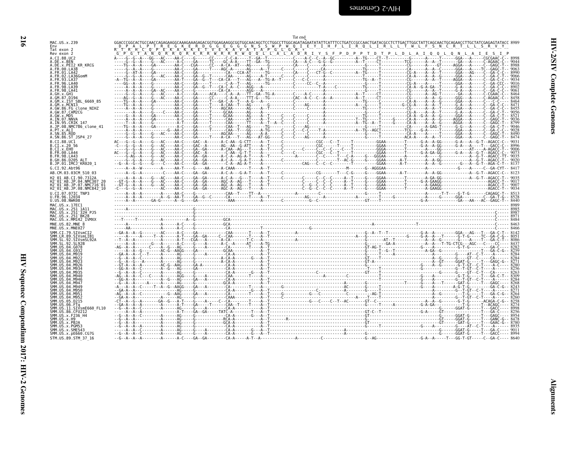<span id="page-61-0"></span>

| MAC.US.x.239<br>Env                                                                                    |  |  | GGACCCGGCACTGCCAACCAGAGAAGGCAAAGAAAGAGACGGTGGAGAAGGCGGTGGCAACAGCTCCTGGCCTTGGCAGATAGAATATATTCATTTCCTGATCCGCCAACTGATACGCCTCTTGACTTGGCTATTCAGCAACTGCAGAACCTTGCTATCGAGACCTTGCTATCGAGAACTTGGCTACCAACTGAGAACTCTATCACTATCAGAGAACTTGCTA                                                                                                                                                                                                  |  |  |
|--------------------------------------------------------------------------------------------------------|--|--|----------------------------------------------------------------------------------------------------------------------------------------------------------------------------------------------------------------------------------------------------------------------------------------------------------------------------------------------------------------------------------------------------------------------------------|--|--|
| Tat exon 2<br>Rev exon 2                                                                               |  |  |                                                                                                                                                                                                                                                                                                                                                                                                                                  |  |  |
| A.CI.88.UC2                                                                                            |  |  | $\begin{bmatrix} \mathbf{b} & \mathbf{b} & \mathbf{c} & \mathbf{d} & \mathbf{d} & \mathbf{d} & \mathbf{d} & \mathbf{d} & \mathbf{d} & \mathbf{d} & \mathbf{d} & \mathbf{d} & \mathbf{d} & \mathbf{d} & \mathbf{d} & \mathbf{d} & \mathbf{d} & \mathbf{d} & \mathbf{d} & \mathbf{d} & \mathbf{d} & \mathbf{d} & \mathbf{d} & \mathbf{d} & \mathbf{d} & \mathbf{d} & \mathbf{d} & \mathbf{d} & \mathbf{d} & \mathbf{d} & \mathbf{$ |  |  |
| A.DE.x.BEN                                                                                             |  |  |                                                                                                                                                                                                                                                                                                                                                                                                                                  |  |  |
| A.DE.X.PEI2 KR KRCG<br>A.FR.00.LA38                                                                    |  |  |                                                                                                                                                                                                                                                                                                                                                                                                                                  |  |  |
| A.FR.01.LA42<br>A FR 02 LA36GomM                                                                       |  |  |                                                                                                                                                                                                                                                                                                                                                                                                                                  |  |  |
| 93.LA37                                                                                                |  |  |                                                                                                                                                                                                                                                                                                                                                                                                                                  |  |  |
| FR 96 LA46                                                                                             |  |  |                                                                                                                                                                                                                                                                                                                                                                                                                                  |  |  |
| .FR.98.LA41                                                                                            |  |  |                                                                                                                                                                                                                                                                                                                                                                                                                                  |  |  |
|                                                                                                        |  |  |                                                                                                                                                                                                                                                                                                                                                                                                                                  |  |  |
| A.GM.x.ISY SBL 6669 85<br>A.GM.x.MCNI3                                                                 |  |  |                                                                                                                                                                                                                                                                                                                                                                                                                                  |  |  |
| A.GW.86.FG clone NIHZ                                                                                  |  |  |                                                                                                                                                                                                                                                                                                                                                                                                                                  |  |  |
| A. GW. 87. CAM2CG<br>A GW x MDS                                                                        |  |  |                                                                                                                                                                                                                                                                                                                                                                                                                                  |  |  |
| A.IN.07.NNVA                                                                                           |  |  |                                                                                                                                                                                                                                                                                                                                                                                                                                  |  |  |
| A.IN.95.CRIK 147<br>A.JP.08.<br>NMC786 clone 41.                                                       |  |  |                                                                                                                                                                                                                                                                                                                                                                                                                                  |  |  |
| A PT Y AIT<br>A.SN.85.ROD                                                                              |  |  |                                                                                                                                                                                                                                                                                                                                                                                                                                  |  |  |
| A.SN.86.ST JSP4 27                                                                                     |  |  |                                                                                                                                                                                                                                                                                                                                                                                                                                  |  |  |
| B.CT.88.UC1                                                                                            |  |  |                                                                                                                                                                                                                                                                                                                                                                                                                                  |  |  |
| B.CI.X.20 56<br>B.CI.x.EHO                                                                             |  |  |                                                                                                                                                                                                                                                                                                                                                                                                                                  |  |  |
| B.FR.00.LA44<br>B.FR.98.LA43                                                                           |  |  |                                                                                                                                                                                                                                                                                                                                                                                                                                  |  |  |
| B.GH.86.D205 ALT                                                                                       |  |  |                                                                                                                                                                                                                                                                                                                                                                                                                                  |  |  |
| B.JP.01.IMCJ KR020 1<br>G.CI.92.Abt96                                                                  |  |  |                                                                                                                                                                                                                                                                                                                                                                                                                                  |  |  |
| AB.CM.03.03CM 510 03                                                                                   |  |  |                                                                                                                                                                                                                                                                                                                                                                                                                                  |  |  |
| H2 01 AB.CI.90.7312A                                                                                   |  |  |                                                                                                                                                                                                                                                                                                                                                                                                                                  |  |  |
| H2 <sup>-01-AB.JP.04.NMC307 2</sup><br>H2 <sup>-</sup> 01 <sup>-</sup> AB.JP.07.NMC716 <sup>-</sup> 01 |  |  |                                                                                                                                                                                                                                                                                                                                                                                                                                  |  |  |
| H2 <sup>-01-AB.JP.08.NMC842<sup>-10</sup></sup>                                                        |  |  |                                                                                                                                                                                                                                                                                                                                                                                                                                  |  |  |
| U.CI.07.07IC TNP3<br>U.FR.96.12034                                                                     |  |  |                                                                                                                                                                                                                                                                                                                                                                                                                                  |  |  |
| U.US.08.NWK08                                                                                          |  |  |                                                                                                                                                                                                                                                                                                                                                                                                                                  |  |  |
| MAC.US.x.17EC1<br>MAC.US.x.251 1A11                                                                    |  |  |                                                                                                                                                                                                                                                                                                                                                                                                                                  |  |  |
| MAC.US.x.251 <sup>-</sup> 32H PJ5                                                                      |  |  |                                                                                                                                                                                                                                                                                                                                                                                                                                  |  |  |
| MAC.US.x.251 <sup>-</sup> BK28<br>MAC.US.x.MM142 IVMXX                                                 |  |  |                                                                                                                                                                                                                                                                                                                                                                                                                                  |  |  |
|                                                                                                        |  |  |                                                                                                                                                                                                                                                                                                                                                                                                                                  |  |  |
| MNE.US.82.MNE 8                                                                                        |  |  |                                                                                                                                                                                                                                                                                                                                                                                                                                  |  |  |
| MNE.US.x.MNE027                                                                                        |  |  |                                                                                                                                                                                                                                                                                                                                                                                                                                  |  |  |
| SMM.CI.79.SIVsmCI2<br>SMM.LR.89.SIVsmLIB1                                                              |  |  |                                                                                                                                                                                                                                                                                                                                                                                                                                  |  |  |
| SMM.SL.92.SIVsmSL92A                                                                                   |  |  |                                                                                                                                                                                                                                                                                                                                                                                                                                  |  |  |
| SMM.SL.92.SL92B<br>SMM US 04 G078                                                                      |  |  |                                                                                                                                                                                                                                                                                                                                                                                                                                  |  |  |
|                                                                                                        |  |  |                                                                                                                                                                                                                                                                                                                                                                                                                                  |  |  |
|                                                                                                        |  |  |                                                                                                                                                                                                                                                                                                                                                                                                                                  |  |  |
|                                                                                                        |  |  |                                                                                                                                                                                                                                                                                                                                                                                                                                  |  |  |
| SMM IIS 04 M935                                                                                        |  |  |                                                                                                                                                                                                                                                                                                                                                                                                                                  |  |  |
| SMM IIS 04 M946                                                                                        |  |  |                                                                                                                                                                                                                                                                                                                                                                                                                                  |  |  |
|                                                                                                        |  |  |                                                                                                                                                                                                                                                                                                                                                                                                                                  |  |  |
|                                                                                                        |  |  |                                                                                                                                                                                                                                                                                                                                                                                                                                  |  |  |
|                                                                                                        |  |  |                                                                                                                                                                                                                                                                                                                                                                                                                                  |  |  |
|                                                                                                        |  |  |                                                                                                                                                                                                                                                                                                                                                                                                                                  |  |  |
| MM US.06.FTα                                                                                           |  |  |                                                                                                                                                                                                                                                                                                                                                                                                                                  |  |  |
| SMM.US.11.SIVsmE660 FL10<br>SMM.US.86.CFU212                                                           |  |  |                                                                                                                                                                                                                                                                                                                                                                                                                                  |  |  |
| SMM.US.x.F236 H4                                                                                       |  |  |                                                                                                                                                                                                                                                                                                                                                                                                                                  |  |  |
| MM US.x.H9<br>MM.US.x.PBJA                                                                             |  |  |                                                                                                                                                                                                                                                                                                                                                                                                                                  |  |  |
| MM.US.x.PGM53<br>SMM.US.x.SME543                                                                       |  |  |                                                                                                                                                                                                                                                                                                                                                                                                                                  |  |  |
| SMM. US.x.pE660.CG7G<br>STM.US.89.STM 37 16                                                            |  |  |                                                                                                                                                                                                                                                                                                                                                                                                                                  |  |  |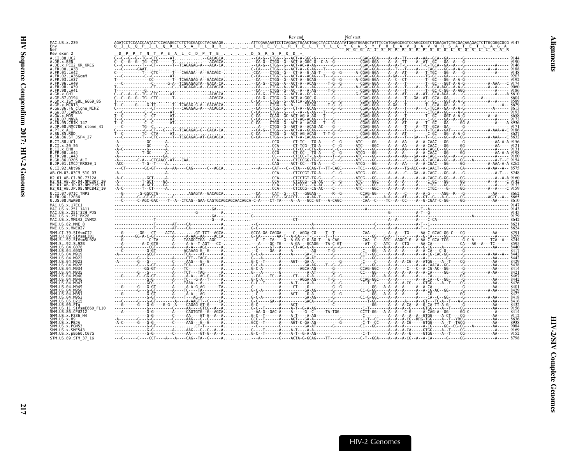<span id="page-62-0"></span>

|                                                                 | Nef start<br>T_N_T_P_E_A_L_C_D_P_T_E__.__. D_S_R_S_P<br>$\begin{bmatrix} \textbf{1} & \textbf{1} & \textbf{1} & \textbf{1} & \textbf{1} & \textbf{1} & \textbf{1} & \textbf{1} & \textbf{1} & \textbf{1} & \textbf{1} & \textbf{1} & \textbf{1} & \textbf{1} & \textbf{1} & \textbf{1} & \textbf{1} & \textbf{1} & \textbf{1} & \textbf{1} & \textbf{1} & \textbf{1} & \textbf{1} & \textbf{1} & \textbf{1} & \textbf{1} & \textbf{1} & \textbf{1} & \textbf{1} & \textbf{1} & \textbf{$<br>A.GW.86.FG_clone NIHZ<br>H2 <sup>-</sup> 01 <sup>-</sup> AB.JP.08.NMC842 <sup>-</sup> 10<br>SMM.SL.92.SIVsmSL92A<br>SMM US.04.M947 |  |
|-----------------------------------------------------------------|--------------------------------------------------------------------------------------------------------------------------------------------------------------------------------------------------------------------------------------------------------------------------------------------------------------------------------------------------------------------------------------------------------------------------------------------------------------------------------------------------------------------------------------------------------------------------------------------------------------------------------|--|
| MAC.US.x.239                                                    |                                                                                                                                                                                                                                                                                                                                                                                                                                                                                                                                                                                                                                |  |
| Nef<br>Rev exon 2                                               |                                                                                                                                                                                                                                                                                                                                                                                                                                                                                                                                                                                                                                |  |
| A.CI.88.UC2                                                     |                                                                                                                                                                                                                                                                                                                                                                                                                                                                                                                                                                                                                                |  |
| A.DE.x.BEN<br>A.DE.x.PEI2 KR KRCG                               |                                                                                                                                                                                                                                                                                                                                                                                                                                                                                                                                                                                                                                |  |
| A.FR.00.LA38                                                    |                                                                                                                                                                                                                                                                                                                                                                                                                                                                                                                                                                                                                                |  |
| A. FR. 01. LA42<br>.FR.02.LA36GomM                              |                                                                                                                                                                                                                                                                                                                                                                                                                                                                                                                                                                                                                                |  |
| A FR 93 1 437<br>96.LA46                                        |                                                                                                                                                                                                                                                                                                                                                                                                                                                                                                                                                                                                                                |  |
| A FR 98 IA39<br>4.FR.98.LA41                                    |                                                                                                                                                                                                                                                                                                                                                                                                                                                                                                                                                                                                                                |  |
| A.GH.x.GH1                                                      |                                                                                                                                                                                                                                                                                                                                                                                                                                                                                                                                                                                                                                |  |
| A.GM.x.ISY SBL 6669 85                                          |                                                                                                                                                                                                                                                                                                                                                                                                                                                                                                                                                                                                                                |  |
| .GM.x.MCNI3                                                     |                                                                                                                                                                                                                                                                                                                                                                                                                                                                                                                                                                                                                                |  |
| A.GW.87.CAM2CG<br>A GW x MDS                                    |                                                                                                                                                                                                                                                                                                                                                                                                                                                                                                                                                                                                                                |  |
| A.IN.07.NNVA                                                    |                                                                                                                                                                                                                                                                                                                                                                                                                                                                                                                                                                                                                                |  |
| A.IN.95.CRIK 147<br>A.JP.08.NMC786 clone 41                     |                                                                                                                                                                                                                                                                                                                                                                                                                                                                                                                                                                                                                                |  |
| A.PT.x.ALI<br>A.SN.85.ROD                                       |                                                                                                                                                                                                                                                                                                                                                                                                                                                                                                                                                                                                                                |  |
| A.SN.86.ST JSP4 27                                              |                                                                                                                                                                                                                                                                                                                                                                                                                                                                                                                                                                                                                                |  |
| B.CI.X.20 56                                                    |                                                                                                                                                                                                                                                                                                                                                                                                                                                                                                                                                                                                                                |  |
| B.CI.x.EHO                                                      |                                                                                                                                                                                                                                                                                                                                                                                                                                                                                                                                                                                                                                |  |
| B.FR.00.LA44<br>B.FR.98.LA43                                    |                                                                                                                                                                                                                                                                                                                                                                                                                                                                                                                                                                                                                                |  |
| B.GH.86.D205 ALT<br>B.JP.01.IMCJ KR020 1                        |                                                                                                                                                                                                                                                                                                                                                                                                                                                                                                                                                                                                                                |  |
| G.CI.92.Abt96                                                   |                                                                                                                                                                                                                                                                                                                                                                                                                                                                                                                                                                                                                                |  |
| AB.CM.03.03CM 510 03                                            |                                                                                                                                                                                                                                                                                                                                                                                                                                                                                                                                                                                                                                |  |
| H <sub>2</sub> 01 AB.CT.90.7312A<br>$H2^-01^-AB$ . JP.04.NMC307 |                                                                                                                                                                                                                                                                                                                                                                                                                                                                                                                                                                                                                                |  |
| H2 <sup>-</sup> 01 <sup>-</sup> AB.JP.07.NMC716 <sup>-</sup> 01 |                                                                                                                                                                                                                                                                                                                                                                                                                                                                                                                                                                                                                                |  |
| U.CI.07.07IC TNP3                                               |                                                                                                                                                                                                                                                                                                                                                                                                                                                                                                                                                                                                                                |  |
| U.FR.96.12034<br>U.US.08.NWK08                                  |                                                                                                                                                                                                                                                                                                                                                                                                                                                                                                                                                                                                                                |  |
| MAC. US. x. 17EC1                                               |                                                                                                                                                                                                                                                                                                                                                                                                                                                                                                                                                                                                                                |  |
| MAC.US.x.251 1A11<br>MAC.US.x.251 <sup>-</sup> 32H PJ5          |                                                                                                                                                                                                                                                                                                                                                                                                                                                                                                                                                                                                                                |  |
| MAC.US.x.251 <sup>-</sup> BK28<br>MAC.US.x.MM142 IVMXX          |                                                                                                                                                                                                                                                                                                                                                                                                                                                                                                                                                                                                                                |  |
| MNE.US.82.MNE 8                                                 |                                                                                                                                                                                                                                                                                                                                                                                                                                                                                                                                                                                                                                |  |
| MNE.US.x.MNE027<br>MM.CI.79.SIVsmCI2                            |                                                                                                                                                                                                                                                                                                                                                                                                                                                                                                                                                                                                                                |  |
| SMM.LR.89.SIVsmLIB1                                             |                                                                                                                                                                                                                                                                                                                                                                                                                                                                                                                                                                                                                                |  |
|                                                                 |                                                                                                                                                                                                                                                                                                                                                                                                                                                                                                                                                                                                                                |  |
| MM.US.04.G078                                                   |                                                                                                                                                                                                                                                                                                                                                                                                                                                                                                                                                                                                                                |  |
|                                                                 |                                                                                                                                                                                                                                                                                                                                                                                                                                                                                                                                                                                                                                |  |
|                                                                 |                                                                                                                                                                                                                                                                                                                                                                                                                                                                                                                                                                                                                                |  |
|                                                                 |                                                                                                                                                                                                                                                                                                                                                                                                                                                                                                                                                                                                                                |  |
| SMM.US.04.M935<br>MM IIS A4 MQ4A                                |                                                                                                                                                                                                                                                                                                                                                                                                                                                                                                                                                                                                                                |  |
|                                                                 |                                                                                                                                                                                                                                                                                                                                                                                                                                                                                                                                                                                                                                |  |
|                                                                 |                                                                                                                                                                                                                                                                                                                                                                                                                                                                                                                                                                                                                                |  |
|                                                                 |                                                                                                                                                                                                                                                                                                                                                                                                                                                                                                                                                                                                                                |  |
|                                                                 |                                                                                                                                                                                                                                                                                                                                                                                                                                                                                                                                                                                                                                |  |
| MM.US.06.FTa                                                    |                                                                                                                                                                                                                                                                                                                                                                                                                                                                                                                                                                                                                                |  |
| SMM.US.11.SIVsmE660 FL10<br>SMM.US.86.CFU212                    |                                                                                                                                                                                                                                                                                                                                                                                                                                                                                                                                                                                                                                |  |
| SMM.US.x.F236 H4<br>SMM.US.x.H9                                 |                                                                                                                                                                                                                                                                                                                                                                                                                                                                                                                                                                                                                                |  |
| SMM.US.x.PBJA<br>SMM IIS x PGM53                                |                                                                                                                                                                                                                                                                                                                                                                                                                                                                                                                                                                                                                                |  |
| SMM.US.x.SME543                                                 |                                                                                                                                                                                                                                                                                                                                                                                                                                                                                                                                                                                                                                |  |
| SMM.US.x.pE660.CG7G<br>STM.US.89.STM 37 16                      |                                                                                                                                                                                                                                                                                                                                                                                                                                                                                                                                                                                                                                |  |
|                                                                 |                                                                                                                                                                                                                                                                                                                                                                                                                                                                                                                                                                                                                                |  |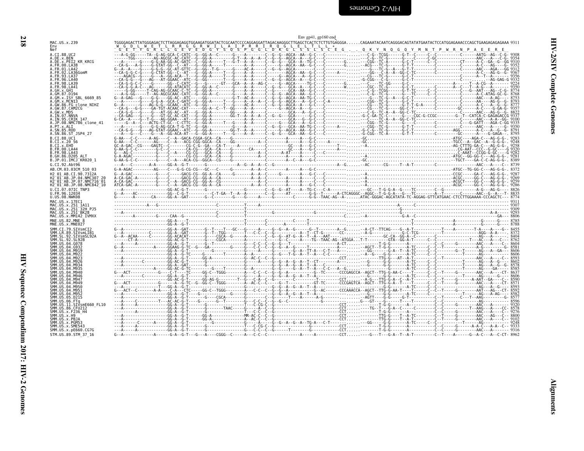<span id="page-63-0"></span>

| A.CT.88.UC2<br>A.DE.x.BEN<br>A.DE.x.PEI2_KR_KRCG                                                       |  | WE COLL WE TILIRIRIGIOR WITLATEP RIRIRIQ CLELITLLA ANNO COLLECTION CONTROLLATER CONTROLLATER MAILP WERE ERE.<br>CE ETTY GRILLIGE VE DIGIY SOOS POSIPOIDIK GILS SILS CLEGQKY N.Q.GQY MNTP WR N.P.A.E.E.R.E |  |  |  |  |  |  |  |
|--------------------------------------------------------------------------------------------------------|--|-----------------------------------------------------------------------------------------------------------------------------------------------------------------------------------------------------------|--|--|--|--|--|--|--|
| A.FR.00.LA38<br>A.FR.01.LA42<br>A.FR.02.LA36GomM                                                       |  |                                                                                                                                                                                                           |  |  |  |  |  |  |  |
| A.FR.93.LA37<br>A.FR.96.LA40<br>A.FR.98.LA39                                                           |  |                                                                                                                                                                                                           |  |  |  |  |  |  |  |
| A.FR.98.LA41<br>A.GH.x.GH1<br>A.GM.87.D194                                                             |  |                                                                                                                                                                                                           |  |  |  |  |  |  |  |
| .GM.x.ISY SBL 6669 85<br>.GM.x.MCN13<br>A.GW.86.FG clone_NIHZ<br>A.GW.87.CAM2CG                        |  |                                                                                                                                                                                                           |  |  |  |  |  |  |  |
| .GW.x.MDS<br>A.IN.07.NNVA<br>A.IN.95.CRIK_147                                                          |  |                                                                                                                                                                                                           |  |  |  |  |  |  |  |
| .JP.08.NMC786_clone_41<br>.PT.x.ALI<br>A.SN.85.ROD                                                     |  |                                                                                                                                                                                                           |  |  |  |  |  |  |  |
| A.SN.86.ST JSP4 27<br>B.CI.88.UC1<br>B.CI.x.20 56                                                      |  |                                                                                                                                                                                                           |  |  |  |  |  |  |  |
| B.CI.x.EHO<br>B.FR.00.LA44<br>B.FR.98.LA43                                                             |  |                                                                                                                                                                                                           |  |  |  |  |  |  |  |
| B.GH.86.D205 ALT<br>B.JP.01.IMCJ_KR020_1<br>G.CI.92.Abt96                                              |  |                                                                                                                                                                                                           |  |  |  |  |  |  |  |
| AB.CM.03.03CM 510 03<br>H2_01_AB.CI.90.7312A<br>H2 <sup>_</sup> 01 <sup>_</sup> AB.JP.04.NMC307_20     |  |                                                                                                                                                                                                           |  |  |  |  |  |  |  |
| H2 01 AB.JP.07.NMC716 01<br>H2 <sup>-</sup> 01 <sup>-</sup> AB.JP.08.NMC842 <sup>-</sup> 10            |  |                                                                                                                                                                                                           |  |  |  |  |  |  |  |
| U.CI.07.07IC TNP3<br>U.FR.96.12034<br>U.US.08.NWK08<br>MAC.US.x.17EC1                                  |  |                                                                                                                                                                                                           |  |  |  |  |  |  |  |
| нмс.∪S.x.175<br>MAC.US.x.251 1А11<br>MAC.US.x.251 32Н РЈ5<br>MAC.US.x.251 BK28<br>MAC.US.x.MM142_IVMXX |  |                                                                                                                                                                                                           |  |  |  |  |  |  |  |
| MNE.US.82.MNE 8<br>MNE.US.x.MNE027                                                                     |  |                                                                                                                                                                                                           |  |  |  |  |  |  |  |
| SMM.CI.79.SIVsmCI2<br>SMM.CL.79.SIVSMLIB1<br>SMM.SL.92.SIVSMLIB1<br>SMM.SL.92.SL92B<br>SMM.SL.92.SL92B |  |                                                                                                                                                                                                           |  |  |  |  |  |  |  |
| SMM.US.04.G078<br>SMM. US. 04. 0932                                                                    |  |                                                                                                                                                                                                           |  |  |  |  |  |  |  |
| SMM.US.04.M919<br>SMM.US.04.M922<br>SMM.US.04.M923                                                     |  |                                                                                                                                                                                                           |  |  |  |  |  |  |  |
| SMM.US.04.M926<br>SMM. US. 04. M934<br>SMM.US.04.M935                                                  |  |                                                                                                                                                                                                           |  |  |  |  |  |  |  |
| SMM.US.04.M940<br>SMM.US.04.M946<br>ŠMM. ŪŠ. 04. M947<br>SMM. US. 04. M949                             |  |                                                                                                                                                                                                           |  |  |  |  |  |  |  |
| SMM.US.04.M950<br>SMM.US.04.M951<br>SMM.US.04.M95                                                      |  |                                                                                                                                                                                                           |  |  |  |  |  |  |  |
| 31111.03.04.113215<br>SMM.US.06.FTq<br>SMM.US.11.SIVsmE660_FL10<br>SMM.US.86.CFU212                    |  |                                                                                                                                                                                                           |  |  |  |  |  |  |  |
| SMM.US.x.F236 H4                                                                                       |  |                                                                                                                                                                                                           |  |  |  |  |  |  |  |
| SMM.US.x.H9<br>SMM.US.x.PBJA<br>SMM.US.x.PGM53<br>SMM.US.x.SME543                                      |  |                                                                                                                                                                                                           |  |  |  |  |  |  |  |
| SMM.US.x.pE660.CG7G<br>STM.US.89.STM 37 16                                                             |  |                                                                                                                                                                                                           |  |  |  |  |  |  |  |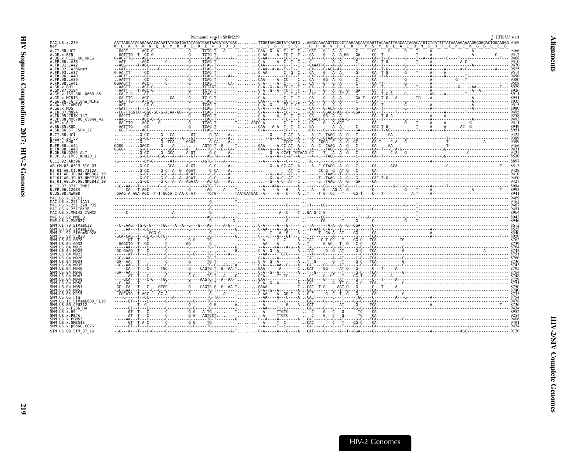<span id="page-64-0"></span>

|                                                                  | Premature stop in SMM239 |                                                                                                                                                                                                                                                                                                                                                                                                                                  | 3' LTR U3 start |
|------------------------------------------------------------------|--------------------------|----------------------------------------------------------------------------------------------------------------------------------------------------------------------------------------------------------------------------------------------------------------------------------------------------------------------------------------------------------------------------------------------------------------------------------|-----------------|
| MAC.US.x.239<br>Nef                                              |                          |                                                                                                                                                                                                                                                                                                                                                                                                                                  |                 |
| A.CI.88.UC2                                                      |                          |                                                                                                                                                                                                                                                                                                                                                                                                                                  |                 |
| A.DE.x.BEN<br>A.DE.x.PEI2 KR KRCG                                |                          |                                                                                                                                                                                                                                                                                                                                                                                                                                  |                 |
| A.FR.00.LA38                                                     |                          |                                                                                                                                                                                                                                                                                                                                                                                                                                  |                 |
| A.FR.01.LA42<br>A. FR. 02. LA36GomM                              |                          |                                                                                                                                                                                                                                                                                                                                                                                                                                  |                 |
| A FR 93 LA37                                                     |                          |                                                                                                                                                                                                                                                                                                                                                                                                                                  |                 |
| A FR 96   A46<br>A. FR. 98. LA39                                 |                          |                                                                                                                                                                                                                                                                                                                                                                                                                                  |                 |
| A.FR.98.LA41                                                     |                          |                                                                                                                                                                                                                                                                                                                                                                                                                                  |                 |
| A.GH.x.GH1                                                       |                          |                                                                                                                                                                                                                                                                                                                                                                                                                                  |                 |
| A.GM.87.D194<br>A.GM.x.ISY SBL 6669 85                           |                          |                                                                                                                                                                                                                                                                                                                                                                                                                                  |                 |
| A.GM.x.MCNI3                                                     |                          |                                                                                                                                                                                                                                                                                                                                                                                                                                  |                 |
| A.GW.86.FG clone NIHZ<br>A.GW.87.CAM2CG                          |                          |                                                                                                                                                                                                                                                                                                                                                                                                                                  |                 |
| A.GW.x.MDS                                                       |                          |                                                                                                                                                                                                                                                                                                                                                                                                                                  |                 |
| A.IN.07.NNVA<br>A.IN.95.CRIK 147                                 |                          |                                                                                                                                                                                                                                                                                                                                                                                                                                  |                 |
| A.JP.08.NMC786 clone 41                                          |                          |                                                                                                                                                                                                                                                                                                                                                                                                                                  |                 |
| A.PT.x.ALI                                                       |                          |                                                                                                                                                                                                                                                                                                                                                                                                                                  |                 |
| A.SN.85.ROD<br>A.SN.86.ST JSP4 27                                |                          |                                                                                                                                                                                                                                                                                                                                                                                                                                  |                 |
| B.CI.88.UC1                                                      |                          |                                                                                                                                                                                                                                                                                                                                                                                                                                  |                 |
| B.CI.X.20 56                                                     |                          |                                                                                                                                                                                                                                                                                                                                                                                                                                  |                 |
| B.CI.X.EHO<br>B.FR.00.LA44                                       |                          |                                                                                                                                                                                                                                                                                                                                                                                                                                  |                 |
| B. FR. 98. LA43                                                  |                          |                                                                                                                                                                                                                                                                                                                                                                                                                                  |                 |
| B.GH.86.D205 ALT<br>B.JP.01.IMCJ KR020 1                         |                          |                                                                                                                                                                                                                                                                                                                                                                                                                                  |                 |
| G.CI.92.Abt96                                                    |                          |                                                                                                                                                                                                                                                                                                                                                                                                                                  |                 |
| AB.CM.03.03CM 510 03                                             |                          |                                                                                                                                                                                                                                                                                                                                                                                                                                  |                 |
| H2 01 AB.CI.90.7312A                                             |                          |                                                                                                                                                                                                                                                                                                                                                                                                                                  |                 |
| H2 <sup>-01-AB.JP.04.NMC307</sup>                                |                          |                                                                                                                                                                                                                                                                                                                                                                                                                                  |                 |
| H2 <sup>-01-AB.JP.07.NMC716-01</sup><br>H2 01 AB.JP.08.NMC842 10 |                          | $\begin{bmatrix} \textbf{0} & \textbf{0} & \textbf{0} & \textbf{0} & \textbf{0} & \textbf{0} & \textbf{0} & \textbf{0} & \textbf{0} & \textbf{0} & \textbf{0} & \textbf{0} & \textbf{0} & \textbf{0} & \textbf{0} & \textbf{0} & \textbf{0} & \textbf{0} & \textbf{0} & \textbf{0} & \textbf{0} & \textbf{0} & \textbf{0} & \textbf{0} & \textbf{0} & \textbf{0} & \textbf{0} & \textbf{0} & \textbf{0} & \textbf{0} & \textbf{$ |                 |
| U.CI.07.07IC TNP3                                                |                          |                                                                                                                                                                                                                                                                                                                                                                                                                                  |                 |
| U.FR.96.12034<br>U.US.08.NWK08                                   |                          |                                                                                                                                                                                                                                                                                                                                                                                                                                  |                 |
| MAC.US.x.17EC1                                                   |                          |                                                                                                                                                                                                                                                                                                                                                                                                                                  |                 |
| MAC.US.x.251 1A11                                                |                          |                                                                                                                                                                                                                                                                                                                                                                                                                                  |                 |
| MAC.US.x.251 <sup>-</sup> 32H PJ5                                |                          |                                                                                                                                                                                                                                                                                                                                                                                                                                  |                 |
| MAC.US.x.251 <sup>-</sup> BK28<br>MAC.US.x.MM142 IVMXX           |                          |                                                                                                                                                                                                                                                                                                                                                                                                                                  |                 |
| MNE.US.82.MNE                                                    |                          |                                                                                                                                                                                                                                                                                                                                                                                                                                  |                 |
| MNE.US.x.MNE027                                                  |                          |                                                                                                                                                                                                                                                                                                                                                                                                                                  |                 |
| SMM.CI.79.SIVsmCI2<br>SMM.LR.89.SIVsmLIB1                        |                          |                                                                                                                                                                                                                                                                                                                                                                                                                                  |                 |
| STVsmSL924                                                       |                          |                                                                                                                                                                                                                                                                                                                                                                                                                                  |                 |
| SMM.US.04.G078                                                   |                          |                                                                                                                                                                                                                                                                                                                                                                                                                                  |                 |
| SMM.US.04.G932                                                   |                          |                                                                                                                                                                                                                                                                                                                                                                                                                                  |                 |
| SMM.US.04.M919                                                   |                          |                                                                                                                                                                                                                                                                                                                                                                                                                                  |                 |
| SMM US 04 M923                                                   |                          |                                                                                                                                                                                                                                                                                                                                                                                                                                  |                 |
| SMM. US. 04. M926                                                |                          |                                                                                                                                                                                                                                                                                                                                                                                                                                  |                 |
| SMM US 04 M935                                                   |                          |                                                                                                                                                                                                                                                                                                                                                                                                                                  |                 |
|                                                                  |                          |                                                                                                                                                                                                                                                                                                                                                                                                                                  |                 |
| SMM.US.04.M946<br>SMM.US.04.M947                                 |                          |                                                                                                                                                                                                                                                                                                                                                                                                                                  |                 |
| SMM.US.04.M949                                                   |                          |                                                                                                                                                                                                                                                                                                                                                                                                                                  |                 |
| SMM.US.04.M950                                                   |                          |                                                                                                                                                                                                                                                                                                                                                                                                                                  |                 |
| SMM.US.04.M951<br>SMM.US.04.M952                                 |                          |                                                                                                                                                                                                                                                                                                                                                                                                                                  |                 |
| SMM.US.05.D215                                                   |                          |                                                                                                                                                                                                                                                                                                                                                                                                                                  |                 |
| SMM.US.11.SIVsmE660 FL10                                         |                          |                                                                                                                                                                                                                                                                                                                                                                                                                                  |                 |
| SMM.US.86.CFU212                                                 |                          |                                                                                                                                                                                                                                                                                                                                                                                                                                  |                 |
| SMM.US.x.F236 H4<br>SMM.US.x.H9                                  |                          |                                                                                                                                                                                                                                                                                                                                                                                                                                  |                 |
| SMM.US.x.PBJA                                                    |                          |                                                                                                                                                                                                                                                                                                                                                                                                                                  |                 |
| SMM.US.x.PGM53                                                   |                          |                                                                                                                                                                                                                                                                                                                                                                                                                                  |                 |
| SMM.US.x.SME543<br>SMM.US.x.pE660.CG7G                           |                          |                                                                                                                                                                                                                                                                                                                                                                                                                                  |                 |
| STM.US.89.STM 37 16                                              |                          |                                                                                                                                                                                                                                                                                                                                                                                                                                  |                 |
|                                                                  |                          |                                                                                                                                                                                                                                                                                                                                                                                                                                  |                 |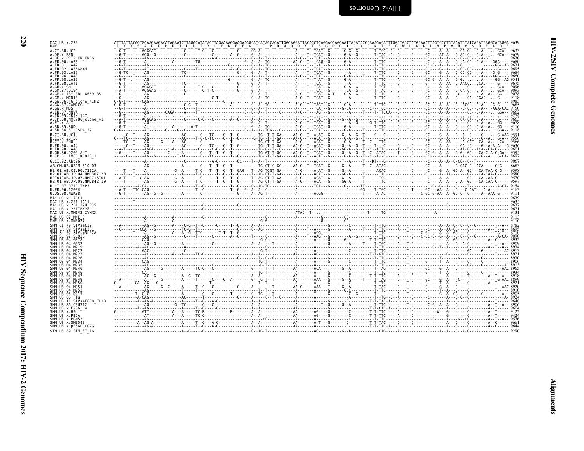| MAC.US.x.239                                                                |  |  | Y S A R R H R I L D I Y L E K E E G I I P D W Q D Y T S G P G I R Y P K T F G W L W K L V P |                                                                                                                                                                                                                                                                                                             |
|-----------------------------------------------------------------------------|--|--|---------------------------------------------------------------------------------------------|-------------------------------------------------------------------------------------------------------------------------------------------------------------------------------------------------------------------------------------------------------------------------------------------------------------|
| A.CI.88.UC2<br>A.DE.x.BEN                                                   |  |  |                                                                                             |                                                                                                                                                                                                                                                                                                             |
| A.DE.x.PEI2 KR KRCG<br>A.FR.00.LA38                                         |  |  |                                                                                             |                                                                                                                                                                                                                                                                                                             |
| A.FR.01.LA42<br>A.FR.02.LA36GomM                                            |  |  |                                                                                             |                                                                                                                                                                                                                                                                                                             |
| 93.1437<br>4 FR 96 IA46                                                     |  |  |                                                                                             |                                                                                                                                                                                                                                                                                                             |
| .FR.98.LA39                                                                 |  |  |                                                                                             |                                                                                                                                                                                                                                                                                                             |
| A.FR.98.LA41<br>A.GH.x.GH1                                                  |  |  |                                                                                             |                                                                                                                                                                                                                                                                                                             |
| A GM 87 D194<br>A.GM.x.ISY SBL 6669 85                                      |  |  |                                                                                             |                                                                                                                                                                                                                                                                                                             |
| A.GM.x.MCNI3<br>A.GW.86.FG clone NIHZ                                       |  |  |                                                                                             |                                                                                                                                                                                                                                                                                                             |
| A.GW.87.CAM2CG<br>A.GW.x.MDS                                                |  |  |                                                                                             |                                                                                                                                                                                                                                                                                                             |
| A.IN.07.NNVA<br>A. IN. 95. CRIK 147                                         |  |  |                                                                                             |                                                                                                                                                                                                                                                                                                             |
| A.JP.08.NMC786 clone 41<br>A.PT.x.ALI                                       |  |  |                                                                                             |                                                                                                                                                                                                                                                                                                             |
| A.SN.85.ROD                                                                 |  |  |                                                                                             |                                                                                                                                                                                                                                                                                                             |
| A.SN.86.ST JSP4 27<br>B.CI.88.UC1                                           |  |  |                                                                                             |                                                                                                                                                                                                                                                                                                             |
| B.CI.X.20 56<br>B.CI.x.EHO                                                  |  |  |                                                                                             |                                                                                                                                                                                                                                                                                                             |
| B.FR.00.LA44<br>B. FR. 98. LA43                                             |  |  |                                                                                             |                                                                                                                                                                                                                                                                                                             |
| B.GH.86.D205 ALT                                                            |  |  |                                                                                             |                                                                                                                                                                                                                                                                                                             |
| B.JP.01.IMCJ KR020 1<br>G.CI.92.Abt96                                       |  |  |                                                                                             |                                                                                                                                                                                                                                                                                                             |
| AB.CM.03.03CM 510 03                                                        |  |  |                                                                                             |                                                                                                                                                                                                                                                                                                             |
| H2 01 AB.CI.90.7312A<br>H2 <sup>-01-AB.JP.04.NMC307</sup>                   |  |  |                                                                                             |                                                                                                                                                                                                                                                                                                             |
| H2 01 AB.JP.07.NMC716 01<br>H2 <sup>-01-AB.JP.08.NMC842<sup>-10</sup></sup> |  |  |                                                                                             |                                                                                                                                                                                                                                                                                                             |
| U.CI.07.07IC TNP3                                                           |  |  |                                                                                             |                                                                                                                                                                                                                                                                                                             |
|                                                                             |  |  |                                                                                             |                                                                                                                                                                                                                                                                                                             |
| U.FR.96.12037<br>U.US.08.NWK08                                              |  |  |                                                                                             |                                                                                                                                                                                                                                                                                                             |
| MAC.US.x.17EC1<br>MAC.US.x.251 1A11                                         |  |  |                                                                                             |                                                                                                                                                                                                                                                                                                             |
| MAC.US.x.251 32H PJ5                                                        |  |  |                                                                                             |                                                                                                                                                                                                                                                                                                             |
| MAC.US.x.251 BK28<br>MAC.US.x.MM142 IVMXX                                   |  |  |                                                                                             |                                                                                                                                                                                                                                                                                                             |
| MNE.US.82.MNE 8<br>MNE.US.x.MNE027                                          |  |  |                                                                                             |                                                                                                                                                                                                                                                                                                             |
| SMM.CI.79.SIVsmCI2                                                          |  |  |                                                                                             |                                                                                                                                                                                                                                                                                                             |
| SMM.LR.89.SIVsmLIB1<br>SMM.SL.92.SIVsmSL92A                                 |  |  |                                                                                             |                                                                                                                                                                                                                                                                                                             |
| SMM.SL.92.SL92B<br>SMM IIS A4 GA78                                          |  |  |                                                                                             |                                                                                                                                                                                                                                                                                                             |
|                                                                             |  |  |                                                                                             |                                                                                                                                                                                                                                                                                                             |
|                                                                             |  |  |                                                                                             |                                                                                                                                                                                                                                                                                                             |
| SMM IIS                                                                     |  |  |                                                                                             |                                                                                                                                                                                                                                                                                                             |
|                                                                             |  |  |                                                                                             |                                                                                                                                                                                                                                                                                                             |
| SMM.US.04.M940<br>SMM.US.04.M946                                            |  |  |                                                                                             | $\frac{1}{16}$ $\frac{1}{16}$ $\frac{1}{16}$ $\frac{1}{16}$ $\frac{1}{16}$ $\frac{1}{16}$ $\frac{1}{16}$ $\frac{1}{16}$ $\frac{1}{16}$ $\frac{1}{16}$ $\frac{1}{16}$ $\frac{1}{16}$ $\frac{1}{16}$ $\frac{1}{16}$ $\frac{1}{16}$ $\frac{1}{16}$ $\frac{1}{16}$ $\frac{1}{16}$ $\frac{1}{16}$ $\frac{1}{16}$ |
| SMM US.04.M947<br>SMM.US.04.M949                                            |  |  |                                                                                             |                                                                                                                                                                                                                                                                                                             |
| SMM IIS 04 M950<br>SMM.US<br>.04 M95                                        |  |  |                                                                                             |                                                                                                                                                                                                                                                                                                             |
| SMM.US.<br>04.M952<br>SMM.US.05.D215                                        |  |  |                                                                                             |                                                                                                                                                                                                                                                                                                             |
| SMM.US.11.SIVsmE660 FL10                                                    |  |  |                                                                                             |                                                                                                                                                                                                                                                                                                             |
| SMM.US.86.CFU212                                                            |  |  |                                                                                             |                                                                                                                                                                                                                                                                                                             |
| SMM.US.x.F236 H4<br>SMM.US.x.H9                                             |  |  |                                                                                             |                                                                                                                                                                                                                                                                                                             |
| SMM.US.x.PBJA<br>SMM.US.x.PGM53                                             |  |  |                                                                                             |                                                                                                                                                                                                                                                                                                             |
| SMM.US.x.SME543<br>SMM.US.x.pE660.CG7G<br>STM.US.89.STM 37 16               |  |  |                                                                                             |                                                                                                                                                                                                                                                                                                             |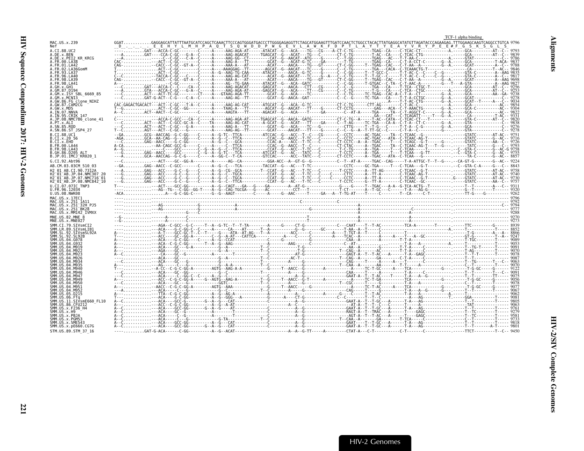<span id="page-66-0"></span>

|                                                               | TCF-1 alpha binding |
|---------------------------------------------------------------|---------------------|
| MAC.US.x.239                                                  |                     |
| A.CI.88.UC2<br>A.DE.x.BEN                                     |                     |
| A.DE.X.PEI2 KR KRCG                                           |                     |
| A.FR.00.LA38<br>A.FR.01.LA42                                  |                     |
| FR.02.LA36GomM<br>93.LA37                                     |                     |
| FR 96 IA40                                                    |                     |
| .FR 98 IA41                                                   |                     |
|                                                               |                     |
| GM.X.ISY SBL 6669 85<br>.GM.x.MCNI3                           |                     |
| .GW.86.FG_clone_NIHZ<br>.GW.87.CAM2CG                         |                     |
| .GW.x.MDS<br>.IN.07.NNVA                                      |                     |
| A.IN.95.CRIK 147<br>A.JP.08.NMC786 clone 41                   |                     |
|                                                               |                     |
| A.SN.86.ST JSP4 27                                            |                     |
| <b>R CT 88 HC1</b><br>B.CI.X.20 56                            |                     |
| B.CI.x.EHO<br>B.FR.00.LA44                                    |                     |
| B.FR.98.LA43                                                  |                     |
| B.GH.86.D205<br>B.JP.01.IMCJ KR020 1                          |                     |
| G.CI.92.Abt96<br>AB.CM.03.03CM 510 03                         |                     |
| H2 01 AR CT 90 7312A                                          |                     |
| H2 01 AB.JP.04.NMC307<br>H2 <sup>-01-AB.JP.07.NMC716-01</sup> |                     |
| H2 01 AB.JP.08.NMC842 10<br>U.CI.07.07IC TNP3                 |                     |
| U.FR.96.12034                                                 |                     |
| U.US.08.NWK08<br>MAC.US.x.17EC1                               |                     |
| MAC.US.x.251 1A11<br>MAC.US.x.251 <sup>-</sup> 32H PJ5        |                     |
| MAC.US.x.251 <sup>-</sup> BK28<br>MAC.US.x.MM142 IVMXX        |                     |
| MNE.US.82.MNE 8                                               |                     |
| MNE.US.x.MNE027                                               |                     |
|                                                               |                     |
|                                                               |                     |
|                                                               |                     |
|                                                               |                     |
|                                                               |                     |
|                                                               |                     |
|                                                               |                     |
|                                                               |                     |
|                                                               |                     |
|                                                               |                     |
|                                                               |                     |
| MM.US.86.CFU212                                               |                     |
|                                                               |                     |
|                                                               |                     |
| MM.US.x.SME543                                                |                     |
| SMM.US.x.pE660.CG7G<br>STM.US.89.STM 37 16                    |                     |
|                                                               |                     |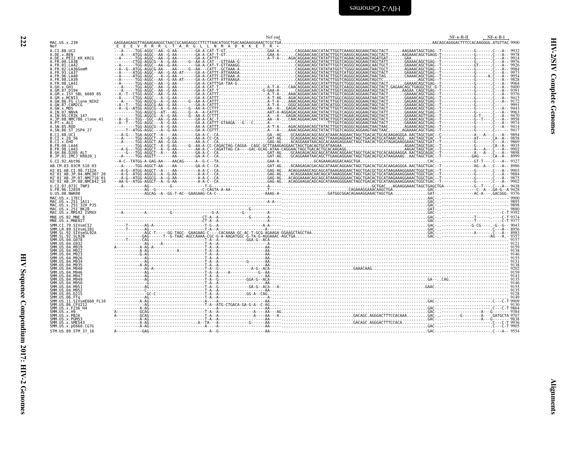<span id="page-67-0"></span>

| MAC.US.x.239                                                                                                                                                                                                                        |  |  | $NF - K - B - II$ | $NF-K-B-I$ |
|-------------------------------------------------------------------------------------------------------------------------------------------------------------------------------------------------------------------------------------|--|--|-------------------|------------|
| A.CI.88.UC2                                                                                                                                                                                                                         |  |  |                   |            |
| A.DE.x.BEN<br>A.DE.x.PEI2_KR_KRCG<br>A.FR.00.LA38                                                                                                                                                                                   |  |  |                   |            |
| A.FR.00.LA30<br>A.FR.01.LA42<br>A.FR.02.LA36GomM<br>A.FR.93.LA37<br>A.FR.98.LA40<br>A.FR.98.LA39                                                                                                                                    |  |  |                   |            |
|                                                                                                                                                                                                                                     |  |  |                   |            |
| .FR.98.LA41                                                                                                                                                                                                                         |  |  |                   |            |
|                                                                                                                                                                                                                                     |  |  |                   |            |
|                                                                                                                                                                                                                                     |  |  |                   |            |
| A.GW.86.FG clone_NIHZ<br>A.GW.86.FG clone_NIHZ                                                                                                                                                                                      |  |  |                   |            |
| .GW.x.MDS                                                                                                                                                                                                                           |  |  |                   |            |
| A.IN.ô7.NNVA<br>A.IN.95.CRIK 147<br>A.JP.08.NMC786_clone_41                                                                                                                                                                         |  |  |                   |            |
| .PT.x.ALI                                                                                                                                                                                                                           |  |  |                   |            |
| $B.CI.88.UC\bar{1}$                                                                                                                                                                                                                 |  |  |                   |            |
| B.CI.x.20 56<br>B.CI.x.EHO                                                                                                                                                                                                          |  |  |                   |            |
| .FR.00.LA44<br>.FR.98.LA43                                                                                                                                                                                                          |  |  |                   |            |
| B.GH.86.D205 ALT<br>B.JP.01.IMCJ_KR020_1                                                                                                                                                                                            |  |  |                   |            |
| G.CI.92.Abt96<br>AB.CM.03.03CM 510 03                                                                                                                                                                                               |  |  |                   |            |
| H2_01_AB.CI.90.7312A<br>H2 <sup>_</sup> 01 <sup>_</sup> AB.JP.04.NMC307_20                                                                                                                                                          |  |  |                   |            |
| H2 01 AB.JP.07.NMC716 01<br>H2 <sup>-</sup> 01 <sup>-</sup> AB.JP.08.NMC842 <sup>-</sup> 10                                                                                                                                         |  |  |                   |            |
| U.ČI.07.07IC TNP3<br>U.FR.96.12034                                                                                                                                                                                                  |  |  |                   |            |
| U.US.08.NWK08                                                                                                                                                                                                                       |  |  |                   |            |
| MAC.US.x.17EC1<br>MAC.US.x.251_1A11<br>MAC.US.x.251_1A11<br>MAC.US.x.251_32H_PJ5                                                                                                                                                    |  |  |                   |            |
| MAC.US.x.251-BK28<br>MAC.US.x.251-BK28<br>MAC.US.x.MM142_IVMXX                                                                                                                                                                      |  |  |                   |            |
| $MNE. US.82.MNE \overline{8}$                                                                                                                                                                                                       |  |  |                   |            |
| MNE.US.x.MNE027                                                                                                                                                                                                                     |  |  |                   |            |
| MWE. US. X. MWEM27<br>SMM. C. I. 79. SIVSMCI2<br>SMM. C. R. 99. SIVSMCI81<br>SMM. SL. 92. SIVSMSL92A<br>SMM. SL. 92. SL928<br>SMM. US. 04. 0922<br>SMM. US. 04. M919<br>SMM. US. 04. M922<br>SMM. US. 04. M922<br>SMM. US. 04. M922 |  |  |                   |            |
|                                                                                                                                                                                                                                     |  |  |                   |            |
|                                                                                                                                                                                                                                     |  |  |                   |            |
| SMM.US.04.M923                                                                                                                                                                                                                      |  |  |                   |            |
| SMM.US.04.M926                                                                                                                                                                                                                      |  |  |                   |            |
| SMM. US. 04. M934<br>SMM. US. 04. M934<br>SMM. US. 04. M940<br>SMM. US. 04. M946                                                                                                                                                    |  |  |                   |            |
| SMM.US.04.M947<br>SMM.US.04.M949                                                                                                                                                                                                    |  |  |                   |            |
|                                                                                                                                                                                                                                     |  |  |                   |            |
| SMM. US. 04. M950<br>SMM. US. 04. M950<br>SMM. US. 04. M952<br>SMM. US. 05. D215                                                                                                                                                    |  |  |                   |            |
| SMM.US.06.FTq<br>SMM.US.06.FTq<br>SMM.US.11.SIVsmE660_FL10                                                                                                                                                                          |  |  |                   |            |
| ŠMM.UŠ.86.ČFUŽI2<br>SMM.US.x.F236_H4                                                                                                                                                                                                |  |  |                   |            |
| SMM.US.x.H9<br>SMM.US.x.PBJA                                                                                                                                                                                                        |  |  |                   |            |
| SMM.US.x.PGM53<br>SMM.US.x.SME543                                                                                                                                                                                                   |  |  |                   |            |
| SMM.US.x.pE660.CG7G<br>STM.US.89.STM 37 16                                                                                                                                                                                          |  |  |                   |            |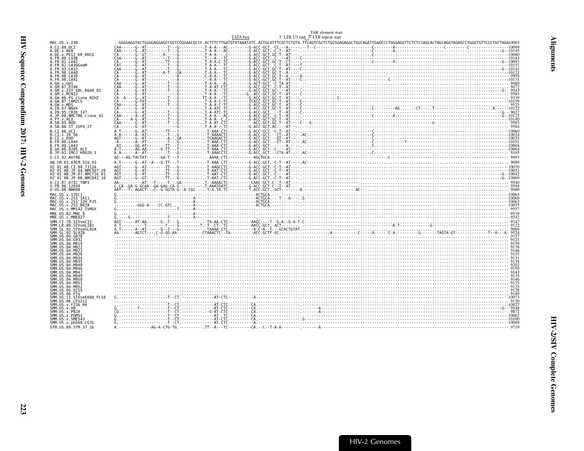<span id="page-68-0"></span>

|                                                                  | TATA box | 3' LTR U3 end <sup>3</sup> LTR repeat start | TAR element start                                                                                                                                                                                                                                                                                                                                                                                                                                                                                                |  |
|------------------------------------------------------------------|----------|---------------------------------------------|------------------------------------------------------------------------------------------------------------------------------------------------------------------------------------------------------------------------------------------------------------------------------------------------------------------------------------------------------------------------------------------------------------------------------------------------------------------------------------------------------------------|--|
| MAC.US.x.239                                                     |          |                                             |                                                                                                                                                                                                                                                                                                                                                                                                                                                                                                                  |  |
| A.CI.88.UC2                                                      |          |                                             |                                                                                                                                                                                                                                                                                                                                                                                                                                                                                                                  |  |
| A.DE.X.BEN<br>A.DE.X.PEI2 KR KRCG                                |          |                                             |                                                                                                                                                                                                                                                                                                                                                                                                                                                                                                                  |  |
| A.FR.00.LA38                                                     |          |                                             |                                                                                                                                                                                                                                                                                                                                                                                                                                                                                                                  |  |
|                                                                  |          |                                             |                                                                                                                                                                                                                                                                                                                                                                                                                                                                                                                  |  |
| A.FR.01.LA42<br>A.FR.02.LA36GomM<br>A.FR.93.LA37<br>A.FR.93.LA37 |          |                                             |                                                                                                                                                                                                                                                                                                                                                                                                                                                                                                                  |  |
| A. FR. 98. LA39                                                  |          |                                             |                                                                                                                                                                                                                                                                                                                                                                                                                                                                                                                  |  |
| A.FR.98.LA41<br>A.GH.x.GH1                                       |          |                                             |                                                                                                                                                                                                                                                                                                                                                                                                                                                                                                                  |  |
| A.GM.87.D194                                                     |          |                                             |                                                                                                                                                                                                                                                                                                                                                                                                                                                                                                                  |  |
| A.GM.x.ISY SBL_6669_85<br>A.GM.x.MCNI3                           |          |                                             |                                                                                                                                                                                                                                                                                                                                                                                                                                                                                                                  |  |
| A.GW.86.FG clone_NIHZ<br>A.GW.87.CAM2CG<br>A.GW.x.MDS            |          |                                             |                                                                                                                                                                                                                                                                                                                                                                                                                                                                                                                  |  |
|                                                                  |          |                                             |                                                                                                                                                                                                                                                                                                                                                                                                                                                                                                                  |  |
|                                                                  |          |                                             |                                                                                                                                                                                                                                                                                                                                                                                                                                                                                                                  |  |
| A.IN.07.NNVA<br>A.IN.95.CRIK 147<br>A.JP.08.NMC786_clone_41      |          |                                             |                                                                                                                                                                                                                                                                                                                                                                                                                                                                                                                  |  |
| A.PT.x.ALI                                                       |          |                                             |                                                                                                                                                                                                                                                                                                                                                                                                                                                                                                                  |  |
|                                                                  |          |                                             |                                                                                                                                                                                                                                                                                                                                                                                                                                                                                                                  |  |
| A.SN.85.ROD<br>A.SN.86.ST_JSP4_27                                |          |                                             |                                                                                                                                                                                                                                                                                                                                                                                                                                                                                                                  |  |
| B.CI.88.UC1                                                      |          |                                             |                                                                                                                                                                                                                                                                                                                                                                                                                                                                                                                  |  |
| B.CI.X.20 56<br>B.CI.X.EHO                                       |          |                                             |                                                                                                                                                                                                                                                                                                                                                                                                                                                                                                                  |  |
| B. FR. 00. LA44                                                  |          |                                             |                                                                                                                                                                                                                                                                                                                                                                                                                                                                                                                  |  |
| B.FR.98.LA43                                                     |          |                                             |                                                                                                                                                                                                                                                                                                                                                                                                                                                                                                                  |  |
| B.GH.86.D205 ALT<br>B.JP.01.IMCJ KR020 1                         |          |                                             |                                                                                                                                                                                                                                                                                                                                                                                                                                                                                                                  |  |
| G.CI.92.Abt96                                                    |          |                                             |                                                                                                                                                                                                                                                                                                                                                                                                                                                                                                                  |  |
| AB.CM.03.03CM 510 03                                             |          |                                             |                                                                                                                                                                                                                                                                                                                                                                                                                                                                                                                  |  |
| H2 01 AB.CI.90.7312A                                             |          |                                             |                                                                                                                                                                                                                                                                                                                                                                                                                                                                                                                  |  |
| H2 01 AB. JP. 04. NMC307 20                                      |          |                                             |                                                                                                                                                                                                                                                                                                                                                                                                                                                                                                                  |  |
| H2-01-AB.JP.07.NMC716-01<br>H2-01-AB.JP.08.NMC842-10             |          |                                             |                                                                                                                                                                                                                                                                                                                                                                                                                                                                                                                  |  |
| U.CI.07.07IC TNP3                                                |          |                                             |                                                                                                                                                                                                                                                                                                                                                                                                                                                                                                                  |  |
| U.FR.96.12034<br>U.US.08.NWK08                                   |          |                                             |                                                                                                                                                                                                                                                                                                                                                                                                                                                                                                                  |  |
|                                                                  |          |                                             |                                                                                                                                                                                                                                                                                                                                                                                                                                                                                                                  |  |
| MAC.US.x.17EC1<br>MAC.US.x.251 1A11                              |          |                                             |                                                                                                                                                                                                                                                                                                                                                                                                                                                                                                                  |  |
| MAC.US.x.251 32H PJ5                                             |          |                                             |                                                                                                                                                                                                                                                                                                                                                                                                                                                                                                                  |  |
| MAC.US.x.251 <sup>-</sup> BK28<br>MAC. US. x. MM142 IVMXX        |          |                                             |                                                                                                                                                                                                                                                                                                                                                                                                                                                                                                                  |  |
| MNE.US.82.MNE 8                                                  |          |                                             |                                                                                                                                                                                                                                                                                                                                                                                                                                                                                                                  |  |
| MNE.US.x.MNE027                                                  |          |                                             |                                                                                                                                                                                                                                                                                                                                                                                                                                                                                                                  |  |
| SMM.CI.79.SIVsmCI2                                               |          |                                             |                                                                                                                                                                                                                                                                                                                                                                                                                                                                                                                  |  |
| SMM.LR.89.SIVsmLIB1<br>SMM.SL.92.SIVsmSL92A                      |          |                                             | $\mathsf{A}\underbrace{\mathsf{a}}_{\mathsf{A}\text{-}\mathsf{1}\text{-}\mathsf{1}\text{-}\mathsf{A}\mathsf{A}\text{-}\mathsf{2}\text{-}\mathsf{2}\text{-}\mathsf{3}\text{-}\mathsf{4}}_{\mathsf{A}\text{-}\mathsf{2}\text{-}\mathsf{2}\text{-}\mathsf{3}\text{-}\mathsf{4}}\underbrace{\mathsf{1}\text{-}\mathsf{a}}_{\mathsf{2}\text{-}\mathsf{3}\text{-}\mathsf{2}\text{-}\mathsf{4}}\underbrace{\mathsf{1}\text{-}\mathsf{a}}_{\mathsf{3}\text{-}\mathsf{2}\text{-}\mathsf{3}\text{-}\mathsf{4}}\underbrace$ |  |
| SMM. SL. 92. SL92B                                               |          |                                             |                                                                                                                                                                                                                                                                                                                                                                                                                                                                                                                  |  |
| SMM.US.04.G078<br>SMM.US.04.G932                                 |          |                                             |                                                                                                                                                                                                                                                                                                                                                                                                                                                                                                                  |  |
| SMM.US.04.M919                                                   |          |                                             |                                                                                                                                                                                                                                                                                                                                                                                                                                                                                                                  |  |
| SMM.US.04.M922                                                   |          |                                             |                                                                                                                                                                                                                                                                                                                                                                                                                                                                                                                  |  |
| SMM.US.04.M923<br>SMM.US.04.M926                                 |          |                                             |                                                                                                                                                                                                                                                                                                                                                                                                                                                                                                                  |  |
| SMM.US.04.M934                                                   |          |                                             |                                                                                                                                                                                                                                                                                                                                                                                                                                                                                                                  |  |
| SMM.US.04.M935<br>SMM.US.04.M940                                 |          |                                             |                                                                                                                                                                                                                                                                                                                                                                                                                                                                                                                  |  |
| SMM.US.04.M946                                                   |          |                                             |                                                                                                                                                                                                                                                                                                                                                                                                                                                                                                                  |  |
| SMM.US.04.M947                                                   |          |                                             |                                                                                                                                                                                                                                                                                                                                                                                                                                                                                                                  |  |
| SMM.US.04.M949<br>SMM.US.04.M950                                 |          |                                             |                                                                                                                                                                                                                                                                                                                                                                                                                                                                                                                  |  |
| SMM.US.04.M951                                                   |          |                                             |                                                                                                                                                                                                                                                                                                                                                                                                                                                                                                                  |  |
| SMM.US.04.M952                                                   |          |                                             |                                                                                                                                                                                                                                                                                                                                                                                                                                                                                                                  |  |
| SMM.US.05.D215<br>SMM.US.06.FTa                                  |          |                                             |                                                                                                                                                                                                                                                                                                                                                                                                                                                                                                                  |  |
| SMM.US.11.SIVsmE660 FL10                                         |          |                                             |                                                                                                                                                                                                                                                                                                                                                                                                                                                                                                                  |  |
| SMM. US. 86. CFU212<br>SMM. US. x. F236 H4                       |          |                                             |                                                                                                                                                                                                                                                                                                                                                                                                                                                                                                                  |  |
| SMM. US. x. H9                                                   |          |                                             |                                                                                                                                                                                                                                                                                                                                                                                                                                                                                                                  |  |
| SMM.US.x.PBJA                                                    |          |                                             |                                                                                                                                                                                                                                                                                                                                                                                                                                                                                                                  |  |
| SMM.US.x.PGM53<br>SMM.US.x.SME543                                |          |                                             |                                                                                                                                                                                                                                                                                                                                                                                                                                                                                                                  |  |
| SMM. US. x. pE660. CG7G                                          |          |                                             |                                                                                                                                                                                                                                                                                                                                                                                                                                                                                                                  |  |

STM. US. 89. STM\_37\_16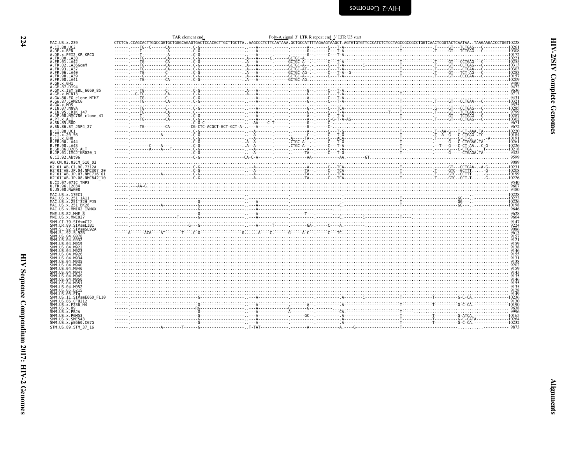<span id="page-69-0"></span>

| <b>HIV-2 Cenomes</b> |  |
|----------------------|--|
|                      |  |

| 7<br>I |
|--------|
| ۰.     |
| ٧      |

| MAC.US.x.239                                                    |  |  |  |                                                                                                                                                                                                                                                                                                                          |  |
|-----------------------------------------------------------------|--|--|--|--------------------------------------------------------------------------------------------------------------------------------------------------------------------------------------------------------------------------------------------------------------------------------------------------------------------------|--|
| A.CI.88.UC2                                                     |  |  |  |                                                                                                                                                                                                                                                                                                                          |  |
| A.DE.x.BEN<br>A.DE.x.PEI2 KR KRCG                               |  |  |  |                                                                                                                                                                                                                                                                                                                          |  |
| A.FR.00.LA38                                                    |  |  |  |                                                                                                                                                                                                                                                                                                                          |  |
| FR.01.LA42                                                      |  |  |  |                                                                                                                                                                                                                                                                                                                          |  |
| FR.02.LA36GomM                                                  |  |  |  |                                                                                                                                                                                                                                                                                                                          |  |
| FR.93.LA37<br>FR.96.LA40                                        |  |  |  |                                                                                                                                                                                                                                                                                                                          |  |
| FR.98.LA39                                                      |  |  |  |                                                                                                                                                                                                                                                                                                                          |  |
| FR.98.LA41                                                      |  |  |  |                                                                                                                                                                                                                                                                                                                          |  |
| A.GH.x.GH1                                                      |  |  |  |                                                                                                                                                                                                                                                                                                                          |  |
| .GM.87.D194                                                     |  |  |  |                                                                                                                                                                                                                                                                                                                          |  |
| A.GM.x.ISY_SBL_6669_85<br>GM.x.MCN13                            |  |  |  |                                                                                                                                                                                                                                                                                                                          |  |
| A.GW.86.FG clone NIHZ                                           |  |  |  |                                                                                                                                                                                                                                                                                                                          |  |
| A.GW.87.CAM2CG                                                  |  |  |  |                                                                                                                                                                                                                                                                                                                          |  |
| A.GW.x.MDS                                                      |  |  |  |                                                                                                                                                                                                                                                                                                                          |  |
| A.IN.07.NNVA                                                    |  |  |  |                                                                                                                                                                                                                                                                                                                          |  |
| A.IN.95.CRIK 147<br>A.JP.08.NMC786 clone 41                     |  |  |  |                                                                                                                                                                                                                                                                                                                          |  |
| A.PT.x.ALI                                                      |  |  |  |                                                                                                                                                                                                                                                                                                                          |  |
| A.SN.85.ROD                                                     |  |  |  |                                                                                                                                                                                                                                                                                                                          |  |
| A.SN.86.ST JSP4 27                                              |  |  |  |                                                                                                                                                                                                                                                                                                                          |  |
| B.CI.88.UC1                                                     |  |  |  | $f_{\text{1}}$ , $f_{\text{2}}$ , $f_{\text{3}}$ , $f_{\text{4}}$ , $f_{\text{5}}$ , $f_{\text{6}}$ , $f_{\text{7}}$ , $f_{\text{8}}$ , $f_{\text{9}}$ , $f_{\text{10}}$ , $f_{\text{11}}$ , $f_{\text{12}}$ , $f_{\text{13}}$ , $f_{\text{14}}$ , $f_{\text{15}}$ , $f_{\text{16}}$ , $f_{\text{18}}$ , $f_{\text{19}}$ |  |
| CI.x.2056                                                       |  |  |  |                                                                                                                                                                                                                                                                                                                          |  |
| B.CI.x.EHO<br>B.FR.00.LA44                                      |  |  |  | $(160.102)$ $(160.103)$ $(160.104)$ $(160.105)$ $(160.105)$ $(160.105)$ $(160.105)$ $(160.105)$ $(160.105)$ $(160.105)$ $(160.105)$ $(160.105)$ $(160.105)$ $(160.105)$ $(160.105)$ $(160.105)$ $(160.105)$ $(160.105)$ $(160$                                                                                           |  |
| FR.98.LA43                                                      |  |  |  |                                                                                                                                                                                                                                                                                                                          |  |
| GH.86.D205 ALT                                                  |  |  |  |                                                                                                                                                                                                                                                                                                                          |  |
| B.JP.01.IMCJ <sup>-</sup> KR020 1                               |  |  |  |                                                                                                                                                                                                                                                                                                                          |  |
| G.CI.92.Abt96                                                   |  |  |  |                                                                                                                                                                                                                                                                                                                          |  |
| AB.CM.03.03CM 510 03                                            |  |  |  |                                                                                                                                                                                                                                                                                                                          |  |
| H2 01 AB.CI.90.7312A                                            |  |  |  | $\begin{bmatrix} 0.91 & 0.000 & 0.000 & 0.000 & 0.000 & 0.000 & 0.000 & 0.000 & 0.000 & 0.000 & 0.000 & 0.000 & 0.000 & 0.000 & 0.000 & 0.000 & 0.000 & 0.000 & 0.000 & 0.000 & 0.000 & 0.000 & 0.000 & 0.000 & 0.000 & 0.000 & 0.000 & 0.000 & 0.000 & 0.000 & 0.00$                                                    |  |
| 12 <sup>-</sup> 01 <sup>-</sup> AB.JP.04.NMC307 20              |  |  |  |                                                                                                                                                                                                                                                                                                                          |  |
| H2 <sup>-</sup> 01 <sup>-</sup> AB.JP.07.NMC716 <sup>-</sup> 01 |  |  |  |                                                                                                                                                                                                                                                                                                                          |  |
| H2 <sup>-</sup> 01 <sup>-</sup> AB.JP.08.NMC842 <sup>-</sup> 10 |  |  |  |                                                                                                                                                                                                                                                                                                                          |  |
| U.CI.07.07IC TNP3                                               |  |  |  |                                                                                                                                                                                                                                                                                                                          |  |
| U.FR.96.12034<br>U.US.08.NWK08                                  |  |  |  |                                                                                                                                                                                                                                                                                                                          |  |
|                                                                 |  |  |  |                                                                                                                                                                                                                                                                                                                          |  |
| MAC.US.x.17EC1<br>MAC.US.x.251 1A11                             |  |  |  |                                                                                                                                                                                                                                                                                                                          |  |
| MAC.US.x.251 <sup>-</sup> 32H PJ5                               |  |  |  |                                                                                                                                                                                                                                                                                                                          |  |
| MAC.US.x.251 <sup>-</sup> BK28                                  |  |  |  |                                                                                                                                                                                                                                                                                                                          |  |
| MAC.US.x.MM142 IVMXX                                            |  |  |  |                                                                                                                                                                                                                                                                                                                          |  |
| MNE.US.82.MNE 8                                                 |  |  |  |                                                                                                                                                                                                                                                                                                                          |  |
| MNE.US.x.MNE027                                                 |  |  |  |                                                                                                                                                                                                                                                                                                                          |  |
|                                                                 |  |  |  |                                                                                                                                                                                                                                                                                                                          |  |
| SMM IR 89 STVsmlTR1                                             |  |  |  |                                                                                                                                                                                                                                                                                                                          |  |
|                                                                 |  |  |  |                                                                                                                                                                                                                                                                                                                          |  |
|                                                                 |  |  |  |                                                                                                                                                                                                                                                                                                                          |  |
|                                                                 |  |  |  |                                                                                                                                                                                                                                                                                                                          |  |
|                                                                 |  |  |  |                                                                                                                                                                                                                                                                                                                          |  |
|                                                                 |  |  |  |                                                                                                                                                                                                                                                                                                                          |  |
|                                                                 |  |  |  |                                                                                                                                                                                                                                                                                                                          |  |
|                                                                 |  |  |  |                                                                                                                                                                                                                                                                                                                          |  |
|                                                                 |  |  |  |                                                                                                                                                                                                                                                                                                                          |  |
|                                                                 |  |  |  |                                                                                                                                                                                                                                                                                                                          |  |
| SMM IIS 04 M94                                                  |  |  |  |                                                                                                                                                                                                                                                                                                                          |  |
| .04 M949                                                        |  |  |  |                                                                                                                                                                                                                                                                                                                          |  |
|                                                                 |  |  |  |                                                                                                                                                                                                                                                                                                                          |  |
|                                                                 |  |  |  |                                                                                                                                                                                                                                                                                                                          |  |
|                                                                 |  |  |  |                                                                                                                                                                                                                                                                                                                          |  |
|                                                                 |  |  |  |                                                                                                                                                                                                                                                                                                                          |  |
| SMM.US.11.SIVsmE660 FL10                                        |  |  |  |                                                                                                                                                                                                                                                                                                                          |  |
| SMM.US.86.CFU212                                                |  |  |  |                                                                                                                                                                                                                                                                                                                          |  |
| SMM.US.x.F236 H4                                                |  |  |  |                                                                                                                                                                                                                                                                                                                          |  |
| SMM.US.x.H9                                                     |  |  |  |                                                                                                                                                                                                                                                                                                                          |  |
| SMM.US.x.PBJA                                                   |  |  |  |                                                                                                                                                                                                                                                                                                                          |  |
| SMM.US.x.PGM53<br>SMM.US.x.SME543                               |  |  |  |                                                                                                                                                                                                                                                                                                                          |  |
| SMM.US.x.pE660.CG7G                                             |  |  |  |                                                                                                                                                                                                                                                                                                                          |  |
|                                                                 |  |  |  |                                                                                                                                                                                                                                                                                                                          |  |

**HIV-2/SIV Complete Genomes**